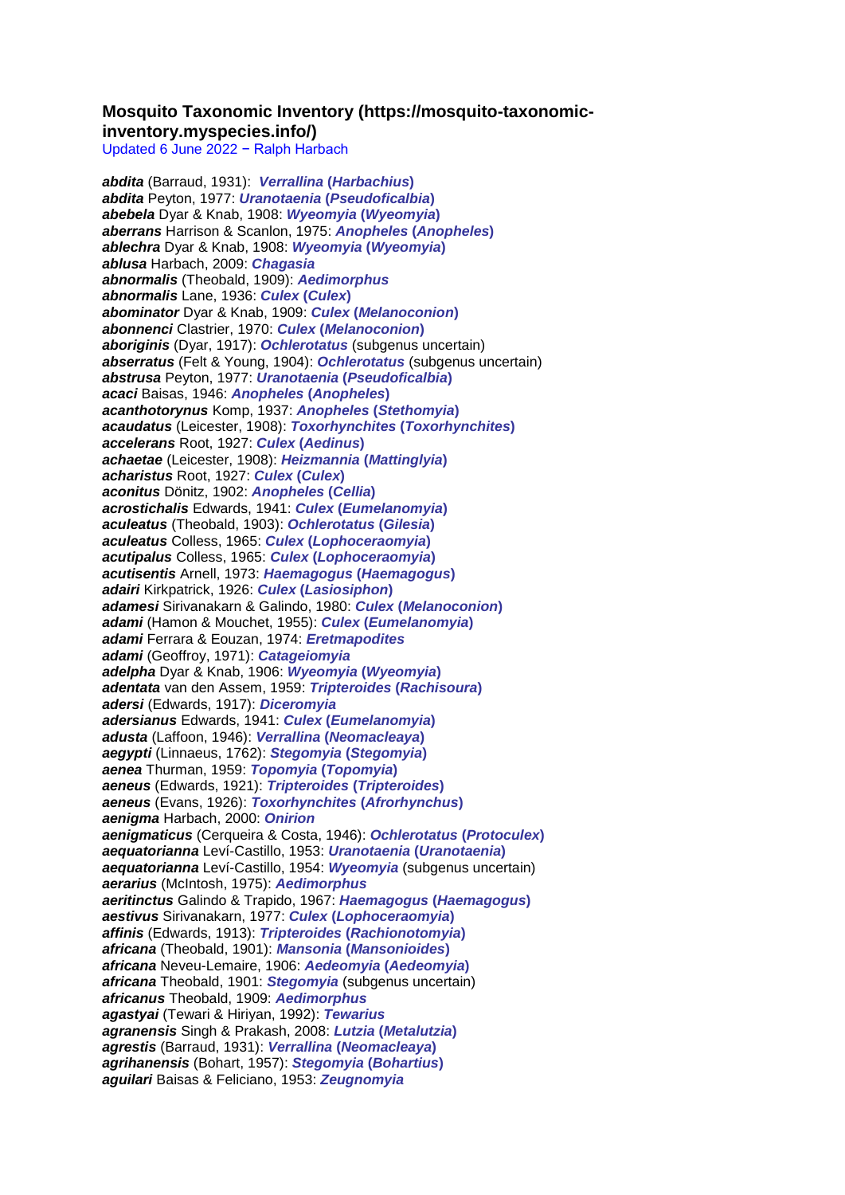## **Mosquito Taxonomic Inventory (https://mosquito-taxonomicinventory.myspecies.info/)**

Updated 6 June 2022 − Ralph Harbach

*abdita* (Barraud, 1931): *Verrallina* **(***Harbachius***)** *abdita* Peyton, 1977: *Uranotaenia* **(***Pseudoficalbia***)** *abebela* Dyar & Knab, 1908: *Wyeomyia* **(***Wyeomyia***)** *aberrans* Harrison & Scanlon, 1975: *Anopheles* **(***Anopheles***)** *ablechra* Dyar & Knab, 1908: *Wyeomyia* **(***Wyeomyia***)** *ablusa* Harbach, 2009: *Chagasia abnormalis* (Theobald, 1909): *Aedimorphus abnormalis* Lane, 1936: *Culex* **(***Culex***)** *abominator* Dyar & Knab, 1909: *Culex* **(***Melanoconion***)** *abonnenci* Clastrier, 1970: *Culex* **(***Melanoconion***)** *aboriginis* (Dyar, 1917): *Ochlerotatus* (subgenus uncertain) *abserratus* (Felt & Young, 1904): *Ochlerotatus* (subgenus uncertain) *abstrusa* Peyton, 1977: *Uranotaenia* **(***Pseudoficalbia***)** *acaci* Baisas, 1946: *Anopheles* **(***Anopheles***)** *acanthotorynus* Komp, 1937: *Anopheles* **(***Stethomyia***)** *acaudatus* (Leicester, 1908): *Toxorhynchites* **(***Toxorhynchites***)** *accelerans* Root, 1927: *Culex* **(***Aedinus***)** *achaetae* (Leicester, 1908): *Heizmannia* **(***Mattinglyia***)** *acharistus* Root, 1927: *Culex* **(***Culex***)** *aconitus* Dönitz, 1902: *Anopheles* **(***Cellia***)** *acrostichalis* Edwards, 1941: *Culex* **(***Eumelanomyia***)** *aculeatus* (Theobald, 1903): *Ochlerotatus* **(***Gilesia***)** *aculeatus* Colless, 1965: *Culex* **(***Lophoceraomyia***)** *acutipalus* Colless, 1965: *Culex* **(***Lophoceraomyia***)** *acutisentis* Arnell, 1973: *Haemagogus* **(***Haemagogus***)** *adairi* Kirkpatrick, 1926: *Culex* **(***Lasiosiphon***)** *adamesi* Sirivanakarn & Galindo, 1980: *Culex* **(***Melanoconion***)** *adami* (Hamon & Mouchet, 1955): *Culex* **(***Eumelanomyia***)** *adami* Ferrara & Eouzan, 1974: *Eretmapodites adami* (Geoffroy, 1971): *Catageiomyia adelpha* Dyar & Knab, 1906: *Wyeomyia* **(***Wyeomyia***)** *adentata* van den Assem, 1959: *Tripteroides* **(***Rachisoura***)** *adersi* (Edwards, 1917): *Diceromyia adersianus* Edwards, 1941: *Culex* **(***Eumelanomyia***)** *adusta* (Laffoon, 1946): *Verrallina* **(***Neomacleaya***)** *aegypti* (Linnaeus, 1762): *Stegomyia* **(***Stegomyia***)** *aenea* Thurman, 1959: *Topomyia* **(***Topomyia***)** *aeneus* (Edwards, 1921): *Tripteroides* **(***Tripteroides***)** *aeneus* (Evans, 1926): *Toxorhynchites* **(***Afrorhynchus***)** *aenigma* Harbach, 2000: *Onirion aenigmaticus* (Cerqueira & Costa, 1946): *Ochlerotatus* **(***Protoculex***)** *aequatorianna* Leví-Castillo, 1953: *Uranotaenia* **(***Uranotaenia***)** *aequatorianna* Leví-Castillo, 1954: *Wyeomyia* (subgenus uncertain) *aerarius* (McIntosh, 1975): *Aedimorphus aeritinctus* Galindo & Trapido, 1967: *Haemagogus* **(***Haemagogus***)** *aestivus* Sirivanakarn, 1977: *Culex* **(***Lophoceraomyia***)** *affinis* (Edwards, 1913): *Tripteroides* **(***Rachionotomyia***)** *africana* (Theobald, 1901): *Mansonia* **(***Mansonioides***)** *africana* Neveu-Lemaire, 1906: *Aedeomyia* **(***Aedeomyia***)** *africana* Theobald, 1901: *Stegomyia* (subgenus uncertain) *africanus* Theobald, 1909: *Aedimorphus agastyai* (Tewari & Hiriyan, 1992): *Tewarius agranensis* Singh & Prakash, 2008: *Lutzia* **(***Metalutzia***)** *agrestis* (Barraud, 1931): *Verrallina* **(***Neomacleaya***)** *agrihanensis* (Bohart, 1957): *Stegomyia* **(***Bohartius***)** *aguilari* Baisas & Feliciano, 1953: *Zeugnomyia*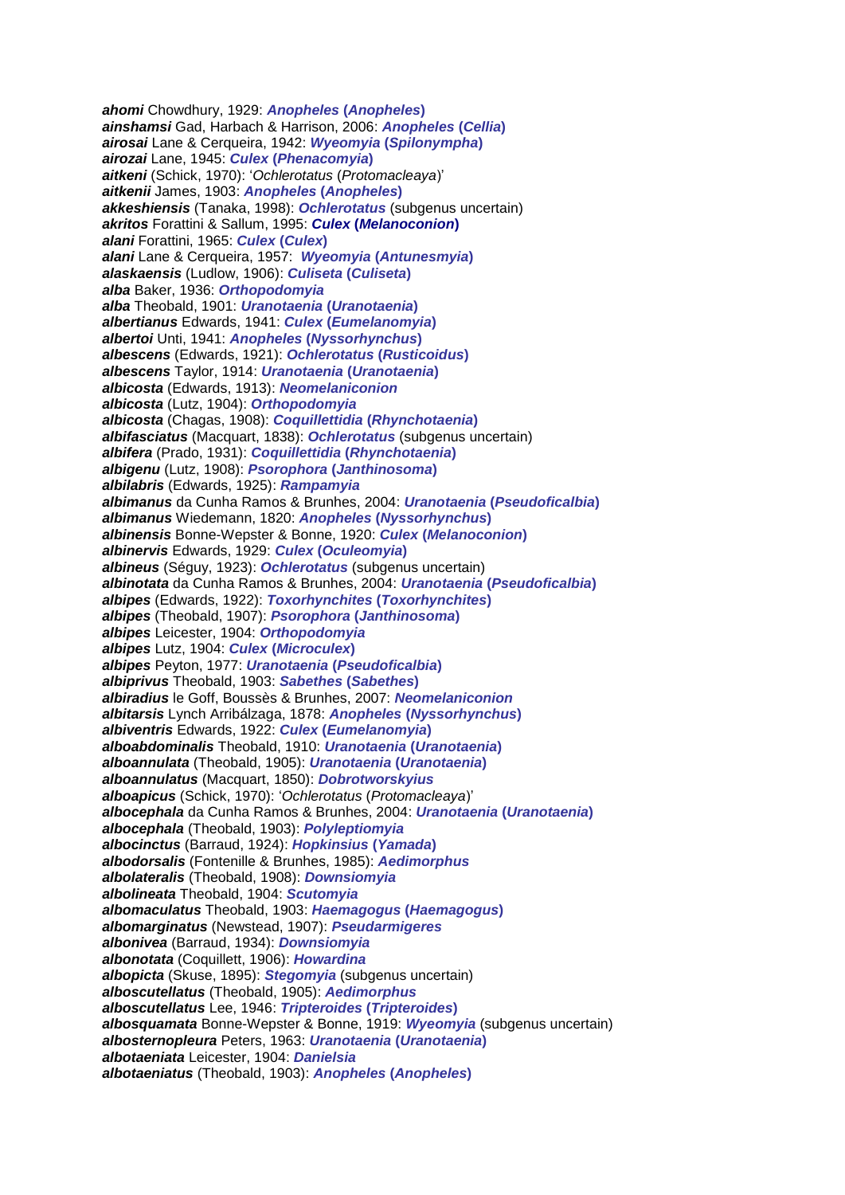*ahomi* Chowdhury, 1929: *Anopheles* **(***Anopheles***)** *ainshamsi* Gad, Harbach & Harrison, 2006: *Anopheles* **(***Cellia***)** *airosai* Lane & Cerqueira, 1942: *Wyeomyia* **(***Spilonympha***)** *airozai* Lane, 1945: *Culex* **(***Phenacomyia***)** *aitkeni* (Schick, 1970): '*Ochlerotatus* (*Protomacleaya*)' *aitkenii* James, 1903: *Anopheles* **(***Anopheles***)** *akkeshiensis* (Tanaka, 1998): *Ochlerotatus* (subgenus uncertain) *akritos* Forattini & Sallum, 1995: *Culex* **(***Melanoconion***)** *alani* Forattini, 1965: *Culex* **(***Culex***)** *alani* Lane & Cerqueira, 1957: *Wyeomyia* **(***Antunesmyia***)** *alaskaensis* (Ludlow, 1906): *Culiseta* **(***Culiseta***)** *alba* Baker, 1936: *Orthopodomyia alba* Theobald, 1901: *Uranotaenia* **(***Uranotaenia***)** *albertianus* Edwards, 1941: *Culex* **(***Eumelanomyia***)** *albertoi* Unti, 1941: *Anopheles* **(***Nyssorhynchus***)** *albescens* (Edwards, 1921): *Ochlerotatus* **(***Rusticoidus***)** *albescens* Taylor, 1914: *Uranotaenia* **(***Uranotaenia***)** *albicosta* (Edwards, 1913): *Neomelaniconion albicosta* (Lutz, 1904): *Orthopodomyia albicosta* (Chagas, 1908): *Coquillettidia* **(***Rhynchotaenia***)** *albifasciatus* (Macquart, 1838): *Ochlerotatus* (subgenus uncertain) *albifera* (Prado, 1931): *Coquillettidia* **(***Rhynchotaenia***)** *albigenu* (Lutz, 1908): *Psorophora* **(***Janthinosoma***)** *albilabris* (Edwards, 1925): *Rampamyia albimanus* da Cunha Ramos & Brunhes, 2004: *Uranotaenia* **(***Pseudoficalbia***)** *albimanus* Wiedemann, 1820: *Anopheles* **(***Nyssorhynchus***)** *albinensis* Bonne-Wepster & Bonne, 1920: *Culex* **(***Melanoconion***)** *albinervis* Edwards, 1929: *Culex* **(***Oculeomyia***)** *albineus* (Séguy, 1923): *Ochlerotatus* (subgenus uncertain) *albinotata* da Cunha Ramos & Brunhes, 2004: *Uranotaenia* **(***Pseudoficalbia***)** *albipes* (Edwards, 1922): *Toxorhynchites* **(***Toxorhynchites***)** *albipes* (Theobald, 1907): *Psorophora* **(***Janthinosoma***)** *albipes* Leicester, 1904: *Orthopodomyia albipes* Lutz, 1904: *Culex* **(***Microculex***)** *albipes* Peyton, 1977: *Uranotaenia* **(***Pseudoficalbia***)** *albiprivus* Theobald, 1903: *Sabethes* **(***Sabethes***)** *albiradius* le Goff, Boussès & Brunhes, 2007: *Neomelaniconion albitarsis* Lynch Arribálzaga, 1878: *Anopheles* **(***Nyssorhynchus***)** *albiventris* Edwards, 1922: *Culex* **(***Eumelanomyia***)** *alboabdominalis* Theobald, 1910: *Uranotaenia* **(***Uranotaenia***)** *alboannulata* (Theobald, 1905): *Uranotaenia* **(***Uranotaenia***)** *alboannulatus* (Macquart, 1850): *Dobrotworskyius alboapicus* (Schick, 1970): '*Ochlerotatus* (*Protomacleaya*)' *albocephala* da Cunha Ramos & Brunhes, 2004: *Uranotaenia* **(***Uranotaenia***)** *albocephala* (Theobald, 1903): *Polyleptiomyia albocinctus* (Barraud, 1924): *Hopkinsius* **(***Yamada***)** *albodorsalis* (Fontenille & Brunhes, 1985): *Aedimorphus albolateralis* (Theobald, 1908): *Downsiomyia albolineata* Theobald, 1904: *Scutomyia albomaculatus* Theobald, 1903: *Haemagogus* **(***Haemagogus***)** *albomarginatus* (Newstead, 1907): *Pseudarmigeres albonivea* (Barraud, 1934): *Downsiomyia albonotata* (Coquillett, 1906): *Howardina albopicta* (Skuse, 1895): *Stegomyia* (subgenus uncertain) *alboscutellatus* (Theobald, 1905): *Aedimorphus alboscutellatus* Lee, 1946: *Tripteroides* **(***Tripteroides***)** *albosquamata* Bonne-Wepster & Bonne, 1919: *Wyeomyia* (subgenus uncertain) *albosternopleura* Peters, 1963: *Uranotaenia* **(***Uranotaenia***)** *albotaeniata* Leicester, 1904: *Danielsia albotaeniatus* (Theobald, 1903): *Anopheles* **(***Anopheles***)**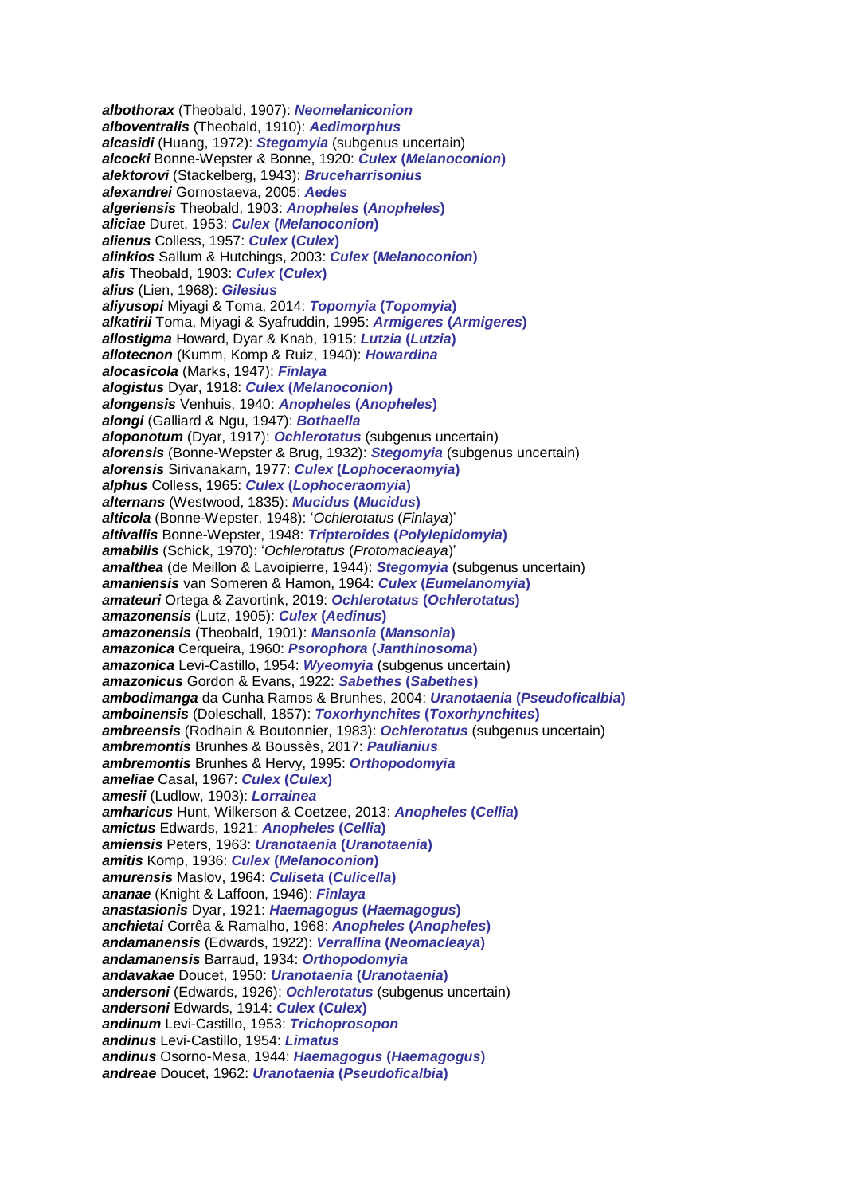*albothorax* (Theobald, 1907): *Neomelaniconion alboventralis* (Theobald, 1910): *Aedimorphus alcasidi* (Huang, 1972): *Stegomyia* (subgenus uncertain) *alcocki* Bonne-Wepster & Bonne, 1920: *Culex* **(***Melanoconion***)** *alektorovi* (Stackelberg, 1943): *Bruceharrisonius alexandrei* Gornostaeva, 2005: *Aedes algeriensis* Theobald, 1903: *Anopheles* **(***Anopheles***)** *aliciae* Duret, 1953: *Culex* **(***Melanoconion***)** *alienus* Colless, 1957: *Culex* **(***Culex***)** *alinkios* Sallum & Hutchings, 2003: *Culex* **(***Melanoconion***)** *alis* Theobald, 1903: *Culex* **(***Culex***)** *alius* (Lien, 1968): *Gilesius aliyusopi* Miyagi & Toma, 2014: *Topomyia* **(***Topomyia***)** *alkatirii* Toma, Miyagi & Syafruddin, 1995: *Armigeres* **(***Armigeres***)** *allostigma* Howard, Dyar & Knab, 1915: *Lutzia* **(***Lutzia***)** *allotecnon* (Kumm, Komp & Ruiz, 1940): *Howardina alocasicola* (Marks, 1947): *Finlaya alogistus* Dyar, 1918: *Culex* **(***Melanoconion***)** *alongensis* Venhuis, 1940: *Anopheles* **(***Anopheles***)** *alongi* (Galliard & Ngu, 1947): *Bothaella aloponotum* (Dyar, 1917): *Ochlerotatus* (subgenus uncertain) *alorensis* (Bonne-Wepster & Brug, 1932): *Stegomyia* (subgenus uncertain) *alorensis* Sirivanakarn, 1977: *Culex* **(***Lophoceraomyia***)** *alphus* Colless, 1965: *Culex* **(***Lophoceraomyia***)** *alternans* (Westwood, 1835): *Mucidus* **(***Mucidus***)** *alticola* (Bonne-Wepster, 1948): '*Ochlerotatus* (*Finlaya*)' *altivallis* Bonne-Wepster, 1948: *Tripteroides* **(***Polylepidomyia***)** *amabilis* (Schick, 1970): '*Ochlerotatus* (*Protomacleaya*)' *amalthea* (de Meillon & Lavoipierre, 1944): *Stegomyia* (subgenus uncertain) *amaniensis* van Someren & Hamon, 1964: *Culex* **(***Eumelanomyia***)** *amateuri* Ortega & Zavortink, 2019: *Ochlerotatus* **(***Ochlerotatus***)** *amazonensis* (Lutz, 1905): *Culex* **(***Aedinus***)** *amazonensis* (Theobald, 1901): *Mansonia* **(***Mansonia***)** *amazonica* Cerqueira, 1960: *Psorophora* **(***Janthinosoma***)** *amazonica* Levi-Castillo, 1954: *Wyeomyia* (subgenus uncertain) *amazonicus* Gordon & Evans, 1922: *Sabethes* **(***Sabethes***)** *ambodimanga* da Cunha Ramos & Brunhes, 2004: *Uranotaenia* **(***Pseudoficalbia***)** *amboinensis* (Doleschall, 1857): *Toxorhynchites* **(***Toxorhynchites***)** *ambreensis* (Rodhain & Boutonnier, 1983): *Ochlerotatus* (subgenus uncertain) *ambremontis* Brunhes & Boussès, 2017: *Paulianius ambremontis* Brunhes & Hervy, 1995: *Orthopodomyia ameliae* Casal, 1967: *Culex* **(***Culex***)** *amesii* (Ludlow, 1903): *Lorrainea amharicus* Hunt, Wilkerson & Coetzee, 2013: *Anopheles* **(***Cellia***)** *amictus* Edwards, 1921: *Anopheles* **(***Cellia***)** *amiensis* Peters, 1963: *Uranotaenia* **(***Uranotaenia***)** *amitis* Komp, 1936: *Culex* **(***Melanoconion***)** *amurensis* Maslov, 1964: *Culiseta* **(***Culicella***)** *ananae* (Knight & Laffoon, 1946): *Finlaya anastasionis* Dyar, 1921: *Haemagogus* **(***Haemagogus***)** *anchietai* Corrêa & Ramalho, 1968: *Anopheles* **(***Anopheles***)** *andamanensis* (Edwards, 1922): *Verrallina* **(***Neomacleaya***)** *andamanensis* Barraud, 1934: *Orthopodomyia andavakae* Doucet, 1950: *Uranotaenia* **(***Uranotaenia***)** *andersoni* (Edwards, 1926): *Ochlerotatus* (subgenus uncertain) *andersoni* Edwards, 1914: *Culex* **(***Culex***)** *andinum* Levi-Castillo, 1953: *Trichoprosopon andinus* Levi-Castillo, 1954: *Limatus andinus* Osorno-Mesa, 1944: *Haemagogus* **(***Haemagogus***)** *andreae* Doucet, 1962: *Uranotaenia* **(***Pseudoficalbia***)**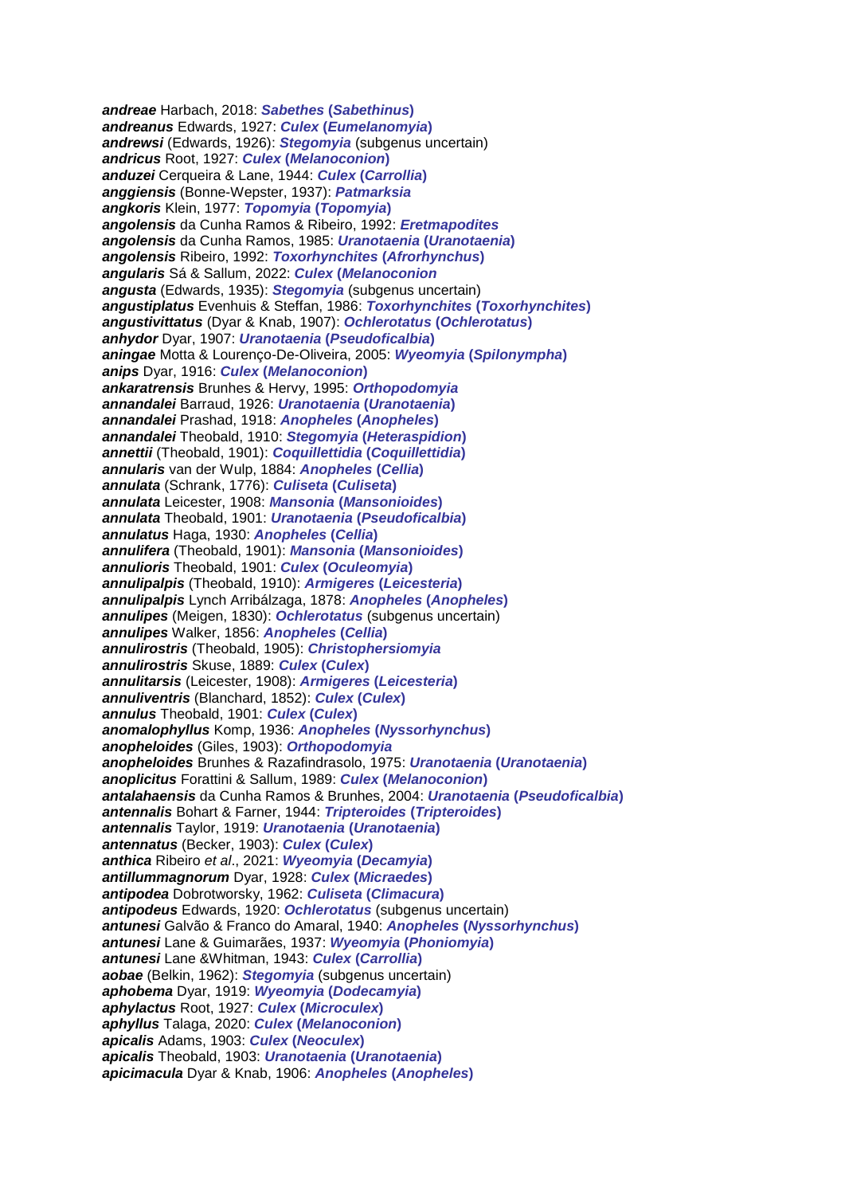*andreae* Harbach, 2018: *Sabethes* **(***Sabethinus***)** *andreanus* Edwards, 1927: *Culex* **(***Eumelanomyia***)** *andrewsi* (Edwards, 1926): *Stegomyia* (subgenus uncertain) *andricus* Root, 1927: *Culex* **(***Melanoconion***)** *anduzei* Cerqueira & Lane, 1944: *Culex* **(***Carrollia***)** *anggiensis* (Bonne-Wepster, 1937): *Patmarksia angkoris* Klein, 1977: *Topomyia* **(***Topomyia***)** *angolensis* da Cunha Ramos & Ribeiro, 1992: *Eretmapodites angolensis* da Cunha Ramos, 1985: *Uranotaenia* **(***Uranotaenia***)** *angolensis* Ribeiro, 1992: *Toxorhynchites* **(***Afrorhynchus***)** *angularis* Sá & Sallum, 2022: *Culex* **(***Melanoconion angusta* (Edwards, 1935): *Stegomyia* (subgenus uncertain) *angustiplatus* Evenhuis & Steffan, 1986: *Toxorhynchites* **(***Toxorhynchites***)** *angustivittatus* (Dyar & Knab, 1907): *Ochlerotatus* **(***Ochlerotatus***)** *anhydor* Dyar, 1907: *Uranotaenia* **(***Pseudoficalbia***)** *aningae* Motta & Lourenço-De-Oliveira, 2005: *Wyeomyia* **(***Spilonympha***)** *anips* Dyar, 1916: *Culex* **(***Melanoconion***)** *ankaratrensis* Brunhes & Hervy, 1995: *Orthopodomyia annandalei* Barraud, 1926: *Uranotaenia* **(***Uranotaenia***)** *annandalei* Prashad, 1918: *Anopheles* **(***Anopheles***)** *annandalei* Theobald, 1910: *Stegomyia* **(***Heteraspidion***)** *annettii* (Theobald, 1901): *Coquillettidia* **(***Coquillettidia***)** *annularis* van der Wulp, 1884: *Anopheles* **(***Cellia***)** *annulata* (Schrank, 1776): *Culiseta* **(***Culiseta***)** *annulata* Leicester, 1908: *Mansonia* **(***Mansonioides***)** *annulata* Theobald, 1901: *Uranotaenia* **(***Pseudoficalbia***)** *annulatus* Haga, 1930: *Anopheles* **(***Cellia***)** *annulifera* (Theobald, 1901): *Mansonia* **(***Mansonioides***)** *annulioris* Theobald, 1901: *Culex* **(***Oculeomyia***)** *annulipalpis* (Theobald, 1910): *Armigeres* **(***Leicesteria***)** *annulipalpis* Lynch Arribálzaga, 1878: *Anopheles* **(***Anopheles***)** *annulipes* (Meigen, 1830): *Ochlerotatus* (subgenus uncertain) *annulipes* Walker, 1856: *Anopheles* **(***Cellia***)** *annulirostris* (Theobald, 1905): *Christophersiomyia annulirostris* Skuse, 1889: *Culex* **(***Culex***)** *annulitarsis* (Leicester, 1908): *Armigeres* **(***Leicesteria***)** *annuliventris* (Blanchard, 1852): *Culex* **(***Culex***)** *annulus* Theobald, 1901: *Culex* **(***Culex***)** *anomalophyllus* Komp, 1936: *Anopheles* **(***Nyssorhynchus***)** *anopheloides* (Giles, 1903): *Orthopodomyia anopheloides* Brunhes & Razafindrasolo, 1975: *Uranotaenia* **(***Uranotaenia***)** *anoplicitus* Forattini & Sallum, 1989: *Culex* **(***Melanoconion***)** *antalahaensis* da Cunha Ramos & Brunhes, 2004: *Uranotaenia* **(***Pseudoficalbia***)** *antennalis* Bohart & Farner, 1944: *Tripteroides* **(***Tripteroides***)** *antennalis* Taylor, 1919: *Uranotaenia* **(***Uranotaenia***)** *antennatus* (Becker, 1903): *Culex* **(***Culex***)** *anthica* Ribeiro *et al*., 2021: *Wyeomyia* **(***Decamyia***)** *antillummagnorum* Dyar, 1928: *Culex* **(***Micraedes***)** *antipodea* Dobrotworsky, 1962: *Culiseta* **(***Climacura***)** *antipodeus* Edwards, 1920: *Ochlerotatus* (subgenus uncertain) *antunesi* Galvão & Franco do Amaral, 1940: *Anopheles* **(***Nyssorhynchus***)** *antunesi* Lane & Guimarães, 1937: *Wyeomyia* **(***Phoniomyia***)** *antunesi* Lane &Whitman, 1943: *Culex* **(***Carrollia***)** *aobae* (Belkin, 1962): *Stegomyia* (subgenus uncertain) *aphobema* Dyar, 1919: *Wyeomyia* **(***Dodecamyia***)** *aphylactus* Root, 1927: *Culex* **(***Microculex***)** *aphyllus* Talaga, 2020: *Culex* **(***Melanoconion***)** *apicalis* Adams, 1903: *Culex* **(***Neoculex***)** *apicalis* Theobald, 1903: *Uranotaenia* **(***Uranotaenia***)** *apicimacula* Dyar & Knab, 1906: *Anopheles* **(***Anopheles***)**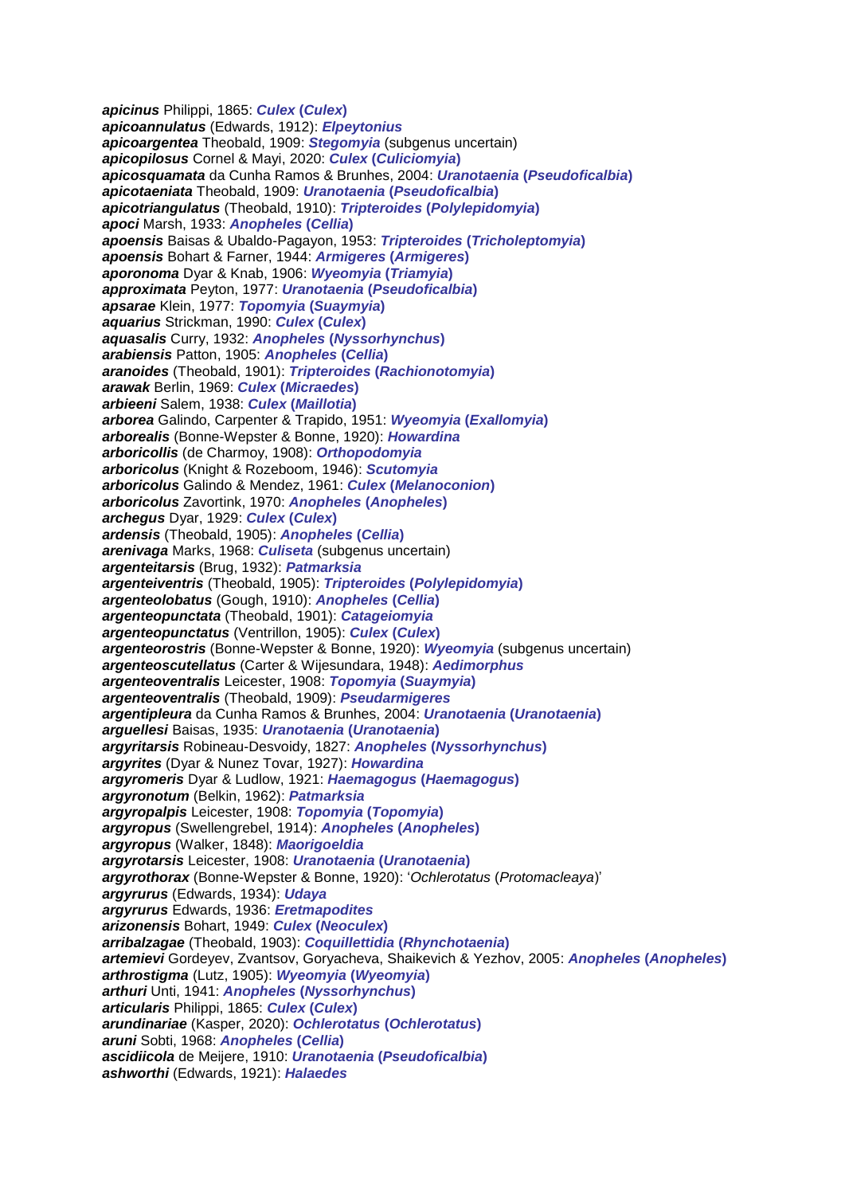*apicinus* Philippi, 1865: *Culex* **(***Culex***)** *apicoannulatus* (Edwards, 1912): *Elpeytonius apicoargentea* Theobald, 1909: *Stegomyia* (subgenus uncertain) *apicopilosus* Cornel & Mayi, 2020: *Culex* **(***Culiciomyia***)** *apicosquamata* da Cunha Ramos & Brunhes, 2004: *Uranotaenia* **(***Pseudoficalbia***)** *apicotaeniata* Theobald, 1909: *Uranotaenia* **(***Pseudoficalbia***)** *apicotriangulatus* (Theobald, 1910): *Tripteroides* **(***Polylepidomyia***)** *apoci* Marsh, 1933: *Anopheles* **(***Cellia***)** *apoensis* Baisas & Ubaldo-Pagayon, 1953: *Tripteroides* **(***Tricholeptomyia***)** *apoensis* Bohart & Farner, 1944: *Armigeres* **(***Armigeres***)** *aporonoma* Dyar & Knab, 1906: *Wyeomyia* **(***Triamyia***)** *approximata* Peyton, 1977: *Uranotaenia* **(***Pseudoficalbia***)** *apsarae* Klein, 1977: *Topomyia* **(***Suaymyia***)** *aquarius* Strickman, 1990: *Culex* **(***Culex***)** *aquasalis* Curry, 1932: *Anopheles* **(***Nyssorhynchus***)** *arabiensis* Patton, 1905: *Anopheles* **(***Cellia***)** *aranoides* (Theobald, 1901): *Tripteroides* **(***Rachionotomyia***)** *arawak* Berlin, 1969: *Culex* **(***Micraedes***)** *arbieeni* Salem, 1938: *Culex* **(***Maillotia***)** *arborea* Galindo, Carpenter & Trapido, 1951: *Wyeomyia* **(***Exallomyia***)** *arborealis* (Bonne-Wepster & Bonne, 1920): *Howardina arboricollis* (de Charmoy, 1908): *Orthopodomyia arboricolus* (Knight & Rozeboom, 1946): *Scutomyia arboricolus* Galindo & Mendez, 1961: *Culex* **(***Melanoconion***)** *arboricolus* Zavortink, 1970: *Anopheles* **(***Anopheles***)** *archegus* Dyar, 1929: *Culex* **(***Culex***)** *ardensis* (Theobald, 1905): *Anopheles* **(***Cellia***)** *arenivaga* Marks, 1968: *Culiseta* (subgenus uncertain) *argenteitarsis* (Brug, 1932): *Patmarksia argenteiventris* (Theobald, 1905): *Tripteroides* **(***Polylepidomyia***)** *argenteolobatus* (Gough, 1910): *Anopheles* **(***Cellia***)** *argenteopunctata* (Theobald, 1901): *Catageiomyia argenteopunctatus* (Ventrillon, 1905): *Culex* **(***Culex***)** *argenteorostris* (Bonne-Wepster & Bonne, 1920): *Wyeomyia* (subgenus uncertain) *argenteoscutellatus* (Carter & Wijesundara, 1948): *Aedimorphus argenteoventralis* Leicester, 1908: *Topomyia* **(***Suaymyia***)** *argenteoventralis* (Theobald, 1909): *Pseudarmigeres argentipleura* da Cunha Ramos & Brunhes, 2004: *Uranotaenia* **(***Uranotaenia***)** *arguellesi* Baisas, 1935: *Uranotaenia* **(***Uranotaenia***)** *argyritarsis* Robineau-Desvoidy, 1827: *Anopheles* **(***Nyssorhynchus***)** *argyrites* (Dyar & Nunez Tovar, 1927): *Howardina argyromeris* Dyar & Ludlow, 1921: *Haemagogus* **(***Haemagogus***)** *argyronotum* (Belkin, 1962): *Patmarksia argyropalpis* Leicester, 1908: *Topomyia* **(***Topomyia***)** *argyropus* (Swellengrebel, 1914): *Anopheles* **(***Anopheles***)** *argyropus* (Walker, 1848): *Maorigoeldia argyrotarsis* Leicester, 1908: *Uranotaenia* **(***Uranotaenia***)** *argyrothorax* (Bonne-Wepster & Bonne, 1920): '*Ochlerotatus* (*Protomacleaya*)' *argyrurus* (Edwards, 1934): *Udaya argyrurus* Edwards, 1936: *Eretmapodites arizonensis* Bohart, 1949: *Culex* **(***Neoculex***)** *arribalzagae* (Theobald, 1903): *Coquillettidia* **(***Rhynchotaenia***)** *artemievi* Gordeyev, Zvantsov, Goryacheva, Shaikevich & Yezhov, 2005: *Anopheles* **(***Anopheles***)** *arthrostigma* (Lutz, 1905): *Wyeomyia* **(***Wyeomyia***)** *arthuri* Unti, 1941: *Anopheles* **(***Nyssorhynchus***)** *articularis* Philippi, 1865: *Culex* **(***Culex***)** *arundinariae* (Kasper, 2020): *Ochlerotatus* **(***Ochlerotatus***)** *aruni* Sobti, 1968: *Anopheles* **(***Cellia***)** *ascidiicola* de Meijere, 1910: *Uranotaenia* **(***Pseudoficalbia***)** *ashworthi* (Edwards, 1921): *Halaedes*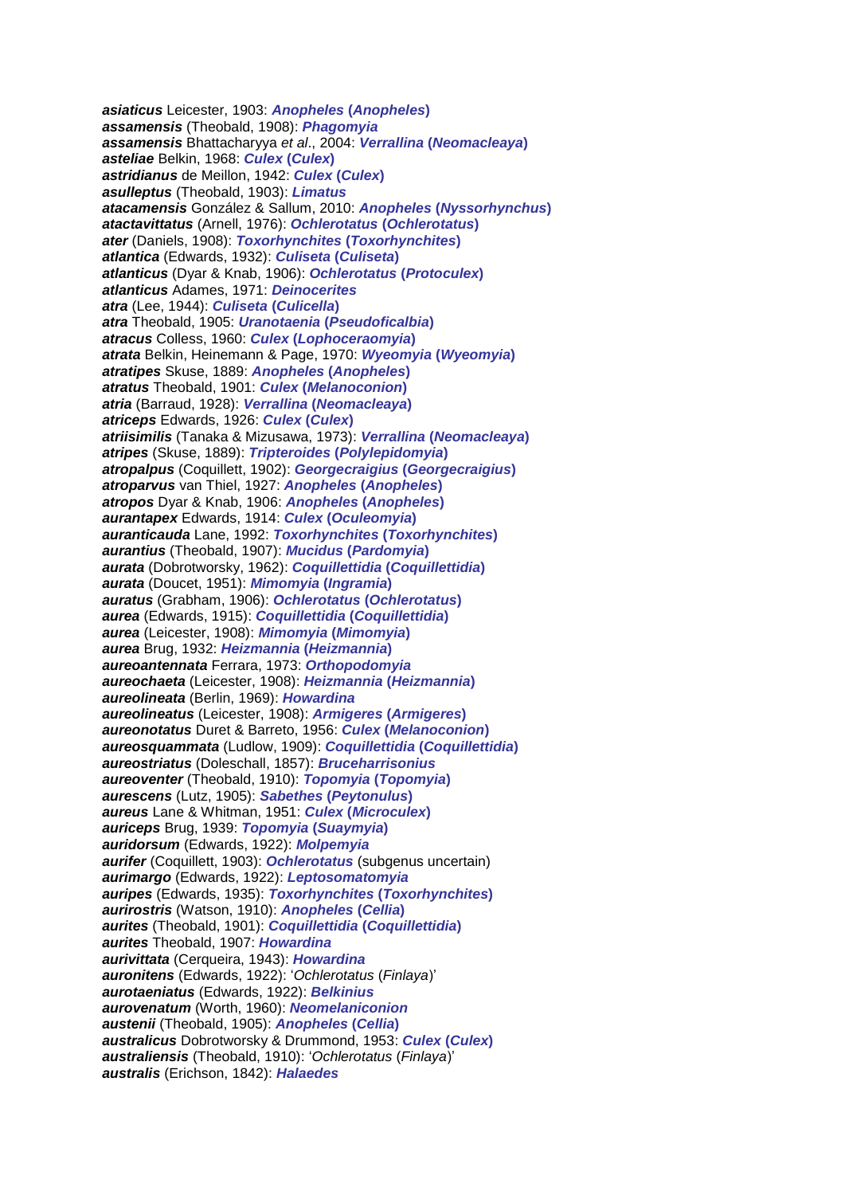*asiaticus* Leicester, 1903: *Anopheles* **(***Anopheles***)** *assamensis* (Theobald, 1908): *Phagomyia assamensis* Bhattacharyya *et al*., 2004: *Verrallina* **(***Neomacleaya***)** *asteliae* Belkin, 1968: *Culex* **(***Culex***)** *astridianus* de Meillon, 1942: *Culex* **(***Culex***)** *asulleptus* (Theobald, 1903): *Limatus atacamensis* González & Sallum, 2010: *Anopheles* **(***Nyssorhynchus***)** *atactavittatus* (Arnell, 1976): *Ochlerotatus* **(***Ochlerotatus***)** *ater* (Daniels, 1908): *Toxorhynchites* **(***Toxorhynchites***)** *atlantica* (Edwards, 1932): *Culiseta* **(***Culiseta***)** *atlanticus* (Dyar & Knab, 1906): *Ochlerotatus* **(***Protoculex***)** *atlanticus* Adames, 1971: *Deinocerites atra* (Lee, 1944): *Culiseta* **(***Culicella***)** *atra* Theobald, 1905: *Uranotaenia* **(***Pseudoficalbia***)** *atracus* Colless, 1960: *Culex* **(***Lophoceraomyia***)** *atrata* Belkin, Heinemann & Page, 1970: *Wyeomyia* **(***Wyeomyia***)** *atratipes* Skuse, 1889: *Anopheles* **(***Anopheles***)** *atratus* Theobald, 1901: *Culex* **(***Melanoconion***)** *atria* (Barraud, 1928): *Verrallina* **(***Neomacleaya***)** *atriceps* Edwards, 1926: *Culex* **(***Culex***)** *atriisimilis* (Tanaka & Mizusawa, 1973): *Verrallina* **(***Neomacleaya***)** *atripes* (Skuse, 1889): *Tripteroides* **(***Polylepidomyia***)** *atropalpus* (Coquillett, 1902): *Georgecraigius* **(***Georgecraigius***)** *atroparvus* van Thiel, 1927: *Anopheles* **(***Anopheles***)** *atropos* Dyar & Knab, 1906: *Anopheles* **(***Anopheles***)** *aurantapex* Edwards, 1914: *Culex* **(***Oculeomyia***)** *auranticauda* Lane, 1992: *Toxorhynchites* **(***Toxorhynchites***)** *aurantius* (Theobald, 1907): *Mucidus* **(***Pardomyia***)** *aurata* (Dobrotworsky, 1962): *Coquillettidia* **(***Coquillettidia***)** *aurata* (Doucet, 1951): *Mimomyia* **(***Ingramia***)** *auratus* (Grabham, 1906): *Ochlerotatus* **(***Ochlerotatus***)** *aurea* (Edwards, 1915): *Coquillettidia* **(***Coquillettidia***)** *aurea* (Leicester, 1908): *Mimomyia* **(***Mimomyia***)** *aurea* Brug, 1932: *Heizmannia* **(***Heizmannia***)** *aureoantennata* Ferrara, 1973: *Orthopodomyia aureochaeta* (Leicester, 1908): *Heizmannia* **(***Heizmannia***)** *aureolineata* (Berlin, 1969): *Howardina aureolineatus* (Leicester, 1908): *Armigeres* **(***Armigeres***)** *aureonotatus* Duret & Barreto, 1956: *Culex* **(***Melanoconion***)** *aureosquammata* (Ludlow, 1909): *Coquillettidia* **(***Coquillettidia***)** *aureostriatus* (Doleschall, 1857): *Bruceharrisonius aureoventer* (Theobald, 1910): *Topomyia* **(***Topomyia***)** *aurescens* (Lutz, 1905): *Sabethes* **(***Peytonulus***)** *aureus* Lane & Whitman, 1951: *Culex* **(***Microculex***)** *auriceps* Brug, 1939: *Topomyia* **(***Suaymyia***)** *auridorsum* (Edwards, 1922): *Molpemyia aurifer* (Coquillett, 1903): *Ochlerotatus* (subgenus uncertain) *aurimargo* (Edwards, 1922): *Leptosomatomyia auripes* (Edwards, 1935): *Toxorhynchites* **(***Toxorhynchites***)** *aurirostris* (Watson, 1910): *Anopheles* **(***Cellia***)** *aurites* (Theobald, 1901): *Coquillettidia* **(***Coquillettidia***)** *aurites* Theobald, 1907: *Howardina aurivittata* (Cerqueira, 1943): *Howardina auronitens* (Edwards, 1922): '*Ochlerotatus* (*Finlaya*)' *aurotaeniatus* (Edwards, 1922): *Belkinius aurovenatum* (Worth, 1960): *Neomelaniconion austenii* (Theobald, 1905): *Anopheles* **(***Cellia***)** *australicus* Dobrotworsky & Drummond, 1953: *Culex* **(***Culex***)** *australiensis* (Theobald, 1910): '*Ochlerotatus* (*Finlaya*)' *australis* (Erichson, 1842): *Halaedes*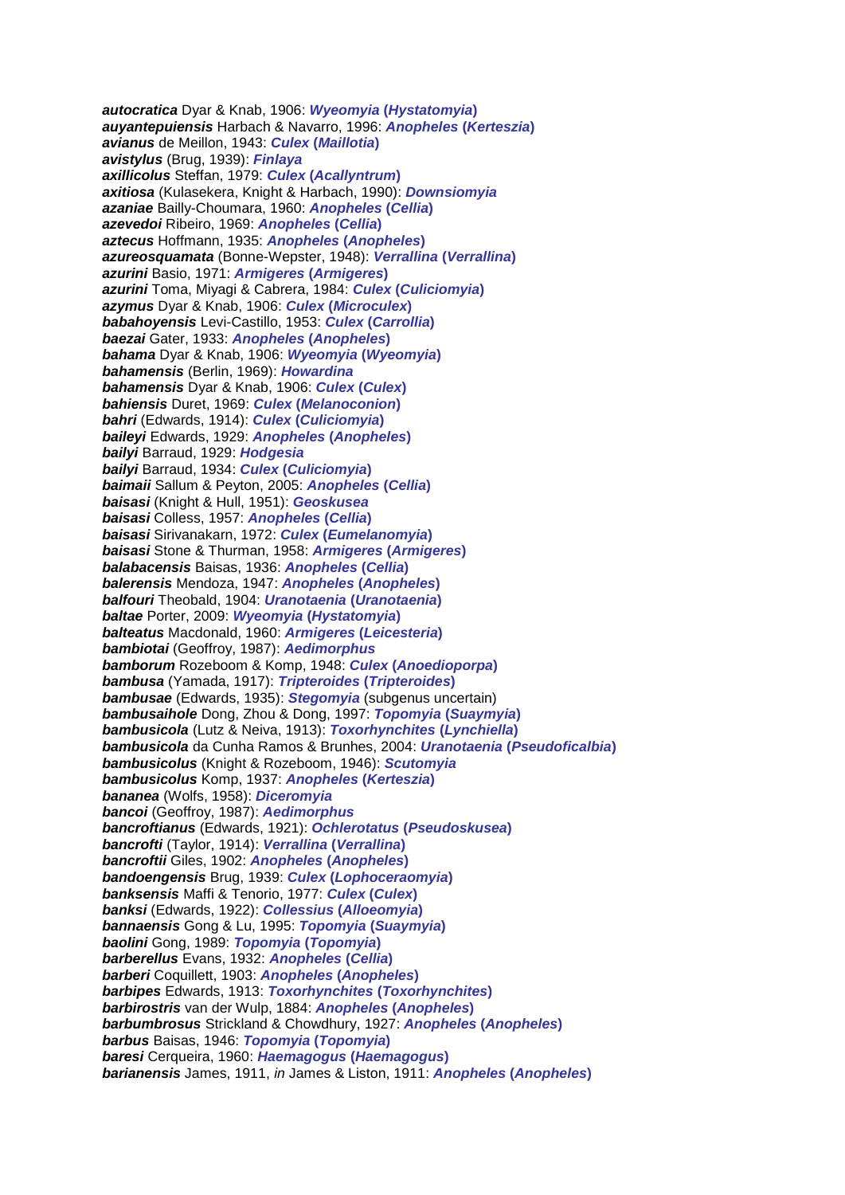*autocratica* Dyar & Knab, 1906: *Wyeomyia* **(***Hystatomyia***)** *auyantepuiensis* Harbach & Navarro, 1996: *Anopheles* **(***Kerteszia***)** *avianus* de Meillon, 1943: *Culex* **(***Maillotia***)** *avistylus* (Brug, 1939): *Finlaya axillicolus* Steffan, 1979: *Culex* **(***Acallyntrum***)** *axitiosa* (Kulasekera, Knight & Harbach, 1990): *Downsiomyia azaniae* Bailly-Choumara, 1960: *Anopheles* **(***Cellia***)** *azevedoi* Ribeiro, 1969: *Anopheles* **(***Cellia***)** *aztecus* Hoffmann, 1935: *Anopheles* **(***Anopheles***)** *azureosquamata* (Bonne-Wepster, 1948): *Verrallina* **(***Verrallina***)** *azurini* Basio, 1971: *Armigeres* **(***Armigeres***)** *azurini* Toma, Miyagi & Cabrera, 1984: *Culex* **(***Culiciomyia***)** *azymus* Dyar & Knab, 1906: *Culex* **(***Microculex***)** *babahoyensis* Levi-Castillo, 1953: *Culex* **(***Carrollia***)** *baezai* Gater, 1933: *Anopheles* **(***Anopheles***)** *bahama* Dyar & Knab, 1906: *Wyeomyia* **(***Wyeomyia***)** *bahamensis* (Berlin, 1969): *Howardina bahamensis* Dyar & Knab, 1906: *Culex* **(***Culex***)** *bahiensis* Duret, 1969: *Culex* **(***Melanoconion***)** *bahri* (Edwards, 1914): *Culex* **(***Culiciomyia***)** *baileyi* Edwards, 1929: *Anopheles* **(***Anopheles***)** *bailyi* Barraud, 1929: *Hodgesia bailyi* Barraud, 1934: *Culex* **(***Culiciomyia***)** *baimaii* Sallum & Peyton, 2005: *Anopheles* **(***Cellia***)** *baisasi* (Knight & Hull, 1951): *Geoskusea baisasi* Colless, 1957: *Anopheles* **(***Cellia***)** *baisasi* Sirivanakarn, 1972: *Culex* **(***Eumelanomyia***)** *baisasi* Stone & Thurman, 1958: *Armigeres* **(***Armigeres***)** *balabacensis* Baisas, 1936: *Anopheles* **(***Cellia***)** *balerensis* Mendoza, 1947: *Anopheles* **(***Anopheles***)** *balfouri* Theobald, 1904: *Uranotaenia* **(***Uranotaenia***)** *baltae* Porter, 2009: *Wyeomyia* **(***Hystatomyia***)** *balteatus* Macdonald, 1960: *Armigeres* **(***Leicesteria***)** *bambiotai* (Geoffroy, 1987): *Aedimorphus bamborum* Rozeboom & Komp, 1948: *Culex* **(***Anoedioporpa***)** *bambusa* (Yamada, 1917): *Tripteroides* **(***Tripteroides***)** *bambusae* (Edwards, 1935): *Stegomyia* (subgenus uncertain) *bambusaihole* Dong, Zhou & Dong, 1997: *Topomyia* **(***Suaymyia***)** *bambusicola* (Lutz & Neiva, 1913): *Toxorhynchites* **(***Lynchiella***)** *bambusicola* da Cunha Ramos & Brunhes, 2004: *Uranotaenia* **(***Pseudoficalbia***)** *bambusicolus* (Knight & Rozeboom, 1946): *Scutomyia bambusicolus* Komp, 1937: *Anopheles* **(***Kerteszia***)** *bananea* (Wolfs, 1958): *Diceromyia bancoi* (Geoffroy, 1987): *Aedimorphus bancroftianus* (Edwards, 1921): *Ochlerotatus* **(***Pseudoskusea***)** *bancrofti* (Taylor, 1914): *Verrallina* **(***Verrallina***)** *bancroftii* Giles, 1902: *Anopheles* **(***Anopheles***)** *bandoengensis* Brug, 1939: *Culex* **(***Lophoceraomyia***)** *banksensis* Maffi & Tenorio, 1977: *Culex* **(***Culex***)** *banksi* (Edwards, 1922): *Collessius* **(***Alloeomyia***)** *bannaensis* Gong & Lu, 1995: *Topomyia* **(***Suaymyia***)** *baolini* Gong, 1989: *Topomyia* **(***Topomyia***)** *barberellus* Evans, 1932: *Anopheles* **(***Cellia***)** *barberi* Coquillett, 1903: *Anopheles* **(***Anopheles***)** *barbipes* Edwards, 1913: *Toxorhynchites* **(***Toxorhynchites***)** *barbirostris* van der Wulp, 1884: *Anopheles* **(***Anopheles***)** *barbumbrosus* Strickland & Chowdhury, 1927: *Anopheles* **(***Anopheles***)** *barbus* Baisas, 1946: *Topomyia* **(***Topomyia***)** *baresi* Cerqueira, 1960: *Haemagogus* **(***Haemagogus***)** *barianensis* James, 1911, *in* James & Liston, 1911: *Anopheles* **(***Anopheles***)**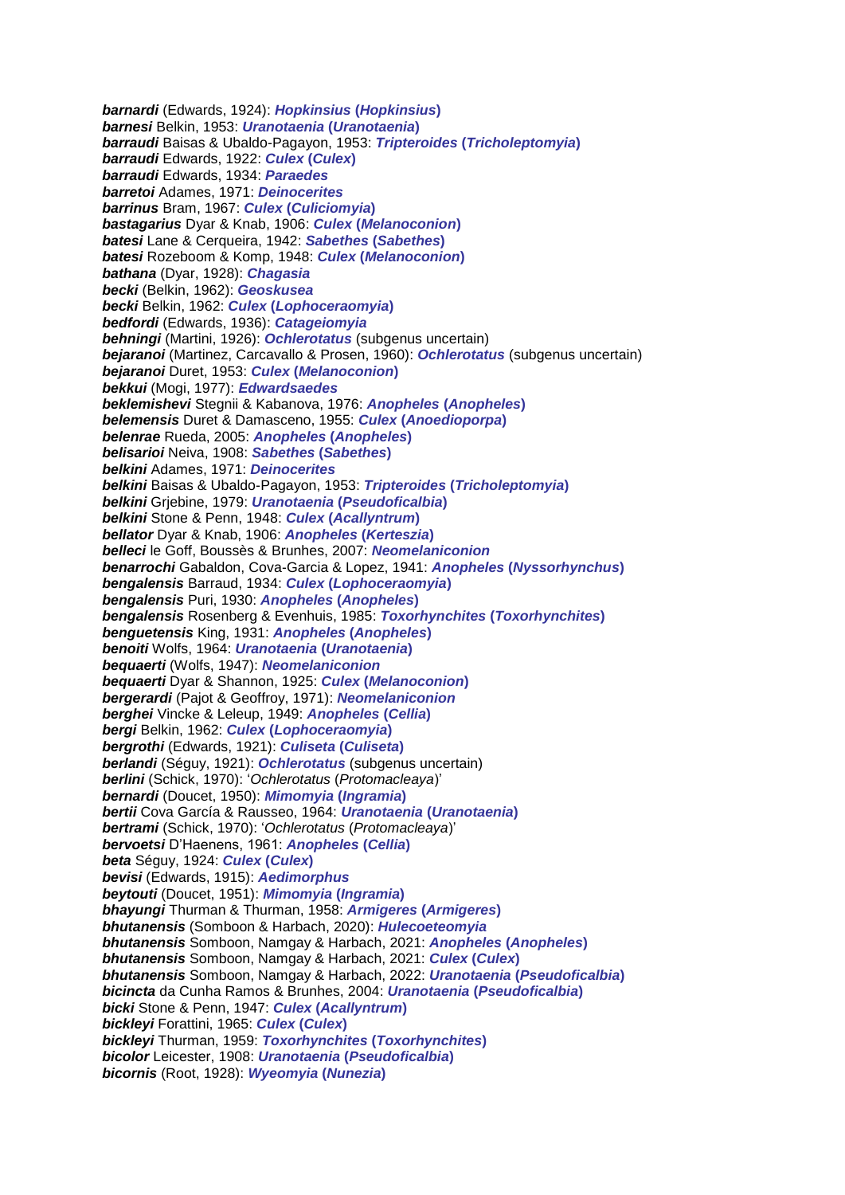*barnardi* (Edwards, 1924): *Hopkinsius* **(***Hopkinsius***)** *barnesi* Belkin, 1953: *Uranotaenia* **(***Uranotaenia***)** *barraudi* Baisas & Ubaldo-Pagayon, 1953: *Tripteroides* **(***Tricholeptomyia***)** *barraudi* Edwards, 1922: *Culex* **(***Culex***)** *barraudi* Edwards, 1934: *Paraedes barretoi* Adames, 1971: *Deinocerites barrinus* Bram, 1967: *Culex* **(***Culiciomyia***)** *bastagarius* Dyar & Knab, 1906: *Culex* **(***Melanoconion***)** *batesi* Lane & Cerqueira, 1942: *Sabethes* **(***Sabethes***)** *batesi* Rozeboom & Komp, 1948: *Culex* **(***Melanoconion***)** *bathana* (Dyar, 1928): *Chagasia becki* (Belkin, 1962): *Geoskusea becki* Belkin, 1962: *Culex* **(***Lophoceraomyia***)** *bedfordi* (Edwards, 1936): *Catageiomyia behningi* (Martini, 1926): *Ochlerotatus* (subgenus uncertain) *bejaranoi* (Martinez, Carcavallo & Prosen, 1960): *Ochlerotatus* (subgenus uncertain) *bejaranoi* Duret, 1953: *Culex* **(***Melanoconion***)** *bekkui* (Mogi, 1977): *Edwardsaedes beklemishevi* Stegnii & Kabanova, 1976: *Anopheles* **(***Anopheles***)** *belemensis* Duret & Damasceno, 1955: *Culex* **(***Anoedioporpa***)** *belenrae* Rueda, 2005: *Anopheles* **(***Anopheles***)** *belisarioi* Neiva, 1908: *Sabethes* **(***Sabethes***)** *belkini* Adames, 1971: *Deinocerites belkini* Baisas & Ubaldo-Pagayon, 1953: *Tripteroides* **(***Tricholeptomyia***)** *belkini* Grjebine, 1979: *Uranotaenia* **(***Pseudoficalbia***)** *belkini* Stone & Penn, 1948: *Culex* **(***Acallyntrum***)** *bellator* Dyar & Knab, 1906: *Anopheles* **(***Kerteszia***)** *belleci* le Goff, Boussès & Brunhes, 2007: *Neomelaniconion benarrochi* Gabaldon, Cova-Garcia & Lopez, 1941: *Anopheles* **(***Nyssorhynchus***)** *bengalensis* Barraud, 1934: *Culex* **(***Lophoceraomyia***)** *bengalensis* Puri, 1930: *Anopheles* **(***Anopheles***)** *bengalensis* Rosenberg & Evenhuis, 1985: *Toxorhynchites* **(***Toxorhynchites***)** *benguetensis* King, 1931: *Anopheles* **(***Anopheles***)** *benoiti* Wolfs, 1964: *Uranotaenia* **(***Uranotaenia***)** *bequaerti* (Wolfs, 1947): *Neomelaniconion bequaerti* Dyar & Shannon, 1925: *Culex* **(***Melanoconion***)** *bergerardi* (Pajot & Geoffroy, 1971): *Neomelaniconion berghei* Vincke & Leleup, 1949: *Anopheles* **(***Cellia***)** *bergi* Belkin, 1962: *Culex* **(***Lophoceraomyia***)** *bergrothi* (Edwards, 1921): *Culiseta* **(***Culiseta***)** *berlandi* (Séguy, 1921): *Ochlerotatus* (subgenus uncertain) *berlini* (Schick, 1970): '*Ochlerotatus* (*Protomacleaya*)' *bernardi* (Doucet, 1950): *Mimomyia* **(***Ingramia***)** *bertii* Cova García & Rausseo, 1964: *Uranotaenia* **(***Uranotaenia***)** *bertrami* (Schick, 1970): '*Ochlerotatus* (*Protomacleaya*)' *bervoetsi* D'Haenens, 1961: *Anopheles* **(***Cellia***)** *beta* Séguy, 1924: *Culex* **(***Culex***)** *bevisi* (Edwards, 1915): *Aedimorphus beytouti* (Doucet, 1951): *Mimomyia* **(***Ingramia***)** *bhayungi* Thurman & Thurman, 1958: *Armigeres* **(***Armigeres***)** *bhutanensis* (Somboon & Harbach, 2020): *Hulecoeteomyia bhutanensis* Somboon, Namgay & Harbach, 2021: *Anopheles* **(***Anopheles***)** *bhutanensis* Somboon, Namgay & Harbach, 2021: *Culex* **(***Culex***)** *bhutanensis* Somboon, Namgay & Harbach, 2022: *Uranotaenia* **(***Pseudoficalbia***)** *bicincta* da Cunha Ramos & Brunhes, 2004: *Uranotaenia* **(***Pseudoficalbia***)** *bicki* Stone & Penn, 1947: *Culex* **(***Acallyntrum***)** *bickleyi* Forattini, 1965: *Culex* **(***Culex***)** *bickleyi* Thurman, 1959: *Toxorhynchites* **(***Toxorhynchites***)** *bicolor* Leicester, 1908: *Uranotaenia* **(***Pseudoficalbia***)** *bicornis* (Root, 1928): *Wyeomyia* **(***Nunezia***)**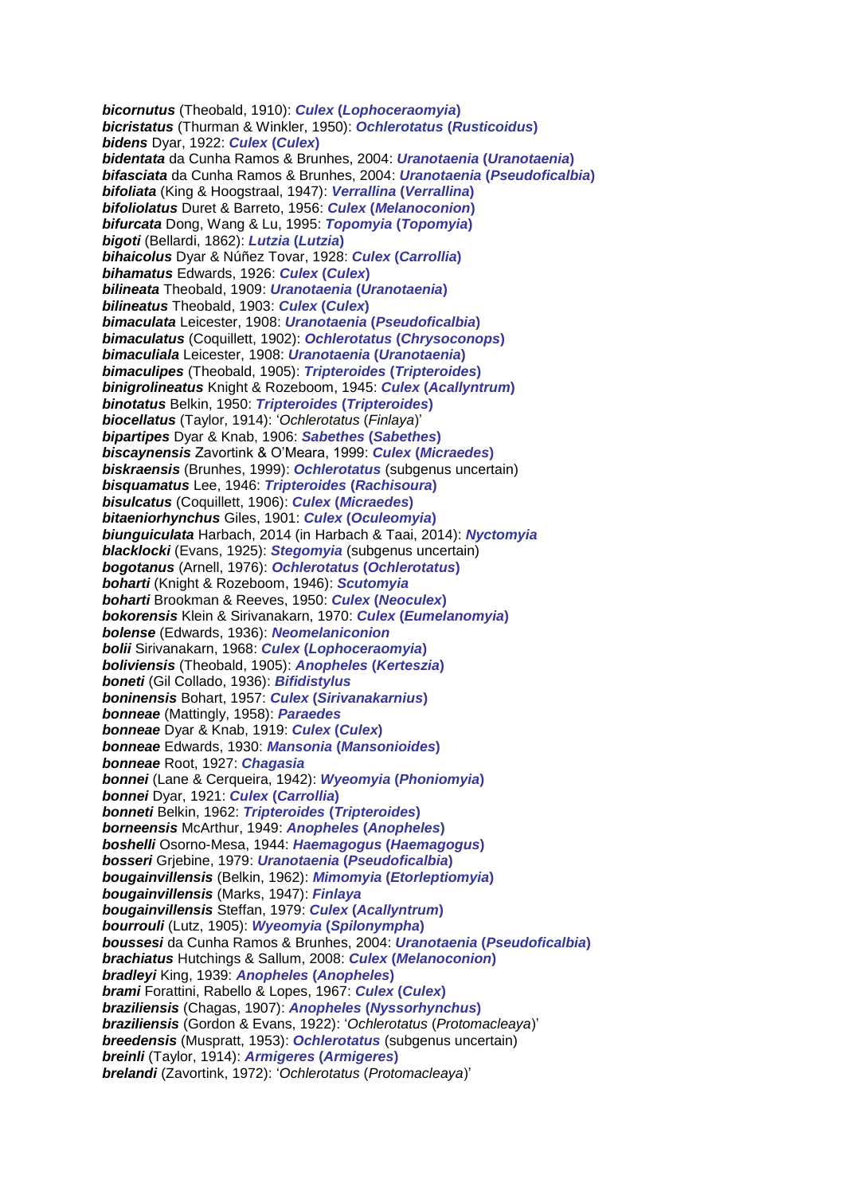*bicornutus* (Theobald, 1910): *Culex* **(***Lophoceraomyia***)** *bicristatus* (Thurman & Winkler, 1950): *Ochlerotatus* **(***Rusticoidus***)** *bidens* Dyar, 1922: *Culex* **(***Culex***)** *bidentata* da Cunha Ramos & Brunhes, 2004: *Uranotaenia* **(***Uranotaenia***)** *bifasciata* da Cunha Ramos & Brunhes, 2004: *Uranotaenia* **(***Pseudoficalbia***)** *bifoliata* (King & Hoogstraal, 1947): *Verrallina* **(***Verrallina***)** *bifoliolatus* Duret & Barreto, 1956: *Culex* **(***Melanoconion***)** *bifurcata* Dong, Wang & Lu, 1995: *Topomyia* **(***Topomyia***)** *bigoti* (Bellardi, 1862): *Lutzia* **(***Lutzia***)** *bihaicolus* Dyar & Núñez Tovar, 1928: *Culex* **(***Carrollia***)** *bihamatus* Edwards, 1926: *Culex* **(***Culex***)** *bilineata* Theobald, 1909: *Uranotaenia* **(***Uranotaenia***)** *bilineatus* Theobald, 1903: *Culex* **(***Culex***)** *bimaculata* Leicester, 1908: *Uranotaenia* **(***Pseudoficalbia***)** *bimaculatus* (Coquillett, 1902): *Ochlerotatus* **(***Chrysoconops***)** *bimaculiala* Leicester, 1908: *Uranotaenia* **(***Uranotaenia***)** *bimaculipes* (Theobald, 1905): *Tripteroides* **(***Tripteroides***)** *binigrolineatus* Knight & Rozeboom, 1945: *Culex* **(***Acallyntrum***)** *binotatus* Belkin, 1950: *Tripteroides* **(***Tripteroides***)** *biocellatus* (Taylor, 1914): '*Ochlerotatus* (*Finlaya*)' *bipartipes* Dyar & Knab, 1906: *Sabethes* **(***Sabethes***)** *biscaynensis* Zavortink & O'Meara, 1999: *Culex* **(***Micraedes***)** *biskraensis* (Brunhes, 1999): *Ochlerotatus* (subgenus uncertain) *bisquamatus* Lee, 1946: *Tripteroides* **(***Rachisoura***)** *bisulcatus* (Coquillett, 1906): *Culex* **(***Micraedes***)** *bitaeniorhynchus* Giles, 1901: *Culex* **(***Oculeomyia***)** *biunguiculata* Harbach, 2014 (in [Harbach & Taai, 2014\)](http://mosquito-taxonomic-inventory.info/node/11766): *Nyctomyia blacklocki* (Evans, 1925): *Stegomyia* (subgenus uncertain) *bogotanus* (Arnell, 1976): *Ochlerotatus* **(***Ochlerotatus***)** *boharti* (Knight & Rozeboom, 1946): *Scutomyia boharti* Brookman & Reeves, 1950: *Culex* **(***Neoculex***)** *bokorensis* Klein & Sirivanakarn, 1970: *Culex* **(***Eumelanomyia***)** *bolense* (Edwards, 1936): *Neomelaniconion bolii* Sirivanakarn, 1968: *Culex* **(***Lophoceraomyia***)** *boliviensis* (Theobald, 1905): *Anopheles* **(***Kerteszia***)** *boneti* (Gil Collado, 1936): *Bifidistylus boninensis* Bohart, 1957: *Culex* **(***Sirivanakarnius***)** *bonneae* (Mattingly, 1958): *Paraedes bonneae* Dyar & Knab, 1919: *Culex* **(***Culex***)** *bonneae* Edwards, 1930: *Mansonia* **(***Mansonioides***)** *bonneae* Root, 1927: *Chagasia bonnei* (Lane & Cerqueira, 1942): *Wyeomyia* **(***Phoniomyia***)** *bonnei* Dyar, 1921: *Culex* **(***Carrollia***)** *bonneti* Belkin, 1962: *Tripteroides* **(***Tripteroides***)** *borneensis* McArthur, 1949: *Anopheles* **(***Anopheles***)** *boshelli* Osorno-Mesa, 1944: *Haemagogus* **(***Haemagogus***)** *bosseri* Grjebine, 1979: *Uranotaenia* **(***Pseudoficalbia***)** *bougainvillensis* (Belkin, 1962): *Mimomyia* **(***Etorleptiomyia***)** *bougainvillensis* (Marks, 1947): *Finlaya bougainvillensis* Steffan, 1979: *Culex* **(***Acallyntrum***)** *bourrouli* (Lutz, 1905): *Wyeomyia* **(***Spilonympha***)** *boussesi* da Cunha Ramos & Brunhes, 2004: *Uranotaenia* **(***Pseudoficalbia***)** *brachiatus* Hutchings & Sallum, 2008: *Culex* **(***Melanoconion***)** *bradleyi* King, 1939: *Anopheles* **(***Anopheles***)** *brami* Forattini, Rabello & Lopes, 1967: *Culex* **(***Culex***)** *braziliensis* (Chagas, 1907): *Anopheles* **(***Nyssorhynchus***)** *braziliensis* (Gordon & Evans, 1922): '*Ochlerotatus* (*Protomacleaya*)' *breedensis* (Muspratt, 1953): *Ochlerotatus* (subgenus uncertain) *breinli* (Taylor, 1914): *Armigeres* **(***Armigeres***)** *brelandi* (Zavortink, 1972): '*Ochlerotatus* (*Protomacleaya*)'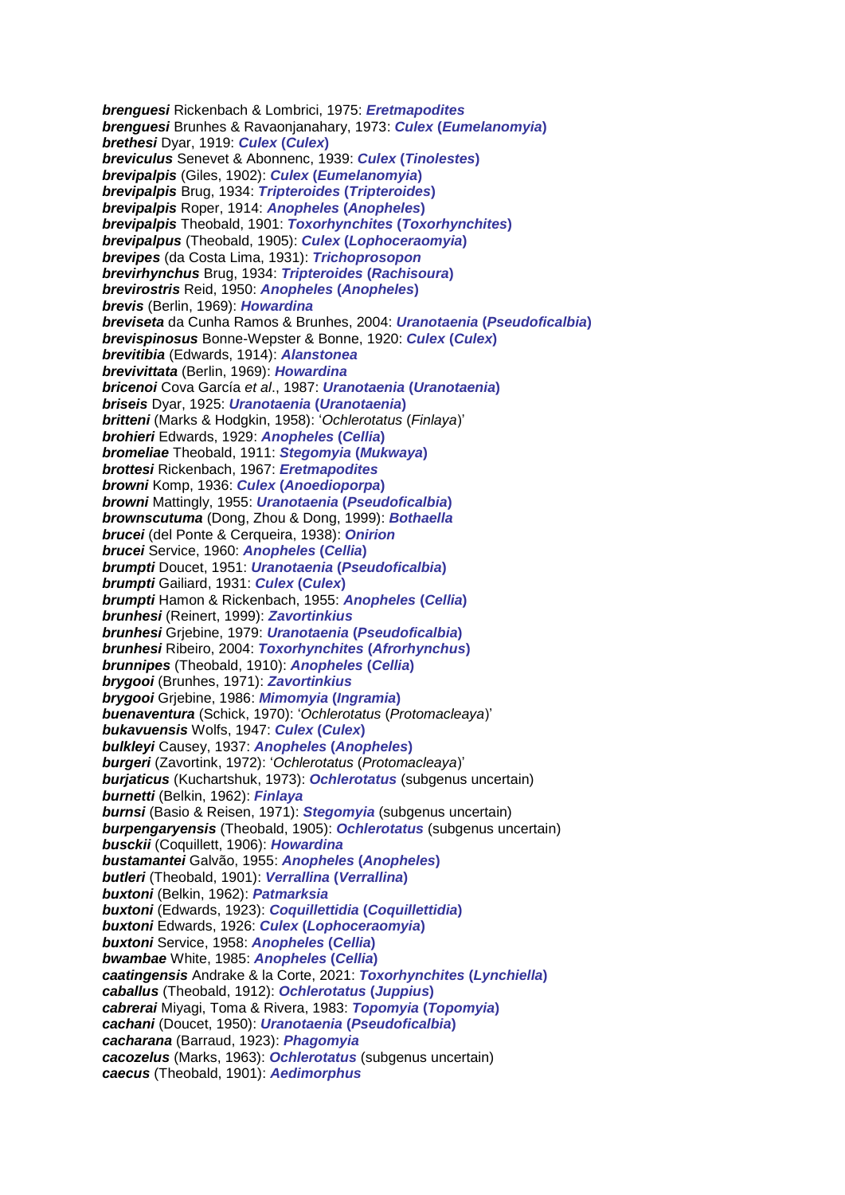*brenguesi* Rickenbach & Lombrici, 1975: *Eretmapodites brenguesi* Brunhes & Ravaonjanahary, 1973: *Culex* **(***Eumelanomyia***)** *brethesi* Dyar, 1919: *Culex* **(***Culex***)** *breviculus* Senevet & Abonnenc, 1939: *Culex* **(***Tinolestes***)** *brevipalpis* (Giles, 1902): *Culex* **(***Eumelanomyia***)** *brevipalpis* Brug, 1934: *Tripteroides* **(***Tripteroides***)** *brevipalpis* Roper, 1914: *Anopheles* **(***Anopheles***)** *brevipalpis* Theobald, 1901: *Toxorhynchites* **(***Toxorhynchites***)** *brevipalpus* (Theobald, 1905): *Culex* **(***Lophoceraomyia***)** *brevipes* (da Costa Lima, 1931): *Trichoprosopon brevirhynchus* Brug, 1934: *Tripteroides* **(***Rachisoura***)** *brevirostris* Reid, 1950: *Anopheles* **(***Anopheles***)** *brevis* (Berlin, 1969): *Howardina breviseta* da Cunha Ramos & Brunhes, 2004: *Uranotaenia* **(***Pseudoficalbia***)** *brevispinosus* Bonne-Wepster & Bonne, 1920: *Culex* **(***Culex***)** *brevitibia* (Edwards, 1914): *Alanstonea brevivittata* (Berlin, 1969): *Howardina bricenoi* Cova García *et al*., 1987: *Uranotaenia* **(***Uranotaenia***)** *briseis* Dyar, 1925: *Uranotaenia* **(***Uranotaenia***)** *britteni* (Marks & Hodgkin, 1958): '*Ochlerotatus* (*Finlaya*)' *brohieri* Edwards, 1929: *Anopheles* **(***Cellia***)** *bromeliae* Theobald, 1911: *Stegomyia* **(***Mukwaya***)** *brottesi* Rickenbach, 1967: *Eretmapodites browni* Komp, 1936: *Culex* **(***Anoedioporpa***)** *browni* Mattingly, 1955: *Uranotaenia* **(***Pseudoficalbia***)** *brownscutuma* (Dong, Zhou & Dong, 1999): *Bothaella brucei* (del Ponte & Cerqueira, 1938): *Onirion brucei* Service, 1960: *Anopheles* **(***Cellia***)** *brumpti* Doucet, 1951: *Uranotaenia* **(***Pseudoficalbia***)** *brumpti* Gailiard, 1931: *Culex* **(***Culex***)** *brumpti* Hamon & Rickenbach, 1955: *Anopheles* **(***Cellia***)** *brunhesi* (Reinert, 1999): *Zavortinkius brunhesi* Grjebine, 1979: *Uranotaenia* **(***Pseudoficalbia***)** *brunhesi* Ribeiro, 2004: *Toxorhynchites* **(***Afrorhynchus***)** *brunnipes* (Theobald, 1910): *Anopheles* **(***Cellia***)** *brygooi* (Brunhes, 1971): *Zavortinkius brygooi* Grjebine, 1986: *Mimomyia* **(***Ingramia***)** *buenaventura* (Schick, 1970): '*Ochlerotatus* (*Protomacleaya*)' *bukavuensis* Wolfs, 1947: *Culex* **(***Culex***)** *bulkleyi* Causey, 1937: *Anopheles* **(***Anopheles***)** *burgeri* (Zavortink, 1972): '*Ochlerotatus* (*Protomacleaya*)' *burjaticus* (Kuchartshuk, 1973): *Ochlerotatus* (subgenus uncertain) *burnetti* (Belkin, 1962): *Finlaya burnsi* (Basio & Reisen, 1971): *Stegomyia* (subgenus uncertain) *burpengaryensis* (Theobald, 1905): *Ochlerotatus* (subgenus uncertain) *busckii* (Coquillett, 1906): *Howardina bustamantei* Galvão, 1955: *Anopheles* **(***Anopheles***)** *butleri* (Theobald, 1901): *Verrallina* **(***Verrallina***)** *buxtoni* (Belkin, 1962): *Patmarksia buxtoni* (Edwards, 1923): *Coquillettidia* **(***Coquillettidia***)** *buxtoni* Edwards, 1926: *Culex* **(***Lophoceraomyia***)** *buxtoni* Service, 1958: *Anopheles* **(***Cellia***)** *bwambae* White, 1985: *Anopheles* **(***Cellia***)** *caatingensis* Andrake & la Corte, 2021: *Toxorhynchites* **(***Lynchiella***)** *caballus* (Theobald, 1912): *Ochlerotatus* **(***Juppius***)** *cabrerai* Miyagi, Toma & Rivera, 1983: *Topomyia* **(***Topomyia***)** *cachani* (Doucet, 1950): *Uranotaenia* **(***Pseudoficalbia***)** *cacharana* (Barraud, 1923): *Phagomyia cacozelus* (Marks, 1963): *Ochlerotatus* (subgenus uncertain) *caecus* (Theobald, 1901): *Aedimorphus*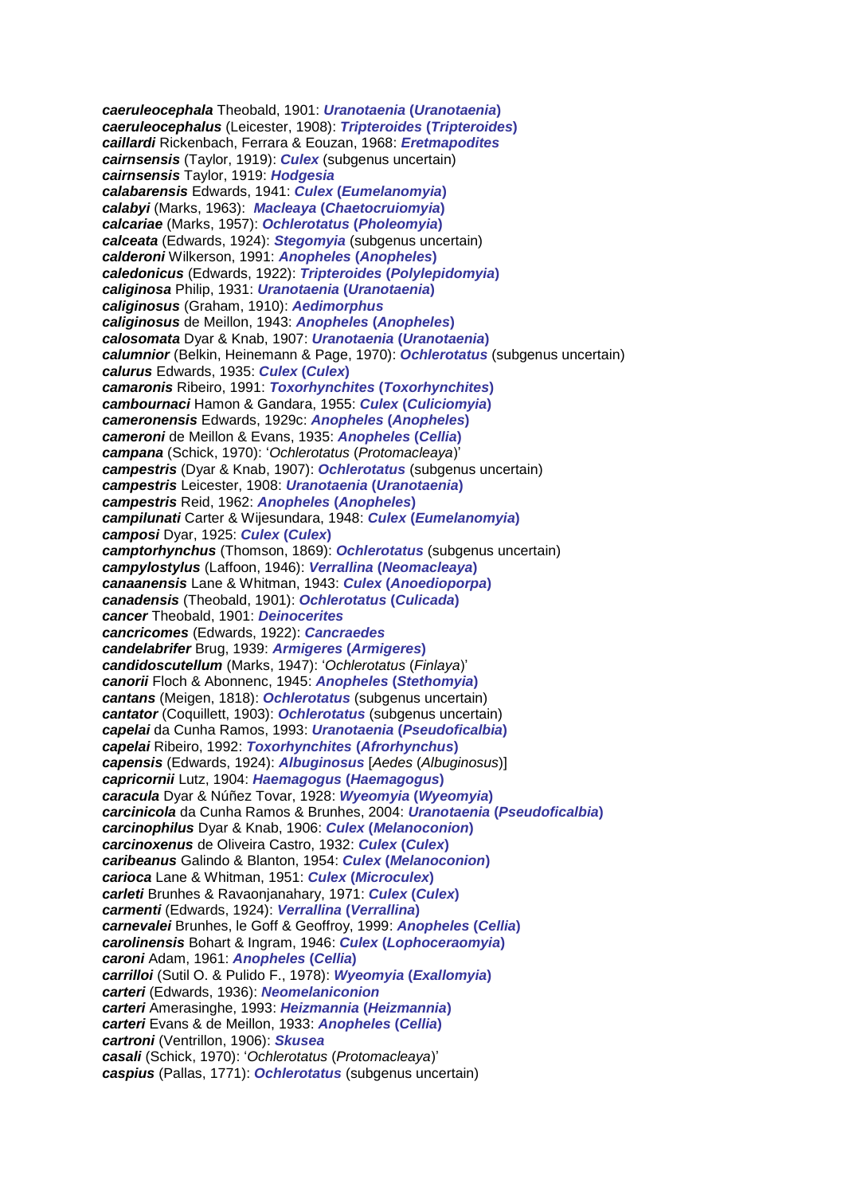*caeruleocephala* Theobald, 1901: *Uranotaenia* **(***Uranotaenia***)** *caeruleocephalus* (Leicester, 1908): *Tripteroides* **(***Tripteroides***)** *caillardi* Rickenbach, Ferrara & Eouzan, 1968: *Eretmapodites cairnsensis* (Taylor, 1919): *Culex* (subgenus uncertain) *cairnsensis* Taylor, 1919: *Hodgesia calabarensis* Edwards, 1941: *Culex* **(***Eumelanomyia***)** *calabyi* (Marks, 1963): *Macleaya* **(***Chaetocruiomyia***)** *calcariae* (Marks, 1957): *Ochlerotatus* **(***Pholeomyia***)** *calceata* (Edwards, 1924): *Stegomyia* (subgenus uncertain) *calderoni* Wilkerson, 1991: *Anopheles* **(***Anopheles***)** *caledonicus* (Edwards, 1922): *Tripteroides* **(***Polylepidomyia***)** *caliginosa* Philip, 1931: *Uranotaenia* **(***Uranotaenia***)** *caliginosus* (Graham, 1910): *Aedimorphus caliginosus* de Meillon, 1943: *Anopheles* **(***Anopheles***)** *calosomata* Dyar & Knab, 1907: *Uranotaenia* **(***Uranotaenia***)** *calumnior* (Belkin, Heinemann & Page, 1970): *Ochlerotatus* (subgenus uncertain) *calurus* Edwards, 1935: *Culex* **(***Culex***)** *camaronis* Ribeiro, 1991: *Toxorhynchites* **(***Toxorhynchites***)** *cambournaci* Hamon & Gandara, 1955: *Culex* **(***Culiciomyia***)** *cameronensis* Edwards, 1929c: *Anopheles* **(***Anopheles***)** *cameroni* de Meillon & Evans, 1935: *Anopheles* **(***Cellia***)** *campana* (Schick, 1970): '*Ochlerotatus* (*Protomacleaya*)' *campestris* (Dyar & Knab, 1907): *Ochlerotatus* (subgenus uncertain) *campestris* Leicester, 1908: *Uranotaenia* **(***Uranotaenia***)** *campestris* Reid, 1962: *Anopheles* **(***Anopheles***)** *campilunati* Carter & Wijesundara, 1948: *Culex* **(***Eumelanomyia***)** *camposi* Dyar, 1925: *Culex* **(***Culex***)** *camptorhynchus* (Thomson, 1869): *Ochlerotatus* (subgenus uncertain) *campylostylus* (Laffoon, 1946): *Verrallina* **(***Neomacleaya***)** *canaanensis* Lane & Whitman, 1943: *Culex* **(***Anoedioporpa***)** *canadensis* (Theobald, 1901): *Ochlerotatus* **(***Culicada***)** *cancer* Theobald, 1901: *Deinocerites cancricomes* (Edwards, 1922): *Cancraedes candelabrifer* Brug, 1939: *Armigeres* **(***Armigeres***)** *candidoscutellum* (Marks, 1947): '*Ochlerotatus* (*Finlaya*)' *canorii* Floch & Abonnenc, 1945: *Anopheles* **(***Stethomyia***)** *cantans* (Meigen, 1818): *Ochlerotatus* (subgenus uncertain) *cantator* (Coquillett, 1903): *Ochlerotatus* (subgenus uncertain) *capelai* da Cunha Ramos, 1993: *Uranotaenia* **(***Pseudoficalbia***)** *capelai* Ribeiro, 1992: *Toxorhynchites* **(***Afrorhynchus***)** *capensis* (Edwards, 1924): *Albuginosus* [*Aedes* (*Albuginosus*)] *capricornii* Lutz, 1904: *Haemagogus* **(***Haemagogus***)** *caracula* Dyar & Núñez Tovar, 1928: *Wyeomyia* **(***Wyeomyia***)** *carcinicola* da Cunha Ramos & Brunhes, 2004: *Uranotaenia* **(***Pseudoficalbia***)** *carcinophilus* Dyar & Knab, 1906: *Culex* **(***Melanoconion***)** *carcinoxenus* de Oliveira Castro, 1932: *Culex* **(***Culex***)** *caribeanus* Galindo & Blanton, 1954: *Culex* **(***Melanoconion***)** *carioca* Lane & Whitman, 1951: *Culex* **(***Microculex***)** *carleti* Brunhes & Ravaonjanahary, 1971: *Culex* **(***Culex***)** *carmenti* (Edwards, 1924): *Verrallina* **(***Verrallina***)** *carnevalei* Brunhes, le Goff & Geoffroy, 1999: *Anopheles* **(***Cellia***)** *carolinensis* Bohart & Ingram, 1946: *Culex* **(***Lophoceraomyia***)** *caroni* Adam, 1961: *Anopheles* **(***Cellia***)** *carrilloi* (Sutil O. & Pulido F., 1978): *Wyeomyia* **(***Exallomyia***)** *carteri* (Edwards, 1936): *Neomelaniconion carteri* Amerasinghe, 1993: *Heizmannia* **(***Heizmannia***)** *carteri* Evans & de Meillon, 1933: *Anopheles* **(***Cellia***)** *cartroni* (Ventrillon, 1906): *Skusea casali* (Schick, 1970): '*Ochlerotatus* (*Protomacleaya*)' *caspius* (Pallas, 1771): *Ochlerotatus* (subgenus uncertain)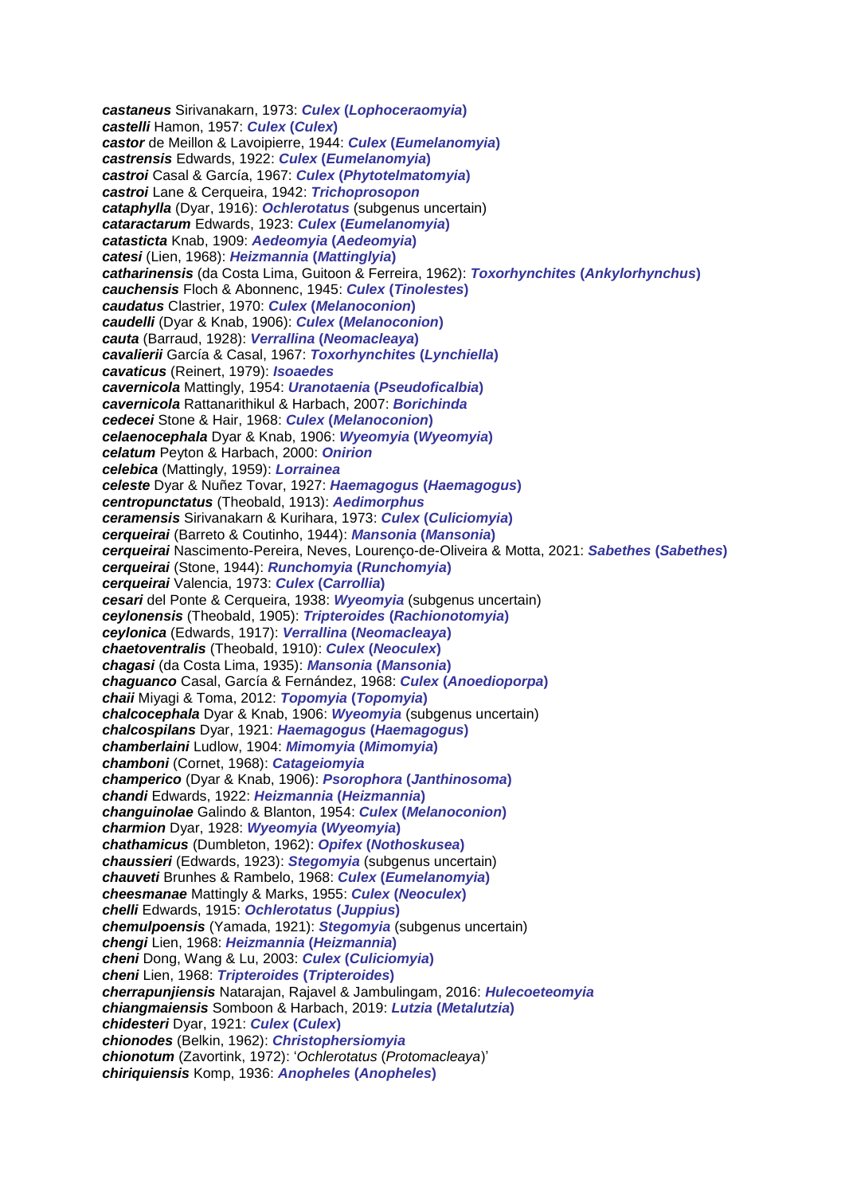*castaneus* Sirivanakarn, 1973: *Culex* **(***Lophoceraomyia***)** *castelli* Hamon, 1957: *Culex* **(***Culex***)** *castor* de Meillon & Lavoipierre, 1944: *Culex* **(***Eumelanomyia***)** *castrensis* Edwards, 1922: *Culex* **(***Eumelanomyia***)** *castroi* Casal & García, 1967: *Culex* **(***Phytotelmatomyia***)** *castroi* Lane & Cerqueira, 1942: *Trichoprosopon cataphylla* (Dyar, 1916): *Ochlerotatus* (subgenus uncertain) *cataractarum* Edwards, 1923: *Culex* **(***Eumelanomyia***)** *catasticta* Knab, 1909: *Aedeomyia* **(***Aedeomyia***)** *catesi* (Lien, 1968): *Heizmannia* **(***Mattinglyia***)** *catharinensis* (da Costa Lima, Guitoon & Ferreira, 1962): *Toxorhynchites* **(***Ankylorhynchus***)** *cauchensis* Floch & Abonnenc, 1945: *Culex* **(***Tinolestes***)** *caudatus* Clastrier, 1970: *Culex* **(***Melanoconion***)** *caudelli* (Dyar & Knab, 1906): *Culex* **(***Melanoconion***)** *cauta* (Barraud, 1928): *Verrallina* **(***Neomacleaya***)** *cavalierii* García & Casal, 1967: *Toxorhynchites* **(***Lynchiella***)** *cavaticus* (Reinert, 1979): *Isoaedes cavernicola* Mattingly, 1954: *Uranotaenia* **(***Pseudoficalbia***)** *cavernicola* Rattanarithikul & Harbach, 2007: *Borichinda cedecei* Stone & Hair, 1968: *Culex* **(***Melanoconion***)** *celaenocephala* Dyar & Knab, 1906: *Wyeomyia* **(***Wyeomyia***)** *celatum* Peyton & Harbach, 2000: *Onirion celebica* (Mattingly, 1959): *Lorrainea celeste* Dyar & Nuñez Tovar, 1927: *Haemagogus* **(***Haemagogus***)** *centropunctatus* (Theobald, 1913): *Aedimorphus ceramensis* Sirivanakarn & Kurihara, 1973: *Culex* **(***Culiciomyia***)** *cerqueirai* (Barreto & Coutinho, 1944): *Mansonia* **(***Mansonia***)** *cerqueirai* Nascimento-Pereira, Neves, Lourenço-de-Oliveira & Motta, 2021: *Sabethes* **(***Sabethes***)** *cerqueirai* (Stone, 1944): *Runchomyia* **(***Runchomyia***)** *cerqueirai* Valencia, 1973: *Culex* **(***Carrollia***)** *cesari* del Ponte & Cerqueira, 1938: *Wyeomyia* (subgenus uncertain) *ceylonensis* (Theobald, 1905): *Tripteroides* **(***Rachionotomyia***)** *ceylonica* (Edwards, 1917): *Verrallina* **(***Neomacleaya***)** *chaetoventralis* (Theobald, 1910): *Culex* **(***Neoculex***)** *chagasi* (da Costa Lima, 1935): *Mansonia* **(***Mansonia***)** *chaguanco* Casal, García & Fernández, 1968: *Culex* **(***Anoedioporpa***)** *chaii* Miyagi & Toma, 2012: *Topomyia* **(***Topomyia***)** *chalcocephala* Dyar & Knab, 1906: *Wyeomyia* (subgenus uncertain) *chalcospilans* Dyar, 1921: *Haemagogus* **(***Haemagogus***)** *chamberlaini* Ludlow, 1904: *Mimomyia* **(***Mimomyia***)** *chamboni* (Cornet, 1968): *Catageiomyia champerico* (Dyar & Knab, 1906): *Psorophora* **(***Janthinosoma***)** *chandi* Edwards, 1922: *Heizmannia* **(***Heizmannia***)** *changuinolae* Galindo & Blanton, 1954: *Culex* **(***Melanoconion***)** *charmion* Dyar, 1928: *Wyeomyia* **(***Wyeomyia***)** *chathamicus* (Dumbleton, 1962): *Opifex* **(***Nothoskusea***)** *chaussieri* (Edwards, 1923): *Stegomyia* (subgenus uncertain) *chauveti* Brunhes & Rambelo, 1968: *Culex* **(***Eumelanomyia***)** *cheesmanae* Mattingly & Marks, 1955: *Culex* **(***Neoculex***)** *chelli* Edwards, 1915: *Ochlerotatus* **(***Juppius***)** *chemulpoensis* (Yamada, 1921): *Stegomyia* (subgenus uncertain) *chengi* Lien, 1968: *Heizmannia* **(***Heizmannia***)** *cheni* Dong, Wang & Lu, 2003: *Culex* **(***Culiciomyia***)** *cheni* Lien, 1968: *Tripteroides* **(***Tripteroides***)** *cherrapunjiensis* Natarajan, Rajavel & Jambulingam, 2016: *Hulecoeteomyia chiangmaiensis* Somboon & Harbach, 2019: *Lutzia* **(***Metalutzia***)** *chidesteri* Dyar, 1921: *Culex* **(***Culex***)** *chionodes* (Belkin, 1962): *Christophersiomyia chionotum* (Zavortink, 1972): '*Ochlerotatus* (*Protomacleaya*)' *chiriquiensis* Komp, 1936: *Anopheles* **(***Anopheles***)**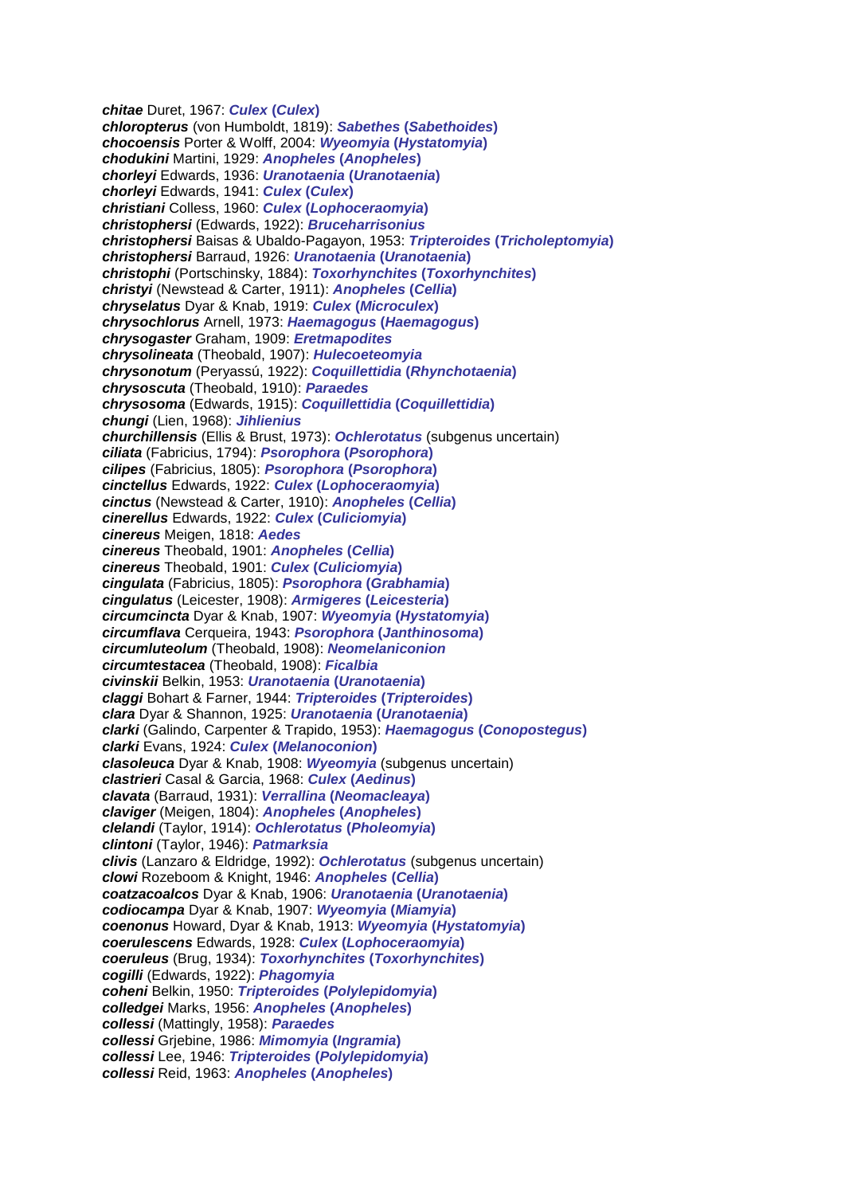*chitae* Duret, 1967: *Culex* **(***Culex***)** *chloropterus* (von Humboldt, 1819): *Sabethes* **(***Sabethoides***)** *chocoensis* Porter & Wolff, 2004: *Wyeomyia* **(***Hystatomyia***)** *chodukini* Martini, 1929: *Anopheles* **(***Anopheles***)** *chorleyi* Edwards, 1936: *Uranotaenia* **(***Uranotaenia***)** *chorleyi* Edwards, 1941: *Culex* **(***Culex***)** *christiani* Colless, 1960: *Culex* **(***Lophoceraomyia***)** *christophersi* (Edwards, 1922): *Bruceharrisonius christophersi* Baisas & Ubaldo-Pagayon, 1953: *Tripteroides* **(***Tricholeptomyia***)** *christophersi* Barraud, 1926: *Uranotaenia* **(***Uranotaenia***)** *christophi* (Portschinsky, 1884): *Toxorhynchites* **(***Toxorhynchites***)** *christyi* (Newstead & Carter, 1911): *Anopheles* **(***Cellia***)** *chryselatus* Dyar & Knab, 1919: *Culex* **(***Microculex***)** *chrysochlorus* Arnell, 1973: *Haemagogus* **(***Haemagogus***)** *chrysogaster* Graham, 1909: *Eretmapodites chrysolineata* (Theobald, 1907): *Hulecoeteomyia chrysonotum* (Peryassú, 1922): *Coquillettidia* **(***Rhynchotaenia***)** *chrysoscuta* (Theobald, 1910): *Paraedes chrysosoma* (Edwards, 1915): *Coquillettidia* **(***Coquillettidia***)** *chungi* (Lien, 1968): *Jihlienius churchillensis* (Ellis & Brust, 1973): *Ochlerotatus* (subgenus uncertain) *ciliata* (Fabricius, 1794): *Psorophora* **(***Psorophora***)** *cilipes* (Fabricius, 1805): *Psorophora* **(***Psorophora***)** *cinctellus* Edwards, 1922: *Culex* **(***Lophoceraomyia***)** *cinctus* (Newstead & Carter, 1910): *Anopheles* **(***Cellia***)** *cinerellus* Edwards, 1922: *Culex* **(***Culiciomyia***)** *cinereus* Meigen, 1818: *Aedes cinereus* Theobald, 1901: *Anopheles* **(***Cellia***)** *cinereus* Theobald, 1901: *Culex* **(***Culiciomyia***)** *cingulata* (Fabricius, 1805): *Psorophora* **(***Grabhamia***)** *cingulatus* (Leicester, 1908): *Armigeres* **(***Leicesteria***)** *circumcincta* Dyar & Knab, 1907: *Wyeomyia* **(***Hystatomyia***)** *circumflava* Cerqueira, 1943: *Psorophora* **(***Janthinosoma***)** *circumluteolum* (Theobald, 1908): *Neomelaniconion circumtestacea* (Theobald, 1908): *Ficalbia civinskii* Belkin, 1953: *Uranotaenia* **(***Uranotaenia***)** *claggi* Bohart & Farner, 1944: *Tripteroides* **(***Tripteroides***)** *clara* Dyar & Shannon, 1925: *Uranotaenia* **(***Uranotaenia***)** *clarki* (Galindo, Carpenter & Trapido, 1953): *Haemagogus* **(***Conopostegus***)** *clarki* Evans, 1924: *Culex* **(***Melanoconion***)** *clasoleuca* Dyar & Knab, 1908: *Wyeomyia* (subgenus uncertain) *clastrieri* Casal & Garcia, 1968: *Culex* **(***Aedinus***)** *clavata* (Barraud, 1931): *Verrallina* **(***Neomacleaya***)** *claviger* (Meigen, 1804): *Anopheles* **(***Anopheles***)** *clelandi* (Taylor, 1914): *Ochlerotatus* **(***Pholeomyia***)** *clintoni* (Taylor, 1946): *Patmarksia clivis* (Lanzaro & Eldridge, 1992): *Ochlerotatus* (subgenus uncertain) *clowi* Rozeboom & Knight, 1946: *Anopheles* **(***Cellia***)** *coatzacoalcos* Dyar & Knab, 1906: *Uranotaenia* **(***Uranotaenia***)** *codiocampa* Dyar & Knab, 1907: *Wyeomyia* **(***Miamyia***)** *coenonus* Howard, Dyar & Knab, 1913: *Wyeomyia* **(***Hystatomyia***)** *coerulescens* Edwards, 1928: *Culex* **(***Lophoceraomyia***)** *coeruleus* (Brug, 1934): *Toxorhynchites* **(***Toxorhynchites***)** *cogilli* (Edwards, 1922): *Phagomyia coheni* Belkin, 1950: *Tripteroides* **(***Polylepidomyia***)** *colledgei* Marks, 1956: *Anopheles* **(***Anopheles***)** *collessi* (Mattingly, 1958): *Paraedes collessi* Grjebine, 1986: *Mimomyia* **(***Ingramia***)** *collessi* Lee, 1946: *Tripteroides* **(***Polylepidomyia***)** *collessi* Reid, 1963: *Anopheles* **(***Anopheles***)**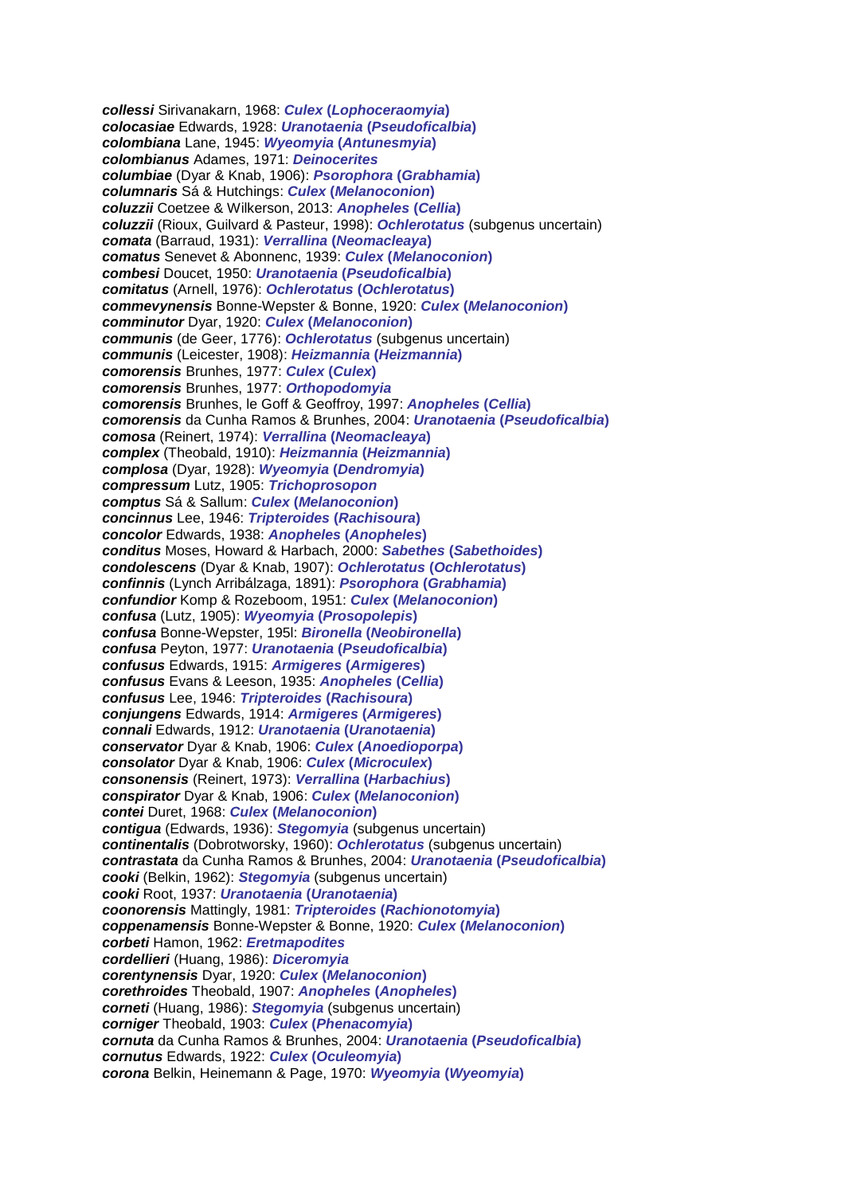*collessi* Sirivanakarn, 1968: *Culex* **(***Lophoceraomyia***)** *colocasiae* Edwards, 1928: *Uranotaenia* **(***Pseudoficalbia***)** *colombiana* Lane, 1945: *Wyeomyia* **(***Antunesmyia***)** *colombianus* Adames, 1971: *Deinocerites columbiae* (Dyar & Knab, 1906): *Psorophora* **(***Grabhamia***)** *columnaris* Sá & Hutchings: *Culex* **(***Melanoconion***)** *coluzzii* Coetzee & Wilkerson, 2013: *Anopheles* **(***Cellia***)** *coluzzii* (Rioux, Guilvard & Pasteur, 1998): *Ochlerotatus* (subgenus uncertain) *comata* (Barraud, 1931): *Verrallina* **(***Neomacleaya***)** *comatus* Senevet & Abonnenc, 1939: *Culex* **(***Melanoconion***)** *combesi* Doucet, 1950: *Uranotaenia* **(***Pseudoficalbia***)** *comitatus* (Arnell, 1976): *Ochlerotatus* **(***Ochlerotatus***)** *commevynensis* Bonne-Wepster & Bonne, 1920: *Culex* **(***Melanoconion***)** *comminutor* Dyar, 1920: *Culex* **(***Melanoconion***)** *communis* (de Geer, 1776): *Ochlerotatus* (subgenus uncertain) *communis* (Leicester, 1908): *Heizmannia* **(***Heizmannia***)** *comorensis* Brunhes, 1977: *Culex* **(***Culex***)** *comorensis* Brunhes, 1977: *Orthopodomyia comorensis* Brunhes, le Goff & Geoffroy, 1997: *Anopheles* **(***Cellia***)** *comorensis* da Cunha Ramos & Brunhes, 2004: *Uranotaenia* **(***Pseudoficalbia***)** *comosa* (Reinert, 1974): *Verrallina* **(***Neomacleaya***)** *complex* (Theobald, 1910): *Heizmannia* **(***Heizmannia***)** *complosa* (Dyar, 1928): *Wyeomyia* **(***Dendromyia***)** *compressum* Lutz, 1905: *Trichoprosopon comptus* Sá & Sallum: *Culex* **(***Melanoconion***)** *concinnus* Lee, 1946: *Tripteroides* **(***Rachisoura***)** *concolor* Edwards, 1938: *Anopheles* **(***Anopheles***)** *conditus* Moses, Howard & Harbach, 2000: *Sabethes* **(***Sabethoides***)** *condolescens* (Dyar & Knab, 1907): *Ochlerotatus* **(***Ochlerotatus***)** *confinnis* (Lynch Arribálzaga, 1891): *Psorophora* **(***Grabhamia***)** *confundior* Komp & Rozeboom, 1951: *Culex* **(***Melanoconion***)** *confusa* (Lutz, 1905): *Wyeomyia* **(***Prosopolepis***)** *confusa* Bonne-Wepster, 195l: *Bironella* **(***Neobironella***)** *confusa* Peyton, 1977: *Uranotaenia* **(***Pseudoficalbia***)** *confusus* Edwards, 1915: *Armigeres* **(***Armigeres***)** *confusus* Evans & Leeson, 1935: *Anopheles* **(***Cellia***)** *confusus* Lee, 1946: *Tripteroides* **(***Rachisoura***)** *conjungens* Edwards, 1914: *Armigeres* **(***Armigeres***)** *connali* Edwards, 1912: *Uranotaenia* **(***Uranotaenia***)** *conservator* Dyar & Knab, 1906: *Culex* **(***Anoedioporpa***)** *consolator* Dyar & Knab, 1906: *Culex* **(***Microculex***)** *consonensis* (Reinert, 1973): *Verrallina* **(***Harbachius***)** *conspirator* Dyar & Knab, 1906: *Culex* **(***Melanoconion***)** *contei* Duret, 1968: *Culex* **(***Melanoconion***)** *contigua* (Edwards, 1936): *Stegomyia* (subgenus uncertain) *continentalis* (Dobrotworsky, 1960): *Ochlerotatus* (subgenus uncertain) *contrastata* da Cunha Ramos & Brunhes, 2004: *Uranotaenia* **(***Pseudoficalbia***)** *cooki* (Belkin, 1962): *Stegomyia* (subgenus uncertain) *cooki* Root, 1937: *Uranotaenia* **(***Uranotaenia***)** *coonorensis* Mattingly, 1981: *Tripteroides* **(***Rachionotomyia***)** *coppenamensis* Bonne-Wepster & Bonne, 1920: *Culex* **(***Melanoconion***)** *corbeti* Hamon, 1962: *Eretmapodites cordellieri* (Huang, 1986): *Diceromyia corentynensis* Dyar, 1920: *Culex* **(***Melanoconion***)** *corethroides* Theobald, 1907: *Anopheles* **(***Anopheles***)** *corneti* (Huang, 1986): *Stegomyia* (subgenus uncertain) *corniger* Theobald, 1903: *Culex* **(***Phenacomyia***)** *cornuta* da Cunha Ramos & Brunhes, 2004: *Uranotaenia* **(***Pseudoficalbia***)** *cornutus* Edwards, 1922: *Culex* **(***Oculeomyia***)** *corona* Belkin, Heinemann & Page, 1970: *Wyeomyia* **(***Wyeomyia***)**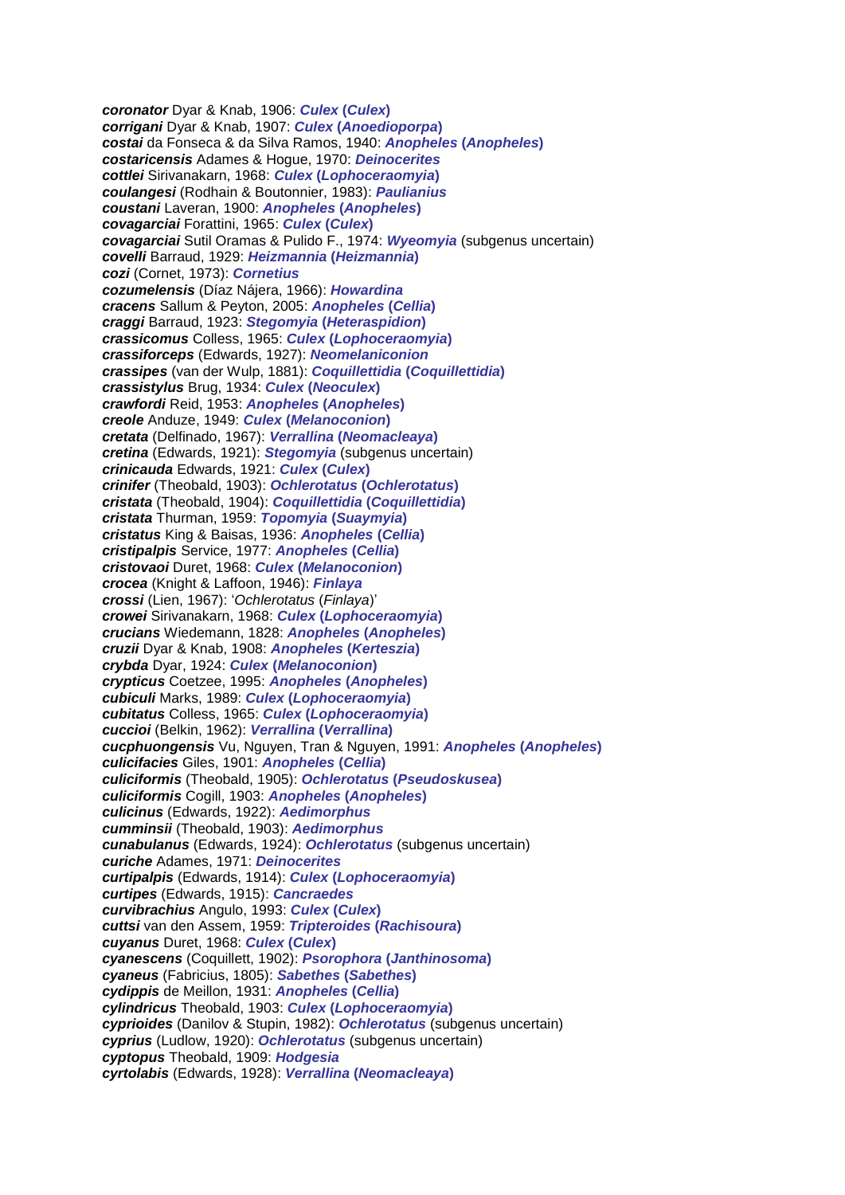*coronator* Dyar & Knab, 1906: *Culex* **(***Culex***)** *corrigani* Dyar & Knab, 1907: *Culex* **(***Anoedioporpa***)** *costai* da Fonseca & da Silva Ramos, 1940: *Anopheles* **(***Anopheles***)** *costaricensis* Adames & Hogue, 1970: *Deinocerites cottlei* Sirivanakarn, 1968: *Culex* **(***Lophoceraomyia***)** *coulangesi* (Rodhain & Boutonnier, 1983): *Paulianius coustani* Laveran, 1900: *Anopheles* **(***Anopheles***)** *covagarciai* Forattini, 1965: *Culex* **(***Culex***)** *covagarciai* Sutil Oramas & Pulido F., 1974: *Wyeomyia* (subgenus uncertain) *covelli* Barraud, 1929: *Heizmannia* **(***Heizmannia***)** *cozi* (Cornet, 1973): *Cornetius cozumelensis* (Díaz Nájera, 1966): *Howardina cracens* Sallum & Peyton, 2005: *Anopheles* **(***Cellia***)** *craggi* Barraud, 1923: *Stegomyia* **(***Heteraspidion***)** *crassicomus* Colless, 1965: *Culex* **(***Lophoceraomyia***)** *crassiforceps* (Edwards, 1927): *Neomelaniconion crassipes* (van der Wulp, 1881): *Coquillettidia* **(***Coquillettidia***)** *crassistylus* Brug, 1934: *Culex* **(***Neoculex***)** *crawfordi* Reid, 1953: *Anopheles* **(***Anopheles***)** *creole* Anduze, 1949: *Culex* **(***Melanoconion***)** *cretata* (Delfinado, 1967): *Verrallina* **(***Neomacleaya***)** *cretina* (Edwards, 1921): *Stegomyia* (subgenus uncertain) *crinicauda* Edwards, 1921: *Culex* **(***Culex***)** *crinifer* (Theobald, 1903): *Ochlerotatus* **(***Ochlerotatus***)** *cristata* (Theobald, 1904): *Coquillettidia* **(***Coquillettidia***)** *cristata* Thurman, 1959: *Topomyia* **(***Suaymyia***)** *cristatus* King & Baisas, 1936: *Anopheles* **(***Cellia***)** *cristipalpis* Service, 1977: *Anopheles* **(***Cellia***)** *cristovaoi* Duret, 1968: *Culex* **(***Melanoconion***)** *crocea* (Knight & Laffoon, 1946): *Finlaya crossi* (Lien, 1967): '*Ochlerotatus* (*Finlaya*)' *crowei* Sirivanakarn, 1968: *Culex* **(***Lophoceraomyia***)** *crucians* Wiedemann, 1828: *Anopheles* **(***Anopheles***)** *cruzii* Dyar & Knab, 1908: *Anopheles* **(***Kerteszia***)** *crybda* Dyar, 1924: *Culex* **(***Melanoconion***)** *crypticus* Coetzee, 1995: *Anopheles* **(***Anopheles***)** *cubiculi* Marks, 1989: *Culex* **(***Lophoceraomyia***)** *cubitatus* Colless, 1965: *Culex* **(***Lophoceraomyia***)** *cuccioi* (Belkin, 1962): *Verrallina* **(***Verrallina***)** *cucphuongensis* Vu, Nguyen, Tran & Nguyen, 1991: *Anopheles* **(***Anopheles***)** *culicifacies* Giles, 1901: *Anopheles* **(***Cellia***)** *culiciformis* (Theobald, 1905): *Ochlerotatus* **(***Pseudoskusea***)** *culiciformis* Cogill, 1903: *Anopheles* **(***Anopheles***)** *culicinus* (Edwards, 1922): *Aedimorphus cumminsii* (Theobald, 1903): *Aedimorphus cunabulanus* (Edwards, 1924): *Ochlerotatus* (subgenus uncertain) *curiche* Adames, 1971: *Deinocerites curtipalpis* (Edwards, 1914): *Culex* **(***Lophoceraomyia***)** *curtipes* (Edwards, 1915): *Cancraedes curvibrachius* Angulo, 1993: *Culex* **(***Culex***)** *cuttsi* van den Assem, 1959: *Tripteroides* **(***Rachisoura***)** *cuyanus* Duret, 1968: *Culex* **(***Culex***)** *cyanescens* (Coquillett, 1902): *Psorophora* **(***Janthinosoma***)** *cyaneus* (Fabricius, 1805): *Sabethes* **(***Sabethes***)** *cydippis* de Meillon, 1931: *Anopheles* **(***Cellia***)** *cylindricus* Theobald, 1903: *Culex* **(***Lophoceraomyia***)** *cyprioides* (Danilov & Stupin, 1982): *Ochlerotatus* (subgenus uncertain) *cyprius* (Ludlow, 1920): *Ochlerotatus* (subgenus uncertain) *cyptopus* Theobald, 1909: *Hodgesia cyrtolabis* (Edwards, 1928): *Verrallina* **(***Neomacleaya***)**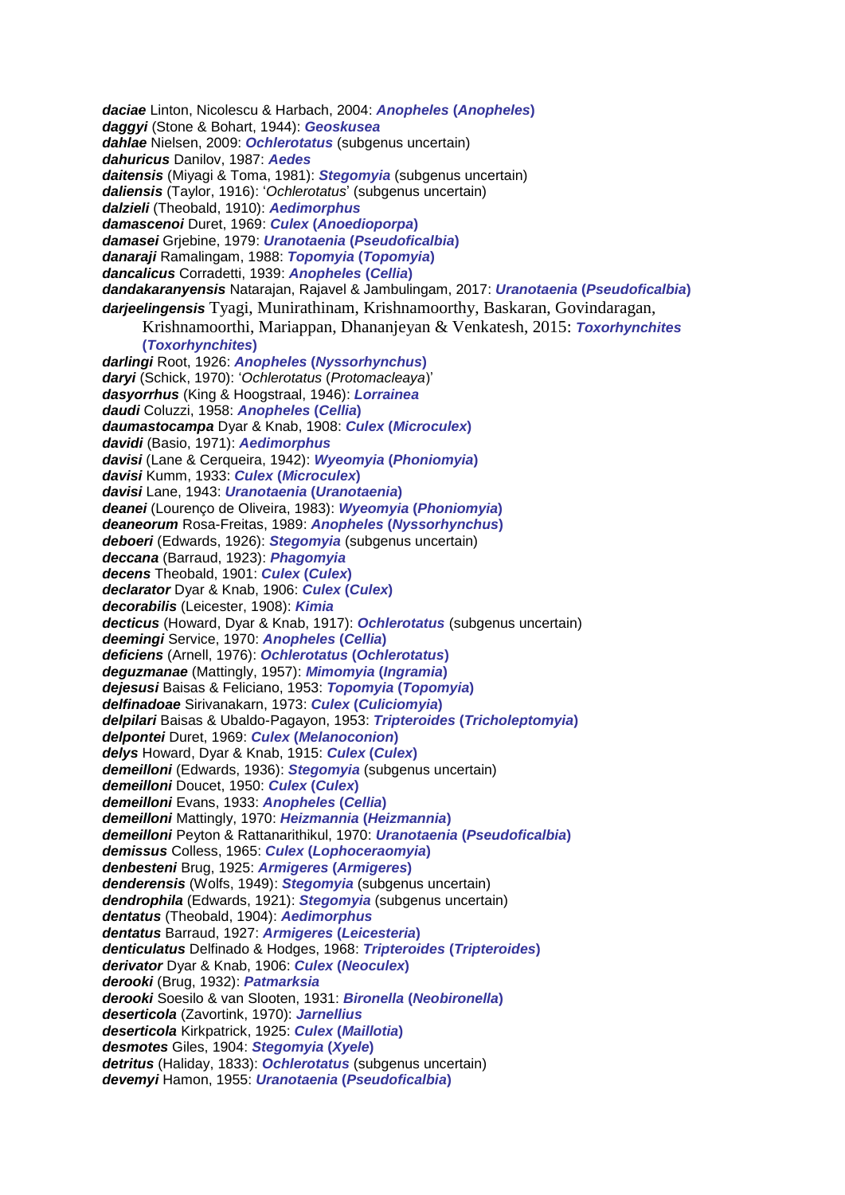*daciae* Linton, Nicolescu & Harbach, 2004: *Anopheles* **(***Anopheles***)** *daggyi* (Stone & Bohart, 1944): *Geoskusea dahlae* Nielsen, 2009: *Ochlerotatus* (subgenus uncertain) *dahuricus* Danilov, 1987: *Aedes daitensis* (Miyagi & Toma, 1981): *Stegomyia* (subgenus uncertain) *daliensis* (Taylor, 1916): '*Ochlerotatus*' (subgenus uncertain) *dalzieli* (Theobald, 1910): *Aedimorphus damascenoi* Duret, 1969: *Culex* **(***Anoedioporpa***)** *damasei* Grjebine, 1979: *Uranotaenia* **(***Pseudoficalbia***)** *danaraji* Ramalingam, 1988: *Topomyia* **(***Topomyia***)** *dancalicus* Corradetti, 1939: *Anopheles* **(***Cellia***)** *dandakaranyensis* Natarajan, Rajavel & Jambulingam, 2017: *Uranotaenia* **(***Pseudoficalbia***)** *darjeelingensis* Tyagi, Munirathinam, Krishnamoorthy, Baskaran, Govindaragan, Krishnamoorthi, Mariappan, Dhananjeyan & Venkatesh, 2015: *Toxorhynchites*  **(***Toxorhynchites***)** *darlingi* Root, 1926: *Anopheles* **(***Nyssorhynchus***)** *daryi* (Schick, 1970): '*Ochlerotatus* (*Protomacleaya*)' *dasyorrhus* (King & Hoogstraal, 1946): *Lorrainea daudi* Coluzzi, 1958: *Anopheles* **(***Cellia***)** *daumastocampa* Dyar & Knab, 1908: *Culex* **(***Microculex***)** *davidi* (Basio, 1971): *Aedimorphus davisi* (Lane & Cerqueira, 1942): *Wyeomyia* **(***Phoniomyia***)** *davisi* Kumm, 1933: *Culex* **(***Microculex***)** *davisi* Lane, 1943: *Uranotaenia* **(***Uranotaenia***)** *deanei* (Lourenço de Oliveira, 1983): *Wyeomyia* **(***Phoniomyia***)** *deaneorum* Rosa-Freitas, 1989: *Anopheles* **(***Nyssorhynchus***)** *deboeri* (Edwards, 1926): *Stegomyia* (subgenus uncertain) *deccana* (Barraud, 1923): *Phagomyia decens* Theobald, 1901: *Culex* **(***Culex***)** *declarator* Dyar & Knab, 1906: *Culex* **(***Culex***)** *decorabilis* (Leicester, 1908): *Kimia decticus* (Howard, Dyar & Knab, 1917): *Ochlerotatus* (subgenus uncertain) *deemingi* Service, 1970: *Anopheles* **(***Cellia***)** *deficiens* (Arnell, 1976): *Ochlerotatus* **(***Ochlerotatus***)** *deguzmanae* (Mattingly, 1957): *Mimomyia* **(***Ingramia***)** *dejesusi* Baisas & Feliciano, 1953: *Topomyia* **(***Topomyia***)** *delfinadoae* Sirivanakarn, 1973: *Culex* **(***Culiciomyia***)** *delpilari* Baisas & Ubaldo-Pagayon, 1953: *Tripteroides* **(***Tricholeptomyia***)** *delpontei* Duret, 1969: *Culex* **(***Melanoconion***)** *delys* Howard, Dyar & Knab, 1915: *Culex* **(***Culex***)** *demeilloni* (Edwards, 1936): *Stegomyia* (subgenus uncertain) *demeilloni* Doucet, 1950: *Culex* **(***Culex***)** *demeilloni* Evans, 1933: *Anopheles* **(***Cellia***)** *demeilloni* Mattingly, 1970: *Heizmannia* **(***Heizmannia***)** *demeilloni* Peyton & Rattanarithikul, 1970: *Uranotaenia* **(***Pseudoficalbia***)** *demissus* Colless, 1965: *Culex* **(***Lophoceraomyia***)** *denbesteni* Brug, 1925: *Armigeres* **(***Armigeres***)** *denderensis* (Wolfs, 1949): *Stegomyia* (subgenus uncertain) *dendrophila* (Edwards, 1921): *Stegomyia* (subgenus uncertain) *dentatus* (Theobald, 1904): *Aedimorphus dentatus* Barraud, 1927: *Armigeres* **(***Leicesteria***)** *denticulatus* Delfinado & Hodges, 1968: *Tripteroides* **(***Tripteroides***)** *derivator* Dyar & Knab, 1906: *Culex* **(***Neoculex***)** *derooki* (Brug, 1932): *Patmarksia derooki* Soesilo & van Slooten, 1931: *Bironella* **(***Neobironella***)** *deserticola* (Zavortink, 1970): *Jarnellius deserticola* Kirkpatrick, 1925: *Culex* **(***Maillotia***)** *desmotes* Giles, 1904: *Stegomyia* **(***Xyele***)** *detritus* (Haliday, 1833): *Ochlerotatus* (subgenus uncertain) *devemyi* Hamon, 1955: *Uranotaenia* **(***Pseudoficalbia***)**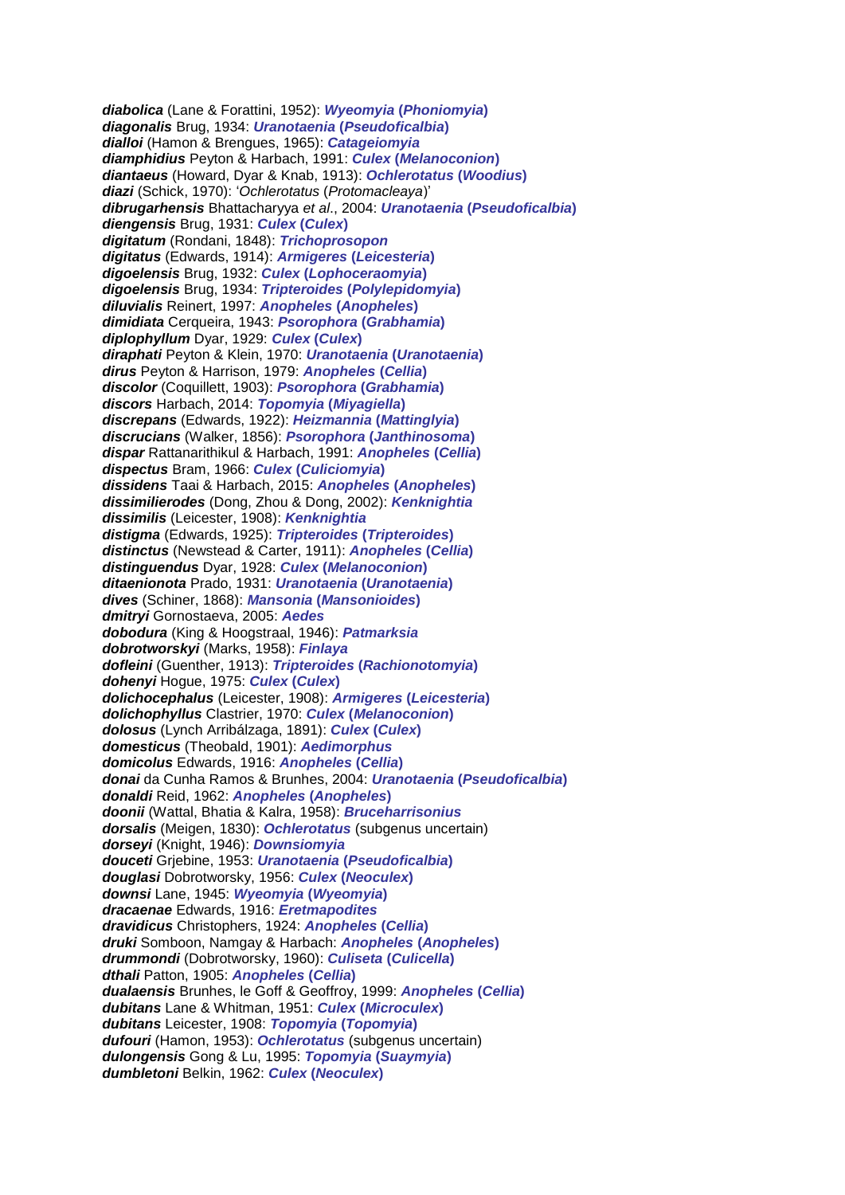*diabolica* (Lane & Forattini, 1952): *Wyeomyia* **(***Phoniomyia***)** *diagonalis* Brug, 1934: *Uranotaenia* **(***Pseudoficalbia***)** *dialloi* (Hamon & Brengues, 1965): *Catageiomyia diamphidius* Peyton & Harbach, 1991: *Culex* **(***Melanoconion***)** *diantaeus* (Howard, Dyar & Knab, 1913): *Ochlerotatus* **(***Woodius***)** *diazi* (Schick, 1970): '*Ochlerotatus* (*Protomacleaya*)' *dibrugarhensis* Bhattacharyya *et al*., 2004: *Uranotaenia* **(***Pseudoficalbia***)** *diengensis* Brug, 1931: *Culex* **(***Culex***)** *digitatum* (Rondani, 1848): *Trichoprosopon digitatus* (Edwards, 1914): *Armigeres* **(***Leicesteria***)** *digoelensis* Brug, 1932: *Culex* **(***Lophoceraomyia***)** *digoelensis* Brug, 1934: *Tripteroides* **(***Polylepidomyia***)** *diluvialis* Reinert, 1997: *Anopheles* **(***Anopheles***)** *dimidiata* Cerqueira, 1943: *Psorophora* **(***Grabhamia***)** *diplophyllum* Dyar, 1929: *Culex* **(***Culex***)** *diraphati* Peyton & Klein, 1970: *Uranotaenia* **(***Uranotaenia***)** *dirus* Peyton & Harrison, 1979: *Anopheles* **(***Cellia***)** *discolor* (Coquillett, 1903): *Psorophora* **(***Grabhamia***)** *discors* Harbach, 2014: *Topomyia* **(***Miyagiella***)** *discrepans* (Edwards, 1922): *Heizmannia* **(***Mattinglyia***)** *discrucians* (Walker, 1856): *Psorophora* **(***Janthinosoma***)** *dispar* Rattanarithikul & Harbach, 1991: *Anopheles* **(***Cellia***)** *dispectus* Bram, 1966: *Culex* **(***Culiciomyia***)** *dissidens* Taai & Harbach, 2015: *Anopheles* **(***Anopheles***)** *dissimilierodes* (Dong, Zhou & Dong, 2002): *Kenknightia dissimilis* (Leicester, 1908): *Kenknightia distigma* (Edwards, 1925): *Tripteroides* **(***Tripteroides***)** *distinctus* (Newstead & Carter, 1911): *Anopheles* **(***Cellia***)** *distinguendus* Dyar, 1928: *Culex* **(***Melanoconion***)** *ditaenionota* Prado, 1931: *Uranotaenia* **(***Uranotaenia***)** *dives* (Schiner, 1868): *Mansonia* **(***Mansonioides***)** *dmitryi* Gornostaeva, 2005: *Aedes dobodura* (King & Hoogstraal, 1946): *Patmarksia dobrotworskyi* (Marks, 1958): *Finlaya dofleini* (Guenther, 1913): *Tripteroides* **(***Rachionotomyia***)** *dohenyi* Hogue, 1975: *Culex* **(***Culex***)** *dolichocephalus* (Leicester, 1908): *Armigeres* **(***Leicesteria***)** *dolichophyllus* Clastrier, 1970: *Culex* **(***Melanoconion***)** *dolosus* (Lynch Arribálzaga, 1891): *Culex* **(***Culex***)** *domesticus* (Theobald, 1901): *Aedimorphus domicolus* Edwards, 1916: *Anopheles* **(***Cellia***)** *donai* da Cunha Ramos & Brunhes, 2004: *Uranotaenia* **(***Pseudoficalbia***)** *donaldi* Reid, 1962: *Anopheles* **(***Anopheles***)** *doonii* (Wattal, Bhatia & Kalra, 1958): *Bruceharrisonius dorsalis* (Meigen, 1830): *Ochlerotatus* (subgenus uncertain) *dorseyi* (Knight, 1946): *Downsiomyia douceti* Grjebine, 1953: *Uranotaenia* **(***Pseudoficalbia***)** *douglasi* Dobrotworsky, 1956: *Culex* **(***Neoculex***)** *downsi* Lane, 1945: *Wyeomyia* **(***Wyeomyia***)** *dracaenae* Edwards, 1916: *Eretmapodites dravidicus* Christophers, 1924: *Anopheles* **(***Cellia***)** *druki* Somboon, Namgay & Harbach: *Anopheles* **(***Anopheles***)** *drummondi* (Dobrotworsky, 1960): *Culiseta* **(***Culicella***)** *dthali* Patton, 1905: *Anopheles* **(***Cellia***)** *dualaensis* Brunhes, le Goff & Geoffroy, 1999: *Anopheles* **(***Cellia***)** *dubitans* Lane & Whitman, 1951: *Culex* **(***Microculex***)** *dubitans* Leicester, 1908: *Topomyia* **(***Topomyia***)** *dufouri* (Hamon, 1953): *Ochlerotatus* (subgenus uncertain) *dulongensis* Gong & Lu, 1995: *Topomyia* **(***Suaymyia***)** *dumbletoni* Belkin, 1962: *Culex* **(***Neoculex***)**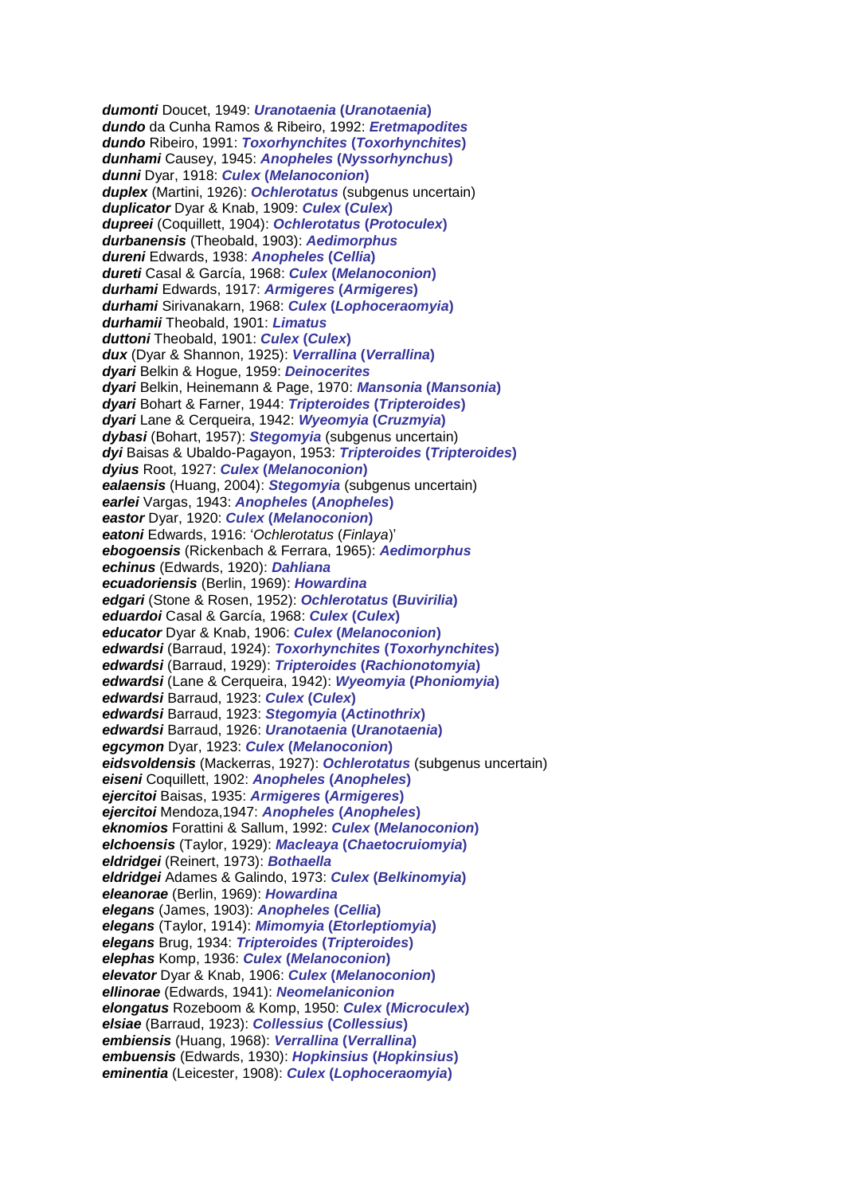*dumonti* Doucet, 1949: *Uranotaenia* **(***Uranotaenia***)** *dundo* da Cunha Ramos & Ribeiro, 1992: *Eretmapodites dundo* Ribeiro, 1991: *Toxorhynchites* **(***Toxorhynchites***)** *dunhami* Causey, 1945: *Anopheles* **(***Nyssorhynchus***)** *dunni* Dyar, 1918: *Culex* **(***Melanoconion***)** *duplex* (Martini, 1926): *Ochlerotatus* (subgenus uncertain) *duplicator* Dyar & Knab, 1909: *Culex* **(***Culex***)** *dupreei* (Coquillett, 1904): *Ochlerotatus* **(***Protoculex***)** *durbanensis* (Theobald, 1903): *Aedimorphus dureni* Edwards, 1938: *Anopheles* **(***Cellia***)** *dureti* Casal & García, 1968: *Culex* **(***Melanoconion***)** *durhami* Edwards, 1917: *Armigeres* **(***Armigeres***)** *durhami* Sirivanakarn, 1968: *Culex* **(***Lophoceraomyia***)** *durhamii* Theobald, 1901: *Limatus duttoni* Theobald, 1901: *Culex* **(***Culex***)** *dux* (Dyar & Shannon, 1925): *Verrallina* **(***Verrallina***)** *dyari* Belkin & Hogue, 1959: *Deinocerites dyari* Belkin, Heinemann & Page, 1970: *Mansonia* **(***Mansonia***)** *dyari* Bohart & Farner, 1944: *Tripteroides* **(***Tripteroides***)** *dyari* Lane & Cerqueira, 1942: *Wyeomyia* **(***Cruzmyia***)** *dybasi* (Bohart, 1957): *Stegomyia* (subgenus uncertain) *dyi* Baisas & Ubaldo-Pagayon, 1953: *Tripteroides* **(***Tripteroides***)** *dyius* Root, 1927: *Culex* **(***Melanoconion***)** *ealaensis* (Huang, 2004): *Stegomyia* (subgenus uncertain) *earlei* Vargas, 1943: *Anopheles* **(***Anopheles***)** *eastor* Dyar, 1920: *Culex* **(***Melanoconion***)** *eatoni* Edwards, 1916: '*Ochlerotatus* (*Finlaya*)' *ebogoensis* (Rickenbach & Ferrara, 1965): *Aedimorphus echinus* (Edwards, 1920): *Dahliana ecuadoriensis* (Berlin, 1969): *Howardina edgari* (Stone & Rosen, 1952): *Ochlerotatus* **(***Buvirilia***)** *eduardoi* Casal & García, 1968: *Culex* **(***Culex***)** *educator* Dyar & Knab, 1906: *Culex* **(***Melanoconion***)** *edwardsi* (Barraud, 1924): *Toxorhynchites* **(***Toxorhynchites***)** *edwardsi* (Barraud, 1929): *Tripteroides* **(***Rachionotomyia***)** *edwardsi* (Lane & Cerqueira, 1942): *Wyeomyia* **(***Phoniomyia***)** *edwardsi* Barraud, 1923: *Culex* **(***Culex***)** *edwardsi* Barraud, 1923: *Stegomyia* **(***Actinothrix***)** *edwardsi* Barraud, 1926: *Uranotaenia* **(***Uranotaenia***)** *egcymon* Dyar, 1923: *Culex* **(***Melanoconion***)** *eidsvoldensis* (Mackerras, 1927): *Ochlerotatus* (subgenus uncertain) *eiseni* Coquillett, 1902: *Anopheles* **(***Anopheles***)** *ejercitoi* Baisas, 1935: *Armigeres* **(***Armigeres***)** *ejercitoi* Mendoza,1947: *Anopheles* **(***Anopheles***)** *eknomios* Forattini & Sallum, 1992: *Culex* **(***Melanoconion***)** *elchoensis* (Taylor, 1929): *Macleaya* **(***Chaetocruiomyia***)** *eldridgei* (Reinert, 1973): *Bothaella eldridgei* Adames & Galindo, 1973: *Culex* **(***Belkinomyia***)** *eleanorae* (Berlin, 1969): *Howardina elegans* (James, 1903): *Anopheles* **(***Cellia***)** *elegans* (Taylor, 1914): *Mimomyia* **(***Etorleptiomyia***)** *elegans* Brug, 1934: *Tripteroides* **(***Tripteroides***)** *elephas* Komp, 1936: *Culex* **(***Melanoconion***)** *elevator* Dyar & Knab, 1906: *Culex* **(***Melanoconion***)** *ellinorae* (Edwards, 1941): *Neomelaniconion elongatus* Rozeboom & Komp, 1950: *Culex* **(***Microculex***)** *elsiae* (Barraud, 1923): *Collessius* **(***Collessius***)** *embiensis* (Huang, 1968): *Verrallina* **(***Verrallina***)** *embuensis* (Edwards, 1930): *Hopkinsius* **(***Hopkinsius***)** *eminentia* (Leicester, 1908): *Culex* **(***Lophoceraomyia***)**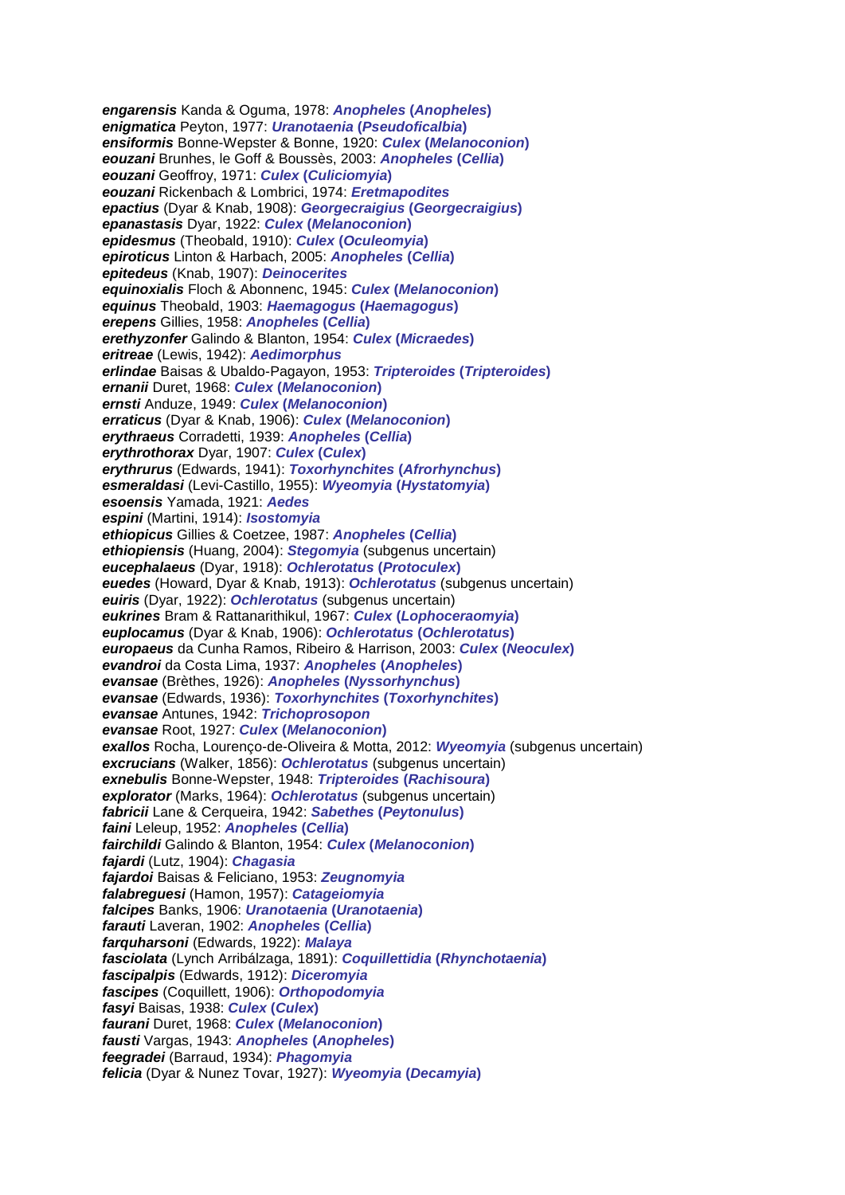*engarensis* Kanda & Oguma, 1978: *Anopheles* **(***Anopheles***)** *enigmatica* Peyton, 1977: *Uranotaenia* **(***Pseudoficalbia***)** *ensiformis* Bonne-Wepster & Bonne, 1920: *Culex* **(***Melanoconion***)** *eouzani* Brunhes, le Goff & Boussès, 2003: *Anopheles* **(***Cellia***)** *eouzani* Geoffroy, 1971: *Culex* **(***Culiciomyia***)** *eouzani* Rickenbach & Lombrici, 1974: *Eretmapodites epactius* (Dyar & Knab, 1908): *Georgecraigius* **(***Georgecraigius***)** *epanastasis* Dyar, 1922: *Culex* **(***Melanoconion***)** *epidesmus* (Theobald, 1910): *Culex* **(***Oculeomyia***)** *epiroticus* Linton & Harbach, 2005: *Anopheles* **(***Cellia***)** *epitedeus* (Knab, 1907): *Deinocerites equinoxialis* Floch & Abonnenc, 1945: *Culex* **(***Melanoconion***)** *equinus* Theobald, 1903: *Haemagogus* **(***Haemagogus***)** *erepens* Gillies, 1958: *Anopheles* **(***Cellia***)** *erethyzonfer* Galindo & Blanton, 1954: *Culex* **(***Micraedes***)** *eritreae* (Lewis, 1942): *Aedimorphus erlindae* Baisas & Ubaldo-Pagayon, 1953: *Tripteroides* **(***Tripteroides***)** *ernanii* Duret, 1968: *Culex* **(***Melanoconion***)** *ernsti* Anduze, 1949: *Culex* **(***Melanoconion***)** *erraticus* (Dyar & Knab, 1906): *Culex* **(***Melanoconion***)** *erythraeus* Corradetti, 1939: *Anopheles* **(***Cellia***)** *erythrothorax* Dyar, 1907: *Culex* **(***Culex***)** *erythrurus* (Edwards, 1941): *Toxorhynchites* **(***Afrorhynchus***)** *esmeraldasi* (Levi-Castillo, 1955): *Wyeomyia* **(***Hystatomyia***)** *esoensis* Yamada, 1921: *Aedes espini* (Martini, 1914): *Isostomyia ethiopicus* Gillies & Coetzee, 1987: *Anopheles* **(***Cellia***)** *ethiopiensis* (Huang, 2004): *Stegomyia* (subgenus uncertain) *eucephalaeus* (Dyar, 1918): *Ochlerotatus* **(***Protoculex***)** *euedes* (Howard, Dyar & Knab, 1913): *Ochlerotatus* (subgenus uncertain) *euiris* (Dyar, 1922): *Ochlerotatus* (subgenus uncertain) *eukrines* Bram & Rattanarithikul, 1967: *Culex* **(***Lophoceraomyia***)** *euplocamus* (Dyar & Knab, 1906): *Ochlerotatus* **(***Ochlerotatus***)** *europaeus* da Cunha Ramos, Ribeiro & Harrison, 2003: *Culex* **(***Neoculex***)** *evandroi* da Costa Lima, 1937: *Anopheles* **(***Anopheles***)** *evansae* (Brèthes, 1926): *Anopheles* **(***Nyssorhynchus***)** *evansae* (Edwards, 1936): *Toxorhynchites* **(***Toxorhynchites***)** *evansae* Antunes, 1942: *Trichoprosopon evansae* Root, 1927: *Culex* **(***Melanoconion***)** *exallos* Rocha, Lourenço-de-Oliveira & Motta, 2012: *Wyeomyia* (subgenus uncertain) *excrucians* (Walker, 1856): *Ochlerotatus* (subgenus uncertain) *exnebulis* Bonne-Wepster, 1948: *Tripteroides* **(***Rachisoura***)** *explorator* (Marks, 1964): *Ochlerotatus* (subgenus uncertain) *fabricii* Lane & Cerqueira, 1942: *Sabethes* **(***Peytonulus***)** *faini* Leleup, 1952: *Anopheles* **(***Cellia***)** *fairchildi* Galindo & Blanton, 1954: *Culex* **(***Melanoconion***)** *fajardi* (Lutz, 1904): *Chagasia fajardoi* Baisas & Feliciano, 1953: *Zeugnomyia falabreguesi* (Hamon, 1957): *Catageiomyia falcipes* Banks, 1906: *Uranotaenia* **(***Uranotaenia***)** *farauti* Laveran, 1902: *Anopheles* **(***Cellia***)** *farquharsoni* (Edwards, 1922): *Malaya fasciolata* (Lynch Arribálzaga, 1891): *Coquillettidia* **(***Rhynchotaenia***)** *fascipalpis* (Edwards, 1912): *Diceromyia fascipes* (Coquillett, 1906): *Orthopodomyia fasyi* Baisas, 1938: *Culex* **(***Culex***)** *faurani* Duret, 1968: *Culex* **(***Melanoconion***)** *fausti* Vargas, 1943: *Anopheles* **(***Anopheles***)** *feegradei* (Barraud, 1934): *Phagomyia felicia* (Dyar & Nunez Tovar, 1927): *Wyeomyia* **(***Decamyia***)**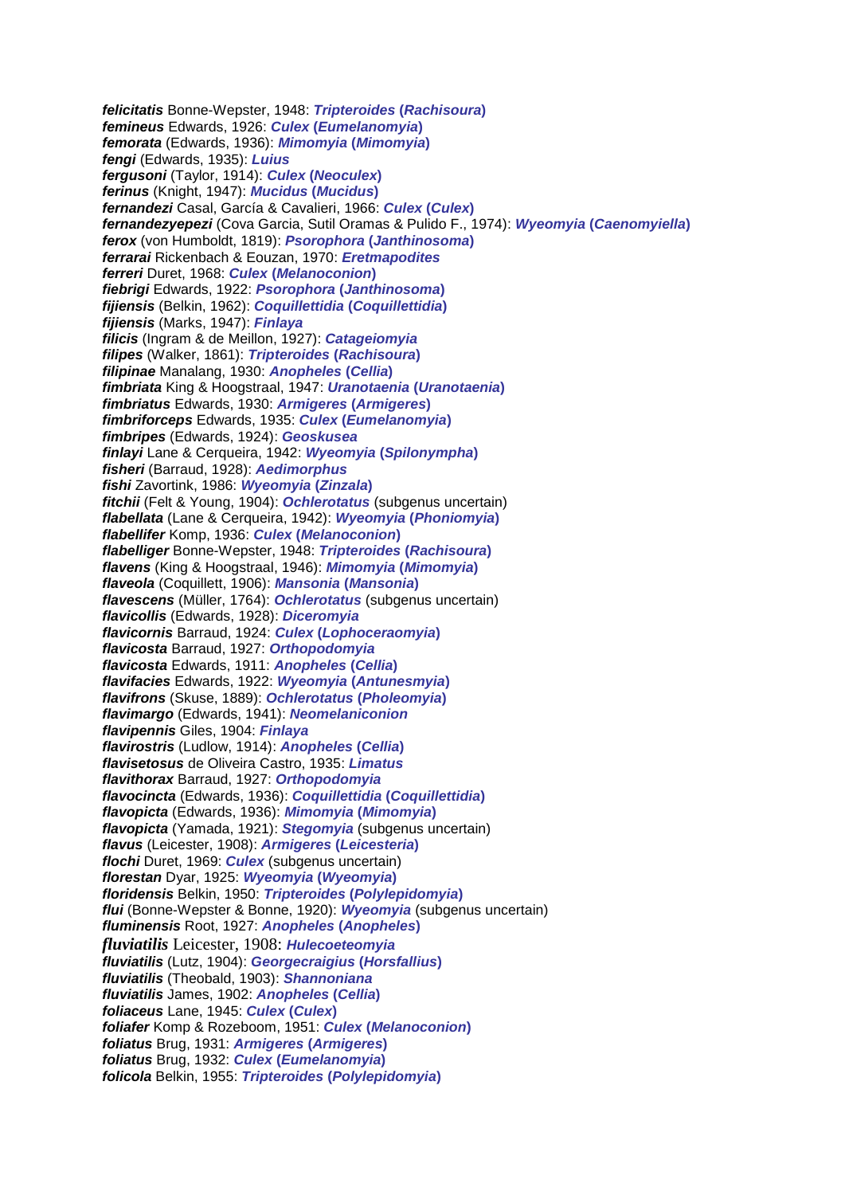*felicitatis* Bonne-Wepster, 1948: *Tripteroides* **(***Rachisoura***)** *femineus* Edwards, 1926: *Culex* **(***Eumelanomyia***)** *femorata* (Edwards, 1936): *Mimomyia* **(***Mimomyia***)** *fengi* (Edwards, 1935): *Luius fergusoni* (Taylor, 1914): *Culex* **(***Neoculex***)** *ferinus* (Knight, 1947): *Mucidus* **(***Mucidus***)** *fernandezi* Casal, García & Cavalieri, 1966: *Culex* **(***Culex***)** *fernandezyepezi* (Cova Garcia, Sutil Oramas & Pulido F., 1974): *Wyeomyia* **(***Caenomyiella***)** *ferox* (von Humboldt, 1819): *Psorophora* **(***Janthinosoma***)** *ferrarai* Rickenbach & Eouzan, 1970: *Eretmapodites ferreri* Duret, 1968: *Culex* **(***Melanoconion***)** *fiebrigi* Edwards, 1922: *Psorophora* **(***Janthinosoma***)** *fijiensis* (Belkin, 1962): *Coquillettidia* **(***Coquillettidia***)** *fijiensis* (Marks, 1947): *Finlaya filicis* (Ingram & de Meillon, 1927): *Catageiomyia filipes* (Walker, 1861): *Tripteroides* **(***Rachisoura***)** *filipinae* Manalang, 1930: *Anopheles* **(***Cellia***)** *fimbriata* King & Hoogstraal, 1947: *Uranotaenia* **(***Uranotaenia***)** *fimbriatus* Edwards, 1930: *Armigeres* **(***Armigeres***)** *fimbriforceps* Edwards, 1935: *Culex* **(***Eumelanomyia***)** *fimbripes* (Edwards, 1924): *Geoskusea finlayi* Lane & Cerqueira, 1942: *Wyeomyia* **(***Spilonympha***)** *fisheri* (Barraud, 1928): *Aedimorphus fishi* Zavortink, 1986: *Wyeomyia* **(***Zinzala***)** *fitchii* (Felt & Young, 1904): *Ochlerotatus* (subgenus uncertain) *flabellata* (Lane & Cerqueira, 1942): *Wyeomyia* **(***Phoniomyia***)** *flabellifer* Komp, 1936: *Culex* **(***Melanoconion***)** *flabelliger* Bonne-Wepster, 1948: *Tripteroides* **(***Rachisoura***)** *flavens* (King & Hoogstraal, 1946): *Mimomyia* **(***Mimomyia***)** *flaveola* (Coquillett, 1906): *Mansonia* **(***Mansonia***)** *flavescens* (Müller, 1764): *Ochlerotatus* (subgenus uncertain) *flavicollis* (Edwards, 1928): *Diceromyia flavicornis* Barraud, 1924: *Culex* **(***Lophoceraomyia***)** *flavicosta* Barraud, 1927: *Orthopodomyia flavicosta* Edwards, 1911: *Anopheles* **(***Cellia***)** *flavifacies* Edwards, 1922: *Wyeomyia* **(***Antunesmyia***)** *flavifrons* (Skuse, 1889): *Ochlerotatus* **(***Pholeomyia***)** *flavimargo* (Edwards, 1941): *Neomelaniconion flavipennis* Giles, 1904: *Finlaya flavirostris* (Ludlow, 1914): *Anopheles* **(***Cellia***)** *flavisetosus* de Oliveira Castro, 1935: *Limatus flavithorax* Barraud, 1927: *Orthopodomyia flavocincta* (Edwards, 1936): *Coquillettidia* **(***Coquillettidia***)** *flavopicta* (Edwards, 1936): *Mimomyia* **(***Mimomyia***)** *flavopicta* (Yamada, 1921): *Stegomyia* (subgenus uncertain) *flavus* (Leicester, 1908): *Armigeres* **(***Leicesteria***)** *flochi* Duret, 1969: *Culex* (subgenus uncertain) *florestan* Dyar, 1925: *Wyeomyia* **(***Wyeomyia***)** *floridensis* Belkin, 1950: *Tripteroides* **(***Polylepidomyia***)** *flui* (Bonne-Wepster & Bonne, 1920): *Wyeomyia* (subgenus uncertain) *fluminensis* Root, 1927: *Anopheles* **(***Anopheles***)** *fluviatilis* Leicester, 1908: *Hulecoeteomyia fluviatilis* (Lutz, 1904): *Georgecraigius* **(***Horsfallius***)** *fluviatilis* (Theobald, 1903): *Shannoniana fluviatilis* James, 1902: *Anopheles* **(***Cellia***)** *foliaceus* Lane, 1945: *Culex* **(***Culex***)** *foliafer* Komp & Rozeboom, 1951: *Culex* **(***Melanoconion***)** *foliatus* Brug, 1931: *Armigeres* **(***Armigeres***)** *foliatus* Brug, 1932: *Culex* **(***Eumelanomyia***)** *folicola* Belkin, 1955: *Tripteroides* **(***Polylepidomyia***)**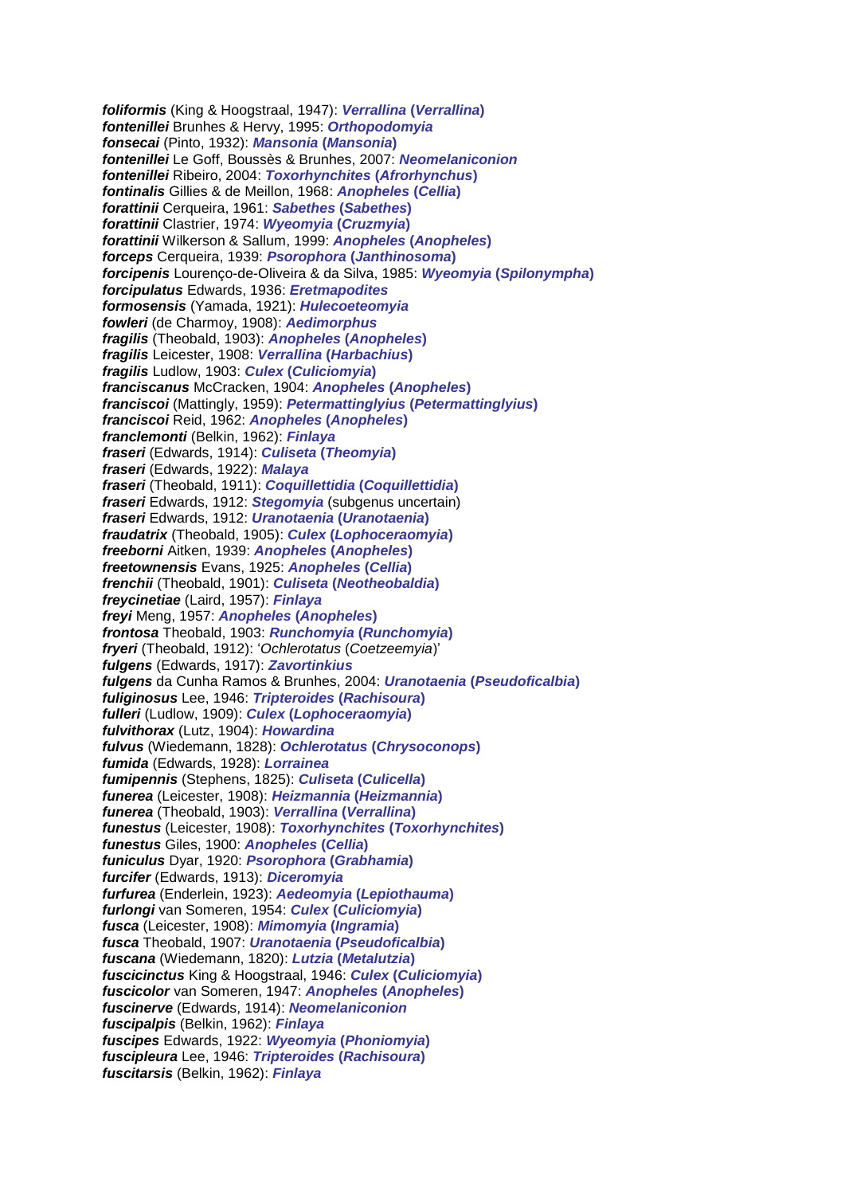*foliformis* (King & Hoogstraal, 1947): *Verrallina* **(***Verrallina***)** *fontenillei* Brunhes & Hervy, 1995: *Orthopodomyia fonsecai* (Pinto, 1932): *Mansonia* **(***Mansonia***)** *fontenillei* Le Goff, Boussès & Brunhes, 2007: *Neomelaniconion fontenillei* Ribeiro, 2004: *Toxorhynchites* **(***Afrorhynchus***)** *fontinalis* Gillies & de Meillon, 1968: *Anopheles* **(***Cellia***)** *forattinii* Cerqueira, 1961: *Sabethes* **(***Sabethes***)** *forattinii* Clastrier, 1974: *Wyeomyia* **(***Cruzmyia***)** *forattinii* Wilkerson & Sallum, 1999: *Anopheles* **(***Anopheles***)** *forceps* Cerqueira, 1939: *Psorophora* **(***Janthinosoma***)** *forcipenis* Lourenço-de-Oliveira & da Silva, 1985: *Wyeomyia* **(***Spilonympha***)** *forcipulatus* Edwards, 1936: *Eretmapodites formosensis* (Yamada, 1921): *Hulecoeteomyia fowleri* (de Charmoy, 1908): *Aedimorphus fragilis* (Theobald, 1903): *Anopheles* **(***Anopheles***)** *fragilis* Leicester, 1908: *Verrallina* **(***Harbachius***)** *fragilis* Ludlow, 1903: *Culex* **(***Culiciomyia***)** *franciscanus* McCracken, 1904: *Anopheles* **(***Anopheles***)** *franciscoi* (Mattingly, 1959): *Petermattinglyius* **(***Petermattinglyius***)** *franciscoi* Reid, 1962: *Anopheles* **(***Anopheles***)** *franclemonti* (Belkin, 1962): *Finlaya fraseri* (Edwards, 1914): *Culiseta* **(***Theomyia***)** *fraseri* (Edwards, 1922): *Malaya fraseri* (Theobald, 1911): *Coquillettidia* **(***Coquillettidia***)** *fraseri* Edwards, 1912: *Stegomyia* (subgenus uncertain) *fraseri* Edwards, 1912: *Uranotaenia* **(***Uranotaenia***)** *fraudatrix* (Theobald, 1905): *Culex* **(***Lophoceraomyia***)** *freeborni* Aitken, 1939: *Anopheles* **(***Anopheles***)** *freetownensis* Evans, 1925: *Anopheles* **(***Cellia***)** *frenchii* (Theobald, 1901): *Culiseta* **(***Neotheobaldia***)** *freycinetiae* (Laird, 1957): *Finlaya freyi* Meng, 1957: *Anopheles* **(***Anopheles***)** *frontosa* Theobald, 1903: *Runchomyia* **(***Runchomyia***)** *fryeri* (Theobald, 1912): '*Ochlerotatus* (*Coetzeemyia*)' *fulgens* (Edwards, 1917): *Zavortinkius fulgens* da Cunha Ramos & Brunhes, 2004: *Uranotaenia* **(***Pseudoficalbia***)** *fuliginosus* Lee, 1946: *Tripteroides* **(***Rachisoura***)** *fulleri* (Ludlow, 1909): *Culex* **(***Lophoceraomyia***)** *fulvithorax* (Lutz, 1904): *Howardina fulvus* (Wiedemann, 1828): *Ochlerotatus* **(***Chrysoconops***)** *fumida* (Edwards, 1928): *Lorrainea fumipennis* (Stephens, 1825): *Culiseta* **(***Culicella***)** *funerea* (Leicester, 1908): *Heizmannia* **(***Heizmannia***)** *funerea* (Theobald, 1903): *Verrallina* **(***Verrallina***)** *funestus* (Leicester, 1908): *Toxorhynchites* **(***Toxorhynchites***)** *funestus* Giles, 1900: *Anopheles* **(***Cellia***)** *funiculus* Dyar, 1920: *Psorophora* **(***Grabhamia***)** *furcifer* (Edwards, 1913): *Diceromyia furfurea* (Enderlein, 1923): *Aedeomyia* **(***Lepiothauma***)** *furlongi* van Someren, 1954: *Culex* **(***Culiciomyia***)** *fusca* (Leicester, 1908): *Mimomyia* **(***Ingramia***)** *fusca* Theobald, 1907: *Uranotaenia* **(***Pseudoficalbia***)** *fuscana* (Wiedemann, 1820): *Lutzia* **(***Metalutzia***)** *fuscicinctus* King & Hoogstraal, 1946: *Culex* **(***Culiciomyia***)** *fuscicolor* van Someren, 1947: *Anopheles* **(***Anopheles***)** *fuscinerve* (Edwards, 1914): *Neomelaniconion fuscipalpis* (Belkin, 1962): *Finlaya fuscipes* Edwards, 1922: *Wyeomyia* **(***Phoniomyia***)** *fuscipleura* Lee, 1946: *Tripteroides* **(***Rachisoura***)** *fuscitarsis* (Belkin, 1962): *Finlaya*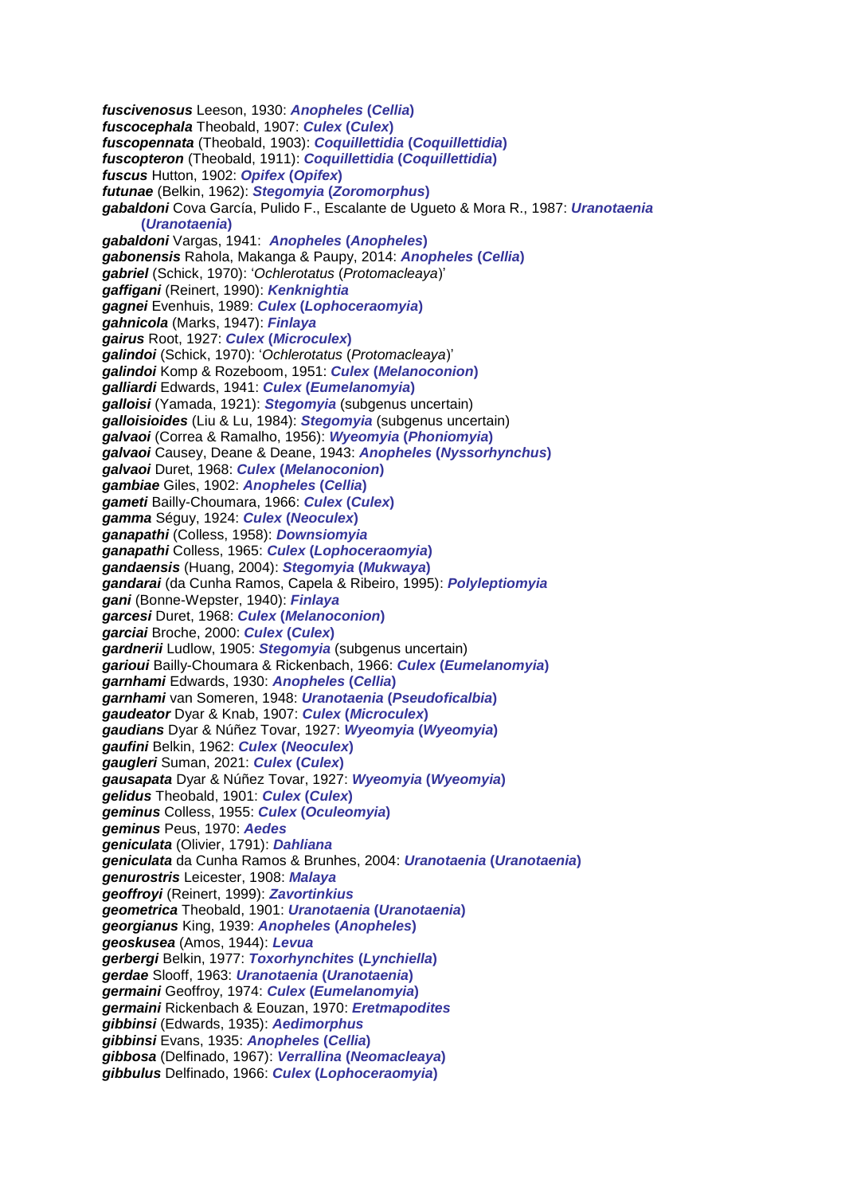*fuscivenosus* Leeson, 1930: *Anopheles* **(***Cellia***)** *fuscocephala* Theobald, 1907: *Culex* **(***Culex***)** *fuscopennata* (Theobald, 1903): *Coquillettidia* **(***Coquillettidia***)** *fuscopteron* (Theobald, 1911): *Coquillettidia* **(***Coquillettidia***)** *fuscus* Hutton, 1902: *Opifex* **(***Opifex***)** *futunae* (Belkin, 1962): *Stegomyia* **(***Zoromorphus***)** *gabaldoni* Cova García, Pulido F., Escalante de Ugueto & Mora R., 1987: *Uranotaenia*  **(***Uranotaenia***)** *gabaldoni* Vargas, 1941: *Anopheles* **(***Anopheles***)** *gabonensis* Rahola, Makanga & Paupy, 2014: *Anopheles* **(***Cellia***)** *gabriel* (Schick, 1970): '*Ochlerotatus* (*Protomacleaya*)' *gaffigani* (Reinert, 1990): *Kenknightia gagnei* Evenhuis, 1989: *Culex* **(***Lophoceraomyia***)** *gahnicola* (Marks, 1947): *Finlaya gairus* Root, 1927: *Culex* **(***Microculex***)** *galindoi* (Schick, 1970): '*Ochlerotatus* (*Protomacleaya*)' *galindoi* Komp & Rozeboom, 1951: *Culex* **(***Melanoconion***)** *galliardi* Edwards, 1941: *Culex* **(***Eumelanomyia***)** *galloisi* (Yamada, 1921): *Stegomyia* (subgenus uncertain) *galloisioides* (Liu & Lu, 1984): *Stegomyia* (subgenus uncertain) *galvaoi* (Correa & Ramalho, 1956): *Wyeomyia* **(***Phoniomyia***)** *galvaoi* Causey, Deane & Deane, 1943: *Anopheles* **(***Nyssorhynchus***)** *galvaoi* Duret, 1968: *Culex* **(***Melanoconion***)** *gambiae* Giles, 1902: *Anopheles* **(***Cellia***)** *gameti* Bailly-Choumara, 1966: *Culex* **(***Culex***)** *gamma* Séguy, 1924: *Culex* **(***Neoculex***)** *ganapathi* (Colless, 1958): *Downsiomyia ganapathi* Colless, 1965: *Culex* **(***Lophoceraomyia***)** *gandaensis* (Huang, 2004): *Stegomyia* **(***Mukwaya***)** *gandarai* (da Cunha Ramos, Capela & Ribeiro, 1995): *Polyleptiomyia gani* (Bonne-Wepster, 1940): *Finlaya garcesi* Duret, 1968: *Culex* **(***Melanoconion***)** *garciai* Broche, 2000: *Culex* **(***Culex***)** *gardnerii* Ludlow, 1905: *Stegomyia* (subgenus uncertain) *garioui* Bailly-Choumara & Rickenbach, 1966: *Culex* **(***Eumelanomyia***)** *garnhami* Edwards, 1930: *Anopheles* **(***Cellia***)** *garnhami* van Someren, 1948: *Uranotaenia* **(***Pseudoficalbia***)** *gaudeator* Dyar & Knab, 1907: *Culex* **(***Microculex***)** *gaudians* Dyar & Núñez Tovar, 1927: *Wyeomyia* **(***Wyeomyia***)** *gaufini* Belkin, 1962: *Culex* **(***Neoculex***)** *gaugleri* Suman, 2021: *Culex* **(***Culex***)** *gausapata* Dyar & Núñez Tovar, 1927: *Wyeomyia* **(***Wyeomyia***)** *gelidus* Theobald, 1901: *Culex* **(***Culex***)** *geminus* Colless, 1955: *Culex* **(***Oculeomyia***)** *geminus* Peus, 1970: *Aedes geniculata* (Olivier, 1791): *Dahliana geniculata* da Cunha Ramos & Brunhes, 2004: *Uranotaenia* **(***Uranotaenia***)** *genurostris* Leicester, 1908: *Malaya geoffroyi* (Reinert, 1999): *Zavortinkius geometrica* Theobald, 1901: *Uranotaenia* **(***Uranotaenia***)** *georgianus* King, 1939: *Anopheles* **(***Anopheles***)** *geoskusea* (Amos, 1944): *Levua gerbergi* Belkin, 1977: *Toxorhynchites* **(***Lynchiella***)** *gerdae* Slooff, 1963: *Uranotaenia* **(***Uranotaenia***)** *germaini* Geoffroy, 1974: *Culex* **(***Eumelanomyia***)** *germaini* Rickenbach & Eouzan, 1970: *Eretmapodites gibbinsi* (Edwards, 1935): *Aedimorphus gibbinsi* Evans, 1935: *Anopheles* **(***Cellia***)** *gibbosa* (Delfinado, 1967): *Verrallina* **(***Neomacleaya***)** *gibbulus* Delfinado, 1966: *Culex* **(***Lophoceraomyia***)**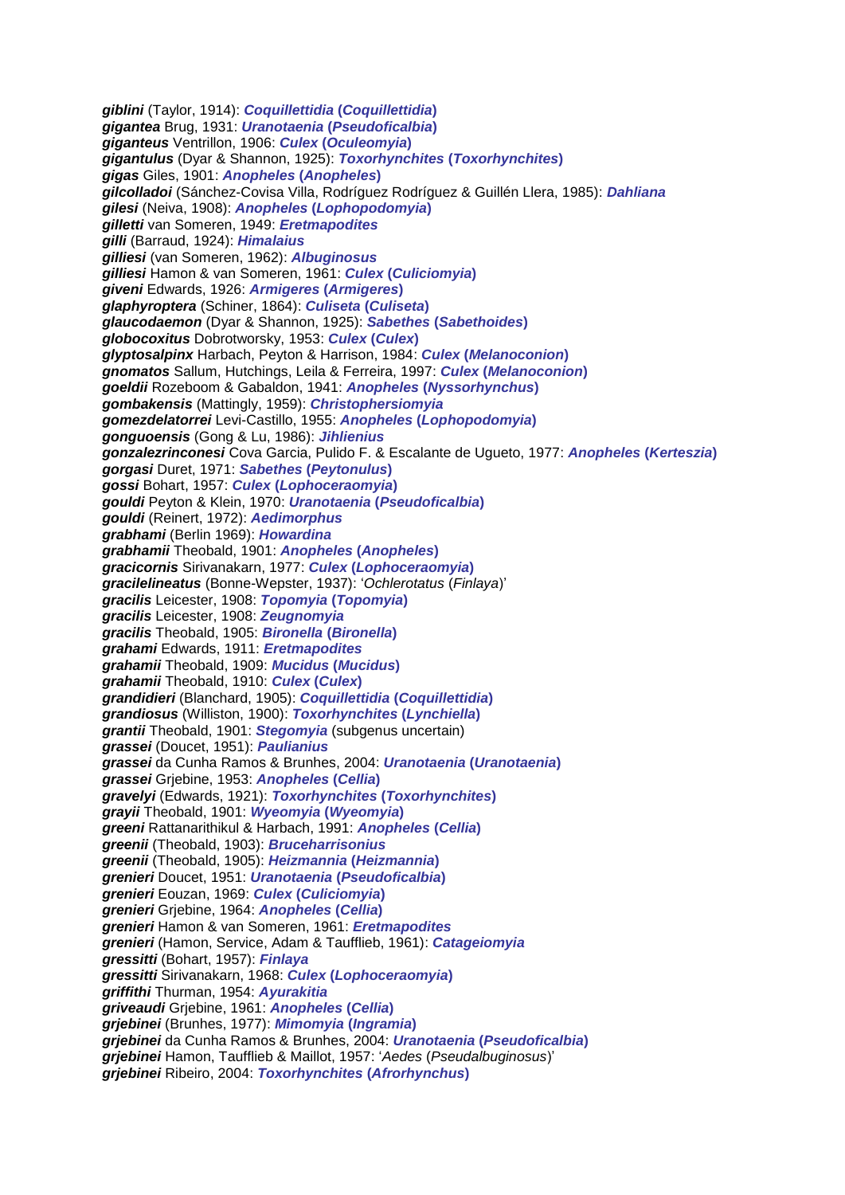*giblini* (Taylor, 1914): *Coquillettidia* **(***Coquillettidia***)** *gigantea* Brug, 1931: *Uranotaenia* **(***Pseudoficalbia***)** *giganteus* Ventrillon, 1906: *Culex* **(***Oculeomyia***)** *gigantulus* (Dyar & Shannon, 1925): *Toxorhynchites* **(***Toxorhynchites***)** *gigas* Giles, 1901: *Anopheles* **(***Anopheles***)** *gilcolladoi* (Sánchez-Covisa Villa, Rodríguez Rodríguez & Guillén Llera, 1985): *Dahliana gilesi* (Neiva, 1908): *Anopheles* **(***Lophopodomyia***)** *gilletti* van Someren, 1949: *Eretmapodites gilli* (Barraud, 1924): *Himalaius gilliesi* (van Someren, 1962): *Albuginosus gilliesi* Hamon & van Someren, 1961: *Culex* **(***Culiciomyia***)** *giveni* Edwards, 1926: *Armigeres* **(***Armigeres***)** *glaphyroptera* (Schiner, 1864): *Culiseta* **(***Culiseta***)** *glaucodaemon* (Dyar & Shannon, 1925): *Sabethes* **(***Sabethoides***)** *globocoxitus* Dobrotworsky, 1953: *Culex* **(***Culex***)** *glyptosalpinx* Harbach, Peyton & Harrison, 1984: *Culex* **(***Melanoconion***)** *gnomatos* Sallum, Hutchings, Leila & Ferreira, 1997: *Culex* **(***Melanoconion***)** *goeldii* Rozeboom & Gabaldon, 1941: *Anopheles* **(***Nyssorhynchus***)** *gombakensis* (Mattingly, 1959): *Christophersiomyia gomezdelatorrei* Levi-Castillo, 1955: *Anopheles* **(***Lophopodomyia***)** *gonguoensis* (Gong & Lu, 1986): *Jihlienius gonzalezrinconesi* Cova Garcia, Pulido F. & Escalante de Ugueto, 1977: *Anopheles* **(***Kerteszia***)** *gorgasi* Duret, 1971: *Sabethes* **(***Peytonulus***)** *gossi* Bohart, 1957: *Culex* **(***Lophoceraomyia***)** *gouldi* Peyton & Klein, 1970: *Uranotaenia* **(***Pseudoficalbia***)** *gouldi* (Reinert, 1972): *Aedimorphus grabhami* (Berlin 1969): *Howardina grabhamii* Theobald, 1901: *Anopheles* **(***Anopheles***)** *gracicornis* Sirivanakarn, 1977: *Culex* **(***Lophoceraomyia***)** *gracilelineatus* (Bonne-Wepster, 1937): '*Ochlerotatus* (*Finlaya*)' *gracilis* Leicester, 1908: *Topomyia* **(***Topomyia***)** *gracilis* Leicester, 1908: *Zeugnomyia gracilis* Theobald, 1905: *Bironella* **(***Bironella***)** *grahami* Edwards, 1911: *Eretmapodites grahamii* Theobald, 1909: *Mucidus* **(***Mucidus***)** *grahamii* Theobald, 1910: *Culex* **(***Culex***)** *grandidieri* (Blanchard, 1905): *Coquillettidia* **(***Coquillettidia***)** *grandiosus* (Williston, 1900): *Toxorhynchites* **(***Lynchiella***)** *grantii* Theobald, 1901: *Stegomyia* (subgenus uncertain) *grassei* (Doucet, 1951): *Paulianius grassei* da Cunha Ramos & Brunhes, 2004: *Uranotaenia* **(***Uranotaenia***)** *grassei* Grjebine, 1953: *Anopheles* **(***Cellia***)** *gravelyi* (Edwards, 1921): *Toxorhynchites* **(***Toxorhynchites***)** *grayii* Theobald, 1901: *Wyeomyia* **(***Wyeomyia***)** *greeni* Rattanarithikul & Harbach, 1991: *Anopheles* **(***Cellia***)** *greenii* (Theobald, 1903): *Bruceharrisonius greenii* (Theobald, 1905): *Heizmannia* **(***Heizmannia***)** *grenieri* Doucet, 1951: *Uranotaenia* **(***Pseudoficalbia***)** *grenieri* Eouzan, 1969: *Culex* **(***Culiciomyia***)** *grenieri* Grjebine, 1964: *Anopheles* **(***Cellia***)** *grenieri* Hamon & van Someren, 1961: *Eretmapodites grenieri* (Hamon, Service, Adam & Taufflieb, 1961): *Catageiomyia gressitti* (Bohart, 1957): *Finlaya gressitti* Sirivanakarn, 1968: *Culex* **(***Lophoceraomyia***)** *griffithi* Thurman, 1954: *Ayurakitia griveaudi* Grjebine, 1961: *Anopheles* **(***Cellia***)** *grjebinei* (Brunhes, 1977): *Mimomyia* **(***Ingramia***)** *grjebinei* da Cunha Ramos & Brunhes, 2004: *Uranotaenia* **(***Pseudoficalbia***)** *grjebinei* Hamon, Taufflieb & Maillot, 1957: '*Aedes* (*Pseudalbuginosus*)' *grjebinei* Ribeiro, 2004: *Toxorhynchites* **(***Afrorhynchus***)**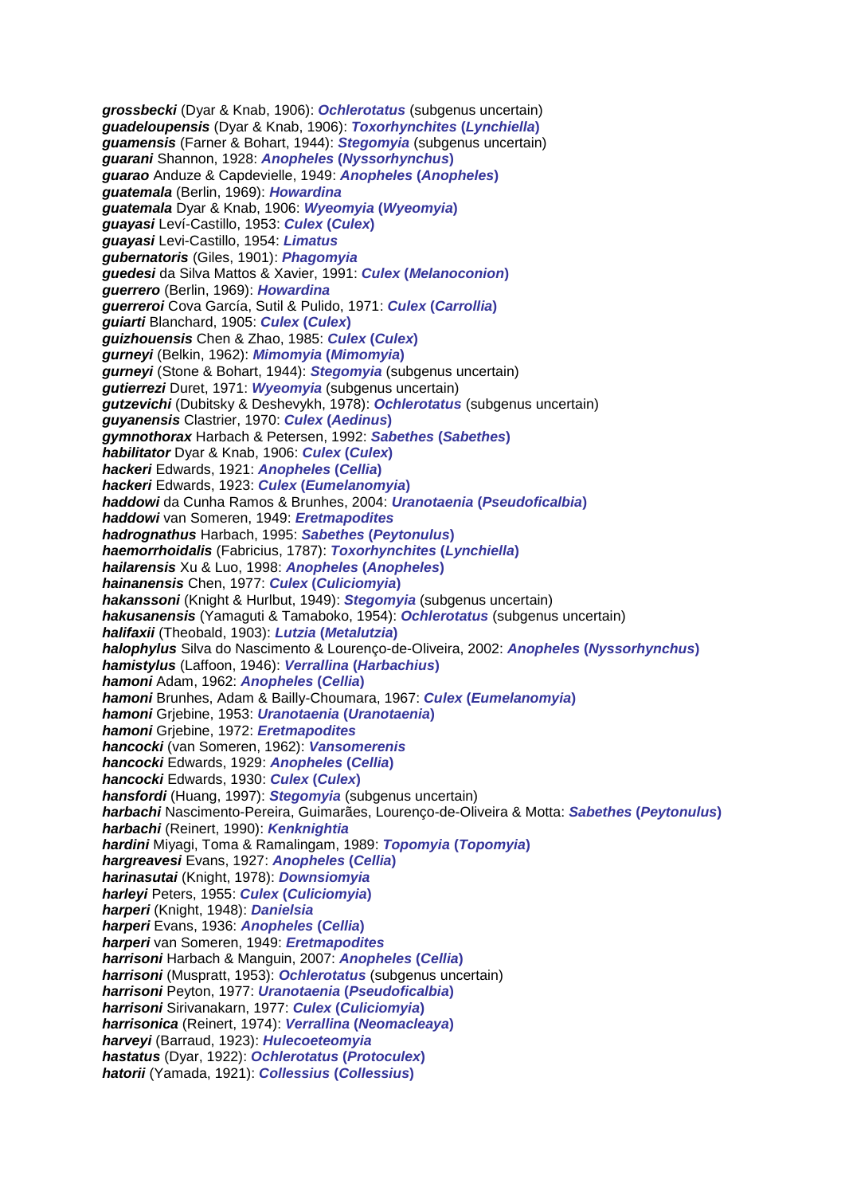*grossbecki* (Dyar & Knab, 1906): *Ochlerotatus* (subgenus uncertain) *guadeloupensis* (Dyar & Knab, 1906): *Toxorhynchites* **(***Lynchiella***)** *guamensis* (Farner & Bohart, 1944): *Stegomyia* (subgenus uncertain) *guarani* Shannon, 1928: *Anopheles* **(***Nyssorhynchus***)** *guarao* Anduze & Capdevielle, 1949: *Anopheles* **(***Anopheles***)** *guatemala* (Berlin, 1969): *Howardina guatemala* Dyar & Knab, 1906: *Wyeomyia* **(***Wyeomyia***)** *guayasi* Leví-Castillo, 1953: *Culex* **(***Culex***)** *guayasi* Levi-Castillo, 1954: *Limatus gubernatoris* (Giles, 1901): *Phagomyia guedesi* da Silva Mattos & Xavier, 1991: *Culex* **(***Melanoconion***)** *guerrero* (Berlin, 1969): *Howardina guerreroi* Cova García, Sutil & Pulido, 1971: *Culex* **(***Carrollia***)** *guiarti* Blanchard, 1905: *Culex* **(***Culex***)** *guizhouensis* Chen & Zhao, 1985: *Culex* **(***Culex***)** *gurneyi* (Belkin, 1962): *Mimomyia* **(***Mimomyia***)** *gurneyi* (Stone & Bohart, 1944): *Stegomyia* (subgenus uncertain) *gutierrezi* Duret, 1971: *Wyeomyia* (subgenus uncertain) *gutzevichi* (Dubitsky & Deshevykh, 1978): *Ochlerotatus* (subgenus uncertain) *guyanensis* Clastrier, 1970: *Culex* **(***Aedinus***)** *gymnothorax* Harbach & Petersen, 1992: *Sabethes* **(***Sabethes***)** *habilitator* Dyar & Knab, 1906: *Culex* **(***Culex***)** *hackeri* Edwards, 1921: *Anopheles* **(***Cellia***)** *hackeri* Edwards, 1923: *Culex* **(***Eumelanomyia***)** *haddowi* da Cunha Ramos & Brunhes, 2004: *Uranotaenia* **(***Pseudoficalbia***)** *haddowi* van Someren, 1949: *Eretmapodites hadrognathus* Harbach, 1995: *Sabethes* **(***Peytonulus***)** *haemorrhoidalis* (Fabricius, 1787): *Toxorhynchites* **(***Lynchiella***)** *hailarensis* Xu & Luo, 1998: *Anopheles* **(***Anopheles***)** *hainanensis* Chen, 1977: *Culex* **(***Culiciomyia***)** *hakanssoni* (Knight & Hurlbut, 1949): *Stegomyia* (subgenus uncertain) *hakusanensis* (Yamaguti & Tamaboko, 1954): *Ochlerotatus* (subgenus uncertain) *halifaxii* (Theobald, 1903): *Lutzia* **(***Metalutzia***)** *halophylus* Silva do Nascimento & Lourenço-de-Oliveira, 2002: *Anopheles* **(***Nyssorhynchus***)** *hamistylus* (Laffoon, 1946): *Verrallina* **(***Harbachius***)** *hamoni* Adam, 1962: *Anopheles* **(***Cellia***)** *hamoni* Brunhes, Adam & Bailly-Choumara, 1967: *Culex* **(***Eumelanomyia***)** *hamoni* Grjebine, 1953: *Uranotaenia* **(***Uranotaenia***)** *hamoni* Grjebine, 1972: *Eretmapodites hancocki* (van Someren, 1962): *Vansomerenis hancocki* Edwards, 1929: *Anopheles* **(***Cellia***)** *hancocki* Edwards, 1930: *Culex* **(***Culex***)** *hansfordi* (Huang, 1997): *Stegomyia* (subgenus uncertain) *harbachi* Nascimento-Pereira, Guimarães, Lourenço-de-Oliveira & Motta: *Sabethes* **(***Peytonulus***)** *harbachi* (Reinert, 1990): *Kenknightia hardini* Miyagi, Toma & Ramalingam, 1989: *Topomyia* **(***Topomyia***)** *hargreavesi* Evans, 1927: *Anopheles* **(***Cellia***)** *harinasutai* (Knight, 1978): *Downsiomyia harleyi* Peters, 1955: *Culex* **(***Culiciomyia***)** *harperi* (Knight, 1948): *Danielsia harperi* Evans, 1936: *Anopheles* **(***Cellia***)** *harperi* van Someren, 1949: *Eretmapodites harrisoni* Harbach & Manguin, 2007: *Anopheles* **(***Cellia***)** *harrisoni* (Muspratt, 1953): *Ochlerotatus* (subgenus uncertain) *harrisoni* Peyton, 1977: *Uranotaenia* **(***Pseudoficalbia***)** *harrisoni* Sirivanakarn, 1977: *Culex* **(***Culiciomyia***)** *harrisonica* (Reinert, 1974): *Verrallina* **(***Neomacleaya***)** *harveyi* (Barraud, 1923): *Hulecoeteomyia hastatus* (Dyar, 1922): *Ochlerotatus* **(***Protoculex***)** *hatorii* (Yamada, 1921): *Collessius* **(***Collessius***)**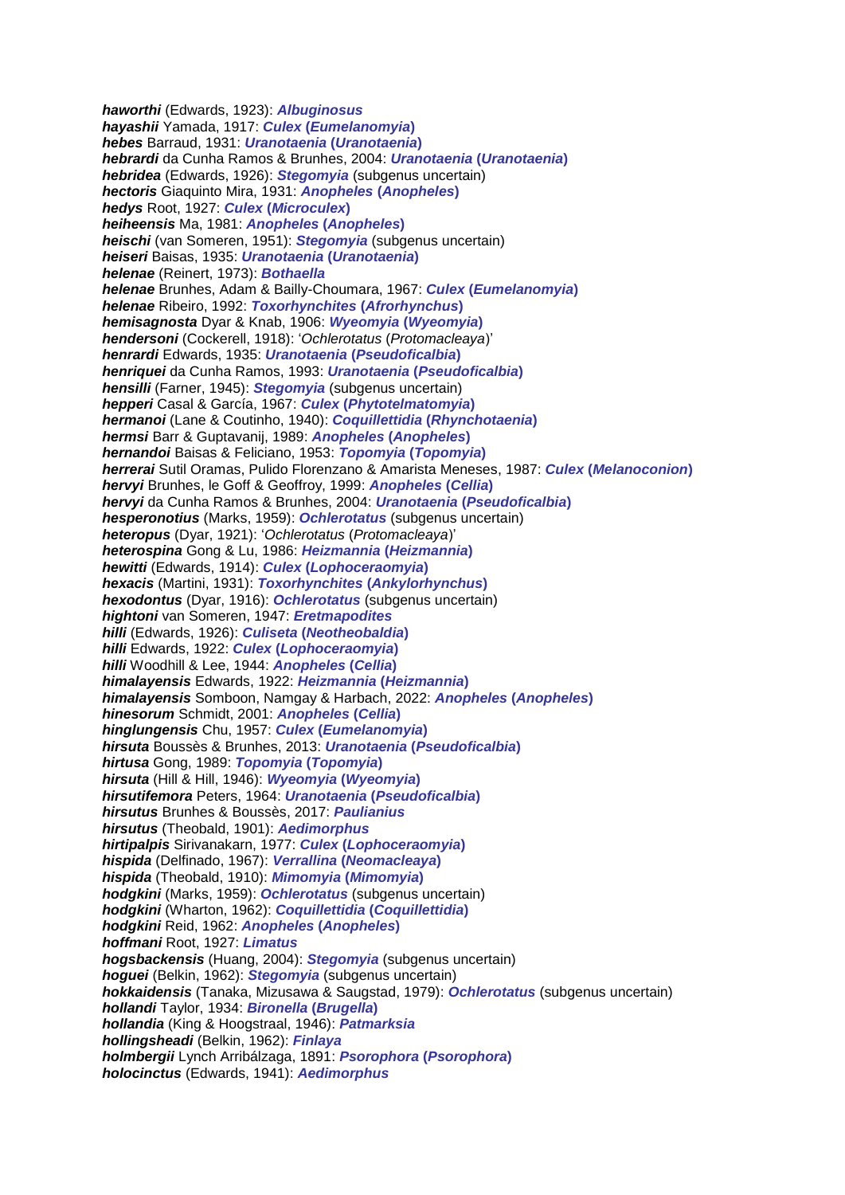*haworthi* (Edwards, 1923): *Albuginosus hayashii* Yamada, 1917: *Culex* **(***Eumelanomyia***)** *hebes* Barraud, 1931: *Uranotaenia* **(***Uranotaenia***)** *hebrardi* da Cunha Ramos & Brunhes, 2004: *Uranotaenia* **(***Uranotaenia***)** *hebridea* (Edwards, 1926): *Stegomyia* (subgenus uncertain) *hectoris* Giaquinto Mira, 1931: *Anopheles* **(***Anopheles***)** *hedys* Root, 1927: *Culex* **(***Microculex***)** *heiheensis* Ma, 1981: *Anopheles* **(***Anopheles***)** *heischi* (van Someren, 1951): *Stegomyia* (subgenus uncertain) *heiseri* Baisas, 1935: *Uranotaenia* **(***Uranotaenia***)** *helenae* (Reinert, 1973): *Bothaella helenae* Brunhes, Adam & Bailly-Choumara, 1967: *Culex* **(***Eumelanomyia***)** *helenae* Ribeiro, 1992: *Toxorhynchites* **(***Afrorhynchus***)** *hemisagnosta* Dyar & Knab, 1906: *Wyeomyia* **(***Wyeomyia***)** *hendersoni* (Cockerell, 1918): '*Ochlerotatus* (*Protomacleaya*)' *henrardi* Edwards, 1935: *Uranotaenia* **(***Pseudoficalbia***)** *henriquei* da Cunha Ramos, 1993: *Uranotaenia* **(***Pseudoficalbia***)** *hensilli* (Farner, 1945): *Stegomyia* (subgenus uncertain) *hepperi* Casal & García, 1967: *Culex* **(***Phytotelmatomyia***)** *hermanoi* (Lane & Coutinho, 1940): *Coquillettidia* **(***Rhynchotaenia***)** *hermsi* Barr & Guptavanij, 1989: *Anopheles* **(***Anopheles***)** *hernandoi* Baisas & Feliciano, 1953: *Topomyia* **(***Topomyia***)** *herrerai* Sutil Oramas, Pulido Florenzano & Amarista Meneses, 1987: *Culex* **(***Melanoconion***)** *hervyi* Brunhes, le Goff & Geoffroy, 1999: *Anopheles* **(***Cellia***)** *hervyi* da Cunha Ramos & Brunhes, 2004: *Uranotaenia* **(***Pseudoficalbia***)** *hesperonotius* (Marks, 1959): *Ochlerotatus* (subgenus uncertain) *heteropus* (Dyar, 1921): '*Ochlerotatus* (*Protomacleaya*)' *heterospina* Gong & Lu, 1986: *Heizmannia* **(***Heizmannia***)** *hewitti* (Edwards, 1914): *Culex* **(***Lophoceraomyia***)** *hexacis* (Martini, 1931): *Toxorhynchites* **(***Ankylorhynchus***)** *hexodontus* (Dyar, 1916): *Ochlerotatus* (subgenus uncertain) *hightoni* van Someren, 1947: *Eretmapodites hilli* (Edwards, 1926): *Culiseta* **(***Neotheobaldia***)** *hilli* Edwards, 1922: *Culex* **(***Lophoceraomyia***)** *hilli* Woodhill & Lee, 1944: *Anopheles* **(***Cellia***)** *himalayensis* Edwards, 1922: *Heizmannia* **(***Heizmannia***)** *himalayensis* Somboon, Namgay & Harbach, 2022: *Anopheles* **(***Anopheles***)** *hinesorum* Schmidt, 2001: *Anopheles* **(***Cellia***)** *hinglungensis* Chu, 1957: *Culex* **(***Eumelanomyia***)** *hirsuta* Boussès & Brunhes, 2013: *Uranotaenia* **(***Pseudoficalbia***)** *hirtusa* Gong, 1989: *Topomyia* **(***Topomyia***)** *hirsuta* (Hill & Hill, 1946): *Wyeomyia* **(***Wyeomyia***)** *hirsutifemora* Peters, 1964: *Uranotaenia* **(***Pseudoficalbia***)** *hirsutus* Brunhes & Boussès, 2017: *Paulianius hirsutus* (Theobald, 1901): *Aedimorphus hirtipalpis* Sirivanakarn, 1977: *Culex* **(***Lophoceraomyia***)** *hispida* (Delfinado, 1967): *Verrallina* **(***Neomacleaya***)** *hispida* (Theobald, 1910): *Mimomyia* **(***Mimomyia***)** *hodgkini* (Marks, 1959): *Ochlerotatus* (subgenus uncertain) *hodgkini* (Wharton, 1962): *Coquillettidia* **(***Coquillettidia***)** *hodgkini* Reid, 1962: *Anopheles* **(***Anopheles***)** *hoffmani* Root, 1927: *Limatus hogsbackensis* (Huang, 2004): *Stegomyia* (subgenus uncertain) *hoguei* (Belkin, 1962): *Stegomyia* (subgenus uncertain) *hokkaidensis* (Tanaka, Mizusawa & Saugstad, 1979): *Ochlerotatus* (subgenus uncertain) *hollandi* Taylor, 1934: *Bironella* **(***Brugella***)** *hollandia* (King & Hoogstraal, 1946): *Patmarksia hollingsheadi* (Belkin, 1962): *Finlaya holmbergii* Lynch Arribálzaga, 1891: *Psorophora* **(***Psorophora***)** *holocinctus* (Edwards, 1941): *Aedimorphus*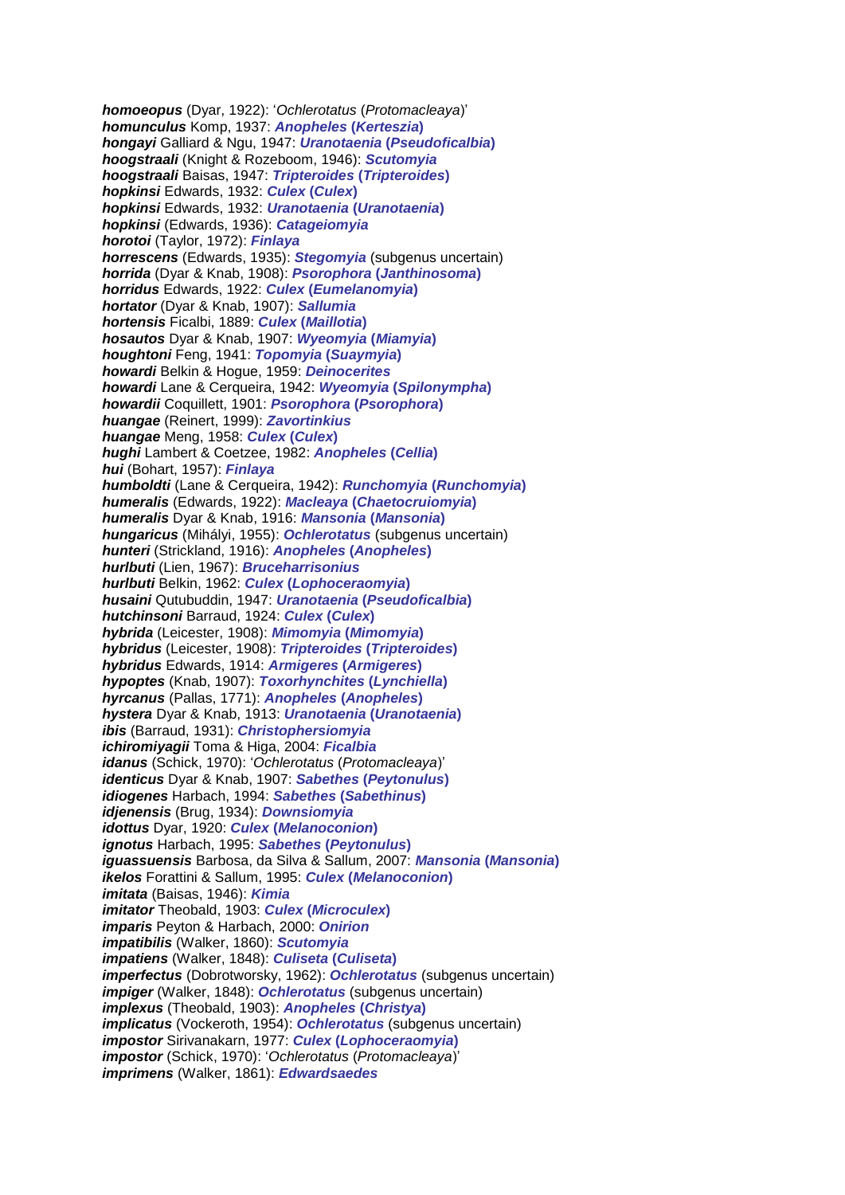*homoeopus* (Dyar, 1922): '*Ochlerotatus* (*Protomacleaya*)' *homunculus* Komp, 1937: *Anopheles* **(***Kerteszia***)** *hongayi* Galliard & Ngu, 1947: *Uranotaenia* **(***Pseudoficalbia***)** *hoogstraali* (Knight & Rozeboom, 1946): *Scutomyia hoogstraali* Baisas, 1947: *Tripteroides* **(***Tripteroides***)** *hopkinsi* Edwards, 1932: *Culex* **(***Culex***)** *hopkinsi* Edwards, 1932: *Uranotaenia* **(***Uranotaenia***)** *hopkinsi* (Edwards, 1936): *Catageiomyia horotoi* (Taylor, 1972): *Finlaya horrescens* (Edwards, 1935): *Stegomyia* (subgenus uncertain) *horrida* (Dyar & Knab, 1908): *Psorophora* **(***Janthinosoma***)** *horridus* Edwards, 1922: *Culex* **(***Eumelanomyia***)** *hortator* (Dyar & Knab, 1907): *Sallumia hortensis* Ficalbi, 1889: *Culex* **(***Maillotia***)** *hosautos* Dyar & Knab, 1907: *Wyeomyia* **(***Miamyia***)** *houghtoni* Feng, 1941: *Topomyia* **(***Suaymyia***)** *howardi* Belkin & Hogue, 1959: *Deinocerites howardi* Lane & Cerqueira, 1942: *Wyeomyia* **(***Spilonympha***)** *howardii* Coquillett, 1901: *Psorophora* **(***Psorophora***)** *huangae* (Reinert, 1999): *Zavortinkius huangae* Meng, 1958: *Culex* **(***Culex***)** *hughi* Lambert & Coetzee, 1982: *Anopheles* **(***Cellia***)** *hui* (Bohart, 1957): *Finlaya humboldti* (Lane & Cerqueira, 1942): *Runchomyia* **(***Runchomyia***)** *humeralis* (Edwards, 1922): *Macleaya* **(***Chaetocruiomyia***)** *humeralis* Dyar & Knab, 1916: *Mansonia* **(***Mansonia***)** *hungaricus* (Mihályi, 1955): *Ochlerotatus* (subgenus uncertain) *hunteri* (Strickland, 1916): *Anopheles* **(***Anopheles***)** *hurlbuti* (Lien, 1967): *Bruceharrisonius hurlbuti* Belkin, 1962: *Culex* **(***Lophoceraomyia***)** *husaini* Qutubuddin, 1947: *Uranotaenia* **(***Pseudoficalbia***)** *hutchinsoni* Barraud, 1924: *Culex* **(***Culex***)** *hybrida* (Leicester, 1908): *Mimomyia* **(***Mimomyia***)** *hybridus* (Leicester, 1908): *Tripteroides* **(***Tripteroides***)** *hybridus* Edwards, 1914: *Armigeres* **(***Armigeres***)** *hypoptes* (Knab, 1907): *Toxorhynchites* **(***Lynchiella***)** *hyrcanus* (Pallas, 1771): *Anopheles* **(***Anopheles***)** *hystera* Dyar & Knab, 1913: *Uranotaenia* **(***Uranotaenia***)** *ibis* (Barraud, 1931): *Christophersiomyia ichiromiyagii* Toma & Higa, 2004: *Ficalbia idanus* (Schick, 1970): '*Ochlerotatus* (*Protomacleaya*)' *identicus* Dyar & Knab, 1907: *Sabethes* **(***Peytonulus***)** *idiogenes* Harbach, 1994: *Sabethes* **(***Sabethinus***)** *idjenensis* (Brug, 1934): *Downsiomyia idottus* Dyar, 1920: *Culex* **(***Melanoconion***)** *ignotus* Harbach, 1995: *Sabethes* **(***Peytonulus***)** *iguassuensis* Barbosa, da Silva & Sallum, 2007: *Mansonia* **(***Mansonia***)** *ikelos* Forattini & Sallum, 1995: *Culex* **(***Melanoconion***)** *imitata* (Baisas, 1946): *Kimia imitator* Theobald, 1903: *Culex* **(***Microculex***)** *imparis* Peyton & Harbach, 2000: *Onirion impatibilis* (Walker, 1860): *Scutomyia impatiens* (Walker, 1848): *Culiseta* **(***Culiseta***)** *imperfectus* (Dobrotworsky, 1962): *Ochlerotatus* (subgenus uncertain) *impiger* (Walker, 1848): *Ochlerotatus* (subgenus uncertain) *implexus* (Theobald, 1903): *Anopheles* **(***Christya***)** *implicatus* (Vockeroth, 1954): *Ochlerotatus* (subgenus uncertain) *impostor* Sirivanakarn, 1977: *Culex* **(***Lophoceraomyia***)** *impostor* (Schick, 1970): '*Ochlerotatus* (*Protomacleaya*)' *imprimens* (Walker, 1861): *Edwardsaedes*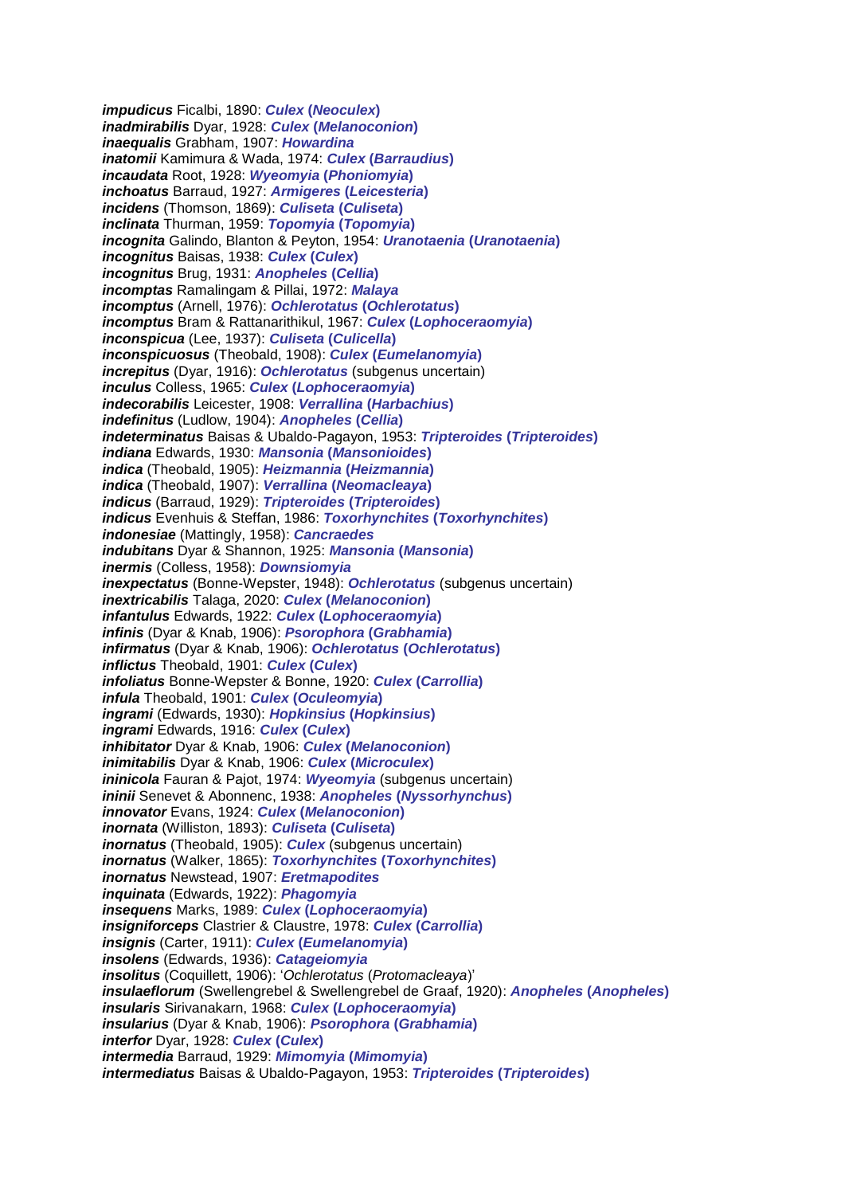*impudicus* Ficalbi, 1890: *Culex* **(***Neoculex***)** *inadmirabilis* Dyar, 1928: *Culex* **(***Melanoconion***)** *inaequalis* Grabham, 1907: *Howardina inatomii* Kamimura & Wada, 1974: *Culex* **(***Barraudius***)** *incaudata* Root, 1928: *Wyeomyia* **(***Phoniomyia***)** *inchoatus* Barraud, 1927: *Armigeres* **(***Leicesteria***)** *incidens* (Thomson, 1869): *Culiseta* **(***Culiseta***)** *inclinata* Thurman, 1959: *Topomyia* **(***Topomyia***)** *incognita* Galindo, Blanton & Peyton, 1954: *Uranotaenia* **(***Uranotaenia***)** *incognitus* Baisas, 1938: *Culex* **(***Culex***)** *incognitus* Brug, 1931: *Anopheles* **(***Cellia***)** *incomptas* Ramalingam & Pillai, 1972: *Malaya incomptus* (Arnell, 1976): *Ochlerotatus* **(***Ochlerotatus***)** *incomptus* Bram & Rattanarithikul, 1967: *Culex* **(***Lophoceraomyia***)** *inconspicua* (Lee, 1937): *Culiseta* **(***Culicella***)** *inconspicuosus* (Theobald, 1908): *Culex* **(***Eumelanomyia***)** *increpitus* (Dyar, 1916): *Ochlerotatus* (subgenus uncertain) *inculus* Colless, 1965: *Culex* **(***Lophoceraomyia***)** *indecorabilis* Leicester, 1908: *Verrallina* **(***Harbachius***)** *indefinitus* (Ludlow, 1904): *Anopheles* **(***Cellia***)** *indeterminatus* Baisas & Ubaldo-Pagayon, 1953: *Tripteroides* **(***Tripteroides***)** *indiana* Edwards, 1930: *Mansonia* **(***Mansonioides***)** *indica* (Theobald, 1905): *Heizmannia* **(***Heizmannia***)** *indica* (Theobald, 1907): *Verrallina* **(***Neomacleaya***)** *indicus* (Barraud, 1929): *Tripteroides* **(***Tripteroides***)** *indicus* Evenhuis & Steffan, 1986: *Toxorhynchites* **(***Toxorhynchites***)** *indonesiae* (Mattingly, 1958): *Cancraedes indubitans* Dyar & Shannon, 1925: *Mansonia* **(***Mansonia***)** *inermis* (Colless, 1958): *Downsiomyia inexpectatus* (Bonne-Wepster, 1948): *Ochlerotatus* (subgenus uncertain) *inextricabilis* Talaga, 2020: *Culex* **(***Melanoconion***)** *infantulus* Edwards, 1922: *Culex* **(***Lophoceraomyia***)** *infinis* (Dyar & Knab, 1906): *Psorophora* **(***Grabhamia***)** *infirmatus* (Dyar & Knab, 1906): *Ochlerotatus* **(***Ochlerotatus***)** *inflictus* Theobald, 1901: *Culex* **(***Culex***)** *infoliatus* Bonne-Wepster & Bonne, 1920: *Culex* **(***Carrollia***)** *infula* Theobald, 1901: *Culex* **(***Oculeomyia***)** *ingrami* (Edwards, 1930): *Hopkinsius* **(***Hopkinsius***)** *ingrami* Edwards, 1916: *Culex* **(***Culex***)** *inhibitator* Dyar & Knab, 1906: *Culex* **(***Melanoconion***)** *inimitabilis* Dyar & Knab, 1906: *Culex* **(***Microculex***)** *ininicola* Fauran & Pajot, 1974: *Wyeomyia* (subgenus uncertain) *ininii* Senevet & Abonnenc, 1938: *Anopheles* **(***Nyssorhynchus***)** *innovator* Evans, 1924: *Culex* **(***Melanoconion***)** *inornata* (Williston, 1893): *Culiseta* **(***Culiseta***)** *inornatus* (Theobald, 1905): *Culex* (subgenus uncertain) *inornatus* (Walker, 1865): *Toxorhynchites* **(***Toxorhynchites***)** *inornatus* Newstead, 1907: *Eretmapodites inquinata* (Edwards, 1922): *Phagomyia insequens* Marks, 1989: *Culex* **(***Lophoceraomyia***)** *insigniforceps* Clastrier & Claustre, 1978: *Culex* **(***Carrollia***)** *insignis* (Carter, 1911): *Culex* **(***Eumelanomyia***)** *insolens* (Edwards, 1936): *Catageiomyia insolitus* (Coquillett, 1906): '*Ochlerotatus* (*Protomacleaya*)' *insulaeflorum* (Swellengrebel & Swellengrebel de Graaf, 1920): *Anopheles* **(***Anopheles***)** *insularis* Sirivanakarn, 1968: *Culex* **(***Lophoceraomyia***)** *insularius* (Dyar & Knab, 1906): *Psorophora* **(***Grabhamia***)** *interfor* Dyar, 1928: *Culex* **(***Culex***)** *intermedia* Barraud, 1929: *Mimomyia* **(***Mimomyia***)** *intermediatus* Baisas & Ubaldo-Pagayon, 1953: *Tripteroides* **(***Tripteroides***)**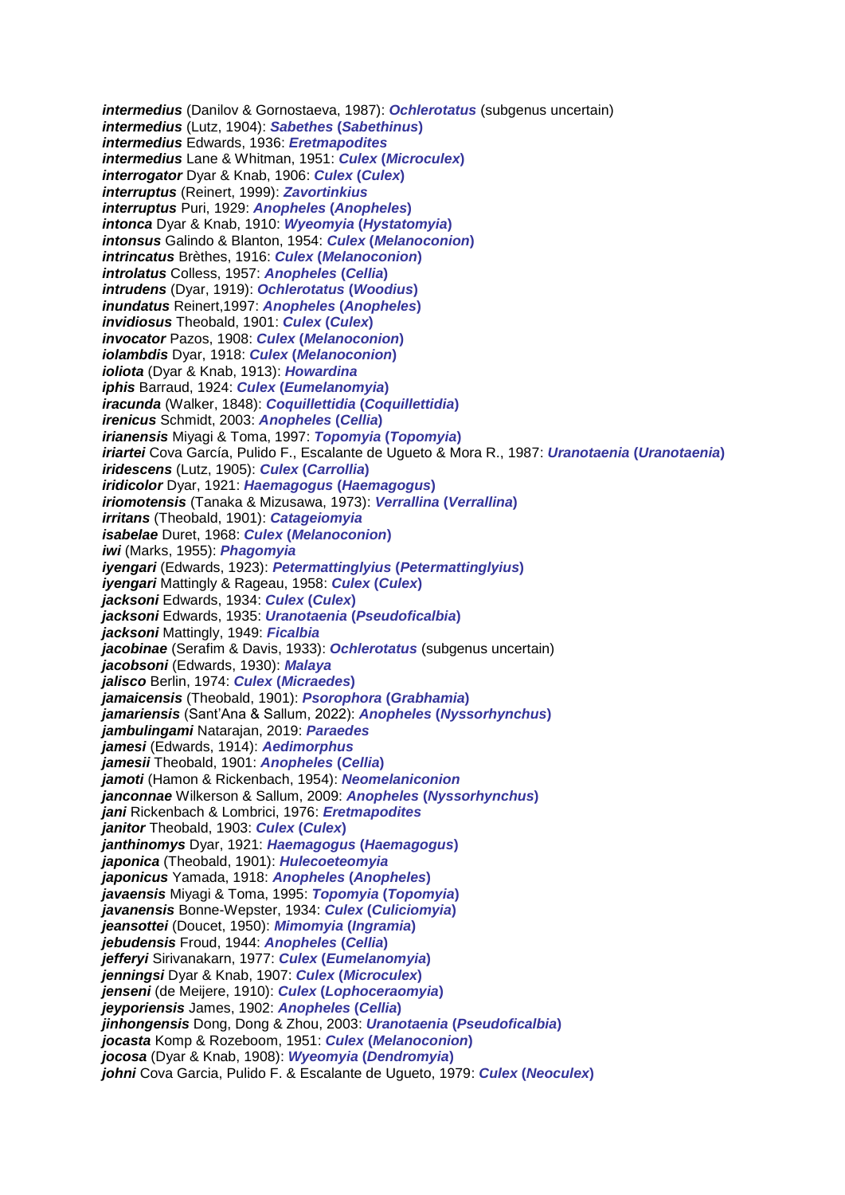*intermedius* (Danilov & Gornostaeva, 1987): *Ochlerotatus* (subgenus uncertain) *intermedius* (Lutz, 1904): *Sabethes* **(***Sabethinus***)** *intermedius* Edwards, 1936: *Eretmapodites intermedius* Lane & Whitman, 1951: *Culex* **(***Microculex***)** *interrogator* Dyar & Knab, 1906: *Culex* **(***Culex***)** *interruptus* (Reinert, 1999): *Zavortinkius interruptus* Puri, 1929: *Anopheles* **(***Anopheles***)** *intonca* Dyar & Knab, 1910: *Wyeomyia* **(***Hystatomyia***)** *intonsus* Galindo & Blanton, 1954: *Culex* **(***Melanoconion***)** *intrincatus* Brèthes, 1916: *Culex* **(***Melanoconion***)** *introlatus* Colless, 1957: *Anopheles* **(***Cellia***)** *intrudens* (Dyar, 1919): *Ochlerotatus* **(***Woodius***)** *inundatus* Reinert,1997: *Anopheles* **(***Anopheles***)** *invidiosus* Theobald, 1901: *Culex* **(***Culex***)** *invocator* Pazos, 1908: *Culex* **(***Melanoconion***)** *iolambdis* Dyar, 1918: *Culex* **(***Melanoconion***)** *ioliota* (Dyar & Knab, 1913): *Howardina iphis* Barraud, 1924: *Culex* **(***Eumelanomyia***)** *iracunda* (Walker, 1848): *Coquillettidia* **(***Coquillettidia***)** *irenicus* Schmidt, 2003: *Anopheles* **(***Cellia***)** *irianensis* Miyagi & Toma, 1997: *Topomyia* **(***Topomyia***)** *iriartei* Cova García, Pulido F., Escalante de Ugueto & Mora R., 1987: *Uranotaenia* **(***Uranotaenia***)** *iridescens* (Lutz, 1905): *Culex* **(***Carrollia***)** *iridicolor* Dyar, 1921: *Haemagogus* **(***Haemagogus***)** *iriomotensis* (Tanaka & Mizusawa, 1973): *Verrallina* **(***Verrallina***)** *irritans* (Theobald, 1901): *Catageiomyia isabelae* Duret, 1968: *Culex* **(***Melanoconion***)** *iwi* (Marks, 1955): *Phagomyia iyengari* (Edwards, 1923): *Petermattinglyius* **(***Petermattinglyius***)** *iyengari* Mattingly & Rageau, 1958: *Culex* **(***Culex***)** *jacksoni* Edwards, 1934: *Culex* **(***Culex***)** *jacksoni* Edwards, 1935: *Uranotaenia* **(***Pseudoficalbia***)** *jacksoni* Mattingly, 1949: *Ficalbia jacobinae* (Serafim & Davis, 1933): *Ochlerotatus* (subgenus uncertain) *jacobsoni* (Edwards, 1930): *Malaya jalisco* Berlin, 1974: *Culex* **(***Micraedes***)** *jamaicensis* (Theobald, 1901): *Psorophora* **(***Grabhamia***)** *jamariensis* (Sant'Ana & Sallum, 2022): *Anopheles* **(***Nyssorhynchus***)** *jambulingami* Natarajan, 2019: *Paraedes jamesi* (Edwards, 1914): *Aedimorphus jamesii* Theobald, 1901: *Anopheles* **(***Cellia***)** *jamoti* (Hamon & Rickenbach, 1954): *Neomelaniconion janconnae* Wilkerson & Sallum, 2009: *Anopheles* **(***Nyssorhynchus***)** *jani* Rickenbach & Lombrici, 1976: *Eretmapodites janitor* Theobald, 1903: *Culex* **(***Culex***)** *janthinomys* Dyar, 1921: *Haemagogus* **(***Haemagogus***)** *japonica* (Theobald, 1901): *Hulecoeteomyia japonicus* Yamada, 1918: *Anopheles* **(***Anopheles***)** *javaensis* Miyagi & Toma, 1995: *Topomyia* **(***Topomyia***)** *javanensis* Bonne-Wepster, 1934: *Culex* **(***Culiciomyia***)** *jeansottei* (Doucet, 1950): *Mimomyia* **(***Ingramia***)** *jebudensis* Froud, 1944: *Anopheles* **(***Cellia***)** *jefferyi* Sirivanakarn, 1977: *Culex* **(***Eumelanomyia***)** *jenningsi* Dyar & Knab, 1907: *Culex* **(***Microculex***)** *jenseni* (de Meijere, 1910): *Culex* **(***Lophoceraomyia***)** *jeyporiensis* James, 1902: *Anopheles* **(***Cellia***)** *jinhongensis* Dong, Dong & Zhou, 2003: *Uranotaenia* **(***Pseudoficalbia***)** *jocasta* Komp & Rozeboom, 1951: *Culex* **(***Melanoconion***)** *jocosa* (Dyar & Knab, 1908): *Wyeomyia* **(***Dendromyia***)** *johni* Cova Garcia, Pulido F. & Escalante de Ugueto, 1979: *Culex* **(***Neoculex***)**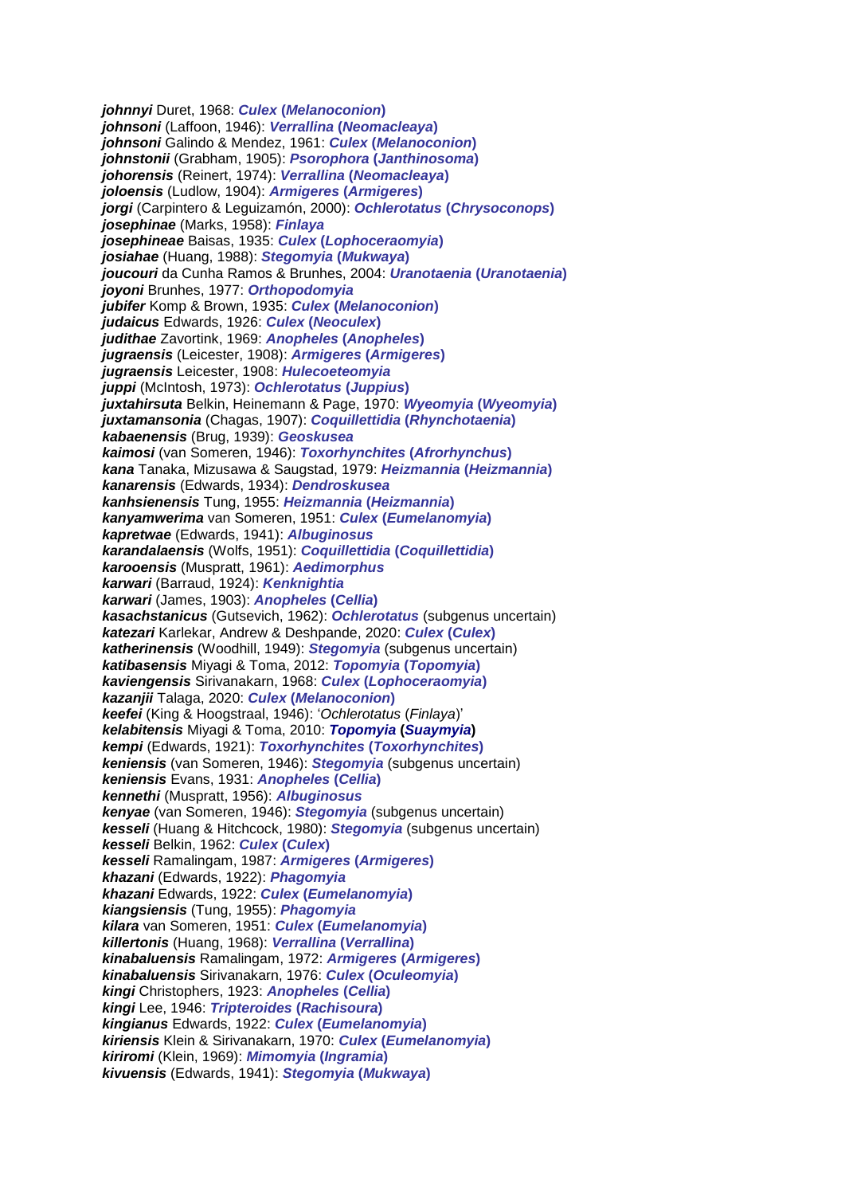*johnnyi* Duret, 1968: *Culex* **(***Melanoconion***)** *johnsoni* (Laffoon, 1946): *Verrallina* **(***Neomacleaya***)** *johnsoni* Galindo & Mendez, 1961: *Culex* **(***Melanoconion***)** *johnstonii* (Grabham, 1905): *Psorophora* **(***Janthinosoma***)** *johorensis* (Reinert, 1974): *Verrallina* **(***Neomacleaya***)** *joloensis* (Ludlow, 1904): *Armigeres* **(***Armigeres***)** *jorgi* (Carpintero & Leguizamón, 2000): *Ochlerotatus* **(***Chrysoconops***)** *josephinae* (Marks, 1958): *Finlaya josephineae* Baisas, 1935: *Culex* **(***Lophoceraomyia***)** *josiahae* (Huang, 1988): *Stegomyia* **(***Mukwaya***)** *joucouri* da Cunha Ramos & Brunhes, 2004: *Uranotaenia* **(***Uranotaenia***)** *joyoni* Brunhes, 1977: *Orthopodomyia jubifer* Komp & Brown, 1935: *Culex* **(***Melanoconion***)** *judaicus* Edwards, 1926: *Culex* **(***Neoculex***)** *judithae* Zavortink, 1969: *Anopheles* **(***Anopheles***)** *jugraensis* (Leicester, 1908): *Armigeres* **(***Armigeres***)** *jugraensis* Leicester, 1908: *Hulecoeteomyia juppi* (McIntosh, 1973): *Ochlerotatus* **(***Juppius***)** *juxtahirsuta* Belkin, Heinemann & Page, 1970: *Wyeomyia* **(***Wyeomyia***)** *juxtamansonia* (Chagas, 1907): *Coquillettidia* **(***Rhynchotaenia***)** *kabaenensis* (Brug, 1939): *Geoskusea kaimosi* (van Someren, 1946): *Toxorhynchites* **(***Afrorhynchus***)** *kana* Tanaka, Mizusawa & Saugstad, 1979: *Heizmannia* **(***Heizmannia***)** *kanarensis* (Edwards, 1934): *Dendroskusea kanhsienensis* Tung, 1955: *Heizmannia* **(***Heizmannia***)** *kanyamwerima* van Someren, 1951: *Culex* **(***Eumelanomyia***)** *kapretwae* (Edwards, 1941): *Albuginosus karandalaensis* (Wolfs, 1951): *Coquillettidia* **(***Coquillettidia***)** *karooensis* (Muspratt, 1961): *Aedimorphus karwari* (Barraud, 1924): *Kenknightia karwari* (James, 1903): *Anopheles* **(***Cellia***)** *kasachstanicus* (Gutsevich, 1962): *Ochlerotatus* (subgenus uncertain) *katezari* Karlekar, Andrew & Deshpande, 2020: *Culex* **(***Culex***)** *katherinensis* (Woodhill, 1949): *Stegomyia* (subgenus uncertain) *katibasensis* Miyagi & Toma, 2012: *Topomyia* **(***Topomyia***)** *kaviengensis* Sirivanakarn, 1968: *Culex* **(***Lophoceraomyia***)** *kazanjii* Talaga, 2020: *Culex* **(***Melanoconion***)** *keefei* (King & Hoogstraal, 1946): '*Ochlerotatus* (*Finlaya*)' *kelabitensis* Miyagi & Toma, 2010: *Topomyia* **(***Suaymyia***)** *kempi* (Edwards, 1921): *Toxorhynchites* **(***Toxorhynchites***)** *keniensis* (van Someren, 1946): *Stegomyia* (subgenus uncertain) *keniensis* Evans, 1931: *Anopheles* **(***Cellia***)** *kennethi* (Muspratt, 1956): *Albuginosus kenyae* (van Someren, 1946): *Stegomyia* (subgenus uncertain) *kesseli* (Huang & Hitchcock, 1980): *Stegomyia* (subgenus uncertain) *kesseli* Belkin, 1962: *Culex* **(***Culex***)** *kesseli* Ramalingam, 1987: *Armigeres* **(***Armigeres***)** *khazani* (Edwards, 1922): *Phagomyia khazani* Edwards, 1922: *Culex* **(***Eumelanomyia***)** *kiangsiensis* (Tung, 1955): *Phagomyia kilara* van Someren, 1951: *Culex* **(***Eumelanomyia***)** *killertonis* (Huang, 1968): *Verrallina* **(***Verrallina***)** *kinabaluensis* Ramalingam, 1972: *Armigeres* **(***Armigeres***)** *kinabaluensis* Sirivanakarn, 1976: *Culex* **(***Oculeomyia***)** *kingi* Christophers, 1923: *Anopheles* **(***Cellia***)** *kingi* Lee, 1946: *Tripteroides* **(***Rachisoura***)** *kingianus* Edwards, 1922: *Culex* **(***Eumelanomyia***)** *kiriensis* Klein & Sirivanakarn, 1970: *Culex* **(***Eumelanomyia***)** *kiriromi* (Klein, 1969): *Mimomyia* **(***Ingramia***)** *kivuensis* (Edwards, 1941): *Stegomyia* **(***Mukwaya***)**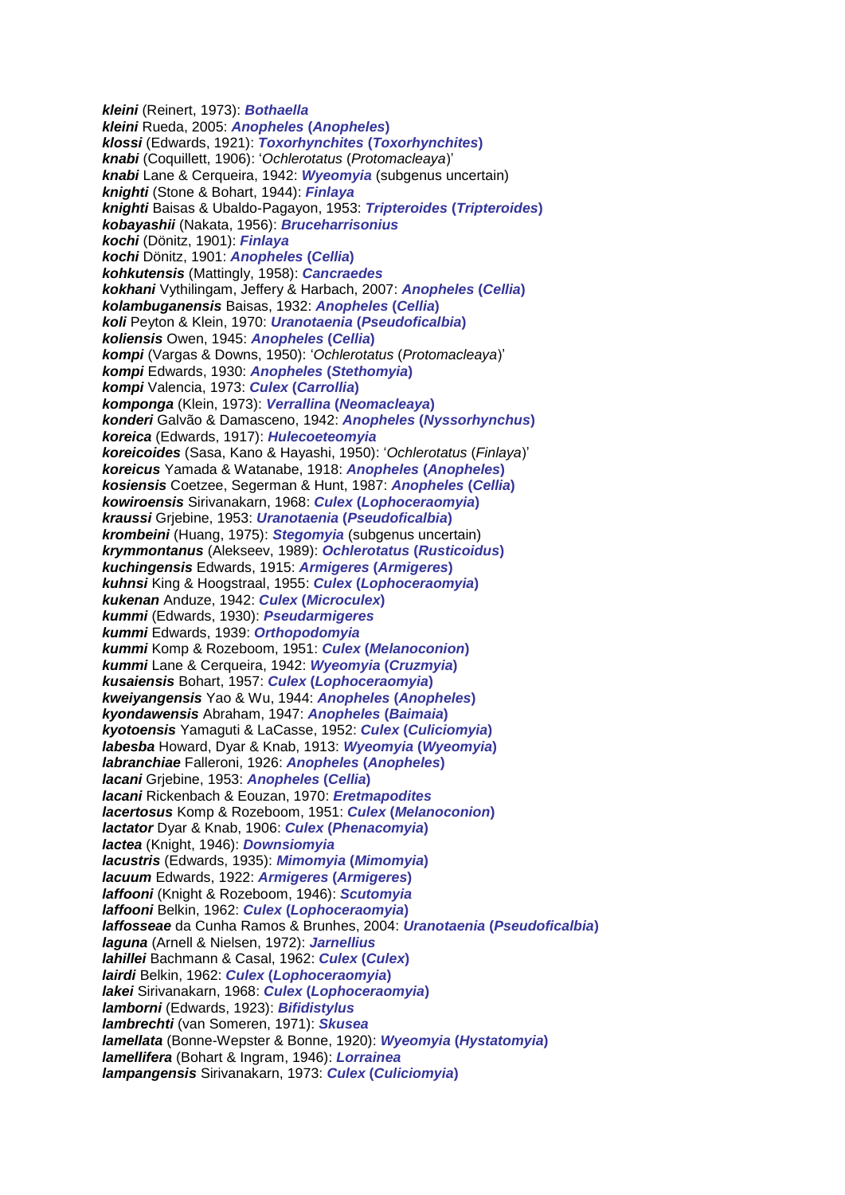*kleini* (Reinert, 1973): *Bothaella kleini* Rueda, 2005: *Anopheles* **(***Anopheles***)** *klossi* (Edwards, 1921): *Toxorhynchites* **(***Toxorhynchites***)** *knabi* (Coquillett, 1906): '*Ochlerotatus* (*Protomacleaya*)' *knabi* Lane & Cerqueira, 1942: *Wyeomyia* (subgenus uncertain) *knighti* (Stone & Bohart, 1944): *Finlaya knighti* Baisas & Ubaldo-Pagayon, 1953: *Tripteroides* **(***Tripteroides***)** *kobayashii* (Nakata, 1956): *Bruceharrisonius kochi* (Dönitz, 1901): *Finlaya kochi* Dönitz, 1901: *Anopheles* **(***Cellia***)** *kohkutensis* (Mattingly, 1958): *Cancraedes kokhani* Vythilingam, Jeffery & Harbach, 2007: *Anopheles* **(***Cellia***)** *kolambuganensis* Baisas, 1932: *Anopheles* **(***Cellia***)** *koli* Peyton & Klein, 1970: *Uranotaenia* **(***Pseudoficalbia***)** *koliensis* Owen, 1945: *Anopheles* **(***Cellia***)** *kompi* (Vargas & Downs, 1950): '*Ochlerotatus* (*Protomacleaya*)' *kompi* Edwards, 1930: *Anopheles* **(***Stethomyia***)** *kompi* Valencia, 1973: *Culex* **(***Carrollia***)** *komponga* (Klein, 1973): *Verrallina* **(***Neomacleaya***)** *konderi* Galvão & Damasceno, 1942: *Anopheles* **(***Nyssorhynchus***)** *koreica* (Edwards, 1917): *Hulecoeteomyia koreicoides* (Sasa, Kano & Hayashi, 1950): '*Ochlerotatus* (*Finlaya*)' *koreicus* Yamada & Watanabe, 1918: *Anopheles* **(***Anopheles***)** *kosiensis* Coetzee, Segerman & Hunt, 1987: *Anopheles* **(***Cellia***)** *kowiroensis* Sirivanakarn, 1968: *Culex* **(***Lophoceraomyia***)** *kraussi* Grjebine, 1953: *Uranotaenia* **(***Pseudoficalbia***)** *krombeini* (Huang, 1975): *Stegomyia* (subgenus uncertain) *krymmontanus* (Alekseev, 1989): *Ochlerotatus* **(***Rusticoidus***)** *kuchingensis* Edwards, 1915: *Armigeres* **(***Armigeres***)** *kuhnsi* King & Hoogstraal, 1955: *Culex* **(***Lophoceraomyia***)** *kukenan* Anduze, 1942: *Culex* **(***Microculex***)** *kummi* (Edwards, 1930): *Pseudarmigeres kummi* Edwards, 1939: *Orthopodomyia kummi* Komp & Rozeboom, 1951: *Culex* **(***Melanoconion***)** *kummi* Lane & Cerqueira, 1942: *Wyeomyia* **(***Cruzmyia***)** *kusaiensis* Bohart, 1957: *Culex* **(***Lophoceraomyia***)** *kweiyangensis* Yao & Wu, 1944: *Anopheles* **(***Anopheles***)** *kyondawensis* Abraham, 1947: *Anopheles* **(***Baimaia***)** *kyotoensis* Yamaguti & LaCasse, 1952: *Culex* **(***Culiciomyia***)** *labesba* Howard, Dyar & Knab, 1913: *Wyeomyia* **(***Wyeomyia***)** *labranchiae* Falleroni, 1926: *Anopheles* **(***Anopheles***)** *lacani* Grjebine, 1953: *Anopheles* **(***Cellia***)** *lacani* Rickenbach & Eouzan, 1970: *Eretmapodites lacertosus* Komp & Rozeboom, 1951: *Culex* **(***Melanoconion***)** *lactator* Dyar & Knab, 1906: *Culex* **(***Phenacomyia***)** *lactea* (Knight, 1946): *Downsiomyia lacustris* (Edwards, 1935): *Mimomyia* **(***Mimomyia***)** *lacuum* Edwards, 1922: *Armigeres* **(***Armigeres***)** *laffooni* (Knight & Rozeboom, 1946): *Scutomyia laffooni* Belkin, 1962: *Culex* **(***Lophoceraomyia***)** *laffosseae* da Cunha Ramos & Brunhes, 2004: *Uranotaenia* **(***Pseudoficalbia***)** *laguna* (Arnell & Nielsen, 1972): *Jarnellius lahillei* Bachmann & Casal, 1962: *Culex* **(***Culex***)** *lairdi* Belkin, 1962: *Culex* **(***Lophoceraomyia***)** *lakei* Sirivanakarn, 1968: *Culex* **(***Lophoceraomyia***)** *lamborni* (Edwards, 1923): *Bifidistylus lambrechti* (van Someren, 1971): *Skusea lamellata* (Bonne-Wepster & Bonne, 1920): *Wyeomyia* **(***Hystatomyia***)** *lamellifera* (Bohart & Ingram, 1946): *Lorrainea lampangensis* Sirivanakarn, 1973: *Culex* **(***Culiciomyia***)**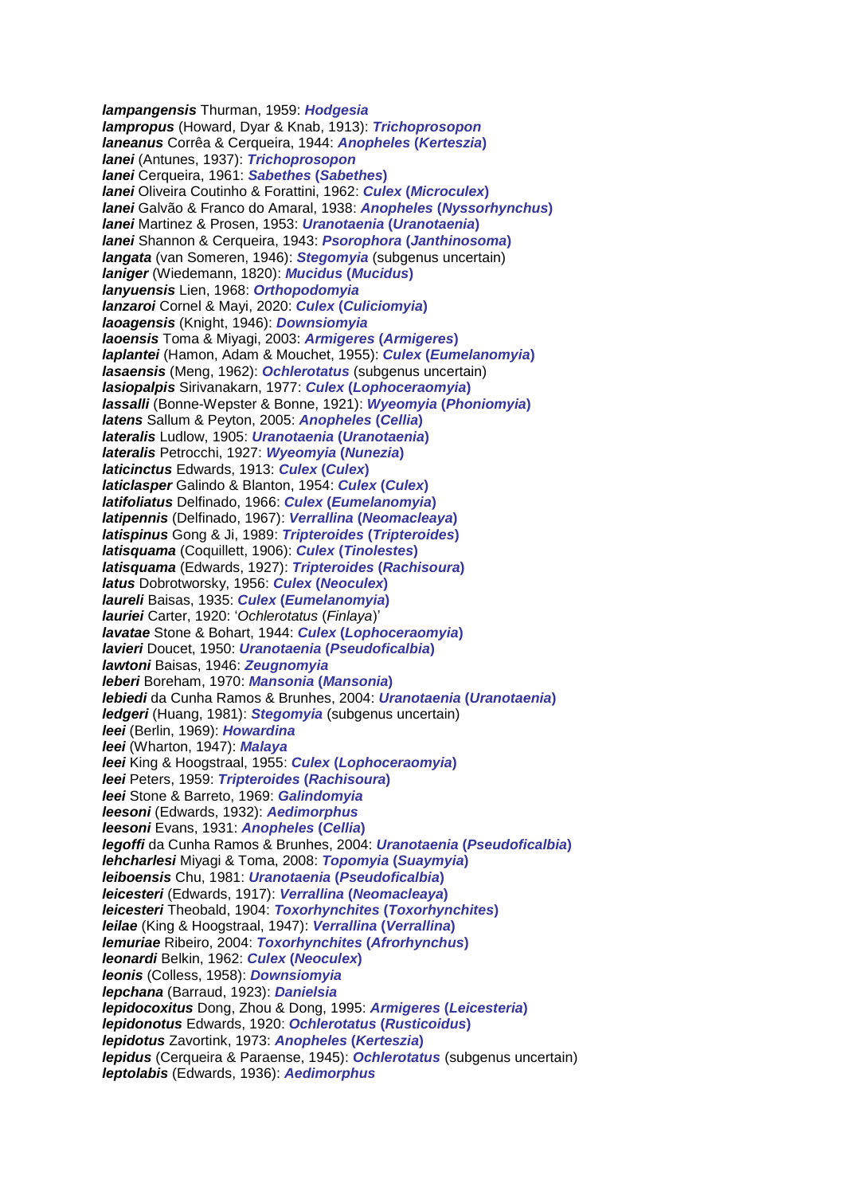*lampangensis* Thurman, 1959: *Hodgesia lampropus* (Howard, Dyar & Knab, 1913): *Trichoprosopon laneanus* Corrêa & Cerqueira, 1944: *Anopheles* **(***Kerteszia***)** *lanei* (Antunes, 1937): *Trichoprosopon lanei* Cerqueira, 1961: *Sabethes* **(***Sabethes***)** *lanei* Oliveira Coutinho & Forattini, 1962: *Culex* **(***Microculex***)** *lanei* Galvão & Franco do Amaral, 1938: *Anopheles* **(***Nyssorhynchus***)** *lanei* Martinez & Prosen, 1953: *Uranotaenia* **(***Uranotaenia***)** *lanei* Shannon & Cerqueira, 1943: *Psorophora* **(***Janthinosoma***)** *langata* (van Someren, 1946): *Stegomyia* (subgenus uncertain) *laniger* (Wiedemann, 1820): *Mucidus* **(***Mucidus***)** *lanyuensis* Lien, 1968: *Orthopodomyia lanzaroi* Cornel & Mayi, 2020: *Culex* **(***Culiciomyia***)** *laoagensis* (Knight, 1946): *Downsiomyia laoensis* Toma & Miyagi, 2003: *Armigeres* **(***Armigeres***)** *laplantei* (Hamon, Adam & Mouchet, 1955): *Culex* **(***Eumelanomyia***)** *lasaensis* (Meng, 1962): *Ochlerotatus* (subgenus uncertain) *lasiopalpis* Sirivanakarn, 1977: *Culex* **(***Lophoceraomyia***)** *lassalli* (Bonne-Wepster & Bonne, 1921): *Wyeomyia* **(***Phoniomyia***)** *latens* Sallum & Peyton, 2005: *Anopheles* **(***Cellia***)** *lateralis* Ludlow, 1905: *Uranotaenia* **(***Uranotaenia***)** *lateralis* Petrocchi, 1927: *Wyeomyia* **(***Nunezia***)** *laticinctus* Edwards, 1913: *Culex* **(***Culex***)** *laticlasper* Galindo & Blanton, 1954: *Culex* **(***Culex***)** *latifoliatus* Delfinado, 1966: *Culex* **(***Eumelanomyia***)** *latipennis* (Delfinado, 1967): *Verrallina* **(***Neomacleaya***)** *latispinus* Gong & Ji, 1989: *Tripteroides* **(***Tripteroides***)** *latisquama* (Coquillett, 1906): *Culex* **(***Tinolestes***)** *latisquama* (Edwards, 1927): *Tripteroides* **(***Rachisoura***)** *latus* Dobrotworsky, 1956: *Culex* **(***Neoculex***)** *laureli* Baisas, 1935: *Culex* **(***Eumelanomyia***)** *lauriei* Carter, 1920: '*Ochlerotatus* (*Finlaya*)' *lavatae* Stone & Bohart, 1944: *Culex* **(***Lophoceraomyia***)** *lavieri* Doucet, 1950: *Uranotaenia* **(***Pseudoficalbia***)** *lawtoni* Baisas, 1946: *Zeugnomyia leberi* Boreham, 1970: *Mansonia* **(***Mansonia***)** *lebiedi* da Cunha Ramos & Brunhes, 2004: *Uranotaenia* **(***Uranotaenia***)** *ledgeri* (Huang, 1981): *Stegomyia* (subgenus uncertain) *leei* (Berlin, 1969): *Howardina leei* (Wharton, 1947): *Malaya leei* King & Hoogstraal, 1955: *Culex* **(***Lophoceraomyia***)** *leei* Peters, 1959: *Tripteroides* **(***Rachisoura***)** *leei* Stone & Barreto, 1969: *Galindomyia leesoni* (Edwards, 1932): *Aedimorphus leesoni* Evans, 1931: *Anopheles* **(***Cellia***)** *legoffi* da Cunha Ramos & Brunhes, 2004: *Uranotaenia* **(***Pseudoficalbia***)** *lehcharlesi* Miyagi & Toma, 2008: *Topomyia* **(***Suaymyia***)** *leiboensis* Chu, 1981: *Uranotaenia* **(***Pseudoficalbia***)** *leicesteri* (Edwards, 1917): *Verrallina* **(***Neomacleaya***)** *leicesteri* Theobald, 1904: *Toxorhynchites* **(***Toxorhynchites***)** *leilae* (King & Hoogstraal, 1947): *Verrallina* **(***Verrallina***)** *lemuriae* Ribeiro, 2004: *Toxorhynchites* **(***Afrorhynchus***)** *leonardi* Belkin, 1962: *Culex* **(***Neoculex***)** *leonis* (Colless, 1958): *Downsiomyia lepchana* (Barraud, 1923): *Danielsia lepidocoxitus* Dong, Zhou & Dong, 1995: *Armigeres* **(***Leicesteria***)** *lepidonotus* Edwards, 1920: *Ochlerotatus* **(***Rusticoidus***)** *lepidotus* Zavortink, 1973: *Anopheles* **(***Kerteszia***)** *lepidus* (Cerqueira & Paraense, 1945): *Ochlerotatus* (subgenus uncertain) *leptolabis* (Edwards, 1936): *Aedimorphus*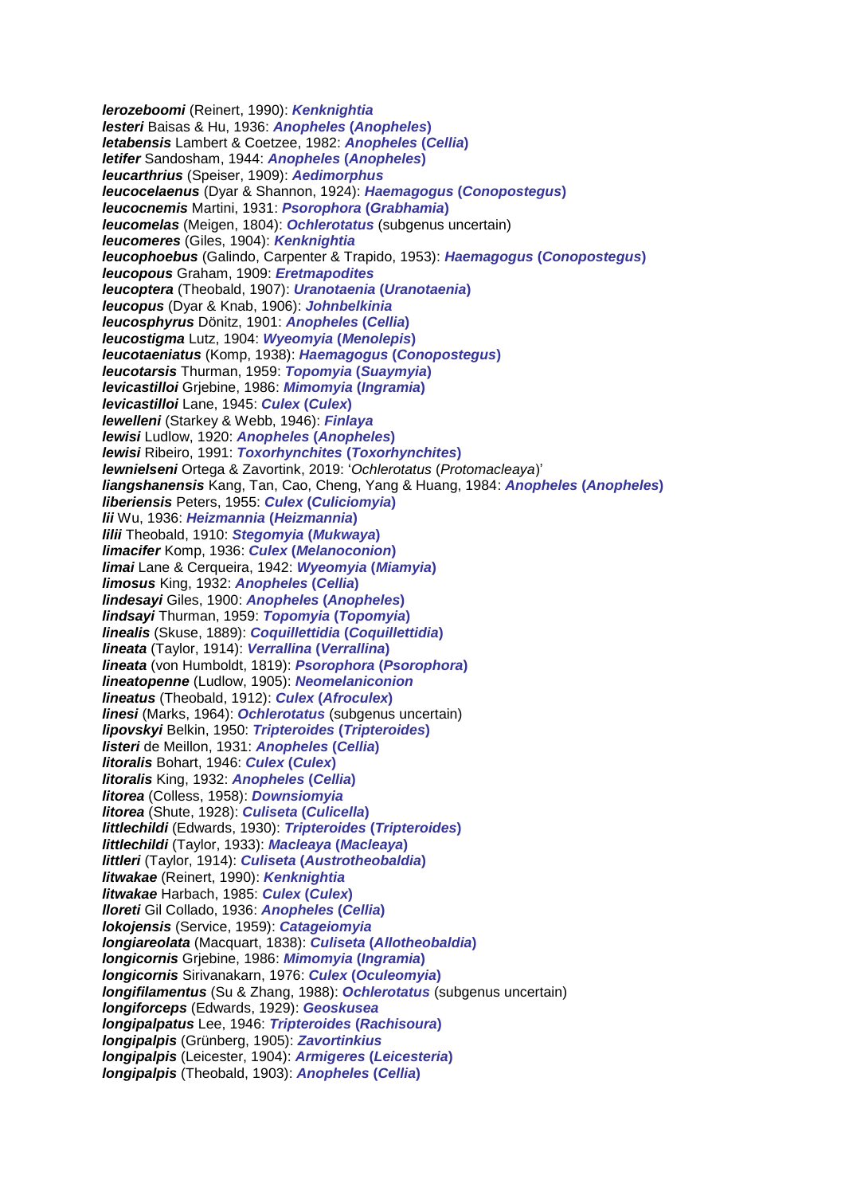*lerozeboomi* (Reinert, 1990): *Kenknightia lesteri* Baisas & Hu, 1936: *Anopheles* **(***Anopheles***)** *letabensis* Lambert & Coetzee, 1982: *Anopheles* **(***Cellia***)** *letifer* Sandosham, 1944: *Anopheles* **(***Anopheles***)** *leucarthrius* (Speiser, 1909): *Aedimorphus leucocelaenus* (Dyar & Shannon, 1924): *Haemagogus* **(***Conopostegus***)** *leucocnemis* Martini, 1931: *Psorophora* **(***Grabhamia***)** *leucomelas* (Meigen, 1804): *Ochlerotatus* (subgenus uncertain) *leucomeres* (Giles, 1904): *Kenknightia leucophoebus* (Galindo, Carpenter & Trapido, 1953): *Haemagogus* **(***Conopostegus***)** *leucopous* Graham, 1909: *Eretmapodites leucoptera* (Theobald, 1907): *Uranotaenia* **(***Uranotaenia***)** *leucopus* (Dyar & Knab, 1906): *Johnbelkinia leucosphyrus* Dönitz, 1901: *Anopheles* **(***Cellia***)** *leucostigma* Lutz, 1904: *Wyeomyia* **(***Menolepis***)** *leucotaeniatus* (Komp, 1938): *Haemagogus* **(***Conopostegus***)** *leucotarsis* Thurman, 1959: *Topomyia* **(***Suaymyia***)** *levicastilloi* Grjebine, 1986: *Mimomyia* **(***Ingramia***)** *levicastilloi* Lane, 1945: *Culex* **(***Culex***)** *lewelleni* (Starkey & Webb, 1946): *Finlaya lewisi* Ludlow, 1920: *Anopheles* **(***Anopheles***)** *lewisi* Ribeiro, 1991: *Toxorhynchites* **(***Toxorhynchites***)** *lewnielseni* Ortega & Zavortink, 2019: '*Ochlerotatus* (*Protomacleaya*)' *liangshanensis* Kang, Tan, Cao, Cheng, Yang & Huang, 1984: *Anopheles* **(***Anopheles***)** *liberiensis* Peters, 1955: *Culex* **(***Culiciomyia***)** *lii* Wu, 1936: *Heizmannia* **(***Heizmannia***)** *lilii* Theobald, 1910: *Stegomyia* **(***Mukwaya***)** *limacifer* Komp, 1936: *Culex* **(***Melanoconion***)** *limai* Lane & Cerqueira, 1942: *Wyeomyia* **(***Miamyia***)** *limosus* King, 1932: *Anopheles* **(***Cellia***)** *lindesayi* Giles, 1900: *Anopheles* **(***Anopheles***)** *lindsayi* Thurman, 1959: *Topomyia* **(***Topomyia***)** *linealis* (Skuse, 1889): *Coquillettidia* **(***Coquillettidia***)** *lineata* (Taylor, 1914): *Verrallina* **(***Verrallina***)** *lineata* (von Humboldt, 1819): *Psorophora* **(***Psorophora***)** *lineatopenne* (Ludlow, 1905): *Neomelaniconion lineatus* (Theobald, 1912): *Culex* **(***Afroculex***)** *linesi* (Marks, 1964): *Ochlerotatus* (subgenus uncertain) *lipovskyi* Belkin, 1950: *Tripteroides* **(***Tripteroides***)** *listeri* de Meillon, 1931: *Anopheles* **(***Cellia***)** *litoralis* Bohart, 1946: *Culex* **(***Culex***)** *litoralis* King, 1932: *Anopheles* **(***Cellia***)** *litorea* (Colless, 1958): *Downsiomyia litorea* (Shute, 1928): *Culiseta* **(***Culicella***)** *littlechildi* (Edwards, 1930): *Tripteroides* **(***Tripteroides***)** *littlechildi* (Taylor, 1933): *Macleaya* **(***Macleaya***)** *littleri* (Taylor, 1914): *Culiseta* **(***Austrotheobaldia***)** *litwakae* (Reinert, 1990): *Kenknightia litwakae* Harbach, 1985: *Culex* **(***Culex***)** *lloreti* Gil Collado, 1936: *Anopheles* **(***Cellia***)** *lokojensis* (Service, 1959): *Catageiomyia longiareolata* (Macquart, 1838): *Culiseta* **(***Allotheobaldia***)** *longicornis* Grjebine, 1986: *Mimomyia* **(***Ingramia***)** *longicornis* Sirivanakarn, 1976: *Culex* **(***Oculeomyia***)** *longifilamentus* (Su & Zhang, 1988): *Ochlerotatus* (subgenus uncertain) *longiforceps* (Edwards, 1929): *Geoskusea longipalpatus* Lee, 1946: *Tripteroides* **(***Rachisoura***)** *longipalpis* (Grünberg, 1905): *Zavortinkius longipalpis* (Leicester, 1904): *Armigeres* **(***Leicesteria***)** *longipalpis* (Theobald, 1903): *Anopheles* **(***Cellia***)**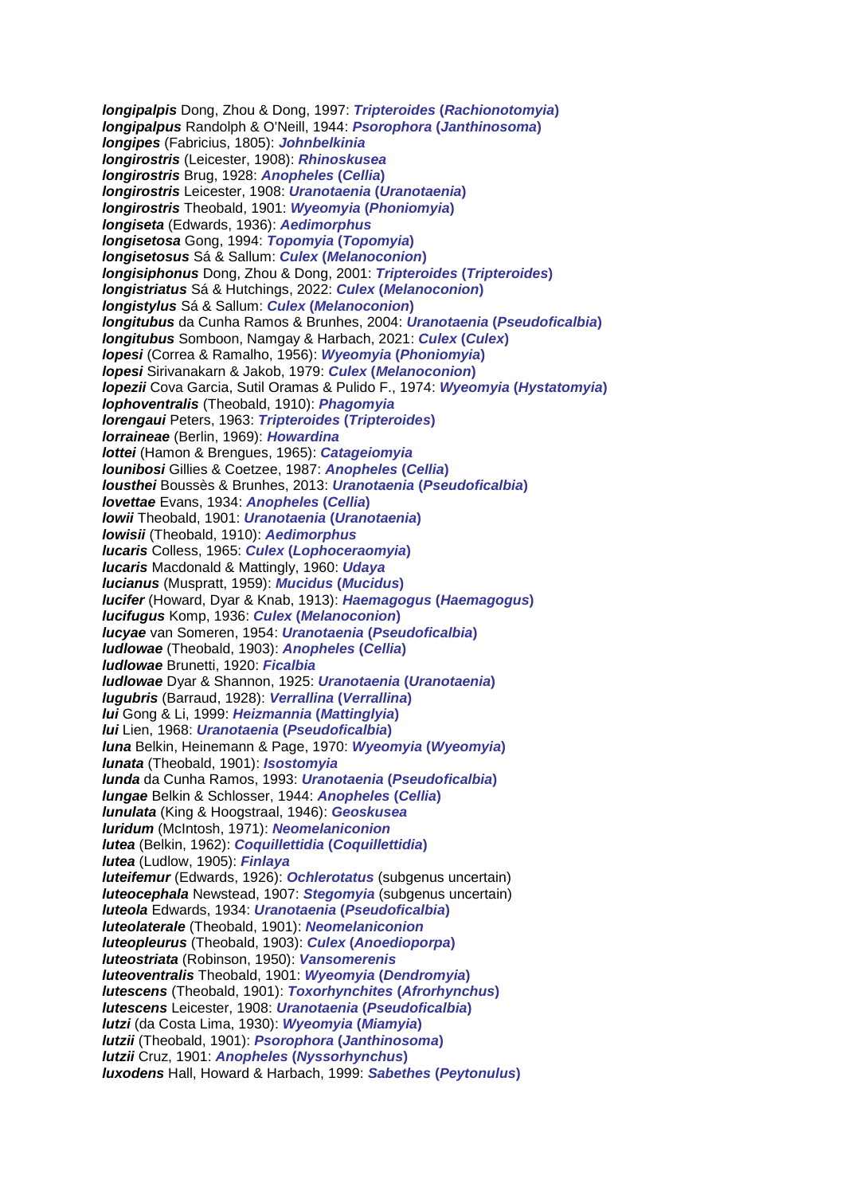*longipalpis* Dong, Zhou & Dong, 1997: *Tripteroides* **(***Rachionotomyia***)** *longipalpus* Randolph & O'Neill, 1944: *Psorophora* **(***Janthinosoma***)** *longipes* (Fabricius, 1805): *Johnbelkinia longirostris* (Leicester, 1908): *Rhinoskusea longirostris* Brug, 1928: *Anopheles* **(***Cellia***)** *longirostris* Leicester, 1908: *Uranotaenia* **(***Uranotaenia***)** *longirostris* Theobald, 1901: *Wyeomyia* **(***Phoniomyia***)** *longiseta* (Edwards, 1936): *Aedimorphus longisetosa* Gong, 1994: *Topomyia* **(***Topomyia***)** *longisetosus* Sá & Sallum: *Culex* **(***Melanoconion***)** *longisiphonus* Dong, Zhou & Dong, 2001: *Tripteroides* **(***Tripteroides***)** *longistriatus* Sá & Hutchings, 2022: *Culex* **(***Melanoconion***)** *longistylus* Sá & Sallum: *Culex* **(***Melanoconion***)** *longitubus* da Cunha Ramos & Brunhes, 2004: *Uranotaenia* **(***Pseudoficalbia***)** *longitubus* Somboon, Namgay & Harbach, 2021: *Culex* **(***Culex***)** *lopesi* (Correa & Ramalho, 1956): *Wyeomyia* **(***Phoniomyia***)** *lopesi* Sirivanakarn & Jakob, 1979: *Culex* **(***Melanoconion***)** *lopezii* Cova Garcia, Sutil Oramas & Pulido F., 1974: *Wyeomyia* **(***Hystatomyia***)** *lophoventralis* (Theobald, 1910): *Phagomyia lorengaui* Peters, 1963: *Tripteroides* **(***Tripteroides***)** *lorraineae* (Berlin, 1969): *Howardina lottei* (Hamon & Brengues, 1965): *Catageiomyia lounibosi* Gillies & Coetzee, 1987: *Anopheles* **(***Cellia***)** *lousthei* Boussès & Brunhes, 2013: *Uranotaenia* **(***Pseudoficalbia***)** *lovettae* Evans, 1934: *Anopheles* **(***Cellia***)** *lowii* Theobald, 1901: *Uranotaenia* **(***Uranotaenia***)** *lowisii* (Theobald, 1910): *Aedimorphus lucaris* Colless, 1965: *Culex* **(***Lophoceraomyia***)** *lucaris* Macdonald & Mattingly, 1960: *Udaya lucianus* (Muspratt, 1959): *Mucidus* **(***Mucidus***)** *lucifer* (Howard, Dyar & Knab, 1913): *Haemagogus* **(***Haemagogus***)** *lucifugus* Komp, 1936: *Culex* **(***Melanoconion***)** *lucyae* van Someren, 1954: *Uranotaenia* **(***Pseudoficalbia***)** *ludlowae* (Theobald, 1903): *Anopheles* **(***Cellia***)** *ludlowae* Brunetti, 1920: *Ficalbia ludlowae* Dyar & Shannon, 1925: *Uranotaenia* **(***Uranotaenia***)** *lugubris* (Barraud, 1928): *Verrallina* **(***Verrallina***)** *lui* Gong & Li, 1999: *Heizmannia* **(***Mattinglyia***)** *lui* Lien, 1968: *Uranotaenia* **(***Pseudoficalbia***)** *luna* Belkin, Heinemann & Page, 1970: *Wyeomyia* **(***Wyeomyia***)** *lunata* (Theobald, 1901): *Isostomyia lunda* da Cunha Ramos, 1993: *Uranotaenia* **(***Pseudoficalbia***)** *lungae* Belkin & Schlosser, 1944: *Anopheles* **(***Cellia***)** *lunulata* (King & Hoogstraal, 1946): *Geoskusea luridum* (McIntosh, 1971): *Neomelaniconion lutea* (Belkin, 1962): *Coquillettidia* **(***Coquillettidia***)** *lutea* (Ludlow, 1905): *Finlaya luteifemur* (Edwards, 1926): *Ochlerotatus* (subgenus uncertain) *luteocephala* Newstead, 1907: *Stegomyia* (subgenus uncertain) *luteola* Edwards, 1934: *Uranotaenia* **(***Pseudoficalbia***)** *luteolaterale* (Theobald, 1901): *Neomelaniconion luteopleurus* (Theobald, 1903): *Culex* **(***Anoedioporpa***)** *luteostriata* (Robinson, 1950): *Vansomerenis luteoventralis* Theobald, 1901: *Wyeomyia* **(***Dendromyia***)** *lutescens* (Theobald, 1901): *Toxorhynchites* **(***Afrorhynchus***)** *lutescens* Leicester, 1908: *Uranotaenia* **(***Pseudoficalbia***)** *lutzi* (da Costa Lima, 1930): *Wyeomyia* **(***Miamyia***)** *lutzii* (Theobald, 1901): *Psorophora* **(***Janthinosoma***)** *lutzii* Cruz, 1901: *Anopheles* **(***Nyssorhynchus***)** *luxodens* Hall, Howard & Harbach, 1999: *Sabethes* **(***Peytonulus***)**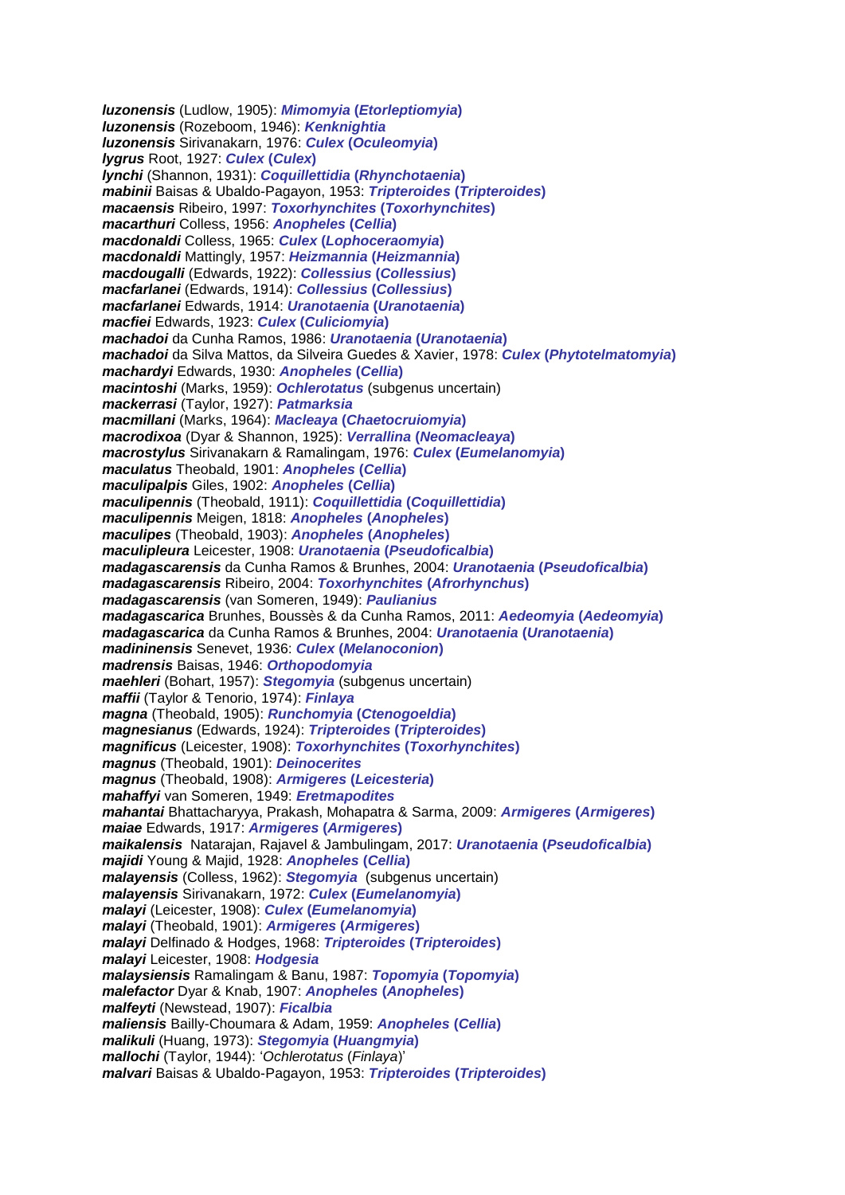*luzonensis* (Ludlow, 1905): *Mimomyia* **(***Etorleptiomyia***)** *luzonensis* (Rozeboom, 1946): *Kenknightia luzonensis* Sirivanakarn, 1976: *Culex* **(***Oculeomyia***)** *lygrus* Root, 1927: *Culex* **(***Culex***)** *lynchi* (Shannon, 1931): *Coquillettidia* **(***Rhynchotaenia***)** *mabinii* Baisas & Ubaldo-Pagayon, 1953: *Tripteroides* **(***Tripteroides***)** *macaensis* Ribeiro, 1997: *Toxorhynchites* **(***Toxorhynchites***)** *macarthuri* Colless, 1956: *Anopheles* **(***Cellia***)** *macdonaldi* Colless, 1965: *Culex* **(***Lophoceraomyia***)** *macdonaldi* Mattingly, 1957: *Heizmannia* **(***Heizmannia***)** *macdougalli* (Edwards, 1922): *Collessius* **(***Collessius***)** *macfarlanei* (Edwards, 1914): *Collessius* **(***Collessius***)** *macfarlanei* Edwards, 1914: *Uranotaenia* **(***Uranotaenia***)** *macfiei* Edwards, 1923: *Culex* **(***Culiciomyia***)** *machadoi* da Cunha Ramos, 1986: *Uranotaenia* **(***Uranotaenia***)** *machadoi* da Silva Mattos, da Silveira Guedes & Xavier, 1978: *Culex* **(***Phytotelmatomyia***)** *machardyi* Edwards, 1930: *Anopheles* **(***Cellia***)** *macintoshi* (Marks, 1959): *Ochlerotatus* (subgenus uncertain) *mackerrasi* (Taylor, 1927): *Patmarksia macmillani* (Marks, 1964): *Macleaya* **(***Chaetocruiomyia***)** *macrodixoa* (Dyar & Shannon, 1925): *Verrallina* **(***Neomacleaya***)** *macrostylus* Sirivanakarn & Ramalingam, 1976: *Culex* **(***Eumelanomyia***)** *maculatus* Theobald, 1901: *Anopheles* **(***Cellia***)** *maculipalpis* Giles, 1902: *Anopheles* **(***Cellia***)** *maculipennis* (Theobald, 1911): *Coquillettidia* **(***Coquillettidia***)** *maculipennis* Meigen, 1818: *Anopheles* **(***Anopheles***)** *maculipes* (Theobald, 1903): *Anopheles* **(***Anopheles***)** *maculipleura* Leicester, 1908: *Uranotaenia* **(***Pseudoficalbia***)** *madagascarensis* da Cunha Ramos & Brunhes, 2004: *Uranotaenia* **(***Pseudoficalbia***)** *madagascarensis* Ribeiro, 2004: *Toxorhynchites* **(***Afrorhynchus***)** *madagascarensis* (van Someren, 1949): *Paulianius madagascarica* Brunhes, Boussès & da Cunha Ramos, 2011: *Aedeomyia* **(***Aedeomyia***)** *madagascarica* da Cunha Ramos & Brunhes, 2004: *Uranotaenia* **(***Uranotaenia***)** *madininensis* Senevet, 1936: *Culex* **(***Melanoconion***)** *madrensis* Baisas, 1946: *Orthopodomyia maehleri* (Bohart, 1957): *Stegomyia* (subgenus uncertain) *maffii* (Taylor & Tenorio, 1974): *Finlaya magna* (Theobald, 1905): *Runchomyia* **(***Ctenogoeldia***)** *magnesianus* (Edwards, 1924): *Tripteroides* **(***Tripteroides***)** *magnificus* (Leicester, 1908): *Toxorhynchites* **(***Toxorhynchites***)** *magnus* (Theobald, 1901): *Deinocerites magnus* (Theobald, 1908): *Armigeres* **(***Leicesteria***)** *mahaffyi* van Someren, 1949: *Eretmapodites mahantai* Bhattacharyya, Prakash, Mohapatra & Sarma, 2009: *Armigeres* **(***Armigeres***)** *maiae* Edwards, 1917: *Armigeres* **(***Armigeres***)** *maikalensis* Natarajan, Rajavel & Jambulingam, 2017: *Uranotaenia* **(***Pseudoficalbia***)** *majidi* Young & Majid, 1928: *Anopheles* **(***Cellia***)** *malayensis* (Colless, 1962): *Stegomyia* (subgenus uncertain) *malayensis* Sirivanakarn, 1972: *Culex* **(***Eumelanomyia***)** *malayi* (Leicester, 1908): *Culex* **(***Eumelanomyia***)** *malayi* (Theobald, 1901): *Armigeres* **(***Armigeres***)** *malayi* Delfinado & Hodges, 1968: *Tripteroides* **(***Tripteroides***)** *malayi* Leicester, 1908: *Hodgesia malaysiensis* Ramalingam & Banu, 1987: *Topomyia* **(***Topomyia***)** *malefactor* Dyar & Knab, 1907: *Anopheles* **(***Anopheles***)** *malfeyti* (Newstead, 1907): *Ficalbia maliensis* Bailly-Choumara & Adam, 1959: *Anopheles* **(***Cellia***)** *malikuli* (Huang, 1973): *Stegomyia* **(***Huangmyia***)** *mallochi* (Taylor, 1944): '*Ochlerotatus* (*Finlaya*)' *malvari* Baisas & Ubaldo-Pagayon, 1953: *Tripteroides* **(***Tripteroides***)**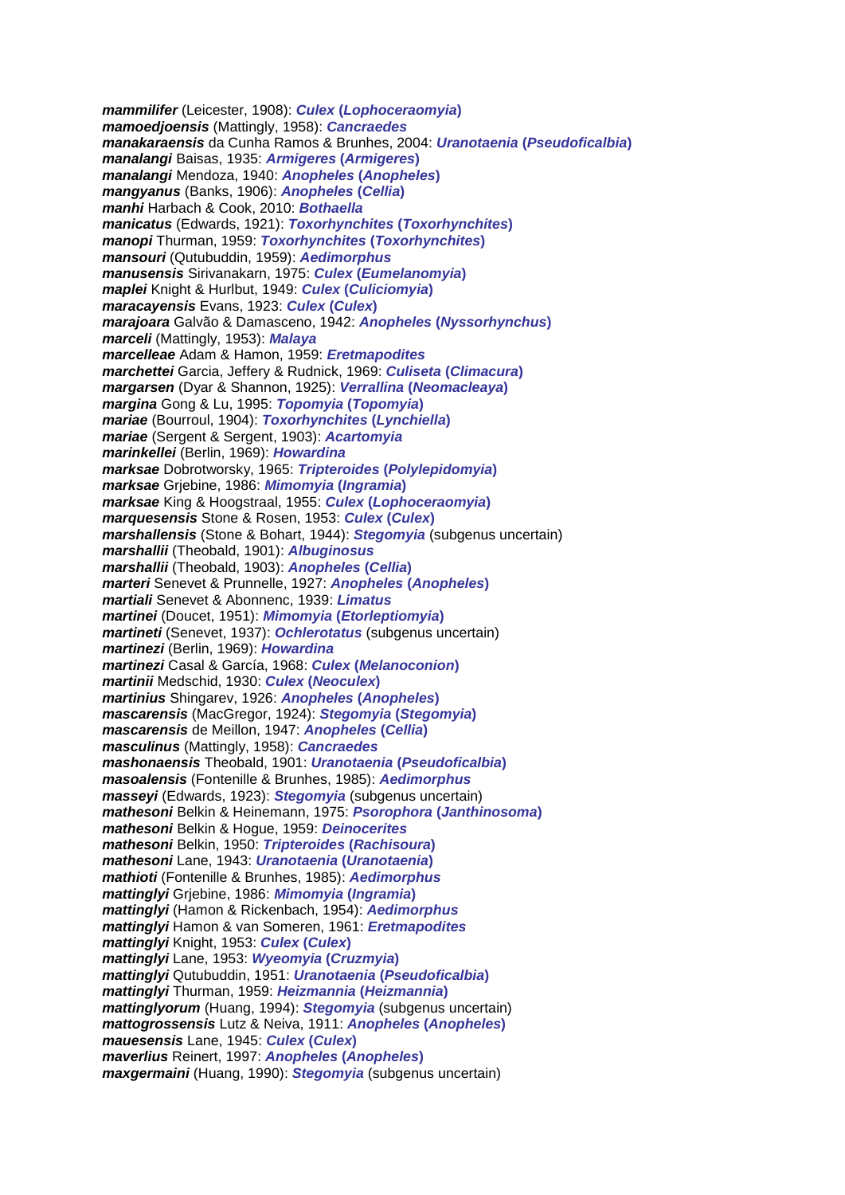*mammilifer* (Leicester, 1908): *Culex* **(***Lophoceraomyia***)** *mamoedjoensis* (Mattingly, 1958): *Cancraedes manakaraensis* da Cunha Ramos & Brunhes, 2004: *Uranotaenia* **(***Pseudoficalbia***)** *manalangi* Baisas, 1935: *Armigeres* **(***Armigeres***)** *manalangi* Mendoza, 1940: *Anopheles* **(***Anopheles***)** *mangyanus* (Banks, 1906): *Anopheles* **(***Cellia***)** *manhi* Harbach & Cook, 2010: *Bothaella manicatus* (Edwards, 1921): *Toxorhynchites* **(***Toxorhynchites***)** *manopi* Thurman, 1959: *Toxorhynchites* **(***Toxorhynchites***)** *mansouri* (Qutubuddin, 1959): *Aedimorphus manusensis* Sirivanakarn, 1975: *Culex* **(***Eumelanomyia***)** *maplei* Knight & Hurlbut, 1949: *Culex* **(***Culiciomyia***)** *maracayensis* Evans, 1923: *Culex* **(***Culex***)** *marajoara* Galvão & Damasceno, 1942: *Anopheles* **(***Nyssorhynchus***)** *marceli* (Mattingly, 1953): *Malaya marcelleae* Adam & Hamon, 1959: *Eretmapodites marchettei* Garcia, Jeffery & Rudnick, 1969: *Culiseta* **(***Climacura***)** *margarsen* (Dyar & Shannon, 1925): *Verrallina* **(***Neomacleaya***)** *margina* Gong & Lu, 1995: *Topomyia* **(***Topomyia***)** *mariae* (Bourroul, 1904): *Toxorhynchites* **(***Lynchiella***)** *mariae* (Sergent & Sergent, 1903): *Acartomyia marinkellei* (Berlin, 1969): *Howardina marksae* Dobrotworsky, 1965: *Tripteroides* **(***Polylepidomyia***)** *marksae* Grjebine, 1986: *Mimomyia* **(***Ingramia***)** *marksae* King & Hoogstraal, 1955: *Culex* **(***Lophoceraomyia***)** *marquesensis* Stone & Rosen, 1953: *Culex* **(***Culex***)** *marshallensis* (Stone & Bohart, 1944): *Stegomyia* (subgenus uncertain) *marshallii* (Theobald, 1901): *Albuginosus marshallii* (Theobald, 1903): *Anopheles* **(***Cellia***)** *marteri* Senevet & Prunnelle, 1927: *Anopheles* **(***Anopheles***)** *martiali* Senevet & Abonnenc, 1939: *Limatus martinei* (Doucet, 1951): *Mimomyia* **(***Etorleptiomyia***)** *martineti* (Senevet, 1937): *Ochlerotatus* (subgenus uncertain) *martinezi* (Berlin, 1969): *Howardina martinezi* Casal & García, 1968: *Culex* **(***Melanoconion***)** *martinii* Medschid, 1930: *Culex* **(***Neoculex***)** *martinius* Shingarev, 1926: *Anopheles* **(***Anopheles***)** *mascarensis* (MacGregor, 1924): *Stegomyia* **(***Stegomyia***)** *mascarensis* de Meillon, 1947: *Anopheles* **(***Cellia***)** *masculinus* (Mattingly, 1958): *Cancraedes mashonaensis* Theobald, 1901: *Uranotaenia* **(***Pseudoficalbia***)** *masoalensis* (Fontenille & Brunhes, 1985): *Aedimorphus masseyi* (Edwards, 1923): *Stegomyia* (subgenus uncertain) *mathesoni* Belkin & Heinemann, 1975: *Psorophora* **(***Janthinosoma***)** *mathesoni* Belkin & Hogue, 1959: *Deinocerites mathesoni* Belkin, 1950: *Tripteroides* **(***Rachisoura***)** *mathesoni* Lane, 1943: *Uranotaenia* **(***Uranotaenia***)** *mathioti* (Fontenille & Brunhes, 1985): *Aedimorphus mattinglyi* Grjebine, 1986: *Mimomyia* **(***Ingramia***)** *mattinglyi* (Hamon & Rickenbach, 1954): *Aedimorphus mattinglyi* Hamon & van Someren, 1961: *Eretmapodites mattinglyi* Knight, 1953: *Culex* **(***Culex***)** *mattinglyi* Lane, 1953: *Wyeomyia* **(***Cruzmyia***)** *mattinglyi* Qutubuddin, 1951: *Uranotaenia* **(***Pseudoficalbia***)** *mattinglyi* Thurman, 1959: *Heizmannia* **(***Heizmannia***)** *mattinglyorum* (Huang, 1994): *Stegomyia* (subgenus uncertain) *mattogrossensis* Lutz & Neiva, 1911: *Anopheles* **(***Anopheles***)** *mauesensis* Lane, 1945: *Culex* **(***Culex***)** *maverlius* Reinert, 1997: *Anopheles* **(***Anopheles***)** *maxgermaini* (Huang, 1990): *Stegomyia* (subgenus uncertain)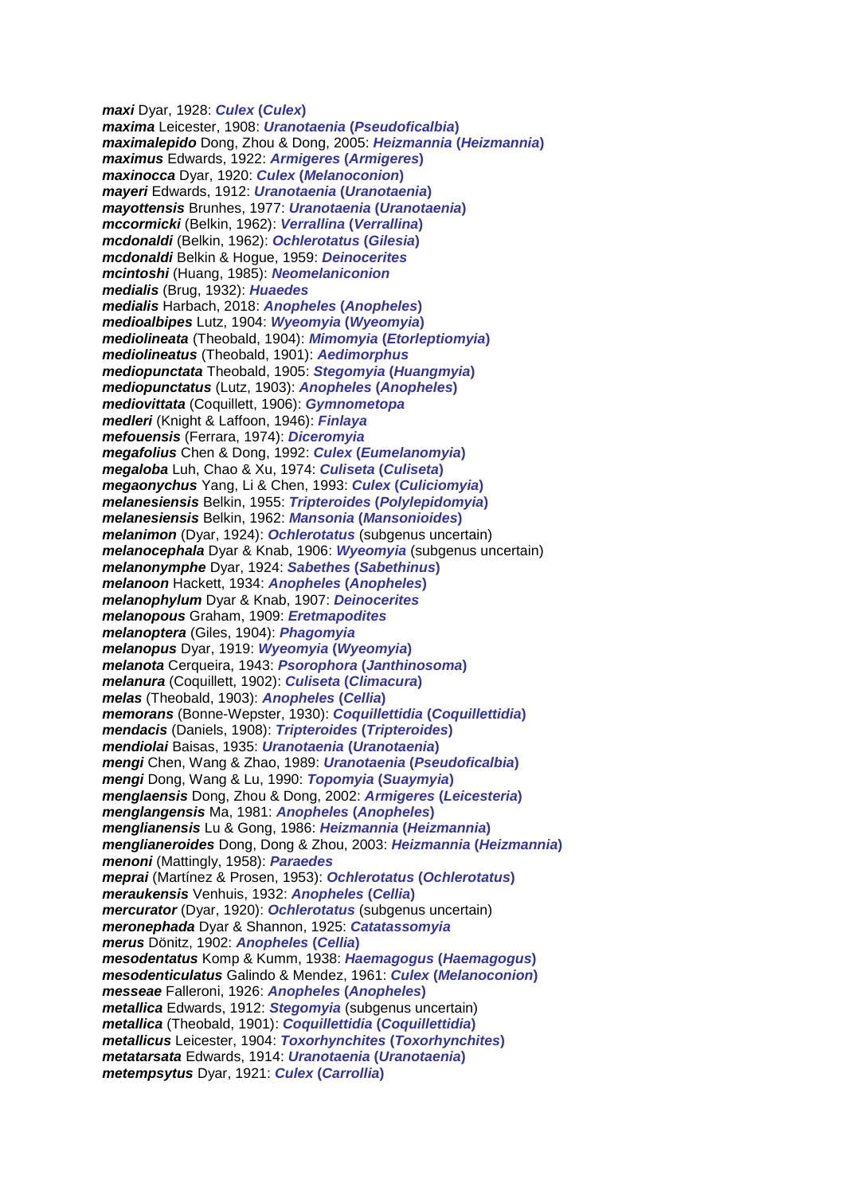*maxi* Dyar, 1928: *Culex* **(***Culex***)** *maxima* Leicester, 1908: *Uranotaenia* **(***Pseudoficalbia***)** *maximalepido* Dong, Zhou & Dong, 2005: *Heizmannia* **(***Heizmannia***)** *maximus* Edwards, 1922: *Armigeres* **(***Armigeres***)** *maxinocca* Dyar, 1920: *Culex* **(***Melanoconion***)** *mayeri* Edwards, 1912: *Uranotaenia* **(***Uranotaenia***)** *mayottensis* Brunhes, 1977: *Uranotaenia* **(***Uranotaenia***)** *mccormicki* (Belkin, 1962): *Verrallina* **(***Verrallina***)** *mcdonaldi* (Belkin, 1962): *Ochlerotatus* **(***Gilesia***)** *mcdonaldi* Belkin & Hogue, 1959: *Deinocerites mcintoshi* (Huang, 1985): *Neomelaniconion medialis* (Brug, 1932): *Huaedes medialis* Harbach, 2018: *Anopheles* **(***Anopheles***)** *medioalbipes* Lutz, 1904: *Wyeomyia* **(***Wyeomyia***)** *mediolineata* (Theobald, 1904): *Mimomyia* **(***Etorleptiomyia***)** *mediolineatus* (Theobald, 1901): *Aedimorphus mediopunctata* Theobald, 1905: *Stegomyia* **(***Huangmyia***)** *mediopunctatus* (Lutz, 1903): *Anopheles* **(***Anopheles***)** *mediovittata* (Coquillett, 1906): *Gymnometopa medleri* (Knight & Laffoon, 1946): *Finlaya mefouensis* (Ferrara, 1974): *Diceromyia megafolius* Chen & Dong, 1992: *Culex* **(***Eumelanomyia***)** *megaloba* Luh, Chao & Xu, 1974: *Culiseta* **(***Culiseta***)** *megaonychus* Yang, Li & Chen, 1993: *Culex* **(***Culiciomyia***)** *melanesiensis* Belkin, 1955: *Tripteroides* **(***Polylepidomyia***)** *melanesiensis* Belkin, 1962: *Mansonia* **(***Mansonioides***)** *melanimon* (Dyar, 1924): *Ochlerotatus* (subgenus uncertain) *melanocephala* Dyar & Knab, 1906: *Wyeomyia* (subgenus uncertain) *melanonymphe* Dyar, 1924: *Sabethes* **(***Sabethinus***)** *melanoon* Hackett, 1934: *Anopheles* **(***Anopheles***)** *melanophylum* Dyar & Knab, 1907: *Deinocerites melanopous* Graham, 1909: *Eretmapodites melanoptera* (Giles, 1904): *Phagomyia melanopus* Dyar, 1919: *Wyeomyia* **(***Wyeomyia***)** *melanota* Cerqueira, 1943: *Psorophora* **(***Janthinosoma***)** *melanura* (Coquillett, 1902): *Culiseta* **(***Climacura***)** *melas* (Theobald, 1903): *Anopheles* **(***Cellia***)** *memorans* (Bonne-Wepster, 1930): *Coquillettidia* **(***Coquillettidia***)** *mendacis* (Daniels, 1908): *Tripteroides* **(***Tripteroides***)** *mendiolai* Baisas, 1935: *Uranotaenia* **(***Uranotaenia***)** *mengi* Chen, Wang & Zhao, 1989: *Uranotaenia* **(***Pseudoficalbia***)** *mengi* Dong, Wang & Lu, 1990: *Topomyia* **(***Suaymyia***)** *menglaensis* Dong, Zhou & Dong, 2002: *Armigeres* **(***Leicesteria***)** *menglangensis* Ma, 1981: *Anopheles* **(***Anopheles***)** *menglianensis* Lu & Gong, 1986: *Heizmannia* **(***Heizmannia***)** *menglianeroides* Dong, Dong & Zhou, 2003: *Heizmannia* **(***Heizmannia***)** *menoni* (Mattingly, 1958): *Paraedes meprai* (Martínez & Prosen, 1953): *Ochlerotatus* **(***Ochlerotatus***)** *meraukensis* Venhuis, 1932: *Anopheles* **(***Cellia***)** *mercurator* (Dyar, 1920): *Ochlerotatus* (subgenus uncertain) *meronephada* Dyar & Shannon, 1925: *Catatassomyia merus* Dönitz, 1902: *Anopheles* **(***Cellia***)** *mesodentatus* Komp & Kumm, 1938: *Haemagogus* **(***Haemagogus***)** *mesodenticulatus* Galindo & Mendez, 1961: *Culex* **(***Melanoconion***)** *messeae* Falleroni, 1926: *Anopheles* **(***Anopheles***)** *metallica* Edwards, 1912: *Stegomyia* (subgenus uncertain) *metallica* (Theobald, 1901): *Coquillettidia* **(***Coquillettidia***)** *metallicus* Leicester, 1904: *Toxorhynchites* **(***Toxorhynchites***)** *metatarsata* Edwards, 1914: *Uranotaenia* **(***Uranotaenia***)** *metempsytus* Dyar, 1921: *Culex* **(***Carrollia***)**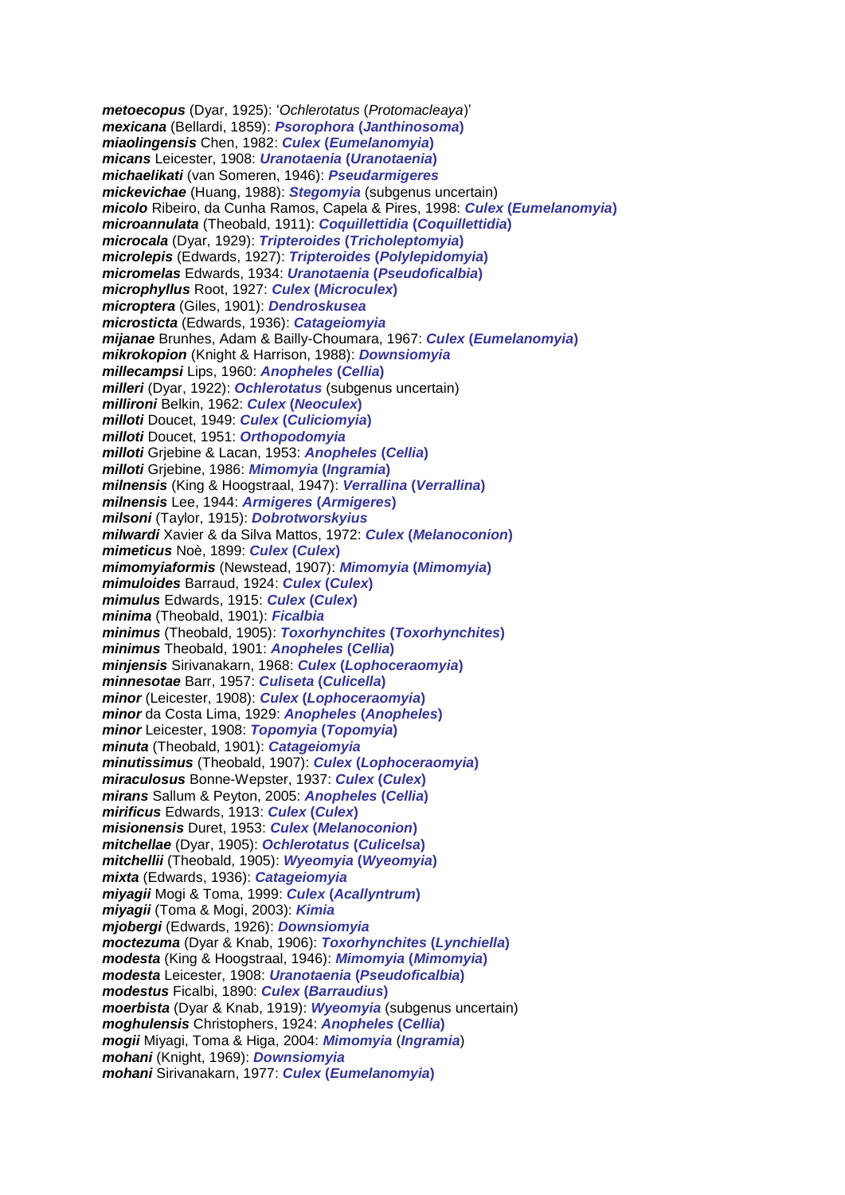*metoecopus* (Dyar, 1925): '*Ochlerotatus* (*Protomacleaya*)' *mexicana* (Bellardi, 1859): *Psorophora* **(***Janthinosoma***)** *miaolingensis* Chen, 1982: *Culex* **(***Eumelanomyia***)** *micans* Leicester, 1908: *Uranotaenia* **(***Uranotaenia***)** *michaelikati* (van Someren, 1946): *Pseudarmigeres mickevichae* (Huang, 1988): *Stegomyia* (subgenus uncertain) *micolo* Ribeiro, da Cunha Ramos, Capela & Pires, 1998: *Culex* **(***Eumelanomyia***)** *microannulata* (Theobald, 1911): *Coquillettidia* **(***Coquillettidia***)** *microcala* (Dyar, 1929): *Tripteroides* **(***Tricholeptomyia***)** *microlepis* (Edwards, 1927): *Tripteroides* **(***Polylepidomyia***)** *micromelas* Edwards, 1934: *Uranotaenia* **(***Pseudoficalbia***)** *microphyllus* Root, 1927: *Culex* **(***Microculex***)** *microptera* (Giles, 1901): *Dendroskusea microsticta* (Edwards, 1936): *Catageiomyia mijanae* Brunhes, Adam & Bailly-Choumara, 1967: *Culex* **(***Eumelanomyia***)** *mikrokopion* (Knight & Harrison, 1988): *Downsiomyia millecampsi* Lips, 1960: *Anopheles* **(***Cellia***)** *milleri* (Dyar, 1922): *Ochlerotatus* (subgenus uncertain) *millironi* Belkin, 1962: *Culex* **(***Neoculex***)** *milloti* Doucet, 1949: *Culex* **(***Culiciomyia***)** *milloti* Doucet, 1951: *Orthopodomyia milloti* Grjebine & Lacan, 1953: *Anopheles* **(***Cellia***)** *milloti* Grjebine, 1986: *Mimomyia* **(***Ingramia***)** *milnensis* (King & Hoogstraal, 1947): *Verrallina* **(***Verrallina***)** *milnensis* Lee, 1944: *Armigeres* **(***Armigeres***)** *milsoni* (Taylor, 1915): *Dobrotworskyius milwardi* Xavier & da Silva Mattos, 1972: *Culex* **(***Melanoconion***)** *mimeticus* Noè, 1899: *Culex* **(***Culex***)** *mimomyiaformis* (Newstead, 1907): *Mimomyia* **(***Mimomyia***)** *mimuloides* Barraud, 1924: *Culex* **(***Culex***)** *mimulus* Edwards, 1915: *Culex* **(***Culex***)** *minima* (Theobald, 1901): *Ficalbia minimus* (Theobald, 1905): *Toxorhynchites* **(***Toxorhynchites***)** *minimus* Theobald, 1901: *Anopheles* **(***Cellia***)** *minjensis* Sirivanakarn, 1968: *Culex* **(***Lophoceraomyia***)** *minnesotae* Barr, 1957: *Culiseta* **(***Culicella***)** *minor* (Leicester, 1908): *Culex* **(***Lophoceraomyia***)** *minor* da Costa Lima, 1929: *Anopheles* **(***Anopheles***)** *minor* Leicester, 1908: *Topomyia* **(***Topomyia***)** *minuta* (Theobald, 1901): *Catageiomyia minutissimus* (Theobald, 1907): *Culex* **(***Lophoceraomyia***)** *miraculosus* Bonne-Wepster, 1937: *Culex* **(***Culex***)** *mirans* Sallum & Peyton, 2005: *Anopheles* **(***Cellia***)** *mirificus* Edwards, 1913: *Culex* **(***Culex***)** *misionensis* Duret, 1953: *Culex* **(***Melanoconion***)** *mitchellae* (Dyar, 1905): *Ochlerotatus* **(***Culicelsa***)** *mitchellii* (Theobald, 1905): *Wyeomyia* **(***Wyeomyia***)** *mixta* (Edwards, 1936): *Catageiomyia miyagii* Mogi & Toma, 1999: *Culex* **(***Acallyntrum***)** *miyagii* (Toma & Mogi, 2003): *Kimia mjobergi* (Edwards, 1926): *Downsiomyia moctezuma* (Dyar & Knab, 1906): *Toxorhynchites* **(***Lynchiella***)** *modesta* (King & Hoogstraal, 1946): *Mimomyia* **(***Mimomyia***)** *modesta* Leicester, 1908: *Uranotaenia* **(***Pseudoficalbia***)** *modestus* Ficalbi, 1890: *Culex* **(***Barraudius***)** *moerbista* (Dyar & Knab, 1919): *Wyeomyia* (subgenus uncertain) *moghulensis* Christophers, 1924: *Anopheles* **(***Cellia***)** *mogii* Miyagi, Toma & Higa, 2004: *Mimomyia* (*Ingramia*) *mohani* (Knight, 1969): *Downsiomyia mohani* Sirivanakarn, 1977: *Culex* **(***Eumelanomyia***)**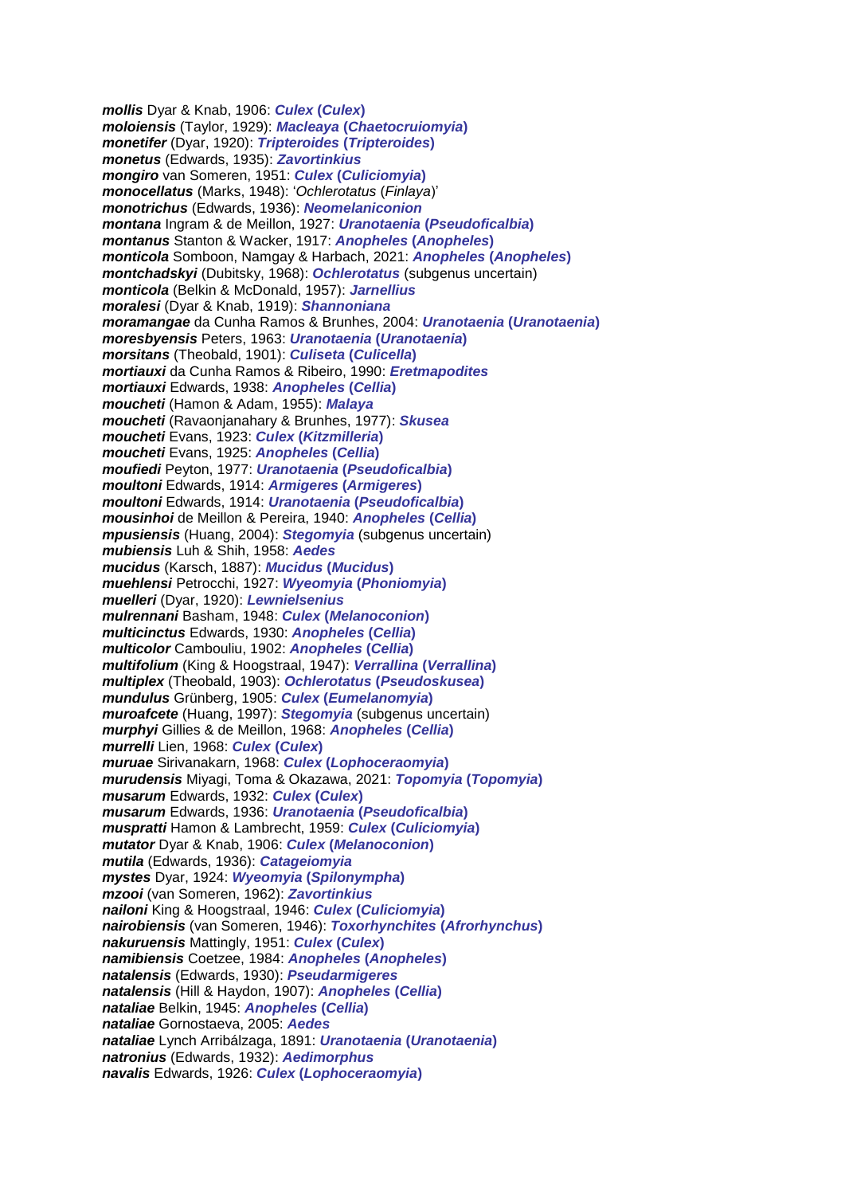*mollis* Dyar & Knab, 1906: *Culex* **(***Culex***)** *moloiensis* (Taylor, 1929): *Macleaya* **(***Chaetocruiomyia***)** *monetifer* (Dyar, 1920): *Tripteroides* **(***Tripteroides***)** *monetus* (Edwards, 1935): *Zavortinkius mongiro* van Someren, 1951: *Culex* **(***Culiciomyia***)** *monocellatus* (Marks, 1948): '*Ochlerotatus* (*Finlaya*)' *monotrichus* (Edwards, 1936): *Neomelaniconion montana* Ingram & de Meillon, 1927: *Uranotaenia* **(***Pseudoficalbia***)** *montanus* Stanton & Wacker, 1917: *Anopheles* **(***Anopheles***)** *monticola* Somboon, Namgay & Harbach, 2021: *Anopheles* **(***Anopheles***)** *montchadskyi* (Dubitsky, 1968): *Ochlerotatus* (subgenus uncertain) *monticola* (Belkin & McDonald, 1957): *Jarnellius moralesi* (Dyar & Knab, 1919): *Shannoniana moramangae* da Cunha Ramos & Brunhes, 2004: *Uranotaenia* **(***Uranotaenia***)** *moresbyensis* Peters, 1963: *Uranotaenia* **(***Uranotaenia***)** *morsitans* (Theobald, 1901): *Culiseta* **(***Culicella***)** *mortiauxi* da Cunha Ramos & Ribeiro, 1990: *Eretmapodites mortiauxi* Edwards, 1938: *Anopheles* **(***Cellia***)** *moucheti* (Hamon & Adam, 1955): *Malaya moucheti* (Ravaonjanahary & Brunhes, 1977): *Skusea moucheti* Evans, 1923: *Culex* **(***Kitzmilleria***)** *moucheti* Evans, 1925: *Anopheles* **(***Cellia***)** *moufiedi* Peyton, 1977: *Uranotaenia* **(***Pseudoficalbia***)** *moultoni* Edwards, 1914: *Armigeres* **(***Armigeres***)** *moultoni* Edwards, 1914: *Uranotaenia* **(***Pseudoficalbia***)** *mousinhoi* de Meillon & Pereira, 1940: *Anopheles* **(***Cellia***)** *mpusiensis* (Huang, 2004): *Stegomyia* (subgenus uncertain) *mubiensis* Luh & Shih, 1958: *Aedes mucidus* (Karsch, 1887): *Mucidus* **(***Mucidus***)** *muehlensi* Petrocchi, 1927: *Wyeomyia* **(***Phoniomyia***)** *muelleri* (Dyar, 1920): *Lewnielsenius mulrennani* Basham, 1948: *Culex* **(***Melanoconion***)** *multicinctus* Edwards, 1930: *Anopheles* **(***Cellia***)** *multicolor* Cambouliu, 1902: *Anopheles* **(***Cellia***)** *multifolium* (King & Hoogstraal, 1947): *Verrallina* **(***Verrallina***)** *multiplex* (Theobald, 1903): *Ochlerotatus* **(***Pseudoskusea***)** *mundulus* Grünberg, 1905: *Culex* **(***Eumelanomyia***)** *muroafcete* (Huang, 1997): *Stegomyia* (subgenus uncertain) *murphyi* Gillies & de Meillon, 1968: *Anopheles* **(***Cellia***)** *murrelli* Lien, 1968: *Culex* **(***Culex***)** *muruae* Sirivanakarn, 1968: *Culex* **(***Lophoceraomyia***)** *murudensis* Miyagi, Toma & Okazawa, 2021: *Topomyia* **(***Topomyia***)** *musarum* Edwards, 1932: *Culex* **(***Culex***)** *musarum* Edwards, 1936: *Uranotaenia* **(***Pseudoficalbia***)** *muspratti* Hamon & Lambrecht, 1959: *Culex* **(***Culiciomyia***)** *mutator* Dyar & Knab, 1906: *Culex* **(***Melanoconion***)** *mutila* (Edwards, 1936): *Catageiomyia mystes* Dyar, 1924: *Wyeomyia* **(***Spilonympha***)** *mzooi* (van Someren, 1962): *Zavortinkius nailoni* King & Hoogstraal, 1946: *Culex* **(***Culiciomyia***)** *nairobiensis* (van Someren, 1946): *Toxorhynchites* **(***Afrorhynchus***)** *nakuruensis* Mattingly, 1951: *Culex* **(***Culex***)** *namibiensis* Coetzee, 1984: *Anopheles* **(***Anopheles***)** *natalensis* (Edwards, 1930): *Pseudarmigeres natalensis* (Hill & Haydon, 1907): *Anopheles* **(***Cellia***)** *nataliae* Belkin, 1945: *Anopheles* **(***Cellia***)** *nataliae* Gornostaeva, 2005: *Aedes nataliae* Lynch Arribálzaga, 1891: *Uranotaenia* **(***Uranotaenia***)** *natronius* (Edwards, 1932): *Aedimorphus navalis* Edwards, 1926: *Culex* **(***Lophoceraomyia***)**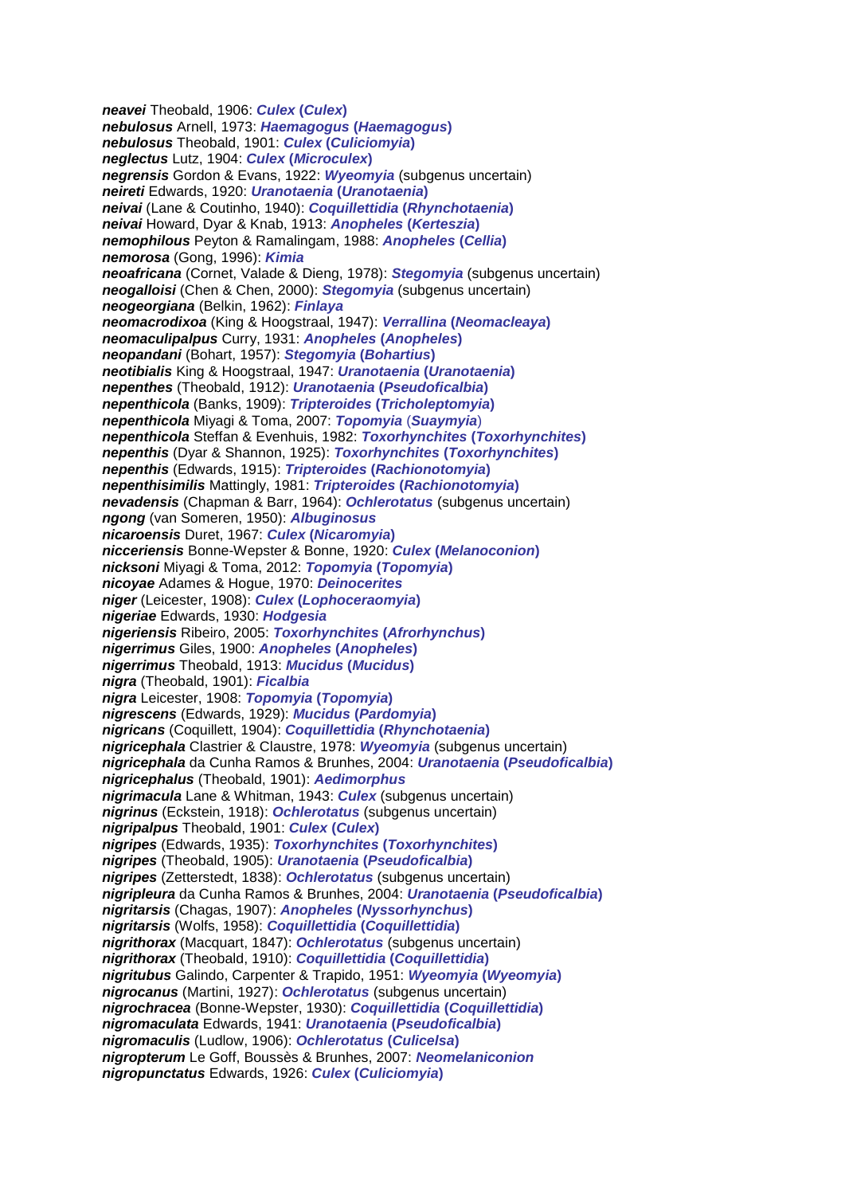*neavei* Theobald, 1906: *Culex* **(***Culex***)** *nebulosus* Arnell, 1973: *Haemagogus* **(***Haemagogus***)** *nebulosus* Theobald, 1901: *Culex* **(***Culiciomyia***)** *neglectus* Lutz, 1904: *Culex* **(***Microculex***)** *negrensis* Gordon & Evans, 1922: *Wyeomyia* (subgenus uncertain) *neireti* Edwards, 1920: *Uranotaenia* **(***Uranotaenia***)** *neivai* (Lane & Coutinho, 1940): *Coquillettidia* **(***Rhynchotaenia***)** *neivai* Howard, Dyar & Knab, 1913: *Anopheles* **(***Kerteszia***)** *nemophilous* Peyton & Ramalingam, 1988: *Anopheles* **(***Cellia***)** *nemorosa* (Gong, 1996): *Kimia neoafricana* (Cornet, Valade & Dieng, 1978): *Stegomyia* (subgenus uncertain) *neogalloisi* (Chen & Chen, 2000): *Stegomyia* (subgenus uncertain) *neogeorgiana* (Belkin, 1962): *Finlaya neomacrodixoa* (King & Hoogstraal, 1947): *Verrallina* **(***Neomacleaya***)** *neomaculipalpus* Curry, 1931: *Anopheles* **(***Anopheles***)** *neopandani* (Bohart, 1957): *Stegomyia* **(***Bohartius***)** *neotibialis* King & Hoogstraal, 1947: *Uranotaenia* **(***Uranotaenia***)** *nepenthes* (Theobald, 1912): *Uranotaenia* **(***Pseudoficalbia***)** *nepenthicola* (Banks, 1909): *Tripteroides* **(***Tricholeptomyia***)** *nepenthicola* Miyagi & Toma, 2007: *Topomyia* (*Suaymyia*) *nepenthicola* Steffan & Evenhuis, 1982: *Toxorhynchites* **(***Toxorhynchites***)** *nepenthis* (Dyar & Shannon, 1925): *Toxorhynchites* **(***Toxorhynchites***)** *nepenthis* (Edwards, 1915): *Tripteroides* **(***Rachionotomyia***)** *nepenthisimilis* Mattingly, 1981: *Tripteroides* **(***Rachionotomyia***)** *nevadensis* (Chapman & Barr, 1964): *Ochlerotatus* (subgenus uncertain) *ngong* (van Someren, 1950): *Albuginosus nicaroensis* Duret, 1967: *Culex* **(***Nicaromyia***)** *nicceriensis* Bonne-Wepster & Bonne, 1920: *Culex* **(***Melanoconion***)** *nicksoni* Miyagi & Toma, 2012: *Topomyia* **(***Topomyia***)** *nicoyae* Adames & Hogue, 1970: *Deinocerites niger* (Leicester, 1908): *Culex* **(***Lophoceraomyia***)** *nigeriae* Edwards, 1930: *Hodgesia nigeriensis* Ribeiro, 2005: *Toxorhynchites* **(***Afrorhynchus***)** *nigerrimus* Giles, 1900: *Anopheles* **(***Anopheles***)** *nigerrimus* Theobald, 1913: *Mucidus* **(***Mucidus***)** *nigra* (Theobald, 1901): *Ficalbia nigra* Leicester, 1908: *Topomyia* **(***Topomyia***)** *nigrescens* (Edwards, 1929): *Mucidus* **(***Pardomyia***)** *nigricans* (Coquillett, 1904): *Coquillettidia* **(***Rhynchotaenia***)** *nigricephala* Clastrier & Claustre, 1978: *Wyeomyia* (subgenus uncertain) *nigricephala* da Cunha Ramos & Brunhes, 2004: *Uranotaenia* **(***Pseudoficalbia***)** *nigricephalus* (Theobald, 1901): *Aedimorphus nigrimacula* Lane & Whitman, 1943: *Culex* (subgenus uncertain) *nigrinus* (Eckstein, 1918): *Ochlerotatus* (subgenus uncertain) *nigripalpus* Theobald, 1901: *Culex* **(***Culex***)** *nigripes* (Edwards, 1935): *Toxorhynchites* **(***Toxorhynchites***)** *nigripes* (Theobald, 1905): *Uranotaenia* **(***Pseudoficalbia***)** *nigripes* (Zetterstedt, 1838): *Ochlerotatus* (subgenus uncertain) *nigripleura* da Cunha Ramos & Brunhes, 2004: *Uranotaenia* **(***Pseudoficalbia***)** *nigritarsis* (Chagas, 1907): *Anopheles* **(***Nyssorhynchus***)** *nigritarsis* (Wolfs, 1958): *Coquillettidia* **(***Coquillettidia***)** *nigrithorax* (Macquart, 1847): *Ochlerotatus* (subgenus uncertain) *nigrithorax* (Theobald, 1910): *Coquillettidia* **(***Coquillettidia***)** *nigritubus* Galindo, Carpenter & Trapido, 1951: *Wyeomyia* **(***Wyeomyia***)** *nigrocanus* (Martini, 1927): *Ochlerotatus* (subgenus uncertain) *nigrochracea* (Bonne-Wepster, 1930): *Coquillettidia* **(***Coquillettidia***)** *nigromaculata* Edwards, 1941: *Uranotaenia* **(***Pseudoficalbia***)** *nigromaculis* (Ludlow, 1906): *Ochlerotatus* **(***Culicelsa***)** *nigropterum* Le Goff, Boussès & Brunhes, 2007: *Neomelaniconion nigropunctatus* Edwards, 1926: *Culex* **(***Culiciomyia***)**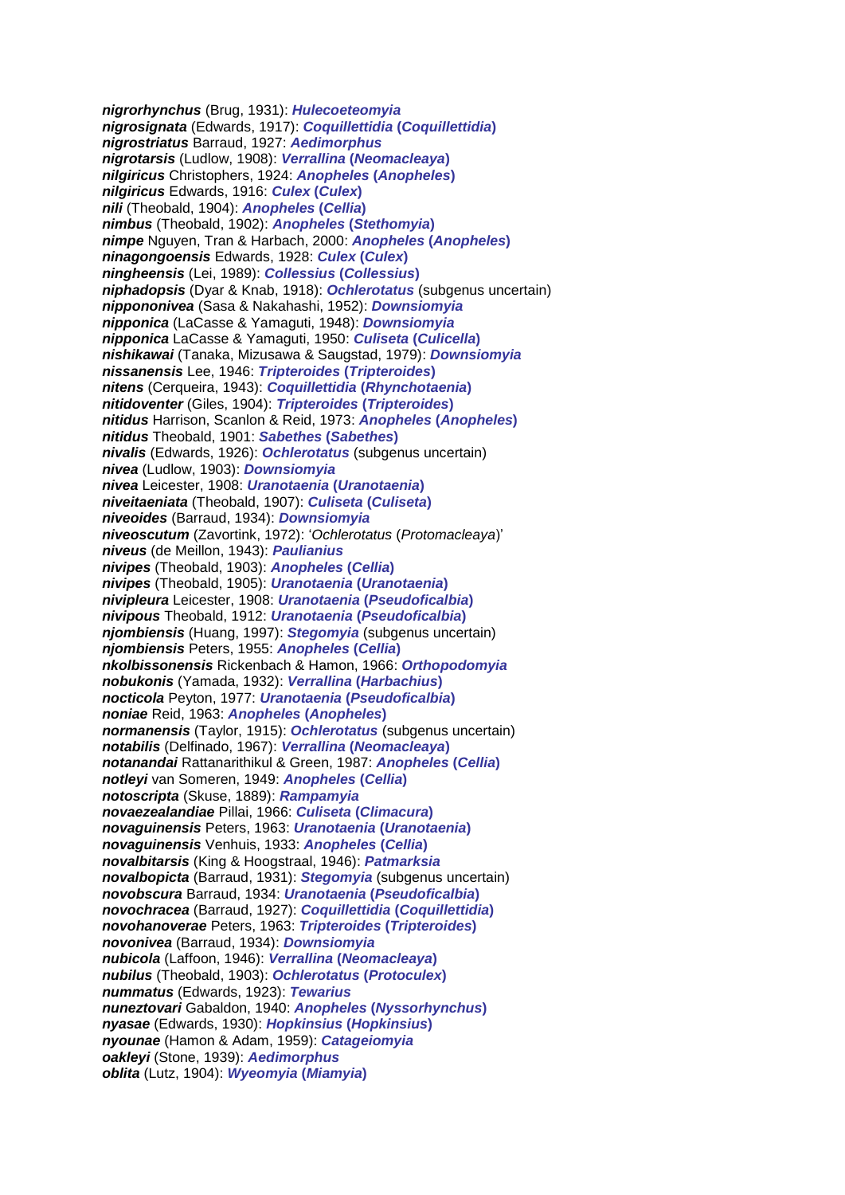*nigrorhynchus* (Brug, 1931): *Hulecoeteomyia nigrosignata* (Edwards, 1917): *Coquillettidia* **(***Coquillettidia***)** *nigrostriatus* Barraud, 1927: *Aedimorphus nigrotarsis* (Ludlow, 1908): *Verrallina* **(***Neomacleaya***)** *nilgiricus* Christophers, 1924: *Anopheles* **(***Anopheles***)** *nilgiricus* Edwards, 1916: *Culex* **(***Culex***)** *nili* (Theobald, 1904): *Anopheles* **(***Cellia***)** *nimbus* (Theobald, 1902): *Anopheles* **(***Stethomyia***)** *nimpe* Nguyen, Tran & Harbach, 2000: *Anopheles* **(***Anopheles***)** *ninagongoensis* Edwards, 1928: *Culex* **(***Culex***)** *ningheensis* (Lei, 1989): *Collessius* **(***Collessius***)** *niphadopsis* (Dyar & Knab, 1918): *Ochlerotatus* (subgenus uncertain) *nippononivea* (Sasa & Nakahashi, 1952): *Downsiomyia nipponica* (LaCasse & Yamaguti, 1948): *Downsiomyia nipponica* LaCasse & Yamaguti, 1950: *Culiseta* **(***Culicella***)** *nishikawai* (Tanaka, Mizusawa & Saugstad, 1979): *Downsiomyia nissanensis* Lee, 1946: *Tripteroides* **(***Tripteroides***)** *nitens* (Cerqueira, 1943): *Coquillettidia* **(***Rhynchotaenia***)** *nitidoventer* (Giles, 1904): *Tripteroides* **(***Tripteroides***)** *nitidus* Harrison, Scanlon & Reid, 1973: *Anopheles* **(***Anopheles***)** *nitidus* Theobald, 1901: *Sabethes* **(***Sabethes***)** *nivalis* (Edwards, 1926): *Ochlerotatus* (subgenus uncertain) *nivea* (Ludlow, 1903): *Downsiomyia nivea* Leicester, 1908: *Uranotaenia* **(***Uranotaenia***)** *niveitaeniata* (Theobald, 1907): *Culiseta* **(***Culiseta***)** *niveoides* (Barraud, 1934): *Downsiomyia niveoscutum* (Zavortink, 1972): '*Ochlerotatus* (*Protomacleaya*)' *niveus* (de Meillon, 1943): *Paulianius nivipes* (Theobald, 1903): *Anopheles* **(***Cellia***)** *nivipes* (Theobald, 1905): *Uranotaenia* **(***Uranotaenia***)** *nivipleura* Leicester, 1908: *Uranotaenia* **(***Pseudoficalbia***)** *nivipous* Theobald, 1912: *Uranotaenia* **(***Pseudoficalbia***)** *njombiensis* (Huang, 1997): *Stegomyia* (subgenus uncertain) *njombiensis* Peters, 1955: *Anopheles* **(***Cellia***)** *nkolbissonensis* Rickenbach & Hamon, 1966: *Orthopodomyia nobukonis* (Yamada, 1932): *Verrallina* **(***Harbachius***)** *nocticola* Peyton, 1977: *Uranotaenia* **(***Pseudoficalbia***)** *noniae* Reid, 1963: *Anopheles* **(***Anopheles***)** *normanensis* (Taylor, 1915): *Ochlerotatus* (subgenus uncertain) *notabilis* (Delfinado, 1967): *Verrallina* **(***Neomacleaya***)** *notanandai* Rattanarithikul & Green, 1987: *Anopheles* **(***Cellia***)** *notleyi* van Someren, 1949: *Anopheles* **(***Cellia***)** *notoscripta* (Skuse, 1889): *Rampamyia novaezealandiae* Pillai, 1966: *Culiseta* **(***Climacura***)** *novaguinensis* Peters, 1963: *Uranotaenia* **(***Uranotaenia***)** *novaguinensis* Venhuis, 1933: *Anopheles* **(***Cellia***)** *novalbitarsis* (King & Hoogstraal, 1946): *Patmarksia novalbopicta* (Barraud, 1931): *Stegomyia* (subgenus uncertain) *novobscura* Barraud, 1934: *Uranotaenia* **(***Pseudoficalbia***)** *novochracea* (Barraud, 1927): *Coquillettidia* **(***Coquillettidia***)** *novohanoverae* Peters, 1963: *Tripteroides* **(***Tripteroides***)** *novonivea* (Barraud, 1934): *Downsiomyia nubicola* (Laffoon, 1946): *Verrallina* **(***Neomacleaya***)** *nubilus* (Theobald, 1903): *Ochlerotatus* **(***Protoculex***)** *nummatus* (Edwards, 1923): *Tewarius nuneztovari* Gabaldon, 1940: *Anopheles* **(***Nyssorhynchus***)** *nyasae* (Edwards, 1930): *Hopkinsius* **(***Hopkinsius***)** *nyounae* (Hamon & Adam, 1959): *Catageiomyia oakleyi* (Stone, 1939): *Aedimorphus oblita* (Lutz, 1904): *Wyeomyia* **(***Miamyia***)**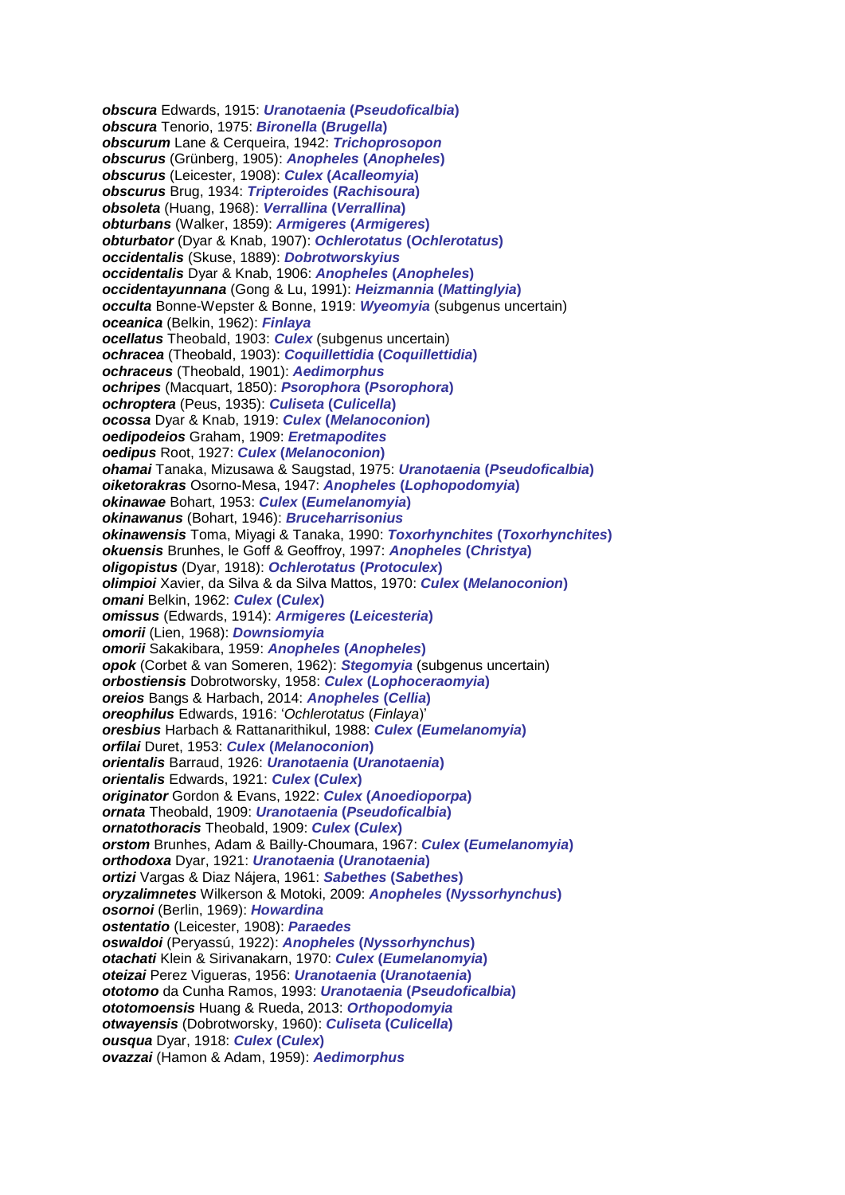*obscura* Edwards, 1915: *Uranotaenia* **(***Pseudoficalbia***)** *obscura* Tenorio, 1975: *Bironella* **(***Brugella***)** *obscurum* Lane & Cerqueira, 1942: *Trichoprosopon obscurus* (Grünberg, 1905): *Anopheles* **(***Anopheles***)** *obscurus* (Leicester, 1908): *Culex* **(***Acalleomyia***)** *obscurus* Brug, 1934: *Tripteroides* **(***Rachisoura***)** *obsoleta* (Huang, 1968): *Verrallina* **(***Verrallina***)** *obturbans* (Walker, 1859): *Armigeres* **(***Armigeres***)** *obturbator* (Dyar & Knab, 1907): *Ochlerotatus* **(***Ochlerotatus***)** *occidentalis* (Skuse, 1889): *Dobrotworskyius occidentalis* Dyar & Knab, 1906: *Anopheles* **(***Anopheles***)** *occidentayunnana* (Gong & Lu, 1991): *Heizmannia* **(***Mattinglyia***)** *occulta* Bonne-Wepster & Bonne, 1919: *Wyeomyia* (subgenus uncertain) *oceanica* (Belkin, 1962): *Finlaya ocellatus* Theobald, 1903: *Culex* (subgenus uncertain) *ochracea* (Theobald, 1903): *Coquillettidia* **(***Coquillettidia***)** *ochraceus* (Theobald, 1901): *Aedimorphus ochripes* (Macquart, 1850): *Psorophora* **(***Psorophora***)** *ochroptera* (Peus, 1935): *Culiseta* **(***Culicella***)** *ocossa* Dyar & Knab, 1919: *Culex* **(***Melanoconion***)** *oedipodeios* Graham, 1909: *Eretmapodites oedipus* Root, 1927: *Culex* **(***Melanoconion***)** *ohamai* Tanaka, Mizusawa & Saugstad, 1975: *Uranotaenia* **(***Pseudoficalbia***)** *oiketorakras* Osorno-Mesa, 1947: *Anopheles* **(***Lophopodomyia***)** *okinawae* Bohart, 1953: *Culex* **(***Eumelanomyia***)** *okinawanus* (Bohart, 1946): *Bruceharrisonius okinawensis* Toma, Miyagi & Tanaka, 1990: *Toxorhynchites* **(***Toxorhynchites***)** *okuensis* Brunhes, le Goff & Geoffroy, 1997: *Anopheles* **(***Christya***)** *oligopistus* (Dyar, 1918): *Ochlerotatus* **(***Protoculex***)** *olimpioi* Xavier, da Silva & da Silva Mattos, 1970: *Culex* **(***Melanoconion***)** *omani* Belkin, 1962: *Culex* **(***Culex***)** *omissus* (Edwards, 1914): *Armigeres* **(***Leicesteria***)** *omorii* (Lien, 1968): *Downsiomyia omorii* Sakakibara, 1959: *Anopheles* **(***Anopheles***)** *opok* (Corbet & van Someren, 1962): *Stegomyia* (subgenus uncertain) *orbostiensis* Dobrotworsky, 1958: *Culex* **(***Lophoceraomyia***)** *oreios* Bangs & Harbach, 2014: *Anopheles* **(***Cellia***)** *oreophilus* Edwards, 1916: '*Ochlerotatus* (*Finlaya*)' *oresbius* Harbach & Rattanarithikul, 1988: *Culex* **(***Eumelanomyia***)** *orfilai* Duret, 1953: *Culex* **(***Melanoconion***)** *orientalis* Barraud, 1926: *Uranotaenia* **(***Uranotaenia***)** *orientalis* Edwards, 1921: *Culex* **(***Culex***)** *originator* Gordon & Evans, 1922: *Culex* **(***Anoedioporpa***)** *ornata* Theobald, 1909: *Uranotaenia* **(***Pseudoficalbia***)** *ornatothoracis* Theobald, 1909: *Culex* **(***Culex***)** *orstom* Brunhes, Adam & Bailly-Choumara, 1967: *Culex* **(***Eumelanomyia***)** *orthodoxa* Dyar, 1921: *Uranotaenia* **(***Uranotaenia***)** *ortizi* Vargas & Diaz Nájera, 1961: *Sabethes* **(***Sabethes***)** *oryzalimnetes* Wilkerson & Motoki, 2009: *Anopheles* **(***Nyssorhynchus***)** *osornoi* (Berlin, 1969): *Howardina ostentatio* (Leicester, 1908): *Paraedes oswaldoi* (Peryassú, 1922): *Anopheles* **(***Nyssorhynchus***)** *otachati* Klein & Sirivanakarn, 1970: *Culex* **(***Eumelanomyia***)** *oteizai* Perez Vigueras, 1956: *Uranotaenia* **(***Uranotaenia***)** *ototomo* da Cunha Ramos, 1993: *Uranotaenia* **(***Pseudoficalbia***)** *ototomoensis* Huang & Rueda, 2013: *Orthopodomyia otwayensis* (Dobrotworsky, 1960): *Culiseta* **(***Culicella***)** *ousqua* Dyar, 1918: *Culex* **(***Culex***)** *ovazzai* (Hamon & Adam, 1959): *Aedimorphus*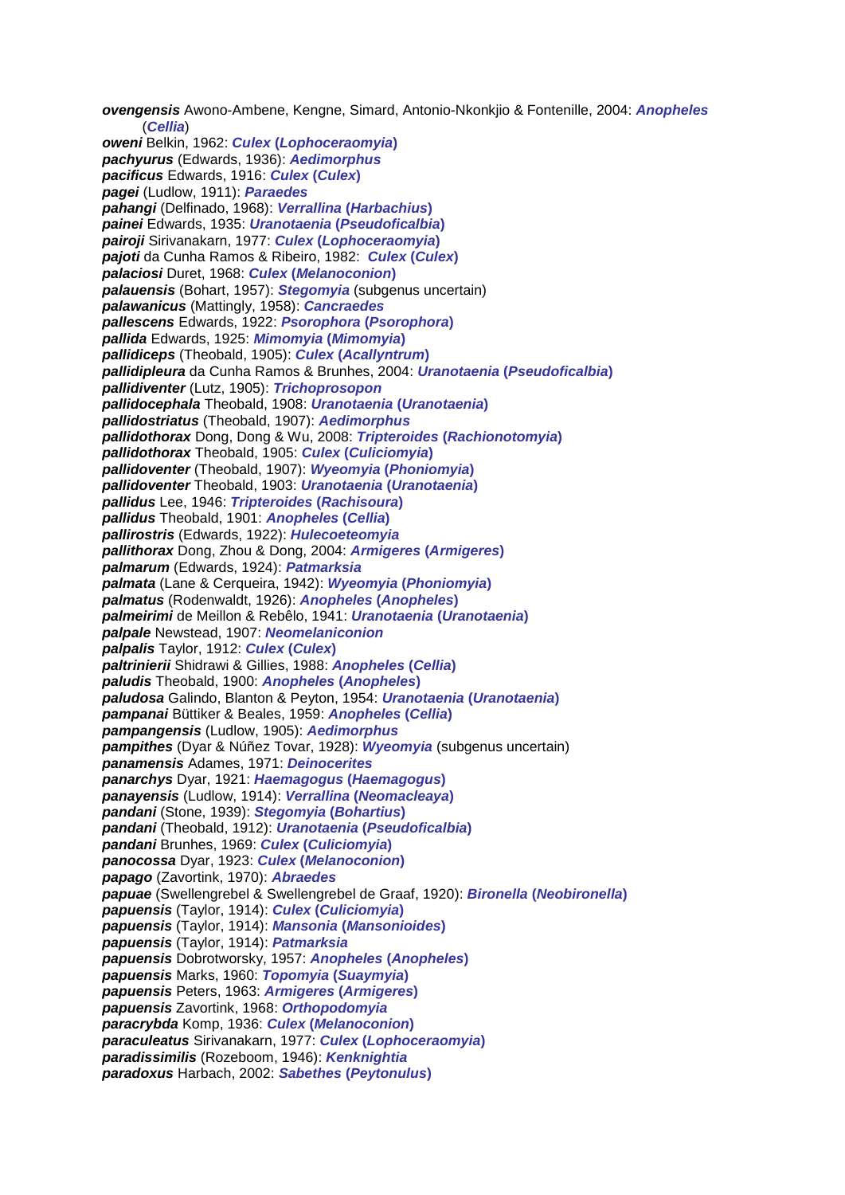(*Cellia*) *oweni* Belkin, 1962: *Culex* **(***Lophoceraomyia***)** *pachyurus* (Edwards, 1936): *Aedimorphus pacificus* Edwards, 1916: *Culex* **(***Culex***)** *pagei* (Ludlow, 1911): *Paraedes pahangi* (Delfinado, 1968): *Verrallina* **(***Harbachius***)** *painei* Edwards, 1935: *Uranotaenia* **(***Pseudoficalbia***)** *pairoji* Sirivanakarn, 1977: *Culex* **(***Lophoceraomyia***)** *pajoti* da Cunha Ramos & Ribeiro, 1982: *Culex* **(***Culex***)** *palaciosi* Duret, 1968: *Culex* **(***Melanoconion***)** *palauensis* (Bohart, 1957): *Stegomyia* (subgenus uncertain) *palawanicus* (Mattingly, 1958): *Cancraedes pallescens* Edwards, 1922: *Psorophora* **(***Psorophora***)** *pallida* Edwards, 1925: *Mimomyia* **(***Mimomyia***)** *pallidiceps* (Theobald, 1905): *Culex* **(***Acallyntrum***)** *pallidipleura* da Cunha Ramos & Brunhes, 2004: *Uranotaenia* **(***Pseudoficalbia***)** *pallidiventer* (Lutz, 1905): *Trichoprosopon pallidocephala* Theobald, 1908: *Uranotaenia* **(***Uranotaenia***)** *pallidostriatus* (Theobald, 1907): *Aedimorphus pallidothorax* Dong, Dong & Wu, 2008: *Tripteroides* **(***Rachionotomyia***)** *pallidothorax* Theobald, 1905: *Culex* **(***Culiciomyia***)** *pallidoventer* (Theobald, 1907): *Wyeomyia* **(***Phoniomyia***)** *pallidoventer* Theobald, 1903: *Uranotaenia* **(***Uranotaenia***)** *pallidus* Lee, 1946: *Tripteroides* **(***Rachisoura***)** *pallidus* Theobald, 1901: *Anopheles* **(***Cellia***)** *pallirostris* (Edwards, 1922): *Hulecoeteomyia pallithorax* Dong, Zhou & Dong, 2004: *Armigeres* **(***Armigeres***)** *palmarum* (Edwards, 1924): *Patmarksia palmata* (Lane & Cerqueira, 1942): *Wyeomyia* **(***Phoniomyia***)** *palmatus* (Rodenwaldt, 1926): *Anopheles* **(***Anopheles***)** *palmeirimi* de Meillon & Rebêlo, 1941: *Uranotaenia* **(***Uranotaenia***)** *palpale* Newstead, 1907: *Neomelaniconion palpalis* Taylor, 1912: *Culex* **(***Culex***)** *paltrinierii* Shidrawi & Gillies, 1988: *Anopheles* **(***Cellia***)** *paludis* Theobald, 1900: *Anopheles* **(***Anopheles***)** *paludosa* Galindo, Blanton & Peyton, 1954: *Uranotaenia* **(***Uranotaenia***)** *pampanai* Büttiker & Beales, 1959: *Anopheles* **(***Cellia***)** *pampangensis* (Ludlow, 1905): *Aedimorphus pampithes* (Dyar & Núñez Tovar, 1928): *Wyeomyia* (subgenus uncertain) *panamensis* Adames, 1971: *Deinocerites panarchys* Dyar, 1921: *Haemagogus* **(***Haemagogus***)** *panayensis* (Ludlow, 1914): *Verrallina* **(***Neomacleaya***)** *pandani* (Stone, 1939): *Stegomyia* **(***Bohartius***)** *pandani* (Theobald, 1912): *Uranotaenia* **(***Pseudoficalbia***)** *pandani* Brunhes, 1969: *Culex* **(***Culiciomyia***)** *panocossa* Dyar, 1923: *Culex* **(***Melanoconion***)** *papago* (Zavortink, 1970): *Abraedes papuae* (Swellengrebel & Swellengrebel de Graaf, 1920): *Bironella* **(***Neobironella***)** *papuensis* (Taylor, 1914): *Culex* **(***Culiciomyia***)** *papuensis* (Taylor, 1914): *Mansonia* **(***Mansonioides***)** *papuensis* (Taylor, 1914): *Patmarksia papuensis* Dobrotworsky, 1957: *Anopheles* **(***Anopheles***)** *papuensis* Marks, 1960: *Topomyia* **(***Suaymyia***)** *papuensis* Peters, 1963: *Armigeres* **(***Armigeres***)** *papuensis* Zavortink, 1968: *Orthopodomyia paracrybda* Komp, 1936: *Culex* **(***Melanoconion***)** *paraculeatus* Sirivanakarn, 1977: *Culex* **(***Lophoceraomyia***)** *paradissimilis* (Rozeboom, 1946): *Kenknightia paradoxus* Harbach, 2002: *Sabethes* **(***Peytonulus***)**

*ovengensis* Awono-Ambene, Kengne, Simard, Antonio-Nkonkjio & Fontenille, 2004: *Anopheles*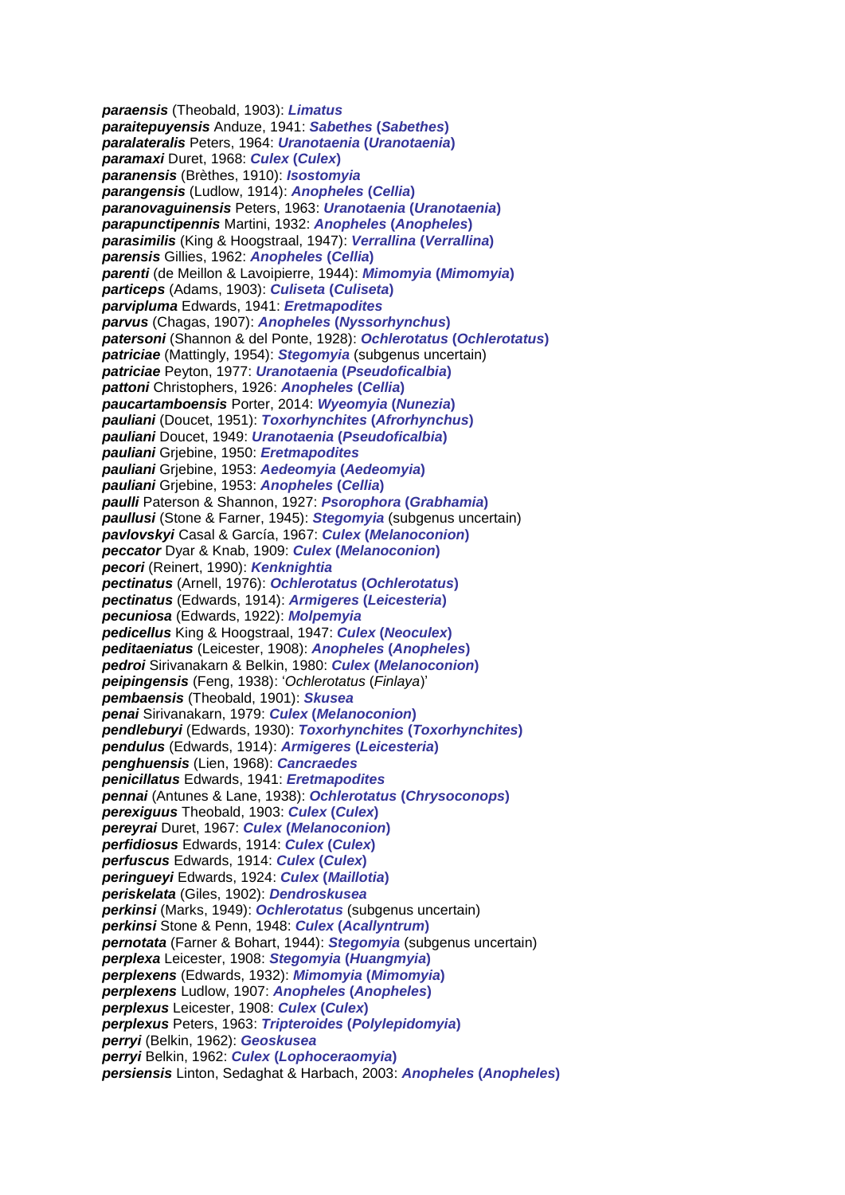*paraensis* (Theobald, 1903): *Limatus paraitepuyensis* Anduze, 1941: *Sabethes* **(***Sabethes***)** *paralateralis* Peters, 1964: *Uranotaenia* **(***Uranotaenia***)** *paramaxi* Duret, 1968: *Culex* **(***Culex***)** *paranensis* (Brèthes, 1910): *Isostomyia parangensis* (Ludlow, 1914): *Anopheles* **(***Cellia***)** *paranovaguinensis* Peters, 1963: *Uranotaenia* **(***Uranotaenia***)** *parapunctipennis* Martini, 1932: *Anopheles* **(***Anopheles***)** *parasimilis* (King & Hoogstraal, 1947): *Verrallina* **(***Verrallina***)** *parensis* Gillies, 1962: *Anopheles* **(***Cellia***)** *parenti* (de Meillon & Lavoipierre, 1944): *Mimomyia* **(***Mimomyia***)** *particeps* (Adams, 1903): *Culiseta* **(***Culiseta***)** *parvipluma* Edwards, 1941: *Eretmapodites parvus* (Chagas, 1907): *Anopheles* **(***Nyssorhynchus***)** *patersoni* (Shannon & del Ponte, 1928): *Ochlerotatus* **(***Ochlerotatus***)** *patriciae* (Mattingly, 1954): *Stegomyia* (subgenus uncertain) *patriciae* Peyton, 1977: *Uranotaenia* **(***Pseudoficalbia***)** *pattoni* Christophers, 1926: *Anopheles* **(***Cellia***)** *paucartamboensis* Porter, 2014: *Wyeomyia* **(***Nunezia***)** *pauliani* (Doucet, 1951): *Toxorhynchites* **(***Afrorhynchus***)** *pauliani* Doucet, 1949: *Uranotaenia* **(***Pseudoficalbia***)** *pauliani* Grjebine, 1950: *Eretmapodites pauliani* Grjebine, 1953: *Aedeomyia* **(***Aedeomyia***)** *pauliani* Grjebine, 1953: *Anopheles* **(***Cellia***)** *paulli* Paterson & Shannon, 1927: *Psorophora* **(***Grabhamia***)** *paullusi* (Stone & Farner, 1945): *Stegomyia* (subgenus uncertain) *pavlovskyi* Casal & García, 1967: *Culex* **(***Melanoconion***)** *peccator* Dyar & Knab, 1909: *Culex* **(***Melanoconion***)** *pecori* (Reinert, 1990): *Kenknightia pectinatus* (Arnell, 1976): *Ochlerotatus* **(***Ochlerotatus***)** *pectinatus* (Edwards, 1914): *Armigeres* **(***Leicesteria***)** *pecuniosa* (Edwards, 1922): *Molpemyia pedicellus* King & Hoogstraal, 1947: *Culex* **(***Neoculex***)** *peditaeniatus* (Leicester, 1908): *Anopheles* **(***Anopheles***)** *pedroi* Sirivanakarn & Belkin, 1980: *Culex* **(***Melanoconion***)** *peipingensis* (Feng, 1938): '*Ochlerotatus* (*Finlaya*)' *pembaensis* (Theobald, 1901): *Skusea penai* Sirivanakarn, 1979: *Culex* **(***Melanoconion***)** *pendleburyi* (Edwards, 1930): *Toxorhynchites* **(***Toxorhynchites***)** *pendulus* (Edwards, 1914): *Armigeres* **(***Leicesteria***)** *penghuensis* (Lien, 1968): *Cancraedes penicillatus* Edwards, 1941: *Eretmapodites pennai* (Antunes & Lane, 1938): *Ochlerotatus* **(***Chrysoconops***)** *perexiguus* Theobald, 1903: *Culex* **(***Culex***)** *pereyrai* Duret, 1967: *Culex* **(***Melanoconion***)** *perfidiosus* Edwards, 1914: *Culex* **(***Culex***)** *perfuscus* Edwards, 1914: *Culex* **(***Culex***)** *peringueyi* Edwards, 1924: *Culex* **(***Maillotia***)** *periskelata* (Giles, 1902): *Dendroskusea perkinsi* (Marks, 1949): *Ochlerotatus* (subgenus uncertain) *perkinsi* Stone & Penn, 1948: *Culex* **(***Acallyntrum***)** *pernotata* (Farner & Bohart, 1944): *Stegomyia* (subgenus uncertain) *perplexa* Leicester, 1908: *Stegomyia* **(***Huangmyia***)** *perplexens* (Edwards, 1932): *Mimomyia* **(***Mimomyia***)** *perplexens* Ludlow, 1907: *Anopheles* **(***Anopheles***)** *perplexus* Leicester, 1908: *Culex* **(***Culex***)** *perplexus* Peters, 1963: *Tripteroides* **(***Polylepidomyia***)** *perryi* (Belkin, 1962): *Geoskusea perryi* Belkin, 1962: *Culex* **(***Lophoceraomyia***)** *persiensis* Linton, Sedaghat & Harbach, 2003: *Anopheles* **(***Anopheles***)**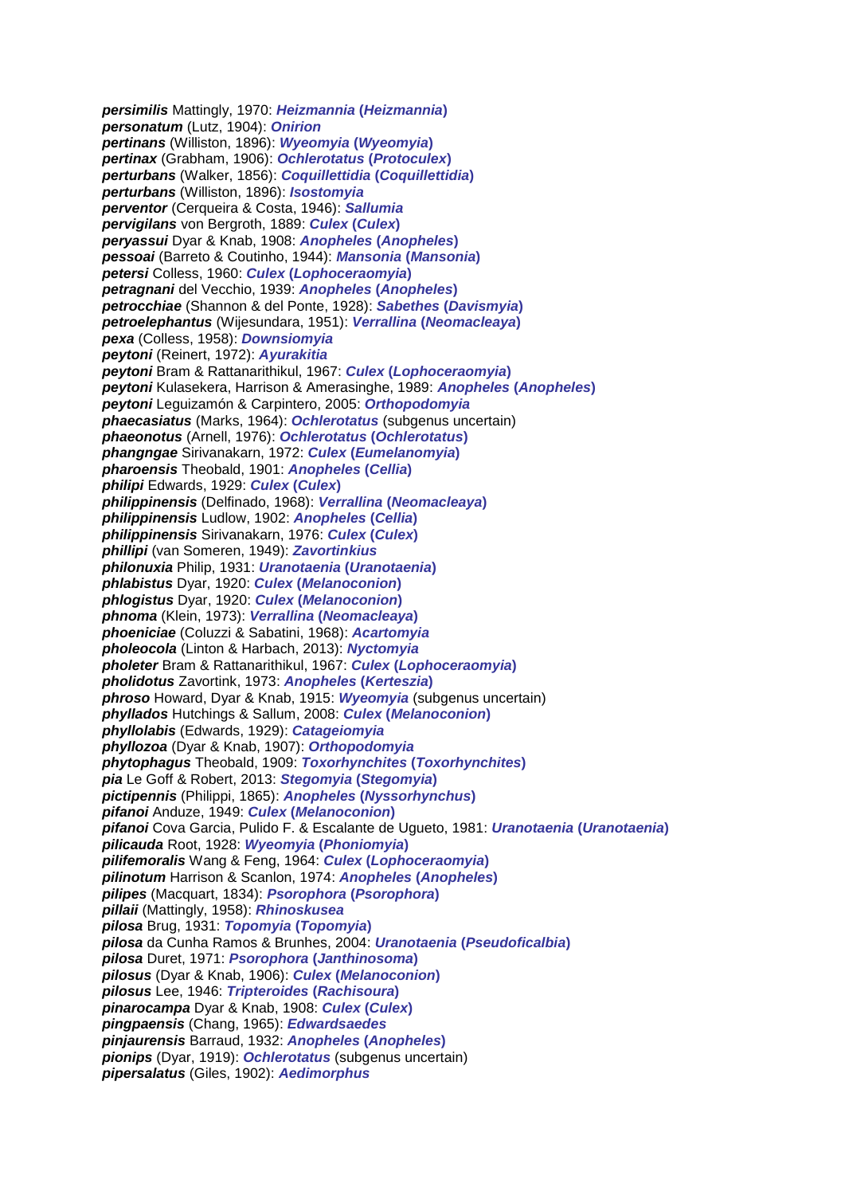*persimilis* Mattingly, 1970: *Heizmannia* **(***Heizmannia***)** *personatum* (Lutz, 1904): *Onirion pertinans* (Williston, 1896): *Wyeomyia* **(***Wyeomyia***)** *pertinax* (Grabham, 1906): *Ochlerotatus* **(***Protoculex***)** *perturbans* (Walker, 1856): *Coquillettidia* **(***Coquillettidia***)** *perturbans* (Williston, 1896): *Isostomyia perventor* (Cerqueira & Costa, 1946): *Sallumia pervigilans* von Bergroth, 1889: *Culex* **(***Culex***)** *peryassui* Dyar & Knab, 1908: *Anopheles* **(***Anopheles***)** *pessoai* (Barreto & Coutinho, 1944): *Mansonia* **(***Mansonia***)** *petersi* Colless, 1960: *Culex* **(***Lophoceraomyia***)** *petragnani* del Vecchio, 1939: *Anopheles* **(***Anopheles***)** *petrocchiae* (Shannon & del Ponte, 1928): *Sabethes* **(***Davismyia***)** *petroelephantus* (Wijesundara, 1951): *Verrallina* **(***Neomacleaya***)** *pexa* (Colless, 1958): *Downsiomyia peytoni* (Reinert, 1972): *Ayurakitia peytoni* Bram & Rattanarithikul, 1967: *Culex* **(***Lophoceraomyia***)** *peytoni* Kulasekera, Harrison & Amerasinghe, 1989: *Anopheles* **(***Anopheles***)** *peytoni* Leguizamón & Carpintero, 2005: *Orthopodomyia phaecasiatus* (Marks, 1964): *Ochlerotatus* (subgenus uncertain) *phaeonotus* (Arnell, 1976): *Ochlerotatus* **(***Ochlerotatus***)** *phangngae* Sirivanakarn, 1972: *Culex* **(***Eumelanomyia***)** *pharoensis* Theobald, 1901: *Anopheles* **(***Cellia***)** *philipi* Edwards, 1929: *Culex* **(***Culex***)** *philippinensis* (Delfinado, 1968): *Verrallina* **(***Neomacleaya***)** *philippinensis* Ludlow, 1902: *Anopheles* **(***Cellia***)** *philippinensis* Sirivanakarn, 1976: *Culex* **(***Culex***)** *phillipi* (van Someren, 1949): *Zavortinkius philonuxia* Philip, 1931: *Uranotaenia* **(***Uranotaenia***)** *phlabistus* Dyar, 1920: *Culex* **(***Melanoconion***)** *phlogistus* Dyar, 1920: *Culex* **(***Melanoconion***)** *phnoma* (Klein, 1973): *Verrallina* **(***Neomacleaya***)** *phoeniciae* (Coluzzi & Sabatini, 1968): *Acartomyia pholeocola* (Linton & Harbach, 2013): *Nyctomyia pholeter* Bram & Rattanarithikul, 1967: *Culex* **(***Lophoceraomyia***)** *pholidotus* Zavortink, 1973: *Anopheles* **(***Kerteszia***)** *phroso* Howard, Dyar & Knab, 1915: *Wyeomyia* (subgenus uncertain) *phyllados* Hutchings & Sallum, 2008: *Culex* **(***Melanoconion***)** *phyllolabis* (Edwards, 1929): *Catageiomyia phyllozoa* (Dyar & Knab, 1907): *Orthopodomyia phytophagus* Theobald, 1909: *Toxorhynchites* **(***Toxorhynchites***)** *pia* Le Goff & Robert, 2013: *Stegomyia* **(***Stegomyia***)** *pictipennis* (Philippi, 1865): *Anopheles* **(***Nyssorhynchus***)** *pifanoi* Anduze, 1949: *Culex* **(***Melanoconion***)** *pifanoi* Cova Garcia, Pulido F. & Escalante de Ugueto, 1981: *Uranotaenia* **(***Uranotaenia***)** *pilicauda* Root, 1928: *Wyeomyia* **(***Phoniomyia***)** *pilifemoralis* Wang & Feng, 1964: *Culex* **(***Lophoceraomyia***)** *pilinotum* Harrison & Scanlon, 1974: *Anopheles* **(***Anopheles***)** *pilipes* (Macquart, 1834): *Psorophora* **(***Psorophora***)** *pillaii* (Mattingly, 1958): *Rhinoskusea pilosa* Brug, 1931: *Topomyia* **(***Topomyia***)** *pilosa* da Cunha Ramos & Brunhes, 2004: *Uranotaenia* **(***Pseudoficalbia***)** *pilosa* Duret, 1971: *Psorophora* **(***Janthinosoma***)** *pilosus* (Dyar & Knab, 1906): *Culex* **(***Melanoconion***)** *pilosus* Lee, 1946: *Tripteroides* **(***Rachisoura***)** *pinarocampa* Dyar & Knab, 1908: *Culex* **(***Culex***)** *pingpaensis* (Chang, 1965): *Edwardsaedes pinjaurensis* Barraud, 1932: *Anopheles* **(***Anopheles***)** *pionips* (Dyar, 1919): *Ochlerotatus* (subgenus uncertain) *pipersalatus* (Giles, 1902): *Aedimorphus*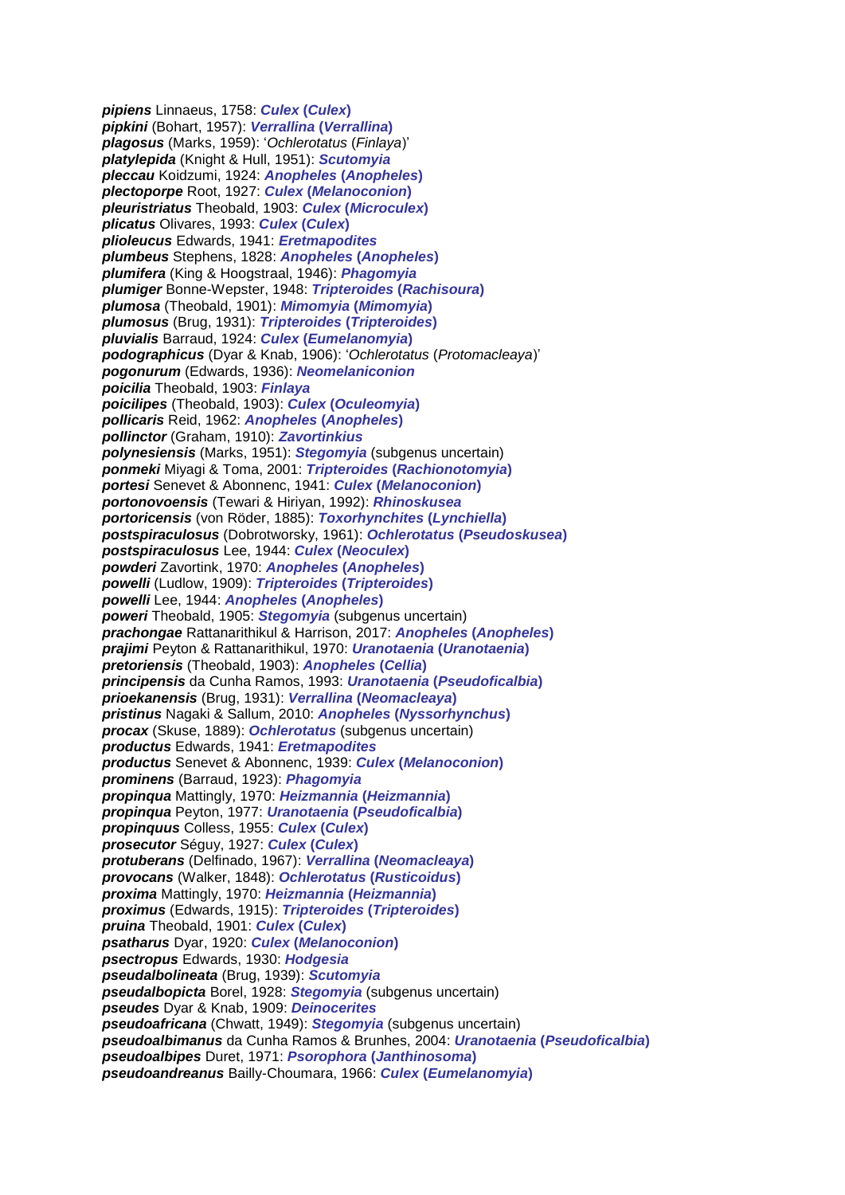*pipiens* Linnaeus, 1758: *Culex* **(***Culex***)** *pipkini* (Bohart, 1957): *Verrallina* **(***Verrallina***)** *plagosus* (Marks, 1959): '*Ochlerotatus* (*Finlaya*)' *platylepida* (Knight & Hull, 1951): *Scutomyia pleccau* Koidzumi, 1924: *Anopheles* **(***Anopheles***)** *plectoporpe* Root, 1927: *Culex* **(***Melanoconion***)** *pleuristriatus* Theobald, 1903: *Culex* **(***Microculex***)** *plicatus* Olivares, 1993: *Culex* **(***Culex***)** *plioleucus* Edwards, 1941: *Eretmapodites plumbeus* Stephens, 1828: *Anopheles* **(***Anopheles***)** *plumifera* (King & Hoogstraal, 1946): *Phagomyia plumiger* Bonne-Wepster, 1948: *Tripteroides* **(***Rachisoura***)** *plumosa* (Theobald, 1901): *Mimomyia* **(***Mimomyia***)** *plumosus* (Brug, 1931): *Tripteroides* **(***Tripteroides***)** *pluvialis* Barraud, 1924: *Culex* **(***Eumelanomyia***)** *podographicus* (Dyar & Knab, 1906): '*Ochlerotatus* (*Protomacleaya*)' *pogonurum* (Edwards, 1936): *Neomelaniconion poicilia* Theobald, 1903: *Finlaya poicilipes* (Theobald, 1903): *Culex* **(***Oculeomyia***)** *pollicaris* Reid, 1962: *Anopheles* **(***Anopheles***)** *pollinctor* (Graham, 1910): *Zavortinkius polynesiensis* (Marks, 1951): *Stegomyia* (subgenus uncertain) *ponmeki* Miyagi & Toma, 2001: *Tripteroides* **(***Rachionotomyia***)** *portesi* Senevet & Abonnenc, 1941: *Culex* **(***Melanoconion***)** *portonovoensis* (Tewari & Hiriyan, 1992): *Rhinoskusea portoricensis* (von Röder, 1885): *Toxorhynchites* **(***Lynchiella***)** *postspiraculosus* (Dobrotworsky, 1961): *Ochlerotatus* **(***Pseudoskusea***)** *postspiraculosus* Lee, 1944: *Culex* **(***Neoculex***)** *powderi* Zavortink, 1970: *Anopheles* **(***Anopheles***)** *powelli* (Ludlow, 1909): *Tripteroides* **(***Tripteroides***)** *powelli* Lee, 1944: *Anopheles* **(***Anopheles***)** *poweri* Theobald, 1905: *Stegomyia* (subgenus uncertain) *prachongae* Rattanarithikul & Harrison, 2017: *Anopheles* **(***Anopheles***)** *prajimi* Peyton & Rattanarithikul, 1970: *Uranotaenia* **(***Uranotaenia***)** *pretoriensis* (Theobald, 1903): *Anopheles* **(***Cellia***)** *principensis* da Cunha Ramos, 1993: *Uranotaenia* **(***Pseudoficalbia***)** *prioekanensis* (Brug, 1931): *Verrallina* **(***Neomacleaya***)** *pristinus* Nagaki & Sallum, 2010: *Anopheles* **(***Nyssorhynchus***)** *procax* (Skuse, 1889): *Ochlerotatus* (subgenus uncertain) *productus* Edwards, 1941: *Eretmapodites productus* Senevet & Abonnenc, 1939: *Culex* **(***Melanoconion***)** *prominens* (Barraud, 1923): *Phagomyia propinqua* Mattingly, 1970: *Heizmannia* **(***Heizmannia***)** *propinqua* Peyton, 1977: *Uranotaenia* **(***Pseudoficalbia***)** *propinquus* Colless, 1955: *Culex* **(***Culex***)** *prosecutor* Séguy, 1927: *Culex* **(***Culex***)** *protuberans* (Delfinado, 1967): *Verrallina* **(***Neomacleaya***)** *provocans* (Walker, 1848): *Ochlerotatus* **(***Rusticoidus***)** *proxima* Mattingly, 1970: *Heizmannia* **(***Heizmannia***)** *proximus* (Edwards, 1915): *Tripteroides* **(***Tripteroides***)** *pruina* Theobald, 1901: *Culex* **(***Culex***)** *psatharus* Dyar, 1920: *Culex* **(***Melanoconion***)** *psectropus* Edwards, 1930: *Hodgesia pseudalbolineata* (Brug, 1939): *Scutomyia pseudalbopicta* Borel, 1928: *Stegomyia* (subgenus uncertain) *pseudes* Dyar & Knab, 1909: *Deinocerites pseudoafricana* (Chwatt, 1949): *Stegomyia* (subgenus uncertain) *pseudoalbimanus* da Cunha Ramos & Brunhes, 2004: *Uranotaenia* **(***Pseudoficalbia***)** *pseudoalbipes* Duret, 1971: *Psorophora* **(***Janthinosoma***)** *pseudoandreanus* Bailly-Choumara, 1966: *Culex* **(***Eumelanomyia***)**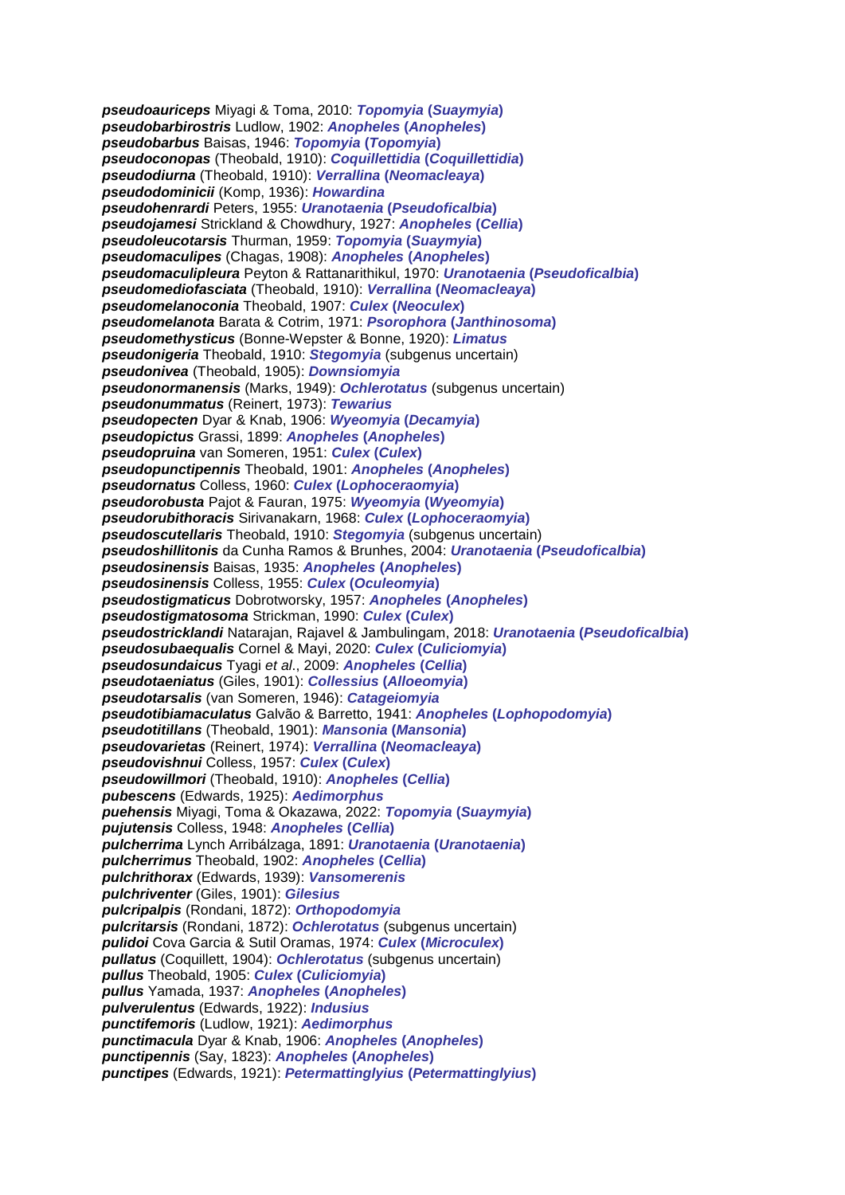*pseudoauriceps* Miyagi & Toma, 2010: *Topomyia* **(***Suaymyia***)** *pseudobarbirostris* Ludlow, 1902: *Anopheles* **(***Anopheles***)** *pseudobarbus* Baisas, 1946: *Topomyia* **(***Topomyia***)** *pseudoconopas* (Theobald, 1910): *Coquillettidia* **(***Coquillettidia***)** *pseudodiurna* (Theobald, 1910): *Verrallina* **(***Neomacleaya***)** *pseudodominicii* (Komp, 1936): *Howardina pseudohenrardi* Peters, 1955: *Uranotaenia* **(***Pseudoficalbia***)** *pseudojamesi* Strickland & Chowdhury, 1927: *Anopheles* **(***Cellia***)** *pseudoleucotarsis* Thurman, 1959: *Topomyia* **(***Suaymyia***)** *pseudomaculipes* (Chagas, 1908): *Anopheles* **(***Anopheles***)** *pseudomaculipleura* Peyton & Rattanarithikul, 1970: *Uranotaenia* **(***Pseudoficalbia***)** *pseudomediofasciata* (Theobald, 1910): *Verrallina* **(***Neomacleaya***)** *pseudomelanoconia* Theobald, 1907: *Culex* **(***Neoculex***)** *pseudomelanota* Barata & Cotrim, 1971: *Psorophora* **(***Janthinosoma***)** *pseudomethysticus* (Bonne-Wepster & Bonne, 1920): *Limatus pseudonigeria* Theobald, 1910: *Stegomyia* (subgenus uncertain) *pseudonivea* (Theobald, 1905): *Downsiomyia pseudonormanensis* (Marks, 1949): *Ochlerotatus* (subgenus uncertain) *pseudonummatus* (Reinert, 1973): *Tewarius pseudopecten* Dyar & Knab, 1906: *Wyeomyia* **(***Decamyia***)** *pseudopictus* Grassi, 1899: *Anopheles* **(***Anopheles***)** *pseudopruina* van Someren, 1951: *Culex* **(***Culex***)** *pseudopunctipennis* Theobald, 1901: *Anopheles* **(***Anopheles***)** *pseudornatus* Colless, 1960: *Culex* **(***Lophoceraomyia***)** *pseudorobusta* Pajot & Fauran, 1975: *Wyeomyia* **(***Wyeomyia***)** *pseudorubithoracis* Sirivanakarn, 1968: *Culex* **(***Lophoceraomyia***)** *pseudoscutellaris* Theobald, 1910: *Stegomyia* (subgenus uncertain) *pseudoshillitonis* da Cunha Ramos & Brunhes, 2004: *Uranotaenia* **(***Pseudoficalbia***)** *pseudosinensis* Baisas, 1935: *Anopheles* **(***Anopheles***)** *pseudosinensis* Colless, 1955: *Culex* **(***Oculeomyia***)** *pseudostigmaticus* Dobrotworsky, 1957: *Anopheles* **(***Anopheles***)** *pseudostigmatosoma* Strickman, 1990: *Culex* **(***Culex***)** *pseudostricklandi* Natarajan, Rajavel & Jambulingam, 2018: *Uranotaenia* **(***Pseudoficalbia***)** *pseudosubaequalis* Cornel & Mayi, 2020: *Culex* **(***Culiciomyia***)** *pseudosundaicus* Tyagi *et al*., 2009: *Anopheles* **(***Cellia***)** *pseudotaeniatus* (Giles, 1901): *Collessius* **(***Alloeomyia***)** *pseudotarsalis* (van Someren, 1946): *Catageiomyia pseudotibiamaculatus* Galvão & Barretto, 1941: *Anopheles* **(***Lophopodomyia***)** *pseudotitillans* (Theobald, 1901): *Mansonia* **(***Mansonia***)** *pseudovarietas* (Reinert, 1974): *Verrallina* **(***Neomacleaya***)** *pseudovishnui* Colless, 1957: *Culex* **(***Culex***)** *pseudowillmori* (Theobald, 1910): *Anopheles* **(***Cellia***)** *pubescens* (Edwards, 1925): *Aedimorphus puehensis* Miyagi, Toma & Okazawa, 2022: *Topomyia* **(***Suaymyia***)** *pujutensis* Colless, 1948: *Anopheles* **(***Cellia***)** *pulcherrima* Lynch Arribálzaga, 1891: *Uranotaenia* **(***Uranotaenia***)** *pulcherrimus* Theobald, 1902: *Anopheles* **(***Cellia***)** *pulchrithorax* (Edwards, 1939): *Vansomerenis pulchriventer* (Giles, 1901): *Gilesius pulcripalpis* (Rondani, 1872): *Orthopodomyia pulcritarsis* (Rondani, 1872): *Ochlerotatus* (subgenus uncertain) *pulidoi* Cova Garcia & Sutil Oramas, 1974: *Culex* **(***Microculex***)** *pullatus* (Coquillett, 1904): *Ochlerotatus* (subgenus uncertain) *pullus* Theobald, 1905: *Culex* **(***Culiciomyia***)** *pullus* Yamada, 1937: *Anopheles* **(***Anopheles***)** *pulverulentus* (Edwards, 1922): *Indusius punctifemoris* (Ludlow, 1921): *Aedimorphus punctimacula* Dyar & Knab, 1906: *Anopheles* **(***Anopheles***)** *punctipennis* (Say, 1823): *Anopheles* **(***Anopheles***)** *punctipes* (Edwards, 1921): *Petermattinglyius* **(***Petermattinglyius***)**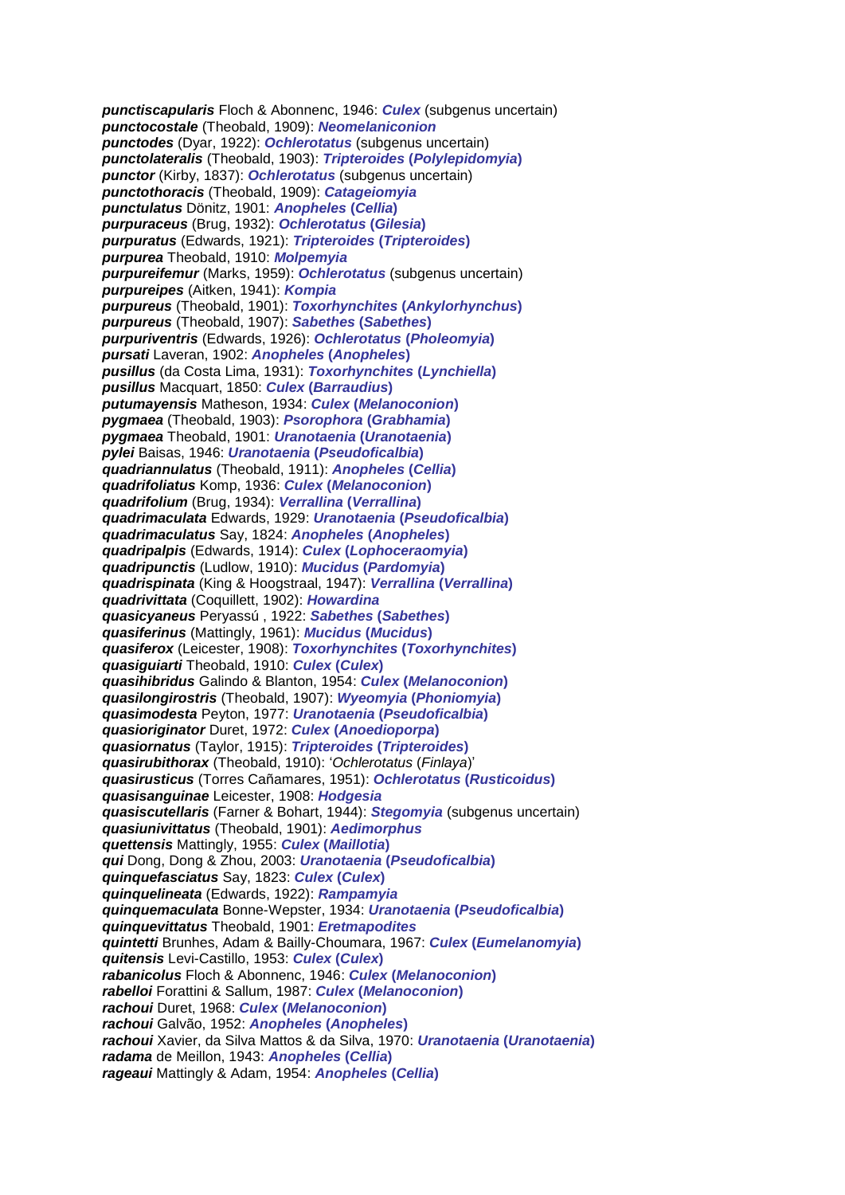*punctiscapularis* Floch & Abonnenc, 1946: *Culex* (subgenus uncertain) *punctocostale* (Theobald, 1909): *Neomelaniconion punctodes* (Dyar, 1922): *Ochlerotatus* (subgenus uncertain) *punctolateralis* (Theobald, 1903): *Tripteroides* **(***Polylepidomyia***)** *punctor* (Kirby, 1837): *Ochlerotatus* (subgenus uncertain) *punctothoracis* (Theobald, 1909): *Catageiomyia punctulatus* Dönitz, 1901: *Anopheles* **(***Cellia***)** *purpuraceus* (Brug, 1932): *Ochlerotatus* **(***Gilesia***)** *purpuratus* (Edwards, 1921): *Tripteroides* **(***Tripteroides***)** *purpurea* Theobald, 1910: *Molpemyia purpureifemur* (Marks, 1959): *Ochlerotatus* (subgenus uncertain) *purpureipes* (Aitken, 1941): *Kompia purpureus* (Theobald, 1901): *Toxorhynchites* **(***Ankylorhynchus***)** *purpureus* (Theobald, 1907): *Sabethes* **(***Sabethes***)** *purpuriventris* (Edwards, 1926): *Ochlerotatus* **(***Pholeomyia***)** *pursati* Laveran, 1902: *Anopheles* **(***Anopheles***)** *pusillus* (da Costa Lima, 1931): *Toxorhynchites* **(***Lynchiella***)** *pusillus* Macquart, 1850: *Culex* **(***Barraudius***)** *putumayensis* Matheson, 1934: *Culex* **(***Melanoconion***)** *pygmaea* (Theobald, 1903): *Psorophora* **(***Grabhamia***)** *pygmaea* Theobald, 1901: *Uranotaenia* **(***Uranotaenia***)** *pylei* Baisas, 1946: *Uranotaenia* **(***Pseudoficalbia***)** *quadriannulatus* (Theobald, 1911): *Anopheles* **(***Cellia***)** *quadrifoliatus* Komp, 1936: *Culex* **(***Melanoconion***)** *quadrifolium* (Brug, 1934): *Verrallina* **(***Verrallina***)** *quadrimaculata* Edwards, 1929: *Uranotaenia* **(***Pseudoficalbia***)** *quadrimaculatus* Say, 1824: *Anopheles* **(***Anopheles***)** *quadripalpis* (Edwards, 1914): *Culex* **(***Lophoceraomyia***)** *quadripunctis* (Ludlow, 1910): *Mucidus* **(***Pardomyia***)** *quadrispinata* (King & Hoogstraal, 1947): *Verrallina* **(***Verrallina***)** *quadrivittata* (Coquillett, 1902): *Howardina quasicyaneus* Peryassú , 1922: *Sabethes* **(***Sabethes***)** *quasiferinus* (Mattingly, 1961): *Mucidus* **(***Mucidus***)** *quasiferox* (Leicester, 1908): *Toxorhynchites* **(***Toxorhynchites***)** *quasiguiarti* Theobald, 1910: *Culex* **(***Culex***)** *quasihibridus* Galindo & Blanton, 1954: *Culex* **(***Melanoconion***)** *quasilongirostris* (Theobald, 1907): *Wyeomyia* **(***Phoniomyia***)** *quasimodesta* Peyton, 1977: *Uranotaenia* **(***Pseudoficalbia***)** *quasioriginator* Duret, 1972: *Culex* **(***Anoedioporpa***)** *quasiornatus* (Taylor, 1915): *Tripteroides* **(***Tripteroides***)** *quasirubithorax* (Theobald, 1910): '*Ochlerotatus* (*Finlaya*)' *quasirusticus* (Torres Cañamares, 1951): *Ochlerotatus* **(***Rusticoidus***)** *quasisanguinae* Leicester, 1908: *Hodgesia quasiscutellaris* (Farner & Bohart, 1944): *Stegomyia* (subgenus uncertain) *quasiunivittatus* (Theobald, 1901): *Aedimorphus quettensis* Mattingly, 1955: *Culex* **(***Maillotia***)** *qui* Dong, Dong & Zhou, 2003: *Uranotaenia* **(***Pseudoficalbia***)** *quinquefasciatus* Say, 1823: *Culex* **(***Culex***)** *quinquelineata* (Edwards, 1922): *Rampamyia quinquemaculata* Bonne-Wepster, 1934: *Uranotaenia* **(***Pseudoficalbia***)** *quinquevittatus* Theobald, 1901: *Eretmapodites quintetti* Brunhes, Adam & Bailly-Choumara, 1967: *Culex* **(***Eumelanomyia***)** *quitensis* Levi-Castillo, 1953: *Culex* **(***Culex***)** *rabanicolus* Floch & Abonnenc, 1946: *Culex* **(***Melanoconion***)** *rabelloi* Forattini & Sallum, 1987: *Culex* **(***Melanoconion***)** *rachoui* Duret, 1968: *Culex* **(***Melanoconion***)** *rachoui* Galvão, 1952: *Anopheles* **(***Anopheles***)** *rachoui* Xavier, da Silva Mattos & da Silva, 1970: *Uranotaenia* **(***Uranotaenia***)** *radama* de Meillon, 1943: *Anopheles* **(***Cellia***)** *rageaui* Mattingly & Adam, 1954: *Anopheles* **(***Cellia***)**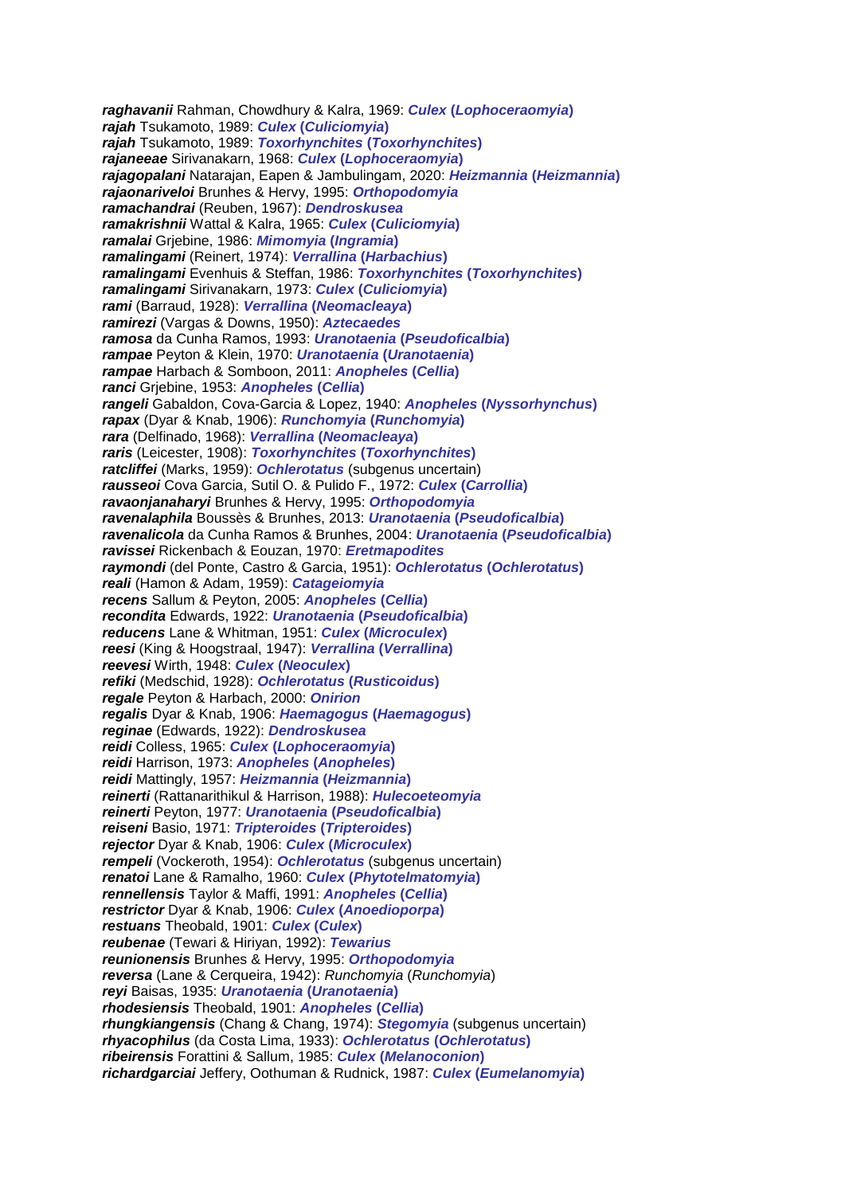*raghavanii* Rahman, Chowdhury & Kalra, 1969: *Culex* **(***Lophoceraomyia***)** *rajah* Tsukamoto, 1989: *Culex* **(***Culiciomyia***)** *rajah* Tsukamoto, 1989: *Toxorhynchites* **(***Toxorhynchites***)** *rajaneeae* Sirivanakarn, 1968: *Culex* **(***Lophoceraomyia***)** *rajagopalani* Natarajan, Eapen & Jambulingam, 2020: *Heizmannia* **(***Heizmannia***)** *rajaonariveloi* Brunhes & Hervy, 1995: *Orthopodomyia ramachandrai* (Reuben, 1967): *Dendroskusea ramakrishnii* Wattal & Kalra, 1965: *Culex* **(***Culiciomyia***)** *ramalai* Grjebine, 1986: *Mimomyia* **(***Ingramia***)** *ramalingami* (Reinert, 1974): *Verrallina* **(***Harbachius***)** *ramalingami* Evenhuis & Steffan, 1986: *Toxorhynchites* **(***Toxorhynchites***)** *ramalingami* Sirivanakarn, 1973: *Culex* **(***Culiciomyia***)** *rami* (Barraud, 1928): *Verrallina* **(***Neomacleaya***)** *ramirezi* (Vargas & Downs, 1950): *Aztecaedes ramosa* da Cunha Ramos, 1993: *Uranotaenia* **(***Pseudoficalbia***)** *rampae* Peyton & Klein, 1970: *Uranotaenia* **(***Uranotaenia***)** *rampae* Harbach & Somboon, 2011: *Anopheles* **(***Cellia***)** *ranci* Grjebine, 1953: *Anopheles* **(***Cellia***)** *rangeli* Gabaldon, Cova-Garcia & Lopez, 1940: *Anopheles* **(***Nyssorhynchus***)** *rapax* (Dyar & Knab, 1906): *Runchomyia* **(***Runchomyia***)** *rara* (Delfinado, 1968): *Verrallina* **(***Neomacleaya***)** *raris* (Leicester, 1908): *Toxorhynchites* **(***Toxorhynchites***)** *ratcliffei* (Marks, 1959): *Ochlerotatus* (subgenus uncertain) *rausseoi* Cova Garcia, Sutil O. & Pulido F., 1972: *Culex* **(***Carrollia***)** *ravaonjanaharyi* Brunhes & Hervy, 1995: *Orthopodomyia ravenalaphila* Boussès & Brunhes, 2013: *Uranotaenia* **(***Pseudoficalbia***)** *ravenalicola* da Cunha Ramos & Brunhes, 2004: *Uranotaenia* **(***Pseudoficalbia***)** *ravissei* Rickenbach & Eouzan, 1970: *Eretmapodites raymondi* (del Ponte, Castro & Garcia, 1951): *Ochlerotatus* **(***Ochlerotatus***)** *reali* (Hamon & Adam, 1959): *Catageiomyia recens* Sallum & Peyton, 2005: *Anopheles* **(***Cellia***)** *recondita* Edwards, 1922: *Uranotaenia* **(***Pseudoficalbia***)** *reducens* Lane & Whitman, 1951: *Culex* **(***Microculex***)** *reesi* (King & Hoogstraal, 1947): *Verrallina* **(***Verrallina***)** *reevesi* Wirth, 1948: *Culex* **(***Neoculex***)** *refiki* (Medschid, 1928): *Ochlerotatus* **(***Rusticoidus***)** *regale* Peyton & Harbach, 2000: *Onirion regalis* Dyar & Knab, 1906: *Haemagogus* **(***Haemagogus***)** *reginae* (Edwards, 1922): *Dendroskusea reidi* Colless, 1965: *Culex* **(***Lophoceraomyia***)** *reidi* Harrison, 1973: *Anopheles* **(***Anopheles***)** *reidi* Mattingly, 1957: *Heizmannia* **(***Heizmannia***)** *reinerti* (Rattanarithikul & Harrison, 1988): *Hulecoeteomyia reinerti* Peyton, 1977: *Uranotaenia* **(***Pseudoficalbia***)** *reiseni* Basio, 1971: *Tripteroides* **(***Tripteroides***)** *rejector* Dyar & Knab, 1906: *Culex* **(***Microculex***)** *rempeli* (Vockeroth, 1954): *Ochlerotatus* (subgenus uncertain) *renatoi* Lane & Ramalho, 1960: *Culex* **(***Phytotelmatomyia***)** *rennellensis* Taylor & Maffi, 1991: *Anopheles* **(***Cellia***)** *restrictor* Dyar & Knab, 1906: *Culex* **(***Anoedioporpa***)** *restuans* Theobald, 1901: *Culex* **(***Culex***)** *reubenae* (Tewari & Hiriyan, 1992): *Tewarius reunionensis* Brunhes & Hervy, 1995: *Orthopodomyia reversa* (Lane & Cerqueira, 1942): *Runchomyia* (*Runchomyia*) *reyi* Baisas, 1935: *Uranotaenia* **(***Uranotaenia***)** *rhodesiensis* Theobald, 1901: *Anopheles* **(***Cellia***)** *rhungkiangensis* (Chang & Chang, 1974): *Stegomyia* (subgenus uncertain) *rhyacophilus* (da Costa Lima, 1933): *Ochlerotatus* **(***Ochlerotatus***)** *ribeirensis* Forattini & Sallum, 1985: *Culex* **(***Melanoconion***)** *richardgarciai* Jeffery, Oothuman & Rudnick, 1987: *Culex* **(***Eumelanomyia***)**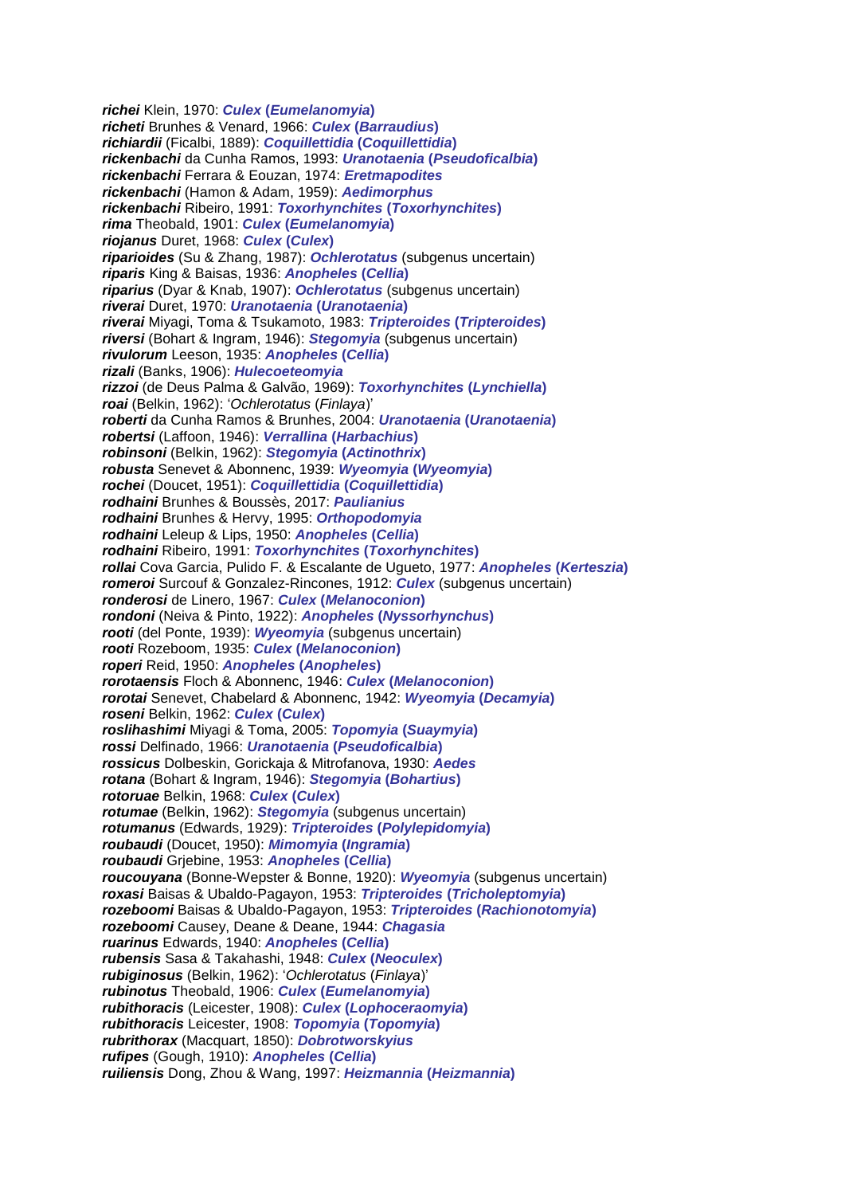*richei* Klein, 1970: *Culex* **(***Eumelanomyia***)** *richeti* Brunhes & Venard, 1966: *Culex* **(***Barraudius***)** *richiardii* (Ficalbi, 1889): *Coquillettidia* **(***Coquillettidia***)** *rickenbachi* da Cunha Ramos, 1993: *Uranotaenia* **(***Pseudoficalbia***)** *rickenbachi* Ferrara & Eouzan, 1974: *Eretmapodites rickenbachi* (Hamon & Adam, 1959): *Aedimorphus rickenbachi* Ribeiro, 1991: *Toxorhynchites* **(***Toxorhynchites***)** *rima* Theobald, 1901: *Culex* **(***Eumelanomyia***)** *riojanus* Duret, 1968: *Culex* **(***Culex***)** *riparioides* (Su & Zhang, 1987): *Ochlerotatus* (subgenus uncertain) *riparis* King & Baisas, 1936: *Anopheles* **(***Cellia***)** *riparius* (Dyar & Knab, 1907): *Ochlerotatus* (subgenus uncertain) *riverai* Duret, 1970: *Uranotaenia* **(***Uranotaenia***)** *riverai* Miyagi, Toma & Tsukamoto, 1983: *Tripteroides* **(***Tripteroides***)** *riversi* (Bohart & Ingram, 1946): *Stegomyia* (subgenus uncertain) *rivulorum* Leeson, 1935: *Anopheles* **(***Cellia***)** *rizali* (Banks, 1906): *Hulecoeteomyia rizzoi* (de Deus Palma & Galvão, 1969): *Toxorhynchites* **(***Lynchiella***)** *roai* (Belkin, 1962): '*Ochlerotatus* (*Finlaya*)' *roberti* da Cunha Ramos & Brunhes, 2004: *Uranotaenia* **(***Uranotaenia***)** *robertsi* (Laffoon, 1946): *Verrallina* **(***Harbachius***)** *robinsoni* (Belkin, 1962): *Stegomyia* **(***Actinothrix***)** *robusta* Senevet & Abonnenc, 1939: *Wyeomyia* **(***Wyeomyia***)** *rochei* (Doucet, 1951): *Coquillettidia* **(***Coquillettidia***)** *rodhaini* Brunhes & Boussès, 2017: *Paulianius rodhaini* Brunhes & Hervy, 1995: *Orthopodomyia rodhaini* Leleup & Lips, 1950: *Anopheles* **(***Cellia***)** *rodhaini* Ribeiro, 1991: *Toxorhynchites* **(***Toxorhynchites***)** *rollai* Cova Garcia, Pulido F. & Escalante de Ugueto, 1977: *Anopheles* **(***Kerteszia***)** *romeroi* Surcouf & Gonzalez-Rincones, 1912: *Culex* (subgenus uncertain) *ronderosi* de Linero, 1967: *Culex* **(***Melanoconion***)** *rondoni* (Neiva & Pinto, 1922): *Anopheles* **(***Nyssorhynchus***)** *rooti* (del Ponte, 1939): *Wyeomyia* (subgenus uncertain) *rooti* Rozeboom, 1935: *Culex* **(***Melanoconion***)** *roperi* Reid, 1950: *Anopheles* **(***Anopheles***)** *rorotaensis* Floch & Abonnenc, 1946: *Culex* **(***Melanoconion***)** *rorotai* Senevet, Chabelard & Abonnenc, 1942: *Wyeomyia* **(***Decamyia***)** *roseni* Belkin, 1962: *Culex* **(***Culex***)** *roslihashimi* Miyagi & Toma, 2005: *Topomyia* **(***Suaymyia***)** *rossi* Delfinado, 1966: *Uranotaenia* **(***Pseudoficalbia***)** *rossicus* Dolbeskin, Gorickaja & Mitrofanova, 1930: *Aedes rotana* (Bohart & Ingram, 1946): *Stegomyia* **(***Bohartius***)** *rotoruae* Belkin, 1968: *Culex* **(***Culex***)** *rotumae* (Belkin, 1962): *Stegomyia* (subgenus uncertain) *rotumanus* (Edwards, 1929): *Tripteroides* **(***Polylepidomyia***)** *roubaudi* (Doucet, 1950): *Mimomyia* **(***Ingramia***)** *roubaudi* Grjebine, 1953: *Anopheles* **(***Cellia***)** *roucouyana* (Bonne-Wepster & Bonne, 1920): *Wyeomyia* (subgenus uncertain) *roxasi* Baisas & Ubaldo-Pagayon, 1953: *Tripteroides* **(***Tricholeptomyia***)** *rozeboomi* Baisas & Ubaldo-Pagayon, 1953: *Tripteroides* **(***Rachionotomyia***)** *rozeboomi* Causey, Deane & Deane, 1944: *Chagasia ruarinus* Edwards, 1940: *Anopheles* **(***Cellia***)** *rubensis* Sasa & Takahashi, 1948: *Culex* **(***Neoculex***)** *rubiginosus* (Belkin, 1962): '*Ochlerotatus* (*Finlaya*)' *rubinotus* Theobald, 1906: *Culex* **(***Eumelanomyia***)** *rubithoracis* (Leicester, 1908): *Culex* **(***Lophoceraomyia***)** *rubithoracis* Leicester, 1908: *Topomyia* **(***Topomyia***)** *rubrithorax* (Macquart, 1850): *Dobrotworskyius rufipes* (Gough, 1910): *Anopheles* **(***Cellia***)** *ruiliensis* Dong, Zhou & Wang, 1997: *Heizmannia* **(***Heizmannia***)**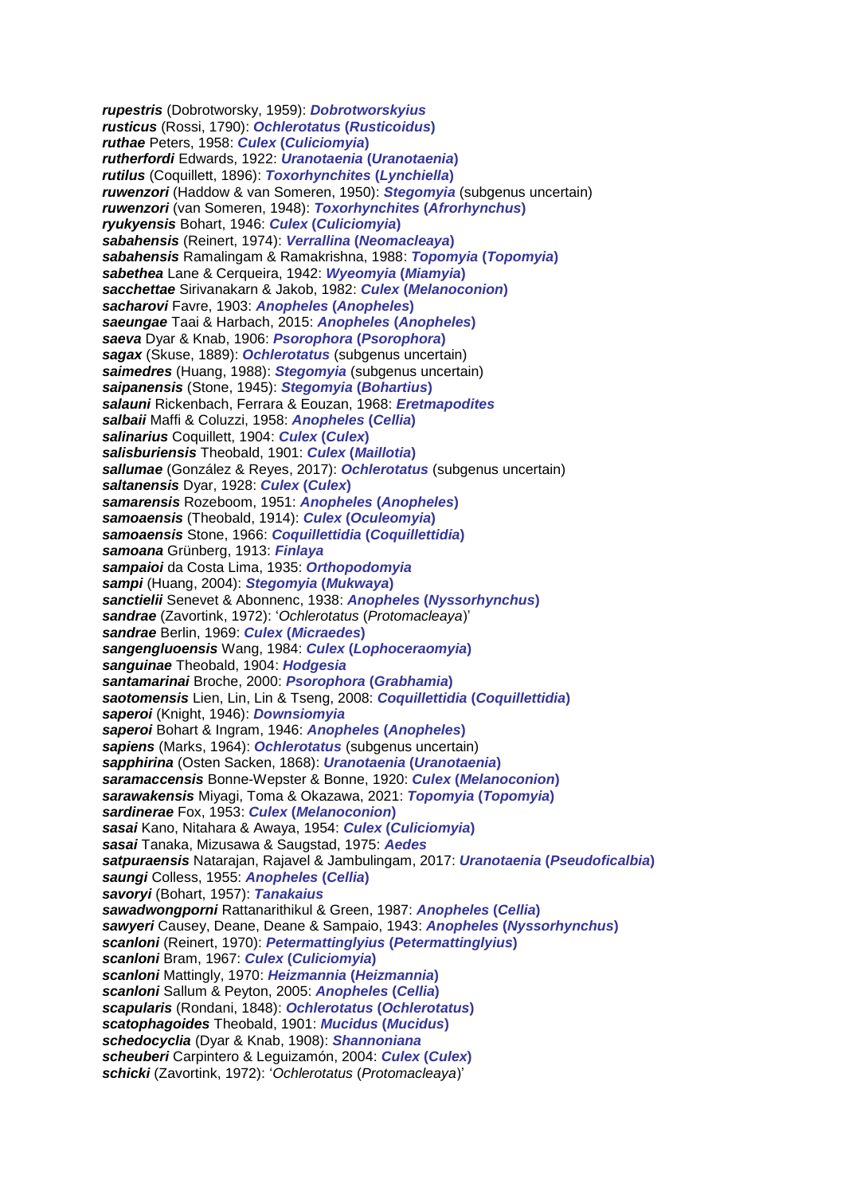*rupestris* (Dobrotworsky, 1959): *Dobrotworskyius rusticus* (Rossi, 1790): *Ochlerotatus* **(***Rusticoidus***)** *ruthae* Peters, 1958: *Culex* **(***Culiciomyia***)** *rutherfordi* Edwards, 1922: *Uranotaenia* **(***Uranotaenia***)** *rutilus* (Coquillett, 1896): *Toxorhynchites* **(***Lynchiella***)** *ruwenzori* (Haddow & van Someren, 1950): *Stegomyia* (subgenus uncertain) *ruwenzori* (van Someren, 1948): *Toxorhynchites* **(***Afrorhynchus***)** *ryukyensis* Bohart, 1946: *Culex* **(***Culiciomyia***)** *sabahensis* (Reinert, 1974): *Verrallina* **(***Neomacleaya***)** *sabahensis* Ramalingam & Ramakrishna, 1988: *Topomyia* **(***Topomyia***)** *sabethea* Lane & Cerqueira, 1942: *Wyeomyia* **(***Miamyia***)** *sacchettae* Sirivanakarn & Jakob, 1982: *Culex* **(***Melanoconion***)** *sacharovi* Favre, 1903: *Anopheles* **(***Anopheles***)** *saeungae* Taai & Harbach, 2015: *Anopheles* **(***Anopheles***)** *saeva* Dyar & Knab, 1906: *Psorophora* **(***Psorophora***)** *sagax* (Skuse, 1889): *Ochlerotatus* (subgenus uncertain) *saimedres* (Huang, 1988): *Stegomyia* (subgenus uncertain) *saipanensis* (Stone, 1945): *Stegomyia* **(***Bohartius***)** *salauni* Rickenbach, Ferrara & Eouzan, 1968: *Eretmapodites salbaii* Maffi & Coluzzi, 1958: *Anopheles* **(***Cellia***)** *salinarius* Coquillett, 1904: *Culex* **(***Culex***)** *salisburiensis* Theobald, 1901: *Culex* **(***Maillotia***)** *sallumae* (González & Reyes, 2017): *Ochlerotatus* (subgenus uncertain) *saltanensis* Dyar, 1928: *Culex* **(***Culex***)** *samarensis* Rozeboom, 1951: *Anopheles* **(***Anopheles***)** *samoaensis* (Theobald, 1914): *Culex* **(***Oculeomyia***)** *samoaensis* Stone, 1966: *Coquillettidia* **(***Coquillettidia***)** *samoana* Grünberg, 1913: *Finlaya sampaioi* da Costa Lima, 1935: *Orthopodomyia sampi* (Huang, 2004): *Stegomyia* **(***Mukwaya***)** *sanctielii* Senevet & Abonnenc, 1938: *Anopheles* **(***Nyssorhynchus***)** *sandrae* (Zavortink, 1972): '*Ochlerotatus* (*Protomacleaya*)' *sandrae* Berlin, 1969: *Culex* **(***Micraedes***)** *sangengluoensis* Wang, 1984: *Culex* **(***Lophoceraomyia***)** *sanguinae* Theobald, 1904: *Hodgesia santamarinai* Broche, 2000: *Psorophora* **(***Grabhamia***)** *saotomensis* Lien, Lin, Lin & Tseng, 2008: *Coquillettidia* **(***Coquillettidia***)** *saperoi* (Knight, 1946): *Downsiomyia saperoi* Bohart & Ingram, 1946: *Anopheles* **(***Anopheles***)** *sapiens* (Marks, 1964): *Ochlerotatus* (subgenus uncertain) *sapphirina* (Osten Sacken, 1868): *Uranotaenia* **(***Uranotaenia***)** *saramaccensis* Bonne-Wepster & Bonne, 1920: *Culex* **(***Melanoconion***)** *sarawakensis* Miyagi, Toma & Okazawa, 2021: *Topomyia* **(***Topomyia***)** *sardinerae* Fox, 1953: *Culex* **(***Melanoconion***)** *sasai* Kano, Nitahara & Awaya, 1954: *Culex* **(***Culiciomyia***)** *sasai* Tanaka, Mizusawa & Saugstad, 1975: *Aedes satpuraensis* Natarajan, Rajavel & Jambulingam, 2017: *Uranotaenia* **(***Pseudoficalbia***)** *saungi* Colless, 1955: *Anopheles* **(***Cellia***)** *savoryi* (Bohart, 1957): *Tanakaius sawadwongporni* Rattanarithikul & Green, 1987: *Anopheles* **(***Cellia***)** *sawyeri* Causey, Deane, Deane & Sampaio, 1943: *Anopheles* **(***Nyssorhynchus***)** *scanloni* (Reinert, 1970): *Petermattinglyius* **(***Petermattinglyius***)** *scanloni* Bram, 1967: *Culex* **(***Culiciomyia***)** *scanloni* Mattingly, 1970: *Heizmannia* **(***Heizmannia***)** *scanloni* Sallum & Peyton, 2005: *Anopheles* **(***Cellia***)** *scapularis* (Rondani, 1848): *Ochlerotatus* **(***Ochlerotatus***)** *scatophagoides* Theobald, 1901: *Mucidus* **(***Mucidus***)** *schedocyclia* (Dyar & Knab, 1908): *Shannoniana scheuberi* Carpintero & Leguizamón, 2004: *Culex* **(***Culex***)** *schicki* (Zavortink, 1972): '*Ochlerotatus* (*Protomacleaya*)'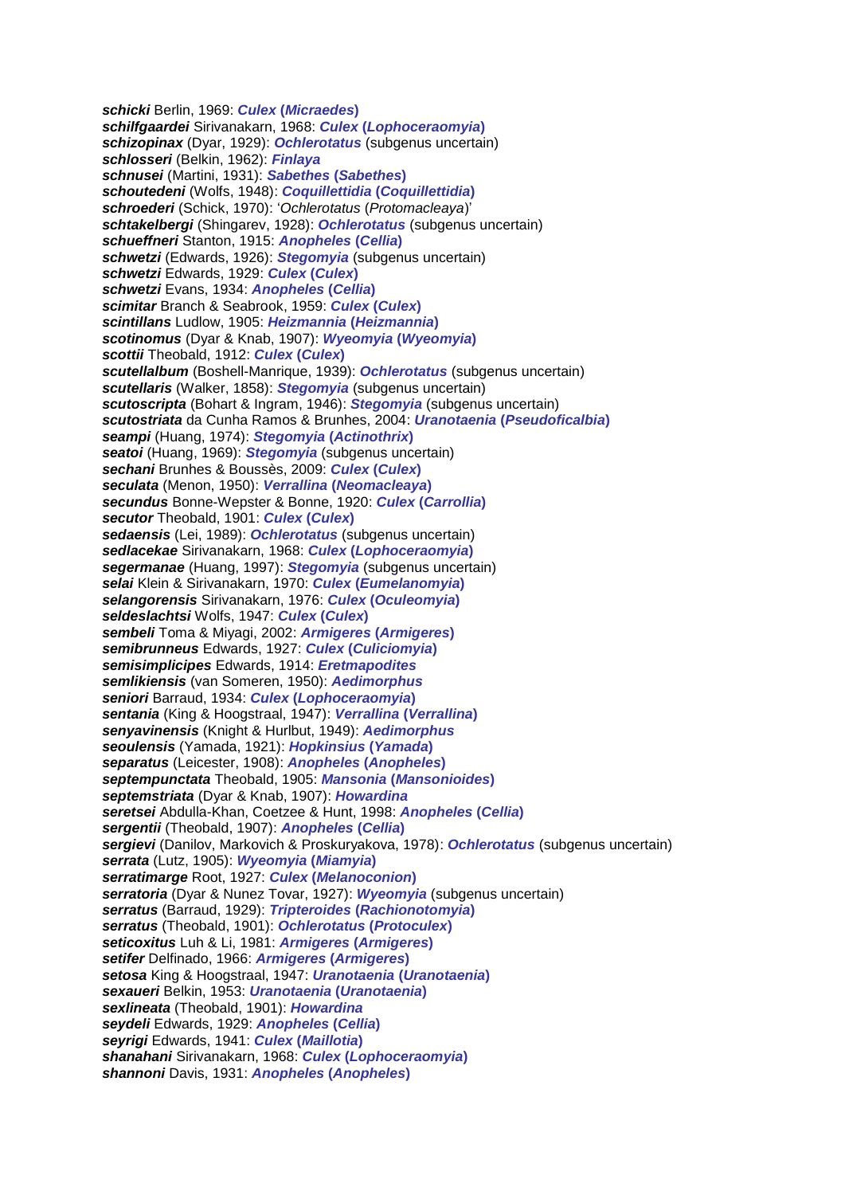*schicki* Berlin, 1969: *Culex* **(***Micraedes***)** *schilfgaardei* Sirivanakarn, 1968: *Culex* **(***Lophoceraomyia***)** *schizopinax* (Dyar, 1929): *Ochlerotatus* (subgenus uncertain) *schlosseri* (Belkin, 1962): *Finlaya schnusei* (Martini, 1931): *Sabethes* **(***Sabethes***)** *schoutedeni* (Wolfs, 1948): *Coquillettidia* **(***Coquillettidia***)** *schroederi* (Schick, 1970): '*Ochlerotatus* (*Protomacleaya*)' *schtakelbergi* (Shingarev, 1928): *Ochlerotatus* (subgenus uncertain) *schueffneri* Stanton, 1915: *Anopheles* **(***Cellia***)** *schwetzi* (Edwards, 1926): *Stegomyia* (subgenus uncertain) *schwetzi* Edwards, 1929: *Culex* **(***Culex***)** *schwetzi* Evans, 1934: *Anopheles* **(***Cellia***)** *scimitar* Branch & Seabrook, 1959: *Culex* **(***Culex***)** *scintillans* Ludlow, 1905: *Heizmannia* **(***Heizmannia***)** *scotinomus* (Dyar & Knab, 1907): *Wyeomyia* **(***Wyeomyia***)** *scottii* Theobald, 1912: *Culex* **(***Culex***)** *scutellalbum* (Boshell-Manrique, 1939): *Ochlerotatus* (subgenus uncertain) *scutellaris* (Walker, 1858): *Stegomyia* (subgenus uncertain) *scutoscripta* (Bohart & Ingram, 1946): *Stegomyia* (subgenus uncertain) *scutostriata* da Cunha Ramos & Brunhes, 2004: *Uranotaenia* **(***Pseudoficalbia***)** *seampi* (Huang, 1974): *Stegomyia* **(***Actinothrix***)** *seatoi* (Huang, 1969): *Stegomyia* (subgenus uncertain) *sechani* Brunhes & Boussès, 2009: *Culex* **(***Culex***)** *seculata* (Menon, 1950): *Verrallina* **(***Neomacleaya***)** *secundus* Bonne-Wepster & Bonne, 1920: *Culex* **(***Carrollia***)** *secutor* Theobald, 1901: *Culex* **(***Culex***)** *sedaensis* (Lei, 1989): *Ochlerotatus* (subgenus uncertain) *sedlacekae* Sirivanakarn, 1968: *Culex* **(***Lophoceraomyia***)** *segermanae* (Huang, 1997): *Stegomyia* (subgenus uncertain) *selai* Klein & Sirivanakarn, 1970: *Culex* **(***Eumelanomyia***)** *selangorensis* Sirivanakarn, 1976: *Culex* **(***Oculeomyia***)** *seldeslachtsi* Wolfs, 1947: *Culex* **(***Culex***)** *sembeli* Toma & Miyagi, 2002: *Armigeres* **(***Armigeres***)** *semibrunneus* Edwards, 1927: *Culex* **(***Culiciomyia***)** *semisimplicipes* Edwards, 1914: *Eretmapodites semlikiensis* (van Someren, 1950): *Aedimorphus seniori* Barraud, 1934: *Culex* **(***Lophoceraomyia***)** *sentania* (King & Hoogstraal, 1947): *Verrallina* **(***Verrallina***)** *senyavinensis* (Knight & Hurlbut, 1949): *Aedimorphus seoulensis* (Yamada, 1921): *Hopkinsius* **(***Yamada***)** *separatus* (Leicester, 1908): *Anopheles* **(***Anopheles***)** *septempunctata* Theobald, 1905: *Mansonia* **(***Mansonioides***)** *septemstriata* (Dyar & Knab, 1907): *Howardina seretsei* Abdulla-Khan, Coetzee & Hunt, 1998: *Anopheles* **(***Cellia***)** *sergentii* (Theobald, 1907): *Anopheles* **(***Cellia***)** *sergievi* (Danilov, Markovich & Proskuryakova, 1978): *Ochlerotatus* (subgenus uncertain) *serrata* (Lutz, 1905): *Wyeomyia* **(***Miamyia***)** *serratimarge* Root, 1927: *Culex* **(***Melanoconion***)** *serratoria* (Dyar & Nunez Tovar, 1927): *Wyeomyia* (subgenus uncertain) *serratus* (Barraud, 1929): *Tripteroides* **(***Rachionotomyia***)** *serratus* (Theobald, 1901): *Ochlerotatus* **(***Protoculex***)** *seticoxitus* Luh & Li, 1981: *Armigeres* **(***Armigeres***)** *setifer* Delfinado, 1966: *Armigeres* **(***Armigeres***)** *setosa* King & Hoogstraal, 1947: *Uranotaenia* **(***Uranotaenia***)** *sexaueri* Belkin, 1953: *Uranotaenia* **(***Uranotaenia***)** *sexlineata* (Theobald, 1901): *Howardina seydeli* Edwards, 1929: *Anopheles* **(***Cellia***)** *seyrigi* Edwards, 1941: *Culex* **(***Maillotia***)** *shanahani* Sirivanakarn, 1968: *Culex* **(***Lophoceraomyia***)** *shannoni* Davis, 1931: *Anopheles* **(***Anopheles***)**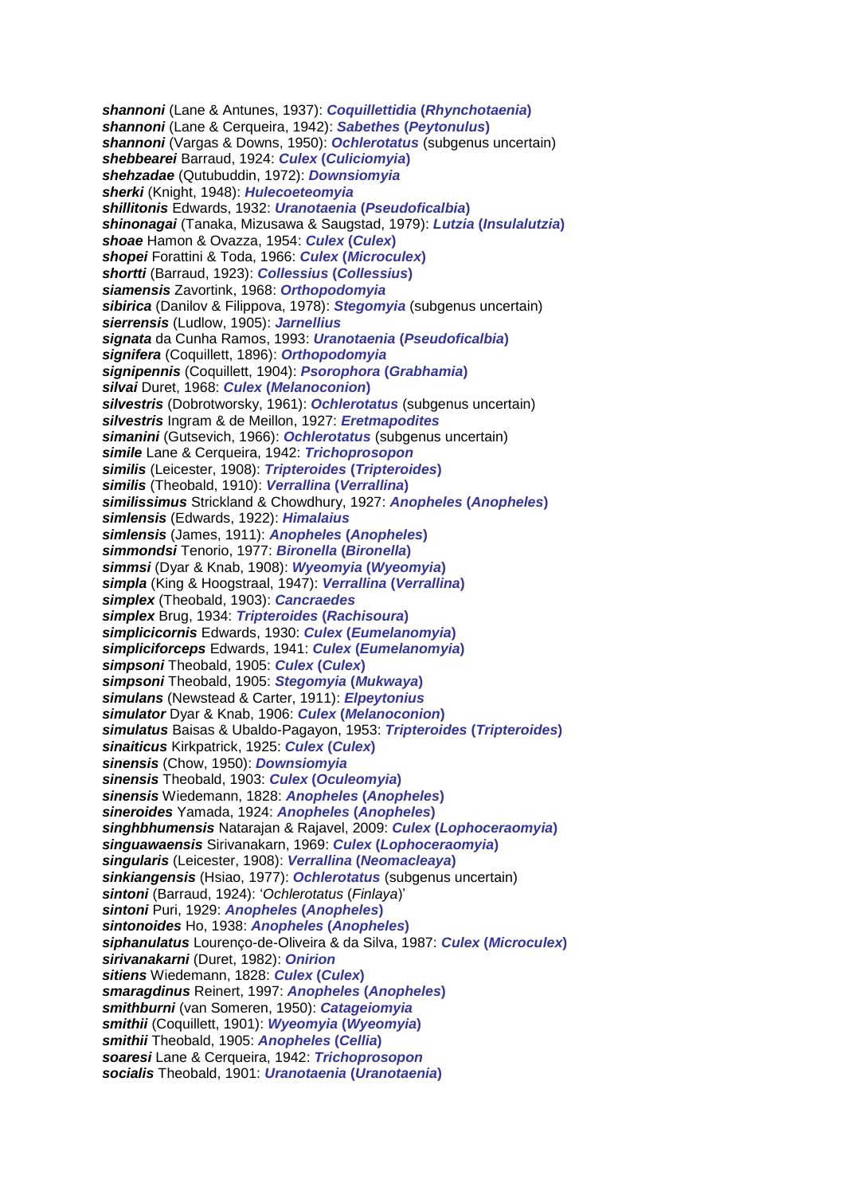*shannoni* (Lane & Antunes, 1937): *Coquillettidia* **(***Rhynchotaenia***)** *shannoni* (Lane & Cerqueira, 1942): *Sabethes* **(***Peytonulus***)** *shannoni* (Vargas & Downs, 1950): *Ochlerotatus* (subgenus uncertain) *shebbearei* Barraud, 1924: *Culex* **(***Culiciomyia***)** *shehzadae* (Qutubuddin, 1972): *Downsiomyia sherki* (Knight, 1948): *Hulecoeteomyia shillitonis* Edwards, 1932: *Uranotaenia* **(***Pseudoficalbia***)** *shinonagai* (Tanaka, Mizusawa & Saugstad, 1979): *Lutzia* **(***Insulalutzia***)** *shoae* Hamon & Ovazza, 1954: *Culex* **(***Culex***)** *shopei* Forattini & Toda, 1966: *Culex* **(***Microculex***)** *shortti* (Barraud, 1923): *Collessius* **(***Collessius***)** *siamensis* Zavortink, 1968: *Orthopodomyia sibirica* (Danilov & Filippova, 1978): *Stegomyia* (subgenus uncertain) *sierrensis* (Ludlow, 1905): *Jarnellius signata* da Cunha Ramos, 1993: *Uranotaenia* **(***Pseudoficalbia***)** *signifera* (Coquillett, 1896): *Orthopodomyia signipennis* (Coquillett, 1904): *Psorophora* **(***Grabhamia***)** *silvai* Duret, 1968: *Culex* **(***Melanoconion***)** *silvestris* (Dobrotworsky, 1961): *Ochlerotatus* (subgenus uncertain) *silvestris* Ingram & de Meillon, 1927: *Eretmapodites simanini* (Gutsevich, 1966): *Ochlerotatus* (subgenus uncertain) *simile* Lane & Cerqueira, 1942: *Trichoprosopon similis* (Leicester, 1908): *Tripteroides* **(***Tripteroides***)** *similis* (Theobald, 1910): *Verrallina* **(***Verrallina***)** *similissimus* Strickland & Chowdhury, 1927: *Anopheles* **(***Anopheles***)** *simlensis* (Edwards, 1922): *Himalaius simlensis* (James, 1911): *Anopheles* **(***Anopheles***)** *simmondsi* Tenorio, 1977: *Bironella* **(***Bironella***)** *simmsi* (Dyar & Knab, 1908): *Wyeomyia* **(***Wyeomyia***)** *simpla* (King & Hoogstraal, 1947): *Verrallina* **(***Verrallina***)** *simplex* (Theobald, 1903): *Cancraedes simplex* Brug, 1934: *Tripteroides* **(***Rachisoura***)** *simplicicornis* Edwards, 1930: *Culex* **(***Eumelanomyia***)** *simpliciforceps* Edwards, 1941: *Culex* **(***Eumelanomyia***)** *simpsoni* Theobald, 1905: *Culex* **(***Culex***)** *simpsoni* Theobald, 1905: *Stegomyia* **(***Mukwaya***)** *simulans* (Newstead & Carter, 1911): *Elpeytonius simulator* Dyar & Knab, 1906: *Culex* **(***Melanoconion***)** *simulatus* Baisas & Ubaldo-Pagayon, 1953: *Tripteroides* **(***Tripteroides***)** *sinaiticus* Kirkpatrick, 1925: *Culex* **(***Culex***)** *sinensis* (Chow, 1950): *Downsiomyia sinensis* Theobald, 1903: *Culex* **(***Oculeomyia***)** *sinensis* Wiedemann, 1828: *Anopheles* **(***Anopheles***)** *sineroides* Yamada, 1924: *Anopheles* **(***Anopheles***)** *singhbhumensis* Natarajan & Rajavel, 2009: *Culex* **(***Lophoceraomyia***)** *singuawaensis* Sirivanakarn, 1969: *Culex* **(***Lophoceraomyia***)** *singularis* (Leicester, 1908): *Verrallina* **(***Neomacleaya***)** *sinkiangensis* (Hsiao, 1977): *Ochlerotatus* (subgenus uncertain) *sintoni* (Barraud, 1924): '*Ochlerotatus* (*Finlaya*)' *sintoni* Puri, 1929: *Anopheles* **(***Anopheles***)** *sintonoides* Ho, 1938: *Anopheles* **(***Anopheles***)** *siphanulatus* Lourenço-de-Oliveira & da Silva, 1987: *Culex* **(***Microculex***)** *sirivanakarni* (Duret, 1982): *Onirion sitiens* Wiedemann, 1828: *Culex* **(***Culex***)** *smaragdinus* Reinert, 1997: *Anopheles* **(***Anopheles***)** *smithburni* (van Someren, 1950): *Catageiomyia smithii* (Coquillett, 1901): *Wyeomyia* **(***Wyeomyia***)** *smithii* Theobald, 1905: *Anopheles* **(***Cellia***)** *soaresi* Lane & Cerqueira, 1942: *Trichoprosopon socialis* Theobald, 1901: *Uranotaenia* **(***Uranotaenia***)**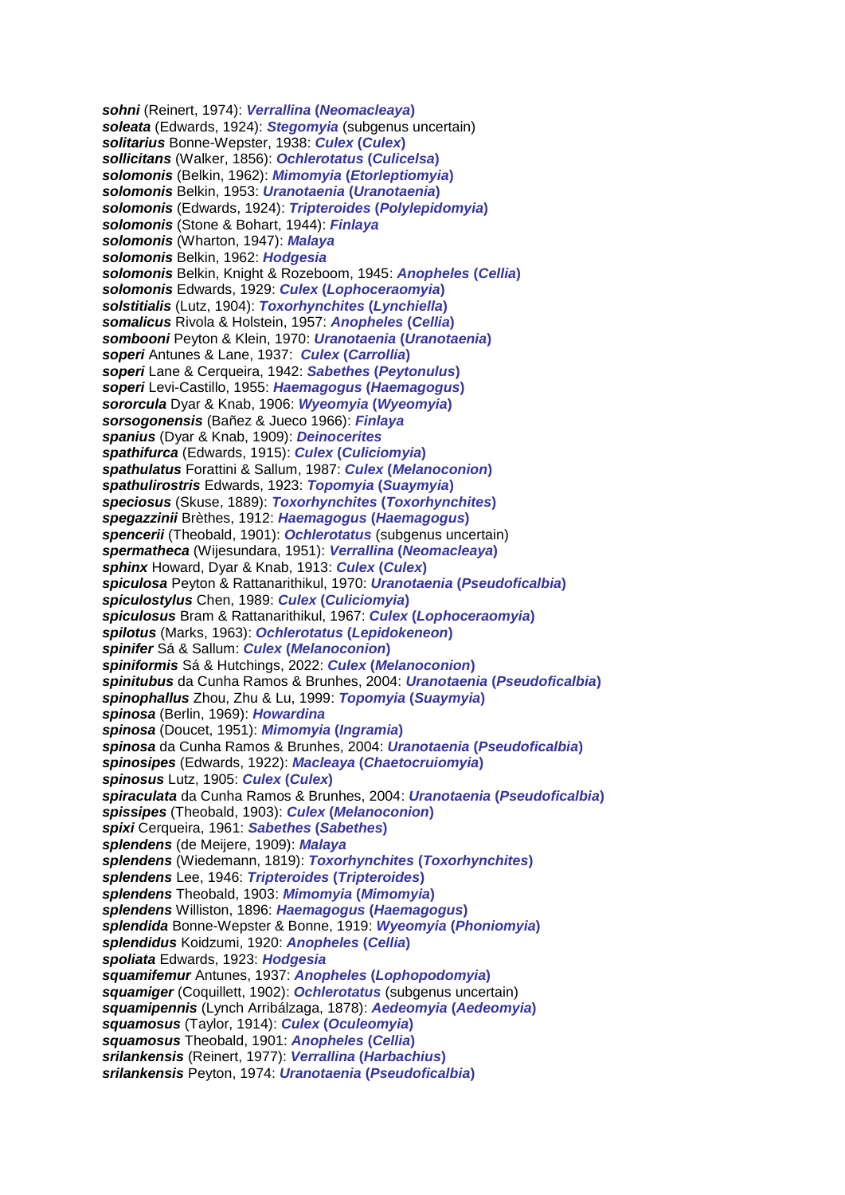*sohni* (Reinert, 1974): *Verrallina* **(***Neomacleaya***)** *soleata* (Edwards, 1924): *Stegomyia* (subgenus uncertain) *solitarius* Bonne-Wepster, 1938: *Culex* **(***Culex***)** *sollicitans* (Walker, 1856): *Ochlerotatus* **(***Culicelsa***)** *solomonis* (Belkin, 1962): *Mimomyia* **(***Etorleptiomyia***)** *solomonis* Belkin, 1953: *Uranotaenia* **(***Uranotaenia***)** *solomonis* (Edwards, 1924): *Tripteroides* **(***Polylepidomyia***)** *solomonis* (Stone & Bohart, 1944): *Finlaya solomonis* (Wharton, 1947): *Malaya solomonis* Belkin, 1962: *Hodgesia solomonis* Belkin, Knight & Rozeboom, 1945: *Anopheles* **(***Cellia***)** *solomonis* Edwards, 1929: *Culex* **(***Lophoceraomyia***)** *solstitialis* (Lutz, 1904): *Toxorhynchites* **(***Lynchiella***)** *somalicus* Rivola & Holstein, 1957: *Anopheles* **(***Cellia***)** *sombooni* Peyton & Klein, 1970: *Uranotaenia* **(***Uranotaenia***)** *soperi* Antunes & Lane, 1937: *Culex* **(***Carrollia***)** *soperi* Lane & Cerqueira, 1942: *Sabethes* **(***Peytonulus***)** *soperi* Levi-Castillo, 1955: *Haemagogus* **(***Haemagogus***)** *sororcula* Dyar & Knab, 1906: *Wyeomyia* **(***Wyeomyia***)** *sorsogonensis* (Bañez & Jueco 1966): *Finlaya spanius* (Dyar & Knab, 1909): *Deinocerites spathifurca* (Edwards, 1915): *Culex* **(***Culiciomyia***)** *spathulatus* Forattini & Sallum, 1987: *Culex* **(***Melanoconion***)** *spathulirostris* Edwards, 1923: *Topomyia* **(***Suaymyia***)** *speciosus* (Skuse, 1889): *Toxorhynchites* **(***Toxorhynchites***)** *spegazzinii* Brèthes, 1912: *Haemagogus* **(***Haemagogus***)** *spencerii* (Theobald, 1901): *Ochlerotatus* (subgenus uncertain) *spermatheca* (Wijesundara, 1951): *Verrallina* **(***Neomacleaya***)** *sphinx* Howard, Dyar & Knab, 1913: *Culex* **(***Culex***)** *spiculosa* Peyton & Rattanarithikul, 1970: *Uranotaenia* **(***Pseudoficalbia***)** *spiculostylus* Chen, 1989: *Culex* **(***Culiciomyia***)** *spiculosus* Bram & Rattanarithikul, 1967: *Culex* **(***Lophoceraomyia***)** *spilotus* (Marks, 1963): *Ochlerotatus* **(***Lepidokeneon***)** *spinifer* Sá & Sallum: *Culex* **(***Melanoconion***)** *spiniformis* Sá & Hutchings, 2022: *Culex* **(***Melanoconion***)** *spinitubus* da Cunha Ramos & Brunhes, 2004: *Uranotaenia* **(***Pseudoficalbia***)** *spinophallus* Zhou, Zhu & Lu, 1999: *Topomyia* **(***Suaymyia***)** *spinosa* (Berlin, 1969): *Howardina spinosa* (Doucet, 1951): *Mimomyia* **(***Ingramia***)** *spinosa* da Cunha Ramos & Brunhes, 2004: *Uranotaenia* **(***Pseudoficalbia***)** *spinosipes* (Edwards, 1922): *Macleaya* **(***Chaetocruiomyia***)** *spinosus* Lutz, 1905: *Culex* **(***Culex***)** *spiraculata* da Cunha Ramos & Brunhes, 2004: *Uranotaenia* **(***Pseudoficalbia***)** *spissipes* (Theobald, 1903): *Culex* **(***Melanoconion***)** *spixi* Cerqueira, 1961: *Sabethes* **(***Sabethes***)** *splendens* (de Meijere, 1909): *Malaya splendens* (Wiedemann, 1819): *Toxorhynchites* **(***Toxorhynchites***)** *splendens* Lee, 1946: *Tripteroides* **(***Tripteroides***)** *splendens* Theobald, 1903: *Mimomyia* **(***Mimomyia***)** *splendens* Williston, 1896: *Haemagogus* **(***Haemagogus***)** *splendida* Bonne-Wepster & Bonne, 1919: *Wyeomyia* **(***Phoniomyia***)** *splendidus* Koidzumi, 1920: *Anopheles* **(***Cellia***)** *spoliata* Edwards, 1923: *Hodgesia squamifemur* Antunes, 1937: *Anopheles* **(***Lophopodomyia***)** *squamiger* (Coquillett, 1902): *Ochlerotatus* (subgenus uncertain) *squamipennis* (Lynch Arribálzaga, 1878): *Aedeomyia* **(***Aedeomyia***)** *squamosus* (Taylor, 1914): *Culex* **(***Oculeomyia***)** *squamosus* Theobald, 1901: *Anopheles* **(***Cellia***)** *srilankensis* (Reinert, 1977): *Verrallina* **(***Harbachius***)** *srilankensis* Peyton, 1974: *Uranotaenia* **(***Pseudoficalbia***)**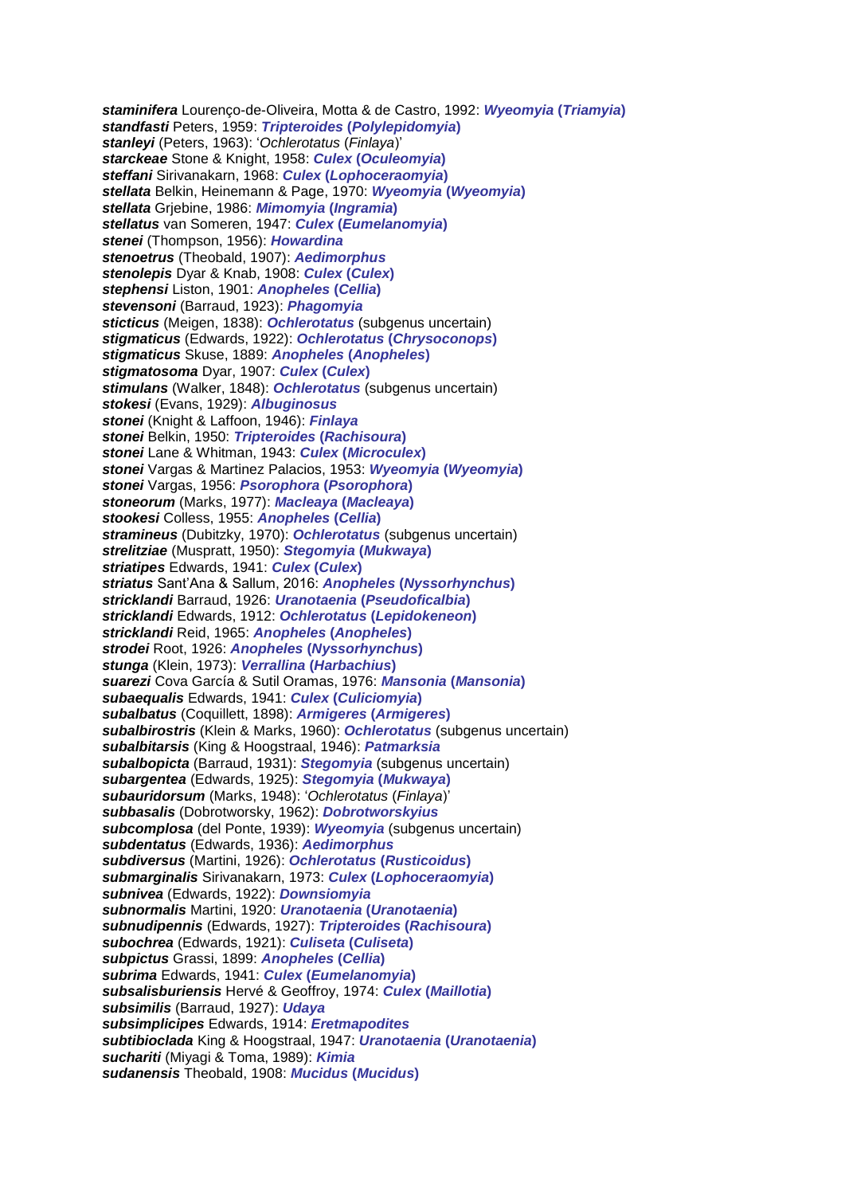*staminifera* Lourenço-de-Oliveira, Motta & de Castro, 1992: *Wyeomyia* **(***Triamyia***)** *standfasti* Peters, 1959: *Tripteroides* **(***Polylepidomyia***)** *stanleyi* (Peters, 1963): '*Ochlerotatus* (*Finlaya*)' *starckeae* Stone & Knight, 1958: *Culex* **(***Oculeomyia***)** *steffani* Sirivanakarn, 1968: *Culex* **(***Lophoceraomyia***)** *stellata* Belkin, Heinemann & Page, 1970: *Wyeomyia* **(***Wyeomyia***)** *stellata* Grjebine, 1986: *Mimomyia* **(***Ingramia***)** *stellatus* van Someren, 1947: *Culex* **(***Eumelanomyia***)** *stenei* (Thompson, 1956): *Howardina stenoetrus* (Theobald, 1907): *Aedimorphus stenolepis* Dyar & Knab, 1908: *Culex* **(***Culex***)** *stephensi* Liston, 1901: *Anopheles* **(***Cellia***)** *stevensoni* (Barraud, 1923): *Phagomyia sticticus* (Meigen, 1838): *Ochlerotatus* (subgenus uncertain) *stigmaticus* (Edwards, 1922): *Ochlerotatus* **(***Chrysoconops***)** *stigmaticus* Skuse, 1889: *Anopheles* **(***Anopheles***)** *stigmatosoma* Dyar, 1907: *Culex* **(***Culex***)** *stimulans* (Walker, 1848): *Ochlerotatus* (subgenus uncertain) *stokesi* (Evans, 1929): *Albuginosus stonei* (Knight & Laffoon, 1946): *Finlaya stonei* Belkin, 1950: *Tripteroides* **(***Rachisoura***)** *stonei* Lane & Whitman, 1943: *Culex* **(***Microculex***)** *stonei* Vargas & Martinez Palacios, 1953: *Wyeomyia* **(***Wyeomyia***)** *stonei* Vargas, 1956: *Psorophora* **(***Psorophora***)** *stoneorum* (Marks, 1977): *Macleaya* **(***Macleaya***)** *stookesi* Colless, 1955: *Anopheles* **(***Cellia***)** *stramineus* (Dubitzky, 1970): *Ochlerotatus* (subgenus uncertain) *strelitziae* (Muspratt, 1950): *Stegomyia* **(***Mukwaya***)** *striatipes* Edwards, 1941: *Culex* **(***Culex***)** *striatus* Sant'Ana & Sallum, 2016: *Anopheles* **(***Nyssorhynchus***)** *stricklandi* Barraud, 1926: *Uranotaenia* **(***Pseudoficalbia***)** *stricklandi* Edwards, 1912: *Ochlerotatus* **(***Lepidokeneon***)** *stricklandi* Reid, 1965: *Anopheles* **(***Anopheles***)** *strodei* Root, 1926: *Anopheles* **(***Nyssorhynchus***)** *stunga* (Klein, 1973): *Verrallina* **(***Harbachius***)** *suarezi* Cova García & Sutil Oramas, 1976: *Mansonia* **(***Mansonia***)** *subaequalis* Edwards, 1941: *Culex* **(***Culiciomyia***)** *subalbatus* (Coquillett, 1898): *Armigeres* **(***Armigeres***)** *subalbirostris* (Klein & Marks, 1960): *Ochlerotatus* (subgenus uncertain) *subalbitarsis* (King & Hoogstraal, 1946): *Patmarksia subalbopicta* (Barraud, 1931): *Stegomyia* (subgenus uncertain) *subargentea* (Edwards, 1925): *Stegomyia* **(***Mukwaya***)** *subauridorsum* (Marks, 1948): '*Ochlerotatus* (*Finlaya*)' *subbasalis* (Dobrotworsky, 1962): *Dobrotworskyius subcomplosa* (del Ponte, 1939): *Wyeomyia* (subgenus uncertain) *subdentatus* (Edwards, 1936): *Aedimorphus subdiversus* (Martini, 1926): *Ochlerotatus* **(***Rusticoidus***)** *submarginalis* Sirivanakarn, 1973: *Culex* **(***Lophoceraomyia***)** *subnivea* (Edwards, 1922): *Downsiomyia subnormalis* Martini, 1920: *Uranotaenia* **(***Uranotaenia***)** *subnudipennis* (Edwards, 1927): *Tripteroides* **(***Rachisoura***)** *subochrea* (Edwards, 1921): *Culiseta* **(***Culiseta***)** *subpictus* Grassi, 1899: *Anopheles* **(***Cellia***)** *subrima* Edwards, 1941: *Culex* **(***Eumelanomyia***)** *subsalisburiensis* Hervé & Geoffroy, 1974: *Culex* **(***Maillotia***)** *subsimilis* (Barraud, 1927): *Udaya subsimplicipes* Edwards, 1914: *Eretmapodites subtibioclada* King & Hoogstraal, 1947: *Uranotaenia* **(***Uranotaenia***)** *suchariti* (Miyagi & Toma, 1989): *Kimia sudanensis* Theobald, 1908: *Mucidus* **(***Mucidus***)**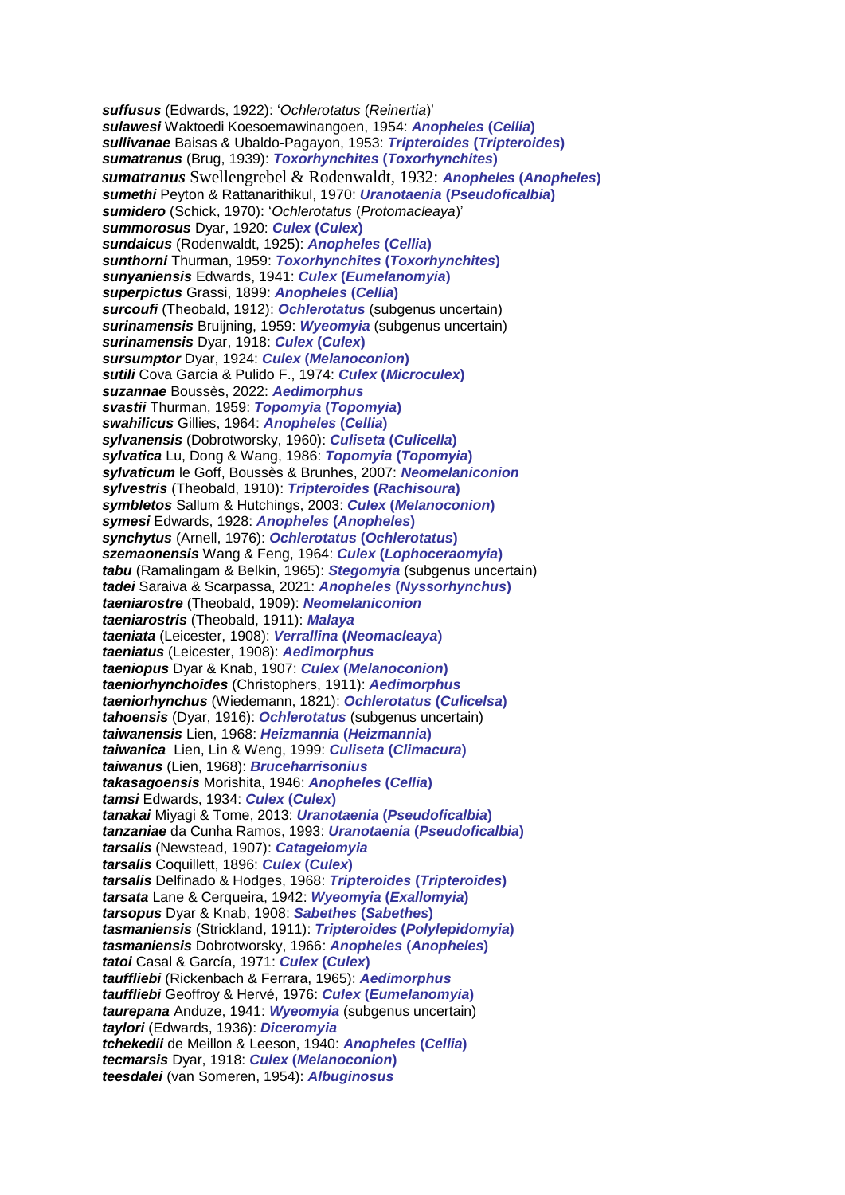*suffusus* (Edwards, 1922): '*Ochlerotatus* (*Reinertia*)' *sulawesi* Waktoedi Koesoemawinangoen, 1954: *Anopheles* **(***Cellia***)** *sullivanae* Baisas & Ubaldo-Pagayon, 1953: *Tripteroides* **(***Tripteroides***)** *sumatranus* (Brug, 1939): *Toxorhynchites* **(***Toxorhynchites***)** *sumatranus* Swellengrebel & Rodenwaldt, 1932: *Anopheles* **(***Anopheles***)** *sumethi* Peyton & Rattanarithikul, 1970: *Uranotaenia* **(***Pseudoficalbia***)** *sumidero* (Schick, 1970): '*Ochlerotatus* (*Protomacleaya*)' *summorosus* Dyar, 1920: *Culex* **(***Culex***)** *sundaicus* (Rodenwaldt, 1925): *Anopheles* **(***Cellia***)** *sunthorni* Thurman, 1959: *Toxorhynchites* **(***Toxorhynchites***)** *sunyaniensis* Edwards, 1941: *Culex* **(***Eumelanomyia***)** *superpictus* Grassi, 1899: *Anopheles* **(***Cellia***)** *surcoufi* (Theobald, 1912): *Ochlerotatus* (subgenus uncertain) *surinamensis* Bruijning, 1959: *Wyeomyia* (subgenus uncertain) *surinamensis* Dyar, 1918: *Culex* **(***Culex***)** *sursumptor* Dyar, 1924: *Culex* **(***Melanoconion***)** *sutili* Cova Garcia & Pulido F., 1974: *Culex* **(***Microculex***)** *suzannae* Boussès, 2022: *Aedimorphus svastii* Thurman, 1959: *Topomyia* **(***Topomyia***)** *swahilicus* Gillies, 1964: *Anopheles* **(***Cellia***)** *sylvanensis* (Dobrotworsky, 1960): *Culiseta* **(***Culicella***)** *sylvatica* Lu, Dong & Wang, 1986: *Topomyia* **(***Topomyia***)** *sylvaticum* le Goff, Boussès & Brunhes, 2007: *Neomelaniconion sylvestris* (Theobald, 1910): *Tripteroides* **(***Rachisoura***)** *symbletos* Sallum & Hutchings, 2003: *Culex* **(***Melanoconion***)** *symesi* Edwards, 1928: *Anopheles* **(***Anopheles***)** *synchytus* (Arnell, 1976): *Ochlerotatus* **(***Ochlerotatus***)** *szemaonensis* Wang & Feng, 1964: *Culex* **(***Lophoceraomyia***)** *tabu* (Ramalingam & Belkin, 1965): *Stegomyia* (subgenus uncertain) *tadei* Saraiva & Scarpassa, 2021: *Anopheles* **(***Nyssorhynchus***)** *taeniarostre* (Theobald, 1909): *Neomelaniconion taeniarostris* (Theobald, 1911): *Malaya taeniata* (Leicester, 1908): *Verrallina* **(***Neomacleaya***)** *taeniatus* (Leicester, 1908): *Aedimorphus taeniopus* Dyar & Knab, 1907: *Culex* **(***Melanoconion***)** *taeniorhynchoides* (Christophers, 1911): *Aedimorphus taeniorhynchus* (Wiedemann, 1821): *Ochlerotatus* **(***Culicelsa***)** *tahoensis* (Dyar, 1916): *Ochlerotatus* (subgenus uncertain) *taiwanensis* Lien, 1968: *Heizmannia* **(***Heizmannia***)** *taiwanica* Lien, Lin & Weng, 1999: *Culiseta* **(***Climacura***)** *taiwanus* (Lien, 1968): *Bruceharrisonius takasagoensis* Morishita, 1946: *Anopheles* **(***Cellia***)** *tamsi* Edwards, 1934: *Culex* **(***Culex***)** *tanakai* Miyagi & Tome, 2013: *Uranotaenia* **(***Pseudoficalbia***)** *tanzaniae* da Cunha Ramos, 1993: *Uranotaenia* **(***Pseudoficalbia***)** *tarsalis* (Newstead, 1907): *Catageiomyia tarsalis* Coquillett, 1896: *Culex* **(***Culex***)** *tarsalis* Delfinado & Hodges, 1968: *Tripteroides* **(***Tripteroides***)** *tarsata* Lane & Cerqueira, 1942: *Wyeomyia* **(***Exallomyia***)** *tarsopus* Dyar & Knab, 1908: *Sabethes* **(***Sabethes***)** *tasmaniensis* (Strickland, 1911): *Tripteroides* **(***Polylepidomyia***)** *tasmaniensis* Dobrotworsky, 1966: *Anopheles* **(***Anopheles***)** *tatoi* Casal & García, 1971: *Culex* **(***Culex***)** *tauffliebi* (Rickenbach & Ferrara, 1965): *Aedimorphus tauffliebi* Geoffroy & Hervé, 1976: *Culex* **(***Eumelanomyia***)** *taurepana* Anduze, 1941: *Wyeomyia* (subgenus uncertain) *taylori* (Edwards, 1936): *Diceromyia tchekedii* de Meillon & Leeson, 1940: *Anopheles* **(***Cellia***)** *tecmarsis* Dyar, 1918: *Culex* **(***Melanoconion***)** *teesdalei* (van Someren, 1954): *Albuginosus*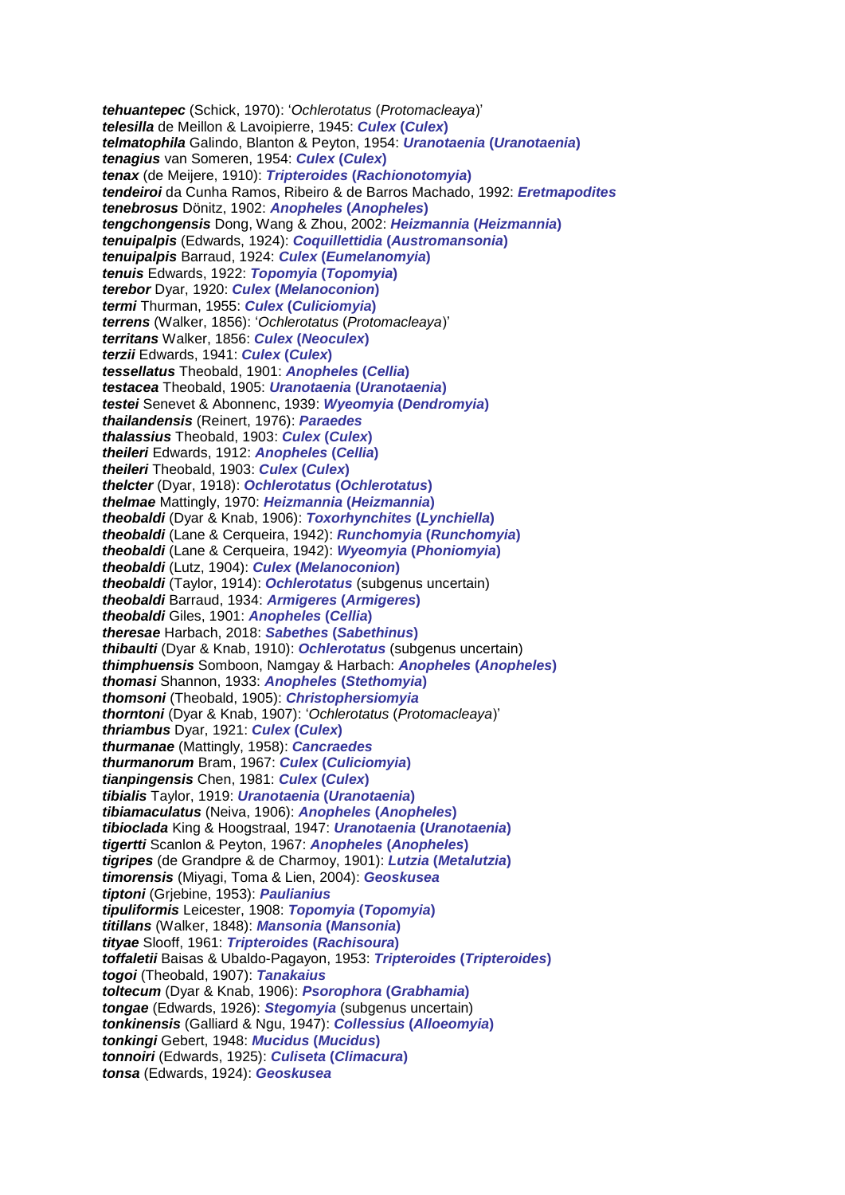*tehuantepec* (Schick, 1970): '*Ochlerotatus* (*Protomacleaya*)' *telesilla* de Meillon & Lavoipierre, 1945: *Culex* **(***Culex***)** *telmatophila* Galindo, Blanton & Peyton, 1954: *Uranotaenia* **(***Uranotaenia***)** *tenagius* van Someren, 1954: *Culex* **(***Culex***)** *tenax* (de Meijere, 1910): *Tripteroides* **(***Rachionotomyia***)** *tendeiroi* da Cunha Ramos, Ribeiro & de Barros Machado, 1992: *Eretmapodites tenebrosus* Dönitz, 1902: *Anopheles* **(***Anopheles***)** *tengchongensis* Dong, Wang & Zhou, 2002: *Heizmannia* **(***Heizmannia***)** *tenuipalpis* (Edwards, 1924): *Coquillettidia* **(***Austromansonia***)** *tenuipalpis* Barraud, 1924: *Culex* **(***Eumelanomyia***)** *tenuis* Edwards, 1922: *Topomyia* **(***Topomyia***)** *terebor* Dyar, 1920: *Culex* **(***Melanoconion***)** *termi* Thurman, 1955: *Culex* **(***Culiciomyia***)** *terrens* (Walker, 1856): '*Ochlerotatus* (*Protomacleaya*)' *territans* Walker, 1856: *Culex* **(***Neoculex***)** *terzii* Edwards, 1941: *Culex* **(***Culex***)** *tessellatus* Theobald, 1901: *Anopheles* **(***Cellia***)** *testacea* Theobald, 1905: *Uranotaenia* **(***Uranotaenia***)** *testei* Senevet & Abonnenc, 1939: *Wyeomyia* **(***Dendromyia***)** *thailandensis* (Reinert, 1976): *Paraedes thalassius* Theobald, 1903: *Culex* **(***Culex***)** *theileri* Edwards, 1912: *Anopheles* **(***Cellia***)** *theileri* Theobald, 1903: *Culex* **(***Culex***)** *thelcter* (Dyar, 1918): *Ochlerotatus* **(***Ochlerotatus***)** *thelmae* Mattingly, 1970: *Heizmannia* **(***Heizmannia***)** *theobaldi* (Dyar & Knab, 1906): *Toxorhynchites* **(***Lynchiella***)** *theobaldi* (Lane & Cerqueira, 1942): *Runchomyia* **(***Runchomyia***)** *theobaldi* (Lane & Cerqueira, 1942): *Wyeomyia* **(***Phoniomyia***)** *theobaldi* (Lutz, 1904): *Culex* **(***Melanoconion***)** *theobaldi* (Taylor, 1914): *Ochlerotatus* (subgenus uncertain) *theobaldi* Barraud, 1934: *Armigeres* **(***Armigeres***)** *theobaldi* Giles, 1901: *Anopheles* **(***Cellia***)** *theresae* Harbach, 2018: *Sabethes* **(***Sabethinus***)** *thibaulti* (Dyar & Knab, 1910): *Ochlerotatus* (subgenus uncertain) *thimphuensis* Somboon, Namgay & Harbach: *Anopheles* **(***Anopheles***)** *thomasi* Shannon, 1933: *Anopheles* **(***Stethomyia***)** *thomsoni* (Theobald, 1905): *Christophersiomyia thorntoni* (Dyar & Knab, 1907): '*Ochlerotatus* (*Protomacleaya*)' *thriambus* Dyar, 1921: *Culex* **(***Culex***)** *thurmanae* (Mattingly, 1958): *Cancraedes thurmanorum* Bram, 1967: *Culex* **(***Culiciomyia***)** *tianpingensis* Chen, 1981: *Culex* **(***Culex***)** *tibialis* Taylor, 1919: *Uranotaenia* **(***Uranotaenia***)** *tibiamaculatus* (Neiva, 1906): *Anopheles* **(***Anopheles***)** *tibioclada* King & Hoogstraal, 1947: *Uranotaenia* **(***Uranotaenia***)** *tigertti* Scanlon & Peyton, 1967: *Anopheles* **(***Anopheles***)** *tigripes* (de Grandpre & de Charmoy, 1901): *Lutzia* **(***Metalutzia***)** *timorensis* (Miyagi, Toma & Lien, 2004): *Geoskusea tiptoni* (Grjebine, 1953): *Paulianius tipuliformis* Leicester, 1908: *Topomyia* **(***Topomyia***)** *titillans* (Walker, 1848): *Mansonia* **(***Mansonia***)** *tityae* Slooff, 1961: *Tripteroides* **(***Rachisoura***)** *toffaletii* Baisas & Ubaldo-Pagayon, 1953: *Tripteroides* **(***Tripteroides***)** *togoi* (Theobald, 1907): *Tanakaius toltecum* (Dyar & Knab, 1906): *Psorophora* **(***Grabhamia***)** *tongae* (Edwards, 1926): *Stegomyia* (subgenus uncertain) *tonkinensis* (Galliard & Ngu, 1947): *Collessius* **(***Alloeomyia***)** *tonkingi* Gebert, 1948: *Mucidus* **(***Mucidus***)** *tonnoiri* (Edwards, 1925): *Culiseta* **(***Climacura***)** *tonsa* (Edwards, 1924): *Geoskusea*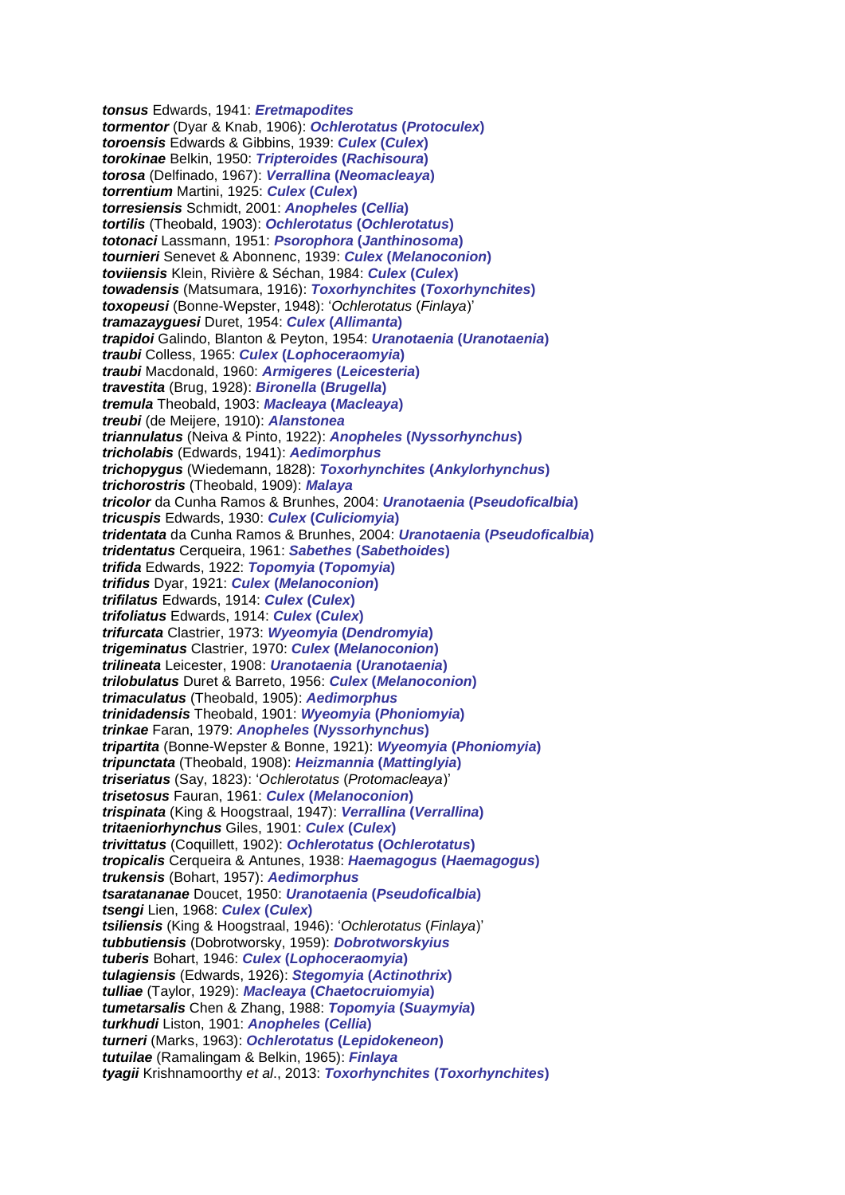*tonsus* Edwards, 1941: *Eretmapodites tormentor* (Dyar & Knab, 1906): *Ochlerotatus* **(***Protoculex***)** *toroensis* Edwards & Gibbins, 1939: *Culex* **(***Culex***)** *torokinae* Belkin, 1950: *Tripteroides* **(***Rachisoura***)** *torosa* (Delfinado, 1967): *Verrallina* **(***Neomacleaya***)** *torrentium* Martini, 1925: *Culex* **(***Culex***)** *torresiensis* Schmidt, 2001: *Anopheles* **(***Cellia***)** *tortilis* (Theobald, 1903): *Ochlerotatus* **(***Ochlerotatus***)** *totonaci* Lassmann, 1951: *Psorophora* **(***Janthinosoma***)** *tournieri* Senevet & Abonnenc, 1939: *Culex* **(***Melanoconion***)** *toviiensis* Klein, Rivière & Séchan, 1984: *Culex* **(***Culex***)** *towadensis* (Matsumara, 1916): *Toxorhynchites* **(***Toxorhynchites***)** *toxopeusi* (Bonne-Wepster, 1948): '*Ochlerotatus* (*Finlaya*)' *tramazayguesi* Duret, 1954: *Culex* **(***Allimanta***)** *trapidoi* Galindo, Blanton & Peyton, 1954: *Uranotaenia* **(***Uranotaenia***)** *traubi* Colless, 1965: *Culex* **(***Lophoceraomyia***)** *traubi* Macdonald, 1960: *Armigeres* **(***Leicesteria***)** *travestita* (Brug, 1928): *Bironella* **(***Brugella***)** *tremula* Theobald, 1903: *Macleaya* **(***Macleaya***)** *treubi* (de Meijere, 1910): *Alanstonea triannulatus* (Neiva & Pinto, 1922): *Anopheles* **(***Nyssorhynchus***)** *tricholabis* (Edwards, 1941): *Aedimorphus trichopygus* (Wiedemann, 1828): *Toxorhynchites* **(***Ankylorhynchus***)** *trichorostris* (Theobald, 1909): *Malaya tricolor* da Cunha Ramos & Brunhes, 2004: *Uranotaenia* **(***Pseudoficalbia***)** *tricuspis* Edwards, 1930: *Culex* **(***Culiciomyia***)** *tridentata* da Cunha Ramos & Brunhes, 2004: *Uranotaenia* **(***Pseudoficalbia***)** *tridentatus* Cerqueira, 1961: *Sabethes* **(***Sabethoides***)** *trifida* Edwards, 1922: *Topomyia* **(***Topomyia***)** *trifidus* Dyar, 1921: *Culex* **(***Melanoconion***)** *trifilatus* Edwards, 1914: *Culex* **(***Culex***)** *trifoliatus* Edwards, 1914: *Culex* **(***Culex***)** *trifurcata* Clastrier, 1973: *Wyeomyia* **(***Dendromyia***)** *trigeminatus* Clastrier, 1970: *Culex* **(***Melanoconion***)** *trilineata* Leicester, 1908: *Uranotaenia* **(***Uranotaenia***)** *trilobulatus* Duret & Barreto, 1956: *Culex* **(***Melanoconion***)** *trimaculatus* (Theobald, 1905): *Aedimorphus trinidadensis* Theobald, 1901: *Wyeomyia* **(***Phoniomyia***)** *trinkae* Faran, 1979: *Anopheles* **(***Nyssorhynchus***)** *tripartita* (Bonne-Wepster & Bonne, 1921): *Wyeomyia* **(***Phoniomyia***)** *tripunctata* (Theobald, 1908): *Heizmannia* **(***Mattinglyia***)** *triseriatus* (Say, 1823): '*Ochlerotatus* (*Protomacleaya*)' *trisetosus* Fauran, 1961: *Culex* **(***Melanoconion***)** *trispinata* (King & Hoogstraal, 1947): *Verrallina* **(***Verrallina***)** *tritaeniorhynchus* Giles, 1901: *Culex* **(***Culex***)** *trivittatus* (Coquillett, 1902): *Ochlerotatus* **(***Ochlerotatus***)** *tropicalis* Cerqueira & Antunes, 1938: *Haemagogus* **(***Haemagogus***)** *trukensis* (Bohart, 1957): *Aedimorphus tsaratananae* Doucet, 1950: *Uranotaenia* **(***Pseudoficalbia***)** *tsengi* Lien, 1968: *Culex* **(***Culex***)** *tsiliensis* (King & Hoogstraal, 1946): '*Ochlerotatus* (*Finlaya*)' *tubbutiensis* (Dobrotworsky, 1959): *Dobrotworskyius tuberis* Bohart, 1946: *Culex* **(***Lophoceraomyia***)** *tulagiensis* (Edwards, 1926): *Stegomyia* **(***Actinothrix***)** *tulliae* (Taylor, 1929): *Macleaya* **(***Chaetocruiomyia***)** *tumetarsalis* Chen & Zhang, 1988: *Topomyia* **(***Suaymyia***)** *turkhudi* Liston, 1901: *Anopheles* **(***Cellia***)** *turneri* (Marks, 1963): *Ochlerotatus* **(***Lepidokeneon***)** *tutuilae* (Ramalingam & Belkin, 1965): *Finlaya tyagii* Krishnamoorthy *et al*., 2013: *Toxorhynchites* **(***Toxorhynchites***)**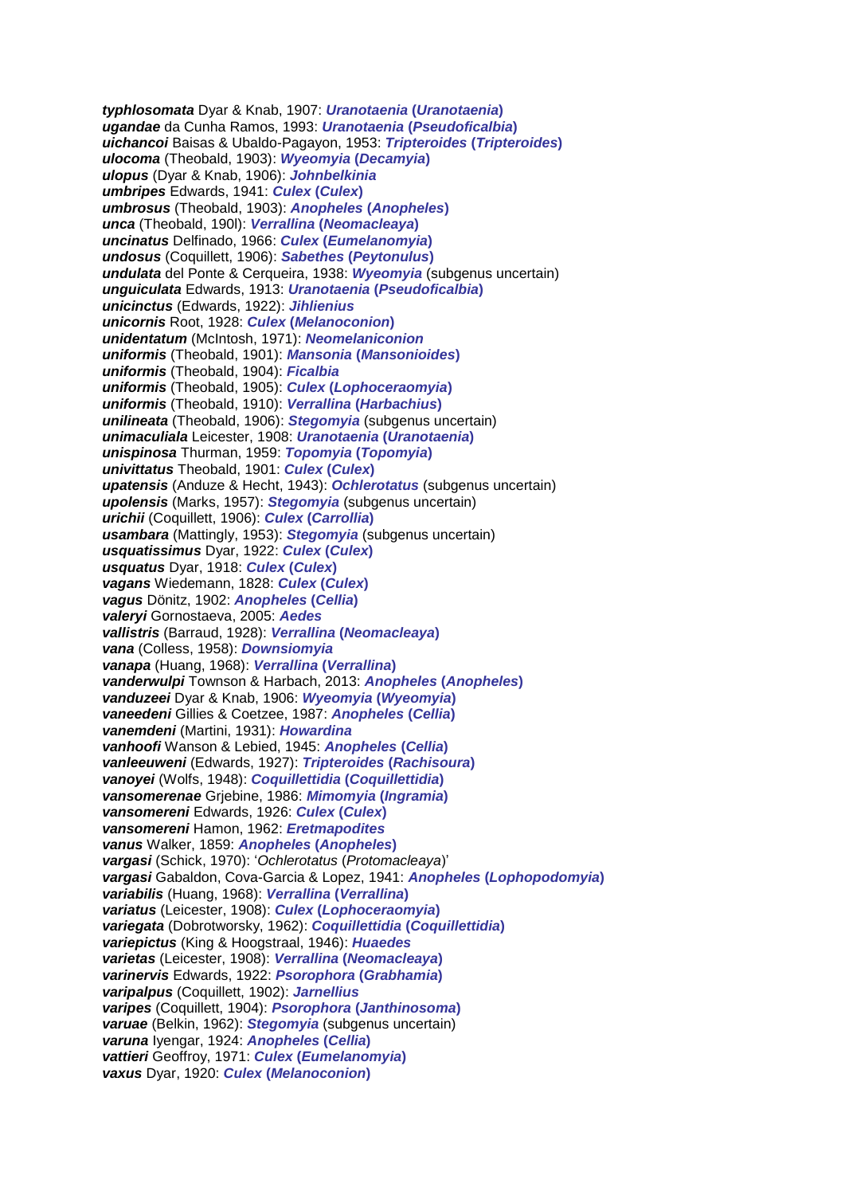*typhlosomata* Dyar & Knab, 1907: *Uranotaenia* **(***Uranotaenia***)** *ugandae* da Cunha Ramos, 1993: *Uranotaenia* **(***Pseudoficalbia***)** *uichancoi* Baisas & Ubaldo-Pagayon, 1953: *Tripteroides* **(***Tripteroides***)** *ulocoma* (Theobald, 1903): *Wyeomyia* **(***Decamyia***)** *ulopus* (Dyar & Knab, 1906): *Johnbelkinia umbripes* Edwards, 1941: *Culex* **(***Culex***)** *umbrosus* (Theobald, 1903): *Anopheles* **(***Anopheles***)** *unca* (Theobald, 190l): *Verrallina* **(***Neomacleaya***)** *uncinatus* Delfinado, 1966: *Culex* **(***Eumelanomyia***)** *undosus* (Coquillett, 1906): *Sabethes* **(***Peytonulus***)** *undulata* del Ponte & Cerqueira, 1938: *Wyeomyia* (subgenus uncertain) *unguiculata* Edwards, 1913: *Uranotaenia* **(***Pseudoficalbia***)** *unicinctus* (Edwards, 1922): *Jihlienius unicornis* Root, 1928: *Culex* **(***Melanoconion***)** *unidentatum* (McIntosh, 1971): *Neomelaniconion uniformis* (Theobald, 1901): *Mansonia* **(***Mansonioides***)** *uniformis* (Theobald, 1904): *Ficalbia uniformis* (Theobald, 1905): *Culex* **(***Lophoceraomyia***)** *uniformis* (Theobald, 1910): *Verrallina* **(***Harbachius***)** *unilineata* (Theobald, 1906): *Stegomyia* (subgenus uncertain) *unimaculiala* Leicester, 1908: *Uranotaenia* **(***Uranotaenia***)** *unispinosa* Thurman, 1959: *Topomyia* **(***Topomyia***)** *univittatus* Theobald, 1901: *Culex* **(***Culex***)** *upatensis* (Anduze & Hecht, 1943): *Ochlerotatus* (subgenus uncertain) *upolensis* (Marks, 1957): *Stegomyia* (subgenus uncertain) *urichii* (Coquillett, 1906): *Culex* **(***Carrollia***)** *usambara* (Mattingly, 1953): *Stegomyia* (subgenus uncertain) *usquatissimus* Dyar, 1922: *Culex* **(***Culex***)** *usquatus* Dyar, 1918: *Culex* **(***Culex***)** *vagans* Wiedemann, 1828: *Culex* **(***Culex***)** *vagus* Dönitz, 1902: *Anopheles* **(***Cellia***)** *valeryi* Gornostaeva, 2005: *Aedes vallistris* (Barraud, 1928): *Verrallina* **(***Neomacleaya***)** *vana* (Colless, 1958): *Downsiomyia vanapa* (Huang, 1968): *Verrallina* **(***Verrallina***)** *vanderwulpi* Townson & Harbach, 2013: *Anopheles* **(***Anopheles***)** *vanduzeei* Dyar & Knab, 1906: *Wyeomyia* **(***Wyeomyia***)** *vaneedeni* Gillies & Coetzee, 1987: *Anopheles* **(***Cellia***)** *vanemdeni* (Martini, 1931): *Howardina vanhoofi* Wanson & Lebied, 1945: *Anopheles* **(***Cellia***)** *vanleeuweni* (Edwards, 1927): *Tripteroides* **(***Rachisoura***)** *vanoyei* (Wolfs, 1948): *Coquillettidia* **(***Coquillettidia***)** *vansomerenae* Grjebine, 1986: *Mimomyia* **(***Ingramia***)** *vansomereni* Edwards, 1926: *Culex* **(***Culex***)** *vansomereni* Hamon, 1962: *Eretmapodites vanus* Walker, 1859: *Anopheles* **(***Anopheles***)** *vargasi* (Schick, 1970): '*Ochlerotatus* (*Protomacleaya*)' *vargasi* Gabaldon, Cova-Garcia & Lopez, 1941: *Anopheles* **(***Lophopodomyia***)** *variabilis* (Huang, 1968): *Verrallina* **(***Verrallina***)** *variatus* (Leicester, 1908): *Culex* **(***Lophoceraomyia***)** *variegata* (Dobrotworsky, 1962): *Coquillettidia* **(***Coquillettidia***)** *variepictus* (King & Hoogstraal, 1946): *Huaedes varietas* (Leicester, 1908): *Verrallina* **(***Neomacleaya***)** *varinervis* Edwards, 1922: *Psorophora* **(***Grabhamia***)** *varipalpus* (Coquillett, 1902): *Jarnellius varipes* (Coquillett, 1904): *Psorophora* **(***Janthinosoma***)** *varuae* (Belkin, 1962): *Stegomyia* (subgenus uncertain) *varuna* Iyengar, 1924: *Anopheles* **(***Cellia***)** *vattieri* Geoffroy, 1971: *Culex* **(***Eumelanomyia***)** *vaxus* Dyar, 1920: *Culex* **(***Melanoconion***)**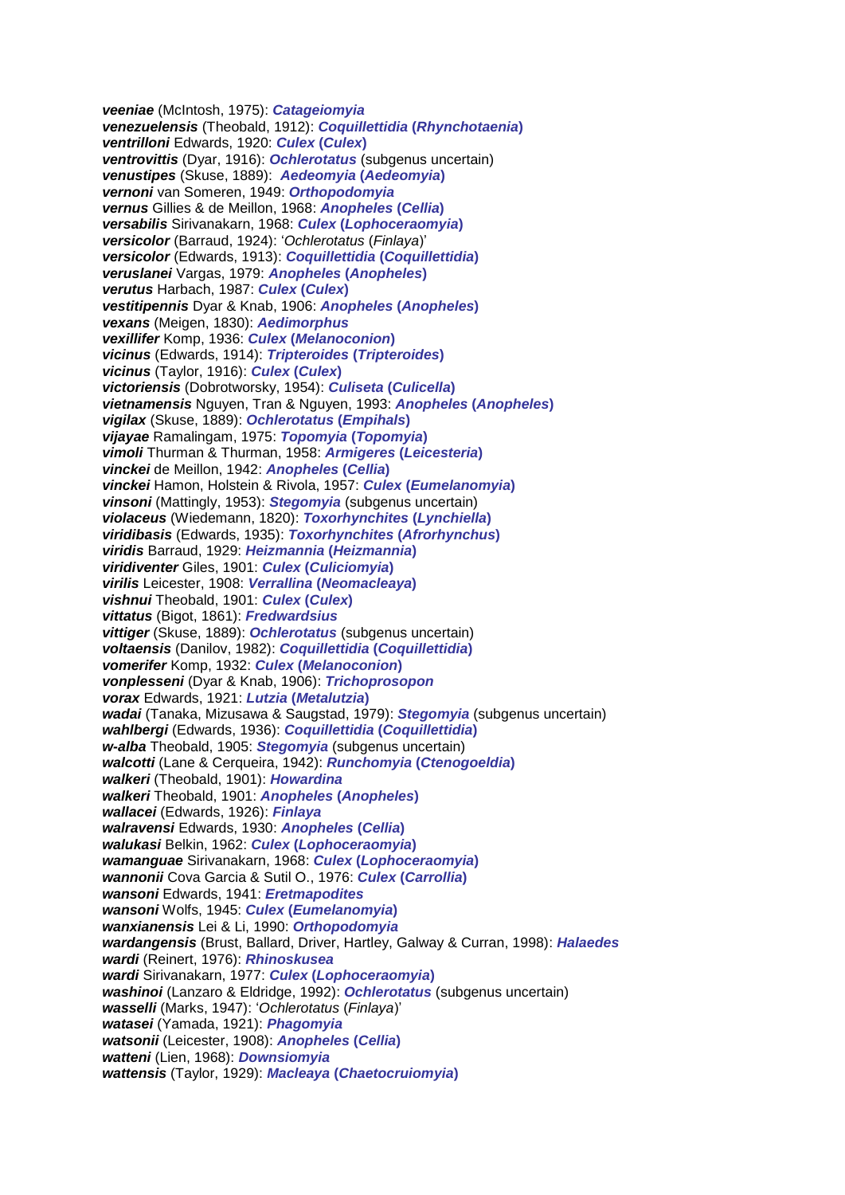*veeniae* (McIntosh, 1975): *Catageiomyia venezuelensis* (Theobald, 1912): *Coquillettidia* **(***Rhynchotaenia***)** *ventrilloni* Edwards, 1920: *Culex* **(***Culex***)** *ventrovittis* (Dyar, 1916): *Ochlerotatus* (subgenus uncertain) *venustipes* (Skuse, 1889): *Aedeomyia* **(***Aedeomyia***)** *vernoni* van Someren, 1949: *Orthopodomyia vernus* Gillies & de Meillon, 1968: *Anopheles* **(***Cellia***)** *versabilis* Sirivanakarn, 1968: *Culex* **(***Lophoceraomyia***)** *versicolor* (Barraud, 1924): '*Ochlerotatus* (*Finlaya*)' *versicolor* (Edwards, 1913): *Coquillettidia* **(***Coquillettidia***)** *veruslanei* Vargas, 1979: *Anopheles* **(***Anopheles***)** *verutus* Harbach, 1987: *Culex* **(***Culex***)** *vestitipennis* Dyar & Knab, 1906: *Anopheles* **(***Anopheles***)** *vexans* (Meigen, 1830): *Aedimorphus vexillifer* Komp, 1936: *Culex* **(***Melanoconion***)** *vicinus* (Edwards, 1914): *Tripteroides* **(***Tripteroides***)** *vicinus* (Taylor, 1916): *Culex* **(***Culex***)** *victoriensis* (Dobrotworsky, 1954): *Culiseta* **(***Culicella***)** *vietnamensis* Nguyen, Tran & Nguyen, 1993: *Anopheles* **(***Anopheles***)** *vigilax* (Skuse, 1889): *Ochlerotatus* **(***Empihals***)** *vijayae* Ramalingam, 1975: *Topomyia* **(***Topomyia***)** *vimoli* Thurman & Thurman, 1958: *Armigeres* **(***Leicesteria***)** *vinckei* de Meillon, 1942: *Anopheles* **(***Cellia***)** *vinckei* Hamon, Holstein & Rivola, 1957: *Culex* **(***Eumelanomyia***)** *vinsoni* (Mattingly, 1953): *Stegomyia* (subgenus uncertain) *violaceus* (Wiedemann, 1820): *Toxorhynchites* **(***Lynchiella***)** *viridibasis* (Edwards, 1935): *Toxorhynchites* **(***Afrorhynchus***)** *viridis* Barraud, 1929: *Heizmannia* **(***Heizmannia***)** *viridiventer* Giles, 1901: *Culex* **(***Culiciomyia***)** *virilis* Leicester, 1908: *Verrallina* **(***Neomacleaya***)** *vishnui* Theobald, 1901: *Culex* **(***Culex***)** *vittatus* (Bigot, 1861): *Fredwardsius vittiger* (Skuse, 1889): *Ochlerotatus* (subgenus uncertain) *voltaensis* (Danilov, 1982): *Coquillettidia* **(***Coquillettidia***)** *vomerifer* Komp, 1932: *Culex* **(***Melanoconion***)** *vonplesseni* (Dyar & Knab, 1906): *Trichoprosopon vorax* Edwards, 1921: *Lutzia* **(***Metalutzia***)** *wadai* (Tanaka, Mizusawa & Saugstad, 1979): *Stegomyia* (subgenus uncertain) *wahlbergi* (Edwards, 1936): *Coquillettidia* **(***Coquillettidia***)** *w-alba* Theobald, 1905: *Stegomyia* (subgenus uncertain) *walcotti* (Lane & Cerqueira, 1942): *Runchomyia* **(***Ctenogoeldia***)** *walkeri* (Theobald, 1901): *Howardina walkeri* Theobald, 1901: *Anopheles* **(***Anopheles***)** *wallacei* (Edwards, 1926): *Finlaya walravensi* Edwards, 1930: *Anopheles* **(***Cellia***)** *walukasi* Belkin, 1962: *Culex* **(***Lophoceraomyia***)** *wamanguae* Sirivanakarn, 1968: *Culex* **(***Lophoceraomyia***)** *wannonii* Cova Garcia & Sutil O., 1976: *Culex* **(***Carrollia***)** *wansoni* Edwards, 1941: *Eretmapodites wansoni* Wolfs, 1945: *Culex* **(***Eumelanomyia***)** *wanxianensis* Lei & Li, 1990: *Orthopodomyia wardangensis* (Brust, Ballard, Driver, Hartley, Galway & Curran, 1998): *Halaedes wardi* (Reinert, 1976): *Rhinoskusea wardi* Sirivanakarn, 1977: *Culex* **(***Lophoceraomyia***)** *washinoi* (Lanzaro & Eldridge, 1992): *Ochlerotatus* (subgenus uncertain) *wasselli* (Marks, 1947): '*Ochlerotatus* (*Finlaya*)' *watasei* (Yamada, 1921): *Phagomyia watsonii* (Leicester, 1908): *Anopheles* **(***Cellia***)** *watteni* (Lien, 1968): *Downsiomyia wattensis* (Taylor, 1929): *Macleaya* **(***Chaetocruiomyia***)**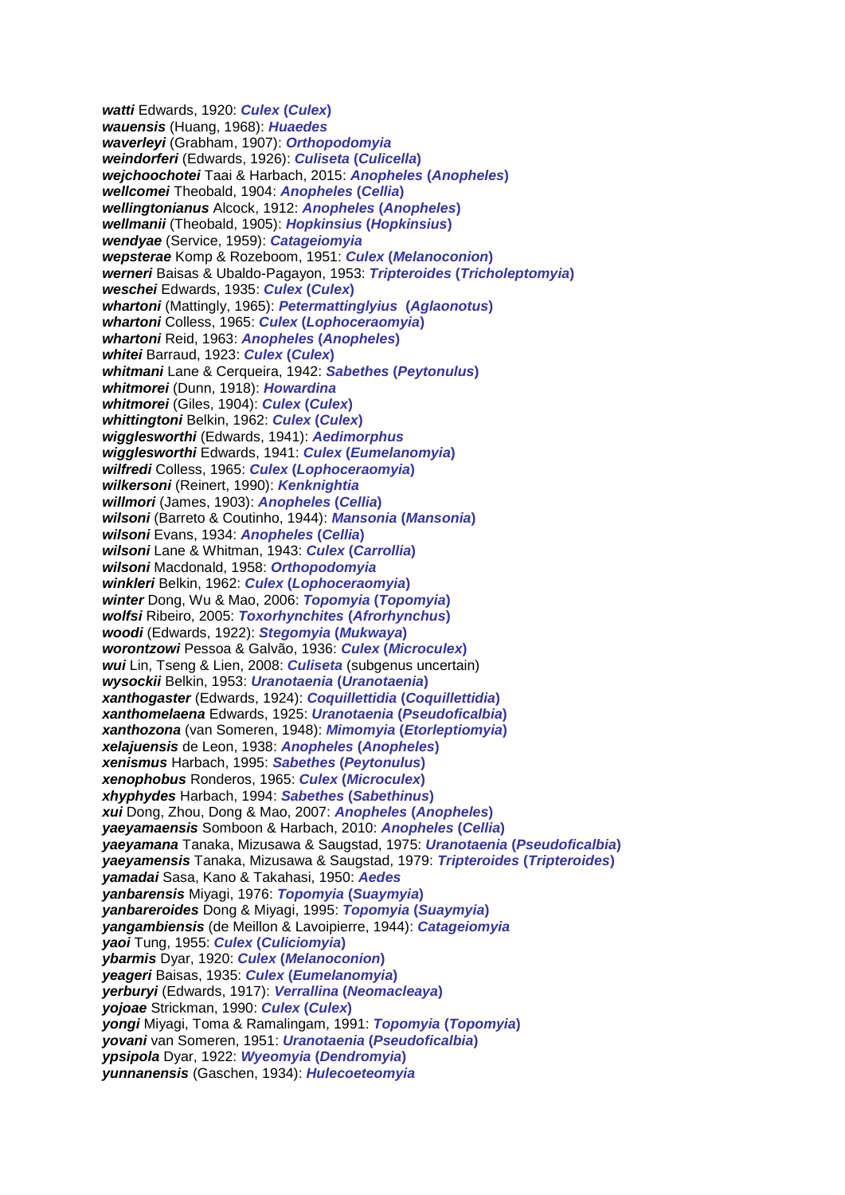*watti* Edwards, 1920: *Culex* **(***Culex***)** *wauensis* (Huang, 1968): *Huaedes waverleyi* (Grabham, 1907): *Orthopodomyia weindorferi* (Edwards, 1926): *Culiseta* **(***Culicella***)** *wejchoochotei* Taai & Harbach, 2015: *Anopheles* **(***Anopheles***)** *wellcomei* Theobald, 1904: *Anopheles* **(***Cellia***)** *wellingtonianus* Alcock, 1912: *Anopheles* **(***Anopheles***)** *wellmanii* (Theobald, 1905): *Hopkinsius* **(***Hopkinsius***)** *wendyae* (Service, 1959): *Catageiomyia wepsterae* Komp & Rozeboom, 1951: *Culex* **(***Melanoconion***)** *werneri* Baisas & Ubaldo-Pagayon, 1953: *Tripteroides* **(***Tricholeptomyia***)** *weschei* Edwards, 1935: *Culex* **(***Culex***)** *whartoni* (Mattingly, 1965): *Petermattinglyius* **(***Aglaonotus***)** *whartoni* Colless, 1965: *Culex* **(***Lophoceraomyia***)** *whartoni* Reid, 1963: *Anopheles* **(***Anopheles***)** *whitei* Barraud, 1923: *Culex* **(***Culex***)** *whitmani* Lane & Cerqueira, 1942: *Sabethes* **(***Peytonulus***)** *whitmorei* (Dunn, 1918): *Howardina whitmorei* (Giles, 1904): *Culex* **(***Culex***)** *whittingtoni* Belkin, 1962: *Culex* **(***Culex***)** *wigglesworthi* (Edwards, 1941): *Aedimorphus wigglesworthi* Edwards, 1941: *Culex* **(***Eumelanomyia***)** *wilfredi* Colless, 1965: *Culex* **(***Lophoceraomyia***)** *wilkersoni* (Reinert, 1990): *Kenknightia willmori* (James, 1903): *Anopheles* **(***Cellia***)** *wilsoni* (Barreto & Coutinho, 1944): *Mansonia* **(***Mansonia***)** *wilsoni* Evans, 1934: *Anopheles* **(***Cellia***)** *wilsoni* Lane & Whitman, 1943: *Culex* **(***Carrollia***)** *wilsoni* Macdonald, 1958: *Orthopodomyia winkleri* Belkin, 1962: *Culex* **(***Lophoceraomyia***)** *winter* Dong, Wu & Mao, 2006: *Topomyia* **(***Topomyia***)** *wolfsi* Ribeiro, 2005: *Toxorhynchites* **(***Afrorhynchus***)** *woodi* (Edwards, 1922): *Stegomyia* **(***Mukwaya***)** *worontzowi* Pessoa & Galvão, 1936: *Culex* **(***Microculex***)** *wui* Lin, Tseng & Lien, 2008: *Culiseta* (subgenus uncertain) *wysockii* Belkin, 1953: *Uranotaenia* **(***Uranotaenia***)** *xanthogaster* (Edwards, 1924): *Coquillettidia* **(***Coquillettidia***)** *xanthomelaena* Edwards, 1925: *Uranotaenia* **(***Pseudoficalbia***)** *xanthozona* (van Someren, 1948): *Mimomyia* **(***Etorleptiomyia***)** *xelajuensis* de Leon, 1938: *Anopheles* **(***Anopheles***)** *xenismus* Harbach, 1995: *Sabethes* **(***Peytonulus***)** *xenophobus* Ronderos, 1965: *Culex* **(***Microculex***)** *xhyphydes* Harbach, 1994: *Sabethes* **(***Sabethinus***)** *xui* Dong, Zhou, Dong & Mao, 2007: *Anopheles* **(***Anopheles***)** *yaeyamaensis* Somboon & Harbach, 2010: *Anopheles* **(***Cellia***)** *yaeyamana* Tanaka, Mizusawa & Saugstad, 1975: *Uranotaenia* **(***Pseudoficalbia***)** *yaeyamensis* Tanaka, Mizusawa & Saugstad, 1979: *Tripteroides* **(***Tripteroides***)** *yamadai* Sasa, Kano & Takahasi, 1950: *Aedes yanbarensis* Miyagi, 1976: *Topomyia* **(***Suaymyia***)** *yanbareroides* Dong & Miyagi, 1995: *Topomyia* **(***Suaymyia***)** *yangambiensis* (de Meillon & Lavoipierre, 1944): *Catageiomyia yaoi* Tung, 1955: *Culex* **(***Culiciomyia***)** *ybarmis* Dyar, 1920: *Culex* **(***Melanoconion***)** *yeageri* Baisas, 1935: *Culex* **(***Eumelanomyia***)** *yerburyi* (Edwards, 1917): *Verrallina* **(***Neomacleaya***)** *yojoae* Strickman, 1990: *Culex* **(***Culex***)** *yongi* Miyagi, Toma & Ramalingam, 1991: *Topomyia* **(***Topomyia***)** *yovani* van Someren, 1951: *Uranotaenia* **(***Pseudoficalbia***)** *ypsipola* Dyar, 1922: *Wyeomyia* **(***Dendromyia***)** *yunnanensis* (Gaschen, 1934): *Hulecoeteomyia*